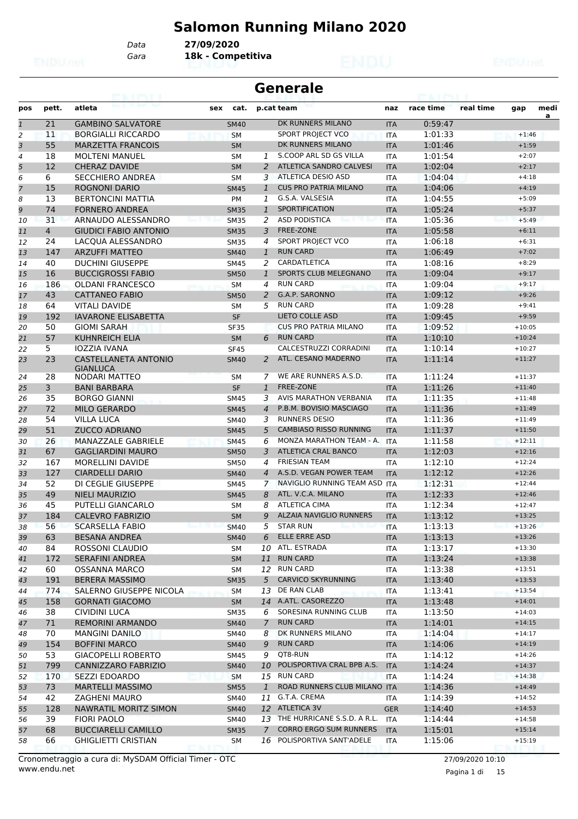# **Salomon Running Milano 2020**

*Gara* **18k - Competitiva** *Data* **27/09/2020**

|                           | <b>Generale</b> |                                                |             |  |                |                                |            |           |           |          |           |  |  |  |
|---------------------------|-----------------|------------------------------------------------|-------------|--|----------------|--------------------------------|------------|-----------|-----------|----------|-----------|--|--|--|
| pos                       | pett.           | atleta                                         | sex<br>cat. |  |                | p.cat team                     | naz        | race time | real time | gap      | medi<br>a |  |  |  |
| $\overline{\mathfrak{1}}$ | 21              | <b>GAMBINO SALVATORE</b>                       | <b>SM40</b> |  |                | DK RUNNERS MILANO              | <b>ITA</b> | 0:59:47   |           |          |           |  |  |  |
| 2                         | 11              | <b>BORGIALLI RICCARDO</b>                      | <b>SM</b>   |  |                | SPORT PROJECT VCO              | <b>ITA</b> | 1:01:33   |           | $+1:46$  |           |  |  |  |
| 3                         | 55              | <b>MARZETTA FRANCOIS</b>                       | <b>SM</b>   |  |                | DK RUNNERS MILANO              | <b>ITA</b> | 1:01:46   |           | $+1:59$  |           |  |  |  |
| 4                         | 18              | <b>MOLTENI MANUEL</b>                          | <b>SM</b>   |  | 1              | S.COOP ARL SD GS VILLA         | <b>ITA</b> | 1:01:54   |           | $+2:07$  |           |  |  |  |
| 5                         | 12              | <b>CHERAZ DAVIDE</b>                           | <b>SM</b>   |  | 2              | ATLETICA SANDRO CALVESI        | <b>ITA</b> | 1:02:04   |           | $+2:17$  |           |  |  |  |
| 6                         | 6               | <b>SECCHIERO ANDREA</b>                        | <b>SM</b>   |  | 3              | ATLETICA DESIO ASD             | <b>ITA</b> | 1:04:04   |           | $+4:18$  |           |  |  |  |
| $\overline{7}$            | 15              | <b>ROGNONI DARIO</b>                           | <b>SM45</b> |  | $\mathbf{1}$   | <b>CUS PRO PATRIA MILANO</b>   | <b>ITA</b> | 1:04:06   |           | $+4:19$  |           |  |  |  |
| 8                         | 13              | <b>BERTONCINI MATTIA</b>                       | PM          |  | 1              | G.S.A. VALSESIA                | <b>ITA</b> | 1:04:55   |           | $+5:09$  |           |  |  |  |
| 9                         | 74              | <b>FORNERO ANDREA</b>                          | <b>SM35</b> |  | $\mathbf{1}$   | <b>SPORTIFICATION</b>          | <b>ITA</b> | 1:05:24   |           | $+5:37$  |           |  |  |  |
| 10                        | 31              | ARNAUDO ALESSANDRO                             | <b>SM35</b> |  | 2              | <b>ASD PODISTICA</b>           | <b>ITA</b> | 1:05:36   |           | $+5:49$  |           |  |  |  |
| 11                        | $\overline{4}$  | <b>GIUDICI FABIO ANTONIO</b>                   | <b>SM35</b> |  | 3              | FREE-ZONE                      | <b>ITA</b> | 1:05:58   |           | $+6:11$  |           |  |  |  |
| 12                        | 24              | LACQUA ALESSANDRO                              | <b>SM35</b> |  | 4              | SPORT PROJECT VCO              | <b>ITA</b> | 1:06:18   |           | $+6:31$  |           |  |  |  |
| 13                        | 147             | <b>ARZUFFI MATTEO</b>                          | <b>SM40</b> |  | $\mathbf{1}$   | <b>RUN CARD</b>                | <b>ITA</b> | 1:06:49   |           | $+7:02$  |           |  |  |  |
| 14                        | 40              | <b>DUCHINI GIUSEPPE</b>                        | <b>SM45</b> |  | 2              | CARDATLETICA                   | <b>ITA</b> | 1:08:16   |           | $+8:29$  |           |  |  |  |
| 15                        | 16              | <b>BUCCIGROSSI FABIO</b>                       | <b>SM50</b> |  | $\mathbf{1}$   | SPORTS CLUB MELEGNANO          | <b>ITA</b> | 1:09:04   |           | $+9:17$  |           |  |  |  |
| 16                        | 186             | <b>OLDANI FRANCESCO</b>                        | <b>SM</b>   |  | 4              | <b>RUN CARD</b>                | ITA        | 1:09:04   |           | $+9:17$  |           |  |  |  |
| 17                        | 43              | <b>CATTANEO FABIO</b>                          | <b>SM50</b> |  | 2              | G.A.P. SARONNO                 | <b>ITA</b> | 1:09:12   |           | $+9:26$  |           |  |  |  |
| 18                        | 64              | <b>VITALI DAVIDE</b>                           | <b>SM</b>   |  | 5              | <b>RUN CARD</b>                | <b>ITA</b> | 1:09:28   |           | $+9:41$  |           |  |  |  |
| 19                        | 192             | <b>IAVARONE ELISABETTA</b>                     | <b>SF</b>   |  |                | <b>LIETO COLLE ASD</b>         | <b>ITA</b> | 1:09:45   |           | $+9:59$  |           |  |  |  |
| 20                        | 50              | <b>GIOMI SARAH</b>                             | <b>SF35</b> |  |                | <b>CUS PRO PATRIA MILANO</b>   | <b>ITA</b> | 1:09:52   |           | $+10:05$ |           |  |  |  |
| 21                        | 57              | <b>KUHNREICH ELIA</b>                          | <b>SM</b>   |  | 6              | <b>RUN CARD</b>                | <b>ITA</b> | 1:10:10   |           | $+10:24$ |           |  |  |  |
| 22                        | 5               | <b>IOZZIA IVANA</b>                            | <b>SF45</b> |  |                | CALCESTRUZZI CORRADINI         | <b>ITA</b> | 1:10:14   |           | $+10:27$ |           |  |  |  |
| 23                        | 23              | <b>CASTELLANETA ANTONIO</b><br><b>GIANLUCA</b> | <b>SM40</b> |  | 2              | ATL. CESANO MADERNO            | <b>ITA</b> | 1:11:14   |           | $+11:27$ |           |  |  |  |
| 24                        | 28              | NODARI MATTEO                                  | <b>SM</b>   |  | 7              | WE ARE RUNNERS A.S.D.          | <b>ITA</b> | 1:11:24   |           | $+11:37$ |           |  |  |  |
| 25                        | 3               | <b>BANI BARBARA</b>                            | <b>SF</b>   |  | $\mathbf{1}$   | FREE-ZONE                      | <b>ITA</b> | 1:11:26   |           | $+11:40$ |           |  |  |  |
| 26                        | 35              | <b>BORGO GIANNI</b>                            | <b>SM45</b> |  | 3              | <b>AVIS MARATHON VERBANIA</b>  | <b>ITA</b> | 1:11:35   |           | $+11:48$ |           |  |  |  |
| 27                        | 72              | <b>MILO GERARDO</b>                            | <b>SM45</b> |  | $\overline{4}$ | P.B.M. BOVISIO MASCIAGO        | <b>ITA</b> | 1:11:36   |           | $+11:49$ |           |  |  |  |
| 28                        | 54              | <b>VILLA LUCA</b>                              | <b>SM40</b> |  | 3              | <b>RUNNERS DESIO</b>           | <b>ITA</b> | 1:11:36   |           | $+11:49$ |           |  |  |  |
| 29                        | 51              | <b>ZUCCO ADRIANO</b>                           | <b>SM45</b> |  | 5              | <b>CAMBIASO RISSO RUNNING</b>  | <b>ITA</b> | 1:11:37   |           | $+11:50$ |           |  |  |  |
| 30                        | 26              | MANAZZALE GABRIELE                             | <b>SM45</b> |  | 6              | MONZA MARATHON TEAM - A.       | <b>ITA</b> | 1:11:58   |           | $+12:11$ |           |  |  |  |
| 31                        | 67              | <b>GAGLIARDINI MAURO</b>                       | <b>SM50</b> |  | 3              | ATLETICA CRAL BANCO            | <b>ITA</b> | 1:12:03   |           | $+12:16$ |           |  |  |  |
| 32                        | 167             | <b>MORELLINI DAVIDE</b>                        | <b>SM50</b> |  | 4              | <b>FRIESIAN TEAM</b>           | <b>ITA</b> | 1:12:10   |           | $+12:24$ |           |  |  |  |
| 33                        | 127             | <b>CIARDELLI DARIO</b>                         | <b>SM40</b> |  | $\overline{A}$ | A.S.D. VEGAN POWER TEAM        | <b>ITA</b> | 1:12:12   |           | $+12:26$ |           |  |  |  |
| 34                        | 52              | DI CEGLIE GIUSEPPE                             | <b>SM45</b> |  | $\overline{7}$ | NAVIGLIO RUNNING TEAM ASD ITA  |            | 1:12:31   |           | $+12:44$ |           |  |  |  |
| 35                        | 49              | <b>NIELI MAURIZIO</b>                          | <b>SM45</b> |  | 8              | ATL. V.C.A. MILANO             | <b>ITA</b> | 1:12:33   |           | $+12:46$ |           |  |  |  |
| 36                        | 45              | PUTELLI GIANCARLO                              | <b>SM</b>   |  | 8              | <b>ATLETICA CIMA</b>           | <b>ITA</b> | 1:12:34   |           | $+12:47$ |           |  |  |  |
| 37                        | 184             | <b>CALEVRO FABRIZIO</b>                        | SM          |  | 9              | ALZAIA NAVIGLIO RUNNERS        | <b>ITA</b> | 1:13:12   |           | $+13:25$ |           |  |  |  |
| 38                        | 56              | <b>SCARSELLA FABIO</b>                         | SM40        |  |                | 5 STAR RUN                     | <b>ITA</b> | 1:13:13   |           | $+13:26$ |           |  |  |  |
| 39                        | 63              | <b>BESANA ANDREA</b>                           | <b>SM40</b> |  | 6              | <b>ELLE ERRE ASD</b>           | <b>ITA</b> | 1:13:13   |           | $+13:26$ |           |  |  |  |
| 40                        | 84              | ROSSONI CLAUDIO                                | SM          |  |                | 10 ATL. ESTRADA                | ITA        | 1:13:17   |           | $+13:30$ |           |  |  |  |
| 41                        | 172             | <b>SERAFINI ANDREA</b>                         | <b>SM</b>   |  |                | 11 RUN CARD                    | <b>ITA</b> | 1:13:24   |           | $+13:38$ |           |  |  |  |
| 42                        | 60              | <b>OSSANNA MARCO</b>                           | SM          |  |                | 12 RUN CARD                    | ITA        | 1:13:38   |           | $+13:51$ |           |  |  |  |
| 43                        | 191             | <b>BERERA MASSIMO</b>                          | <b>SM35</b> |  | 5              | <b>CARVICO SKYRUNNING</b>      | <b>ITA</b> | 1:13:40   |           | $+13:53$ |           |  |  |  |
| 44                        | 774             | SALERNO GIUSEPPE NICOLA                        | <b>SM</b>   |  |                | 13 DE RAN CLAB                 | ITA        | 1:13:41   |           | $+13:54$ |           |  |  |  |
| 45                        | 158             | <b>GORNATI GIACOMO</b>                         | <b>SM</b>   |  |                | 14 A.ATL. CASOREZZO            | <b>ITA</b> | 1:13:48   |           | $+14:01$ |           |  |  |  |
| 46                        | 38              | <b>CIVIDINI LUCA</b>                           | SM35        |  | 6              | SORESINA RUNNING CLUB          | ITA        | 1:13:50   |           | $+14:03$ |           |  |  |  |
|                           | 71              | <b>REMORINI ARMANDO</b>                        |             |  | $\overline{7}$ | <b>RUN CARD</b>                |            | 1:14:01   |           | $+14:15$ |           |  |  |  |
| 47                        | 70              | <b>MANGINI DANILO</b>                          | <b>SM40</b> |  | 8              | DK RUNNERS MILANO              | <b>ITA</b> | 1:14:04   |           | $+14:17$ |           |  |  |  |
| 48                        |                 |                                                | SM40        |  |                | <b>RUN CARD</b>                | ITA        |           |           |          |           |  |  |  |
| 49                        | 154             | <b>BOFFINI MARCO</b>                           | <b>SM40</b> |  | 9              |                                | <b>ITA</b> | 1:14:06   |           | $+14:19$ |           |  |  |  |
| 50                        | 53              | <b>GIACOPELLI ROBERTO</b>                      | SM45        |  | 9              | QT8-RUN                        | ITA        | 1:14:12   |           | $+14:26$ |           |  |  |  |
| 51                        | 799             | CANNIZZARO FABRIZIO                            | <b>SM40</b> |  | 10             | POLISPORTIVA CRAL BPB A.S.     | <b>ITA</b> | 1:14:24   |           | $+14:37$ |           |  |  |  |
| 52                        | 170             | SEZZI EDOARDO                                  | <b>SM</b>   |  |                | 15 RUN CARD                    | <b>ITA</b> | 1:14:24   |           | $+14:38$ |           |  |  |  |
| 53                        | 73              | <b>MARTELLI MASSIMO</b>                        | <b>SM55</b> |  | $\mathbf{1}$   | ROAD RUNNERS CLUB MILANO ITA   |            | 1:14:36   |           | $+14:49$ |           |  |  |  |
| 54                        | 42              | <b>ZAGHENI MAURO</b>                           | SM40        |  |                | 11 G.T.A. CREMA                | ITA.       | 1:14:39   |           | $+14:52$ |           |  |  |  |
| 55                        | 128             | NAWRATIL MORITZ SIMON                          | <b>SM40</b> |  |                | 12 ATLETICA 3V                 | <b>GER</b> | 1:14:40   |           | $+14:53$ |           |  |  |  |
| 56                        | 39              | <b>FIORI PAOLO</b>                             | SM40        |  |                | 13 THE HURRICANE S.S.D. A R.L. | <b>ITA</b> | 1:14:44   |           | $+14:58$ |           |  |  |  |
| 57                        | 68              | <b>BUCCIARELLI CAMILLO</b>                     | <b>SM35</b> |  | $7^{\circ}$    | <b>CORRO ERGO SUM RUNNERS</b>  | <b>ITA</b> | 1:15:01   |           | $+15:14$ |           |  |  |  |
| 58                        | 66              | <b>GHIGLIETTI CRISTIAN</b>                     | SM          |  |                | 16 POLISPORTIVA SANT'ADELE     | ITA        | 1:15:06   |           | $+15:19$ |           |  |  |  |

www.endu.net Cronometraggio a cura di: MySDAM Official Timer - OTC 27/09/2020 10:10

Pagina 1 di 15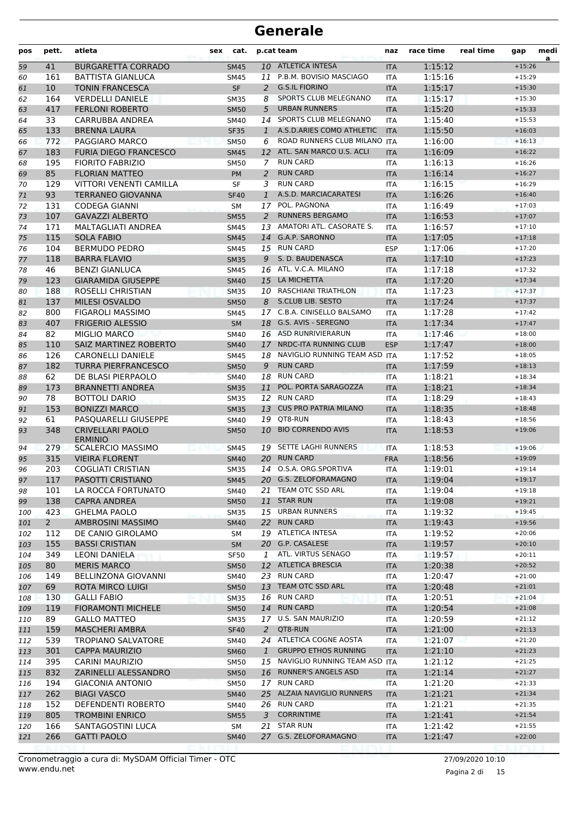| pos        | pett.          | atleta                                     | sex | cat.                       |              | p.cat team                                         | naz                      | race time          | real time | gap                  | medi<br>a |
|------------|----------------|--------------------------------------------|-----|----------------------------|--------------|----------------------------------------------------|--------------------------|--------------------|-----------|----------------------|-----------|
| 59         | 41             | <b>BURGARETTA CORRADO</b>                  |     | <b>SM45</b>                |              | 10 ATLETICA INTESA                                 | <b>ITA</b>               | 1:15:12            |           | $+15:26$             |           |
| 60         | 161            | <b>BATTISTA GIANLUCA</b>                   |     | <b>SM45</b>                |              | 11 P.B.M. BOVISIO MASCIAGO                         | <b>ITA</b>               | 1:15:16            |           | $+15:29$             |           |
| 61         | 10             | <b>TONIN FRANCESCA</b>                     |     | <b>SF</b>                  | 2            | <b>G.S.IL FIORINO</b>                              | <b>ITA</b>               | 1:15:17            |           | $+15:30$             |           |
| 62         | 164            | <b>VERDELLI DANIELE</b>                    |     | <b>SM35</b>                | 8            | <b>SPORTS CLUB MELEGNANO</b>                       | <b>ITA</b>               | 1:15:17            |           | $+15:30$             |           |
| 63         | 417            | <b>FERLONI ROBERTO</b>                     |     | <b>SM50</b>                | 5            | <b>URBAN RUNNERS</b>                               | <b>ITA</b>               | 1:15:20            |           | $+15:33$             |           |
| 64         | 33             | CARRUBBA ANDREA                            |     | SM40                       |              | 14 SPORTS CLUB MELEGNANO                           | <b>ITA</b>               | 1:15:40            |           | $+15:53$             |           |
| 65         | 133            | <b>BRENNA LAURA</b>                        |     | <b>SF35</b>                | $\mathbf{1}$ | A.S.D.ARIES COMO ATHLETIC                          | <b>ITA</b>               | 1:15:50            |           | $+16:03$             |           |
| 66         | 772            | PAGGIARO MARCO                             |     | <b>SM50</b>                | 6            | ROAD RUNNERS CLUB MILANO ITA                       |                          | 1:16:00            |           | $+16:13$             |           |
| 67         | 183            | <b>FURIA DIEGO FRANCESCO</b>               |     | <b>SM45</b>                | 12           | ATL. SAN MARCO U.S. ACLI                           | <b>ITA</b>               | 1:16:09            |           | $+16:22$             |           |
| 68         | 195            | <b>FIORITO FABRIZIO</b>                    |     | <b>SM50</b>                | 7            | <b>RUN CARD</b>                                    | <b>ITA</b>               | 1:16:13            |           | $+16:26$             |           |
| 69         | 85             | <b>FLORIAN MATTEO</b>                      |     | PM                         | 2            | <b>RUN CARD</b>                                    | <b>ITA</b>               | 1:16:14            |           | $+16:27$             |           |
| 70         | 129            | VITTORI VENENTI CAMILLA                    |     | SF                         | 3            | <b>RUN CARD</b>                                    | ITA                      | 1:16:15            |           | $+16:29$             |           |
| 71         | 93             | <b>TERRANEO GIOVANNA</b>                   |     | <b>SF40</b>                | $\mathbf{1}$ | A.S.D. MARCIACARATESI                              | <b>ITA</b>               | 1:16:26            |           | $+16:40$             |           |
| 72         | 131            | <b>CODEGA GIANNI</b>                       |     | <b>SM</b>                  |              | 17 POL. PAGNONA                                    | <b>ITA</b>               | 1:16:49            |           | $+17:03$             |           |
| 73         | 107            | <b>GAVAZZI ALBERTO</b>                     |     | <b>SM55</b>                | 2            | <b>RUNNERS BERGAMO</b><br>AMATORI ATL. CASORATE S. | <b>ITA</b>               | 1:16:53            |           | $+17:07$             |           |
| 74         | 171<br>115     | MALTAGLIATI ANDREA<br><b>SOLA FABIO</b>    |     | <b>SM45</b><br><b>SM45</b> | 13           | 14 G.A.P. SARONNO                                  | <b>ITA</b>               | 1:16:57<br>1:17:05 |           | $+17:10$<br>$+17:18$ |           |
| 75         | 104            | <b>BERMUDO PEDRO</b>                       |     |                            |              | 15 RUN CARD                                        | <b>ITA</b><br><b>ESP</b> | 1:17:06            |           | $+17:20$             |           |
| 76<br>77   | 118            | <b>BARRA FLAVIO</b>                        |     | SM45<br><b>SM35</b>        |              | 9 S. D. BAUDENASCA                                 | <b>ITA</b>               | 1:17:10            |           | $+17:23$             |           |
| 78         | 46             | <b>BENZI GIANLUCA</b>                      |     | <b>SM45</b>                |              | 16 ATL. V.C.A. MILANO                              | <b>ITA</b>               | 1:17:18            |           | $+17:32$             |           |
| 79         | 123            | <b>GIARAMIDA GIUSEPPE</b>                  |     | <b>SM40</b>                |              | 15 LA MICHETTA                                     | <b>ITA</b>               | 1:17:20            |           | $+17:34$             |           |
| 80         | 188            | ROSELLI CHRISTIAN                          |     | <b>SM35</b>                |              | 10 RASCHIANI TRIATHLON                             | <b>ITA</b>               | 1:17:23            |           | $+17:37$             |           |
| 81         | 137            | MILESI OSVALDO                             |     | <b>SM50</b>                | 8            | S.CLUB LIB. SESTO                                  | <b>ITA</b>               | 1:17:24            |           | $+17:37$             |           |
| 82         | 800            | <b>FIGAROLI MASSIMO</b>                    |     | <b>SM45</b>                |              | 17 C.B.A. CINISELLO BALSAMO                        | <b>ITA</b>               | 1:17:28            |           | $+17:42$             |           |
| 83         | 407            | <b>FRIGERIO ALESSIO</b>                    |     | <b>SM</b>                  |              | 18 G.S. AVIS - SEREGNO                             | <b>ITA</b>               | 1:17:34            |           | $+17:47$             |           |
| 84         | 82             | <b>MIGLIO MARCO</b>                        |     | <b>SM40</b>                |              | 16 ASD RUNRIVIERARUN                               | <b>ITA</b>               | 1:17:46            |           | $+18:00$             |           |
| 85         | 110            | SAIZ MARTINEZ ROBERTO                      |     | <b>SM40</b>                | 17           | NRDC-ITA RUNNING CLUB                              | <b>ESP</b>               | 1:17:47            |           | $+18:00$             |           |
| 86         | 126            | <b>CARONELLI DANIELE</b>                   |     | <b>SM45</b>                | 18           | NAVIGLIO RUNNING TEAM ASD                          | <b>ITA</b>               | 1:17:52            |           | $+18:05$             |           |
| 87         | 182            | <b>TURRA PIERFRANCESCO</b>                 |     | <b>SM50</b>                | 9            | <b>RUN CARD</b>                                    | <b>ITA</b>               | 1:17:59            |           | $+18:13$             |           |
| 88         | 62             | DE BLASI PIERPAOLO                         |     | <b>SM40</b>                | 18           | <b>RUN CARD</b>                                    | <b>ITA</b>               | 1:18:21            |           | $+18:34$             |           |
| 89         | 173            | <b>BRANNETTI ANDREA</b>                    |     | <b>SM35</b>                | 11           | POL. PORTA SARAGOZZA                               | <b>ITA</b>               | 1:18:21            |           | $+18:34$             |           |
| 90         | 78             | <b>BOTTOLI DARIO</b>                       |     | <b>SM35</b>                |              | 12 RUN CARD                                        | <b>ITA</b>               | 1:18:29            |           | $+18:43$             |           |
| 91         | 153            | <b>BONIZZI MARCO</b>                       |     | <b>SM35</b>                | 13           | <b>CUS PRO PATRIA MILANO</b>                       | <b>ITA</b>               | 1:18:35            |           | $+18:48$             |           |
| 92         | 61             | PASQUARELLI GIUSEPPE                       |     | <b>SM40</b>                | 19           | QT8-RUN                                            | <b>ITA</b>               | 1:18:43            |           | $+18:56$             |           |
| 93         | 348            | <b>CRIVELLARI PAOLO</b>                    |     | <b>SM50</b>                |              | 10 BIO CORRENDO AVIS                               | <b>ITA</b>               | 1:18:53            |           | $+19:06$             |           |
| 94         | 279            | <b>ERMINIO</b><br><b>SCALERCIO MASSIMO</b> |     | <b>SM45</b>                |              | 19 SETTE LAGHI RUNNERS                             | <b>ITA</b>               | 1:18:53            |           | $+19:06$             |           |
| 95         | 315            | <b>VIEIRA FLORENT</b>                      |     | <b>SM40</b>                | 20           | <b>RUN CARD</b>                                    | <b>FRA</b>               | 1:18:56            |           | $+19:09$             |           |
| 96         | 203            | <b>COGLIATI CRISTIAN</b>                   |     | <b>SM35</b>                |              | 14 O.S.A. ORG.SPORTIVA                             | <b>ITA</b>               | 1:19:01            |           | $+19:14$             |           |
| 97         | 117            | PASOTTI CRISTIANO                          |     | <b>SM45</b>                |              | 20 G.S. ZELOFORAMAGNO                              | <b>ITA</b>               | 1:19:04            |           | $+19:17$             |           |
| 98         | 101            | LA ROCCA FORTUNATO                         |     | SM40                       |              | 21 TEAM OTC SSD ARL                                | ITA                      | 1:19:04            |           | $+19:18$             |           |
| 99         | 138            | <b>CAPRA ANDREA</b>                        |     | <b>SM50</b>                | 11           | <b>STAR RUN</b>                                    | <b>ITA</b>               | 1:19:08            |           | $+19:21$             |           |
| 100        | 423            | <b>GHELMA PAOLO</b>                        |     | <b>SM35</b>                |              | 15 URBAN RUNNERS                                   | ITA                      | 1:19:32            |           | $+19:45$             |           |
| 101        | $\overline{2}$ | AMBROSINI MASSIMO                          |     | <b>SM40</b>                |              | 22 RUN CARD                                        | <b>ITA</b>               | 1:19:43            |           | $+19:56$             |           |
| 102        | 112            | DE CANIO GIROLAMO                          |     | SM                         |              | 19 ATLETICA INTESA                                 | ITA                      | 1:19:52            |           | $+20:06$             |           |
| 103        | 155            | <b>BASSI CRISTIAN</b>                      |     | <b>SM</b>                  |              | 20 G.P. CASALESE                                   | <b>ITA</b>               | 1:19:57            |           | $+20:10$             |           |
| 104        | 349            | LEONI DANIELA                              |     | <b>SF50</b>                | $\mathbf{1}$ | ATL. VIRTUS SENAGO                                 | ITA                      | 1:19:57            |           | $+20:11$             |           |
| 105        | 80             | <b>MERIS MARCO</b>                         |     | <b>SM50</b>                |              | 12 ATLETICA BRESCIA                                | <b>ITA</b>               | 1:20:38            |           | $+20:52$             |           |
| 106        | 149            | BELLINZONA GIOVANNI                        |     | SM40                       |              | 23 RUN CARD                                        | ITA                      | 1:20:47            |           | $+21:00$             |           |
| 107        | 69             | ROTA MIRCO LUIGI                           |     | <b>SM50</b>                |              | 13 TEAM OTC SSD ARL                                | <b>ITA</b>               | 1:20:48            |           | $+21:01$             |           |
| 108        | 130            | <b>GALLI FABIO</b>                         |     | <b>SM35</b>                |              | 16 RUN CARD                                        | ITA                      | 1:20:51            |           | $+21:04$             |           |
| 109        | 119            | <b>FIORAMONTI MICHELE</b>                  |     | <b>SM50</b>                |              | 14 RUN CARD                                        | <b>ITA</b>               | 1:20:54            |           | $+21:08$             |           |
| 110        | 89             | <b>GALLO MATTEO</b>                        |     | <b>SM35</b>                |              | 17 U.S. SAN MAURIZIO                               | ITA                      | 1:20:59            |           | $+21:12$             |           |
| 111        | 159            | <b>MASCHERI AMBRA</b>                      |     | <b>SF40</b>                | 2            | QT8-RUN<br>24 ATLETICA COGNE AOSTA                 | <b>ITA</b>               | 1:21:00            |           | $+21:13$             |           |
| 112        | 539            | <b>TROPIANO SALVATORE</b>                  |     | SM40                       |              | <b>GRUPPO ETHOS RUNNING</b>                        | ITA                      | 1:21:07            |           | $+21:20$             |           |
| 113        | 301<br>395     | <b>CAPPA MAURIZIO</b><br>CARINI MAURIZIO   |     | <b>SM60</b><br><b>SM50</b> | $\mathbf{1}$ | 15 NAVIGLIO RUNNING TEAM ASD ITA                   | <b>ITA</b>               | 1:21:10<br>1:21:12 |           | $+21:23$<br>$+21:25$ |           |
| 114        | 832            | ZARINELLI ALESSANDRO                       |     | <b>SM50</b>                |              | 16 RUNNER'S ANGELS ASD                             |                          | 1:21:14            |           | $+21:27$             |           |
| 115<br>116 | 194            | <b>GIACONIA ANTONIO</b>                    |     | <b>SM50</b>                |              | 17 RUN CARD                                        | <b>ITA</b><br><b>ITA</b> | 1:21:20            |           | $+21:33$             |           |
| 117        | 262            | <b>BIAGI VASCO</b>                         |     | <b>SM40</b>                |              | 25 ALZAIA NAVIGLIO RUNNERS                         | <b>ITA</b>               | 1:21:21            |           | $+21:34$             |           |
| 118        | 152            | DEFENDENTI ROBERTO                         |     | SM40                       |              | 26 RUN CARD                                        | ITA                      | 1:21:21            |           | $+21:35$             |           |
| 119        | 805            | <b>TROMBINI ENRICO</b>                     |     | <b>SM55</b>                | 3            | <b>CORRINTIME</b>                                  | <b>ITA</b>               | 1:21:41            |           | $+21:54$             |           |
| 120        | 166            | SANTAGOSTINI LUCA                          |     | SM                         |              | 21 STAR RUN                                        | ITA                      | 1:21:42            |           | $+21:55$             |           |
| 121        | 266            | <b>GATTI PAOLO</b>                         |     | <b>SM40</b>                |              | 27 G.S. ZELOFORAMAGNO                              | <b>ITA</b>               | 1:21:47            |           | $+22:00$             |           |
|            |                |                                            |     |                            |              |                                                    |                          |                    |           |                      |           |

Pagina 2 di 15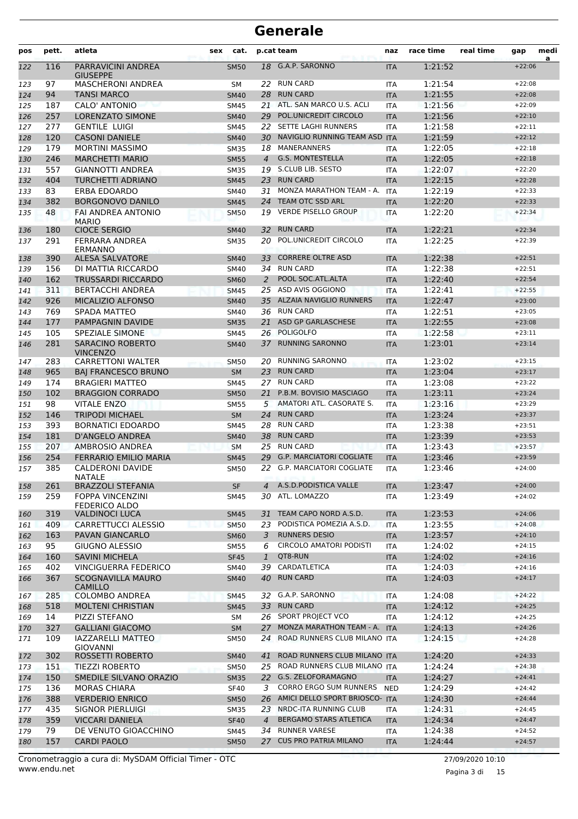| pos        | pett.      | atleta                                              | sex | cat.                       |                | p.cat team                                         | naz                      | race time          | real time | gap                  | medi |
|------------|------------|-----------------------------------------------------|-----|----------------------------|----------------|----------------------------------------------------|--------------------------|--------------------|-----------|----------------------|------|
| 122        | 116        | PARRAVICINI ANDREA<br><b>GIUSEPPE</b>               |     | <b>SM50</b>                | 18             | G.A.P. SARONNO                                     | <b>ITA</b>               | 1:21:52            |           | $+22:06$             | a    |
| 123        | 97         | <b>MASCHERONI ANDREA</b>                            |     | <b>SM</b>                  |                | 22 RUN CARD                                        | <b>ITA</b>               | 1:21:54            |           | $+22:08$             |      |
| 124        | 94         | <b>TANSI MARCO</b>                                  |     | <b>SM40</b>                | 28             | <b>RUN CARD</b>                                    | <b>ITA</b>               | 1:21:55            |           | $+22:08$             |      |
| 125        | 187        | <b>CALO' ANTONIO</b>                                |     | SM45                       |                | 21 ATL. SAN MARCO U.S. ACLI                        | <b>ITA</b>               | 1:21:56            |           | $+22:09$             |      |
| 126        | 257        | <b>LORENZATO SIMONE</b>                             |     | <b>SM40</b>                | 29             | POL.UNICREDIT CIRCOLO                              | <b>ITA</b>               | 1:21:56            |           | $+22:10$             |      |
| 127        | 277        | <b>GENTILE LUIGI</b>                                |     | SM45                       | 22             | SETTE LAGHI RUNNERS                                | <b>ITA</b>               | 1:21:58            |           | $+22:11$             |      |
| 128        | 120        | <b>CASONI DANIELE</b>                               |     | <b>SM40</b>                | 30             | NAVIGLIO RUNNING TEAM ASD                          | <b>ITA</b>               | 1:21:59            |           | $+22:12$             |      |
| 129        | 179        | <b>MORTINI MASSIMO</b>                              |     | <b>SM35</b>                | 18             | MANERANNERS                                        | <b>ITA</b>               | 1:22:05            |           | $+22:18$             |      |
| 130        | 246        | <b>MARCHETTI MARIO</b>                              |     | <b>SM55</b>                | 4              | <b>G.S. MONTESTELLA</b>                            | <b>ITA</b>               | 1:22:05            |           | $+22:18$             |      |
| 131        | 557        | <b>GIANNOTTI ANDREA</b>                             |     | <b>SM35</b>                |                | 19 S.CLUB LIB. SESTO                               | <b>ITA</b>               | 1:22:07            |           | $+22:20$             |      |
| 132        | 404        | <b>TURCHETTI ADRIANO</b>                            |     | <b>SM45</b>                | 23             | <b>RUN CARD</b>                                    | <b>ITA</b>               | 1:22:15            |           | $+22:28$             |      |
| 133        | 83         | ERBA EDOARDO                                        |     | SM40                       | 31             | MONZA MARATHON TEAM - A.                           | <b>ITA</b>               | 1:22:19            |           | $+22:33$             |      |
| 134        | 382        | <b>BORGONOVO DANILO</b>                             |     | <b>SM45</b>                | 24             | TEAM OTC SSD ARL                                   | <b>ITA</b>               | 1:22:20            |           | $+22:33$             |      |
| 135        | 48         | FAI ANDREA ANTONIO<br><b>MARIO</b>                  |     | <b>SM50</b>                | 19             | <b>VERDE PISELLO GROUP</b>                         | <b>ITA</b>               | 1:22:20            |           | $+22:34$             |      |
| 136        | 180        | <b>CIOCE SERGIO</b>                                 |     | <b>SM40</b>                | 32             | <b>RUN CARD</b>                                    | <b>ITA</b>               | 1:22:21            |           | $+22:34$             |      |
| 137        | 291        | FERRARA ANDREA<br>ERMANNO                           |     | <b>SM35</b>                | 20             | POL.UNICREDIT CIRCOLO                              | <b>ITA</b>               | 1:22:25            |           | $+22:39$             |      |
| 138        | 390        | ALESA SALVATORE                                     |     | <b>SM40</b>                | 33             | <b>CORRERE OLTRE ASD</b>                           | <b>ITA</b>               | 1:22:38            |           | $+22:51$             |      |
| 139        | 156        | DI MATTIA RICCARDO                                  |     | SM40                       |                | 34 RUN CARD                                        | <b>ITA</b>               | 1:22:38            |           | $+22:51$             |      |
| 140        | 162        | <b>TRUSSARDI RICCARDO</b>                           |     | <b>SM60</b>                | $\overline{2}$ | POOL SOC.ATL.ALTA                                  | <b>ITA</b>               | 1:22:40            |           | $+22:54$             |      |
| 141        | 311        | <b>BERTACCHI ANDREA</b>                             |     | <b>SM45</b>                | 25             | ASD AVIS OGGIONO                                   | <b>ITA</b>               | 1:22:41            |           | $+22:55$             |      |
| 142        | 926        | <b>MICALIZIO ALFONSO</b>                            |     | <b>SM40</b>                | 35             | <b>ALZAIA NAVIGLIO RUNNERS</b>                     | <b>ITA</b>               | 1:22:47            |           | $+23:00$             |      |
| 143        | 769        | SPADA MATTEO                                        |     | SM40                       | 36             | <b>RUN CARD</b>                                    | <b>ITA</b>               | 1:22:51            |           | $+23:05$             |      |
| 144        | 177        | PAMPAGNIN DAVIDE                                    |     | <b>SM35</b>                | 21             | ASD GP GARLASCHESE                                 | <b>ITA</b>               | 1:22:55            |           | $+23:08$             |      |
| 145        | 105        | SPEZIALE SIMONE                                     |     | SM45                       |                | 26 POLIGOLFO                                       | <b>ITA</b>               | 1:22:58            |           | $+23:11$             |      |
| 146        | 281        | <b>SARACINO ROBERTO</b><br><b>VINCENZO</b>          |     | <b>SM40</b>                | 37             | <b>RUNNING SARONNO</b>                             | <b>ITA</b>               | 1:23:01            |           | $+23:14$             |      |
| 147        | 283        | <b>CARRETTONI WALTER</b>                            |     | SM50                       | 20             | <b>RUNNING SARONNO</b>                             | ITA                      | 1:23:02            |           | $+23:15$             |      |
| 148        | 965        | <b>BAJ FRANCESCO BRUNO</b>                          |     | <b>SM</b>                  | 23             | <b>RUN CARD</b>                                    | <b>ITA</b>               | 1:23:04            |           | $+23:17$             |      |
| 149        | 174        | <b>BRAGIERI MATTEO</b>                              |     | <b>SM45</b>                | 27             | <b>RUN CARD</b>                                    | <b>ITA</b>               | 1:23:08            |           | $+23:22$             |      |
| 150        | 102        | <b>BRAGGION CORRADO</b>                             |     | <b>SM50</b>                | 21             | P.B.M. BOVISIO MASCIAGO                            | <b>ITA</b>               | 1:23:11            |           | $+23:24$             |      |
| 151        | 98         | <b>VITALE ENZO</b>                                  |     | <b>SM55</b>                | 5              | AMATORI ATL. CASORATE S.                           | <b>ITA</b>               | 1:23:16            |           | $+23:29$             |      |
| 152        | 146        | <b>TRIPODI MICHAEL</b>                              |     | <b>SM</b>                  | 24             | <b>RUN CARD</b>                                    | <b>ITA</b>               | 1:23:24            |           | $+23:37$             |      |
| 153        | 393        | <b>BORNATICI EDOARDO</b>                            |     | SM45                       | 28             | <b>RUN CARD</b>                                    | <b>ITA</b>               | 1:23:38            |           | $+23:51$             |      |
| 154        | 181        | D'ANGELO ANDREA                                     |     | <b>SM40</b>                | 38             | <b>RUN CARD</b>                                    | <b>ITA</b>               | 1:23:39            |           | $+23:53$             |      |
| 155        | 207        | <b>AMBROSIO ANDREA</b>                              |     | <b>SM</b>                  | 25             | <b>RUN CARD</b><br><b>G.P. MARCIATORI COGLIATE</b> | <b>ITA</b>               | 1:23:43            |           | $+23:57$             |      |
| 156        | 254        | <b>FERRARIO EMILIO MARIA</b>                        |     | <b>SM45</b>                | 29             |                                                    | <b>ITA</b>               | 1:23:46            |           | $+23:59$             |      |
| 157        | 385<br>261 | <b>CALDERONI DAVIDE</b><br>NATALE                   |     | SM50<br><b>SF</b>          | 22             | G.P. MARCIATORI COGLIATE<br>A.S.D. PODISTICA VALLE | <b>ITA</b>               | 1:23:46<br>1:23:47 |           | $+24:00$<br>$+24:00$ |      |
| 158        | 259        | <b>BRAZZOLI STEFANIA</b><br><b>FOPPA VINCENZINI</b> |     |                            | 4<br>30        | ATL. LOMAZZO                                       | <b>ITA</b>               | 1:23:49            |           | $+24:02$             |      |
| 159        | 319        | FEDERICO ALDO                                       |     | SM45                       | 31             | TEAM CAPO NORD A.S.D.                              | <b>ITA</b><br><b>ITA</b> | 1:23:53            |           | $+24:06$             |      |
| 160<br>161 | 409        | VALDINOCI LUCA<br>CARRETTUCCI ALESSIO               |     | <b>SM45</b><br><b>SM50</b> | 23             | PODISTICA POMEZIA A.S.D.                           | ITA                      | 1:23:55            |           | $+24:08$             |      |
| 162        | 163        | PAVAN GIANCARLO                                     |     | <b>SM60</b>                | 3              | <b>RUNNERS DESIO</b>                               | <b>ITA</b>               | 1:23:57            |           | $+24:10$             |      |
| 163        | 95         | <b>GIUGNO ALESSIO</b>                               |     | SM55                       | 6              | CIRCOLO AMATORI PODISTI                            | ITA                      | 1:24:02            |           | $+24:15$             |      |
| 164        | 160        | <b>SAVINI MICHELA</b>                               |     | <b>SF45</b>                | $\mathbf{1}$   | QT8-RUN                                            | <b>ITA</b>               | 1:24:02            |           | $+24:16$             |      |
| 165        | 402        | <b>VINCIGUERRA FEDERICO</b>                         |     | SM40                       |                | 39 CARDATLETICA                                    | <b>ITA</b>               | 1:24:03            |           | $+24:16$             |      |
| 166        | 367        | <b>SCOGNAVILLA MAURO</b><br><b>CAMILLO</b>          |     | <b>SM40</b>                |                | 40 RUN CARD                                        | <b>ITA</b>               | 1:24:03            |           | $+24:17$             |      |
| 167        | 285        | <b>COLOMBO ANDREA</b>                               |     | SM45                       |                | 32 G.A.P. SARONNO                                  | ITA                      | 1:24:08            |           | $+24:22$             |      |
| 168        | 518        | <b>MOLTENI CHRISTIAN</b>                            |     | <b>SM45</b>                |                | 33 RUN CARD                                        | <b>ITA</b>               | 1:24:12            |           | $+24:25$             |      |
| 169        | 14         | PIZZI STEFANO                                       |     | SM                         |                | 26 SPORT PROJECT VCO                               | <b>ITA</b>               | 1:24:12            |           | $+24:25$             |      |
| 170        | 327        | <b>GALLIANI GIACOMO</b>                             |     | <b>SM</b>                  | 27             | MONZA MARATHON TEAM - A.                           | <b>ITA</b>               | 1:24:13            |           | $+24:26$             |      |
| 171        | 109        | IAZZARELLI MATTEO<br><b>GIOVANNI</b>                |     | <b>SM50</b>                |                | 24 ROAD RUNNERS CLUB MILANO ITA                    |                          | 1:24:15            |           | $+24:28$             |      |
| 172        | 302        | ROSSETTI ROBERTO                                    |     | <b>SM40</b>                | 41             | ROAD RUNNERS CLUB MILANO ITA                       |                          | 1:24:20            |           | $+24:33$             |      |
| 173        | 151        | <b>TIEZZI ROBERTO</b>                               |     | <b>SM50</b>                |                | 25 ROAD RUNNERS CLUB MILANO ITA                    |                          | 1:24:24            |           | $+24:38$             |      |
| 174        | 150        | SMEDILE SILVANO ORAZIO                              |     | <b>SM35</b>                |                | 22 G.S. ZELOFORAMAGNO                              | <b>ITA</b>               | 1:24:27            |           | $+24:41$             |      |
| 175        | 136        | <b>MORAS CHIARA</b>                                 |     | SF40                       | 3              | CORRO ERGO SUM RUNNERS                             | <b>NED</b>               | 1:24:29            |           | $+24:42$             |      |
| 176        | 388        | <b>VERDERIO ENRICO</b>                              |     | <b>SM50</b>                | 26             | AMICI DELLO SPORT BRIOSCO- ITA                     |                          | 1:24:30            |           | $+24:44$             |      |
| 177        | 435        | SIGNOR PIERLUIGI                                    |     | <b>SM35</b>                | 23             | NRDC-ITA RUNNING CLUB                              | ITA                      | 1:24:31            |           | $+24:45$             |      |
| 178        | 359        | <b>VICCARI DANIELA</b>                              |     | <b>SF40</b>                | 4              | BERGAMO STARS ATLETICA                             | <b>ITA</b>               | 1:24:34            |           | $+24:47$             |      |
| 179        | 79         | DE VENUTO GIOACCHINO                                |     | SM45                       |                | 34 RUNNER VARESE                                   | <b>ITA</b>               | 1:24:38            |           | $+24:52$             |      |
| 180        | 157        | <b>CARDI PAOLO</b>                                  |     | <b>SM50</b>                |                | 27 CUS PRO PATRIA MILANO                           | <b>ITA</b>               | 1:24:44            |           | $+24:57$             |      |

Pagina 3 di 15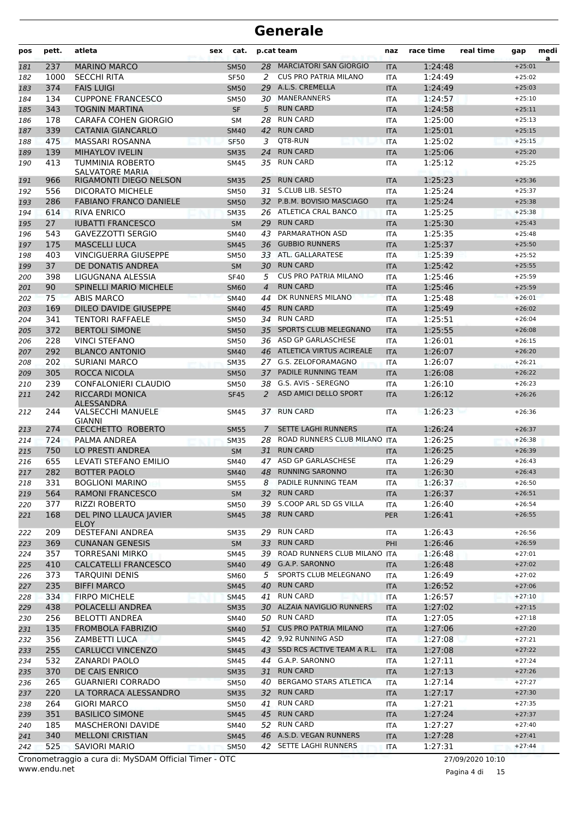| pos        | pett.      | atleta                                                         | sex | cat.                     |                | p.cat team                                | naz                      | race time          | real time | gap                  | medi<br>a |
|------------|------------|----------------------------------------------------------------|-----|--------------------------|----------------|-------------------------------------------|--------------------------|--------------------|-----------|----------------------|-----------|
| 181        | 237        | <b>MARINO MARCO</b>                                            |     | <b>SM50</b>              | 28             | MARCIATORI SAN GIORGIO                    | <b>ITA</b>               | 1:24:48            |           | $+25:01$             |           |
| 182        | 1000       | <b>SECCHI RITA</b>                                             |     | <b>SF50</b>              | 2              | <b>CUS PRO PATRIA MILANO</b>              | <b>ITA</b>               | 1:24:49            |           | $+25:02$             |           |
| 183        | 374        | <b>FAIS LUIGI</b>                                              |     | <b>SM50</b>              | 29             | A.L.S. CREMELLA                           | <b>ITA</b>               | 1:24:49            |           | $+25:03$             |           |
| 184        | 134        | <b>CUPPONE FRANCESCO</b>                                       |     | <b>SM50</b>              | 30             | <b>MANERANNERS</b>                        | <b>ITA</b>               | 1:24:57            |           | $+25:10$             |           |
| 185        | 343        | <b>TOGNIN MARTINA</b>                                          |     | <b>SF</b>                | 5              | <b>RUN CARD</b>                           | <b>ITA</b>               | 1:24:58            |           | $+25:11$             |           |
| 186        | 178        | CARAFA COHEN GIORGIO                                           |     | SΜ                       | 28             | <b>RUN CARD</b>                           | <b>ITA</b>               | 1:25:00            |           | $+25:13$             |           |
| 187        | 339        | <b>CATANIA GIANCARLO</b>                                       |     | <b>SM40</b>              | 42             | <b>RUN CARD</b>                           | <b>ITA</b>               | 1:25:01            |           | $+25:15$             |           |
| 188        | 475        | MASSARI ROSANNA                                                |     | <b>SF50</b>              | 3              | OT8-RUN                                   | <b>ITA</b>               | 1:25:02            |           | $+25:15$             |           |
| 189        | 139        | <b>MIHAYLOV IVELIN</b>                                         |     | <b>SM35</b>              | 24             | <b>RUN CARD</b>                           | <b>ITA</b>               | 1:25:06            |           | $+25:20$             |           |
| 190        | 413        | TUMMINIA ROBERTO<br><b>SALVATORE MARIA</b>                     |     | <b>SM45</b>              | 35             | <b>RUN CARD</b>                           | <b>ITA</b>               | 1:25:12            |           | $+25:25$             |           |
| 191        | 966        | RIGAMONTI DIEGO NELSON                                         |     | <b>SM35</b>              | 25             | <b>RUN CARD</b>                           | <b>ITA</b>               | 1:25:23            |           | $+25:36$             |           |
| 192        | 556        | DICORATO MICHELE                                               |     | <b>SM50</b>              | 31             | S.CLUB LIB. SESTO                         | <b>ITA</b>               | 1:25:24            |           | $+25:37$             |           |
| 193        | 286        | <b>FABIANO FRANCO DANIELE</b>                                  |     | <b>SM50</b>              | 32             | P.B.M. BOVISIO MASCIAGO                   | <b>ITA</b>               | 1:25:24            |           | $+25:38$             |           |
| 194        | 614        | <b>RIVA ENRICO</b>                                             |     | <b>SM35</b>              |                | 26 ATLETICA CRAL BANCO                    | <b>ITA</b>               | 1:25:25            |           | $+25:38$             |           |
| 195        | 27         | <b>IUBATTI FRANCESCO</b>                                       |     | <b>SM</b>                | 29             | <b>RUN CARD</b>                           | <b>ITA</b>               | 1:25:30            |           | $+25:43$             |           |
| 196        | 543        | <b>GAVEZZOTTI SERGIO</b>                                       |     | SM40                     | 43             | PARMARATHON ASD                           | ITA                      | 1:25:35            |           | $+25:48$             |           |
| 197        | 175        | <b>MASCELLI LUCA</b>                                           |     | <b>SM45</b>              | 36             | <b>GUBBIO RUNNERS</b>                     | <b>ITA</b>               | 1:25:37            |           | $+25:50$             |           |
| 198        | 403        | <b>VINCIGUERRA GIUSEPPE</b>                                    |     | <b>SM50</b>              | 33             | ATL. GALLARATESE                          | <b>ITA</b>               | 1:25:39            |           | $+25:52$             |           |
| 199        | 37         | DE DONATIS ANDREA                                              |     | <b>SM</b>                | 30             | <b>RUN CARD</b>                           | <b>ITA</b>               | 1:25:42            |           | $+25:55$             |           |
| 200        | 398        | LIGUGNANA ALESSIA                                              |     | <b>SF40</b>              | 5              | <b>CUS PRO PATRIA MILANO</b>              | <b>ITA</b>               | 1:25:46            |           | $+25:59$             |           |
| 201        | 90         | <b>SPINELLI MARIO MICHELE</b>                                  |     | <b>SM60</b>              | $\overline{4}$ | <b>RUN CARD</b>                           | <b>ITA</b>               | 1:25:46            |           | $+25:59$             |           |
| 202        | 75         | <b>ABIS MARCO</b>                                              |     | <b>SM40</b>              | 44             | DK RUNNERS MILANO                         | <b>ITA</b>               | 1:25:48            |           | $+26:01$             |           |
| 203        | 169        | DILEO DAVIDE GIUSEPPE                                          |     | <b>SM40</b>              | 45             | <b>RUN CARD</b>                           | <b>ITA</b>               | 1:25:49            |           | $+26:02$             |           |
| 204        | 341        | <b>TENTORI RAFFAELE</b>                                        |     | <b>SM50</b>              | 34             | <b>RUN CARD</b>                           | <b>ITA</b>               | 1:25:51            |           | $+26:04$             |           |
| 205        | 372        | <b>BERTOLI SIMONE</b>                                          |     | <b>SM50</b>              | 35             | SPORTS CLUB MELEGNANO                     | <b>ITA</b>               | 1:25:55            |           | $+26:08$             |           |
| 206        | 228        | <b>VINCI STEFANO</b>                                           |     | <b>SM50</b>              |                | 36 ASD GP GARLASCHESE                     | <b>ITA</b>               | 1:26:01            |           | $+26:15$             |           |
| 207        | 292        | <b>BLANCO ANTONIO</b>                                          |     | <b>SM40</b>              |                | 46 ATLETICA VIRTUS ACIREALE               | <b>ITA</b>               | 1:26:07            |           | $+26:20$             |           |
| 208        | 202        | <b>SURIANI MARCO</b>                                           |     | <b>SM35</b>              |                | 27 G.S. ZELOFORAMAGNO                     | ITA                      | 1:26:07            |           | $+26:21$             |           |
| 209        | 305        | ROCCA NICOLA                                                   |     | <b>SM50</b>              | 37             | PADILE RUNNING TEAM                       | <b>ITA</b>               | 1:26:08            |           | $+26:22$             |           |
| 210        | 239        | <b>CONFALONIERI CLAUDIO</b>                                    |     | <b>SM50</b>              | 38             | G.S. AVIS - SEREGNO                       | <b>ITA</b>               | 1:26:10            |           | $+26:23$             |           |
| 211        | 242        | <b>RICCARDI MONICA</b><br>ALESSANDRA                           |     | <b>SF45</b>              | 2              | <b>ASD AMICI DELLO SPORT</b>              | <b>ITA</b>               | 1:26:12            |           | $+26:26$             |           |
| 212        | 244<br>274 | <b>VALSECCHI MANUELE</b><br>GIANNI<br><b>CECCHETTO ROBERTO</b> |     | SM45                     | 7              | 37 RUN CARD<br><b>SETTE LAGHI RUNNERS</b> | <b>ITA</b>               | 1:26:23<br>1:26:24 |           | $+26:36$<br>$+26:37$ |           |
| 213        |            | PALMA ANDREA                                                   |     | <b>SM55</b>              |                | ROAD RUNNERS CLUB MILANO ITA              | <b>ITA</b>               |                    |           |                      |           |
| 214        | 724<br>750 | <b>LO PRESTI ANDREA</b>                                        |     | <b>SM35</b><br><b>SM</b> | 28<br>31       | <b>RUN CARD</b>                           |                          | 1:26:25<br>1:26:25 |           | $+26:38$<br>$+26:39$ |           |
| 215        |            |                                                                |     |                          | 47             | ASD GP GARLASCHESE                        | <b>ITA</b>               |                    |           | $+26:43$             |           |
| 216<br>217 | 655<br>282 | LEVATI STEFANO EMILIO<br><b>BOTTER PAOLO</b>                   |     | SM40<br><b>SM40</b>      | 48             | <b>RUNNING SARONNO</b>                    | <b>ITA</b><br><b>ITA</b> | 1:26:29<br>1:26:30 |           | $+26:43$             |           |
| 218        | 331        | <b>BOGLIONI MARINO</b>                                         |     | <b>SM55</b>              | 8              | PADILE RUNNING TEAM                       | ITA                      | 1:26:37            |           | $+26:50$             |           |
| 219        | 564        | <b>RAMONI FRANCESCO</b>                                        |     | SM                       | 32             | <b>RUN CARD</b>                           | <b>ITA</b>               | 1:26:37            |           | $+26:51$             |           |
| 220        | 377        | <b>RIZZI ROBERTO</b>                                           |     | SM50                     |                | 39 S.COOP ARL SD GS VILLA                 | <b>ITA</b>               | 1:26:40            |           | $+26:54$             |           |
| 221        | 168        | DEL PINO LLAUCA JAVIER                                         |     | <b>SM45</b>              |                | 38 RUN CARD                               | <b>PER</b>               | 1:26:41            |           | $+26:55$             |           |
|            |            | <b>ELOY</b>                                                    |     |                          |                |                                           |                          |                    |           |                      |           |
| 222        | 209        | DESTEFANI ANDREA                                               |     | SM35                     | 29             | <b>RUN CARD</b><br>33 RUN CARD            | ITA                      | 1:26:43            |           | $+26:56$             |           |
| 223        | 369        | <b>CUNANAN GENESIS</b>                                         |     | SM                       |                | ROAD RUNNERS CLUB MILANO ITA              | PHI                      | 1:26:46            |           | $+26:59$             |           |
| 224        | 357        | TORRESANI MIRKO                                                |     | SM45                     | 39             |                                           |                          | 1:26:48            |           | $+27:01$             |           |
| 225        | 410        | <b>CALCATELLI FRANCESCO</b>                                    |     | <b>SM40</b>              | 49             | G.A.P. SARONNO                            | <b>ITA</b>               | 1:26:48            |           | $+27:02$             |           |
| 226        | 373        | <b>TARQUINI DENIS</b>                                          |     | <b>SM60</b>              | 5              | SPORTS CLUB MELEGNANO                     | ITA                      | 1:26:49            |           | $+27:02$             |           |
| 227        | 235        | <b>BIFFI MARCO</b>                                             |     | <b>SM45</b>              |                | 40 RUN CARD<br><b>RUN CARD</b>            | <b>ITA</b>               | 1:26:52            |           | $+27:06$             |           |
| 228        | 334        | <b>FIRPO MICHELE</b>                                           |     | <b>SM45</b>              | 41             |                                           | ITA                      | 1:26:57            |           | $+27:10$             |           |
| 229        | 438        | POLACELLI ANDREA                                               |     | <b>SM35</b>              |                | 30 ALZAIA NAVIGLIO RUNNERS                | <b>ITA</b>               | 1:27:02            |           | $+27:15$             |           |
| 230        | 256        | <b>BELOTTI ANDREA</b>                                          |     | SM40                     |                | 50 RUN CARD                               | ITA                      | 1:27:05            |           | $+27:18$             |           |
| 231        | 135        | <b>FROMBOLA FABRIZIO</b>                                       |     | <b>SM40</b>              | 51             | <b>CUS PRO PATRIA MILANO</b>              | <b>ITA</b>               | 1:27:06            |           | $+27:20$             |           |
| 232        | 356        | ZAMBETTI LUCA                                                  |     | SM45                     |                | 42 9,92 RUNNING ASD                       | ITA                      | 1:27:08            |           | $+27:21$             |           |
| 233        | 255        | <b>CARLUCCI VINCENZO</b>                                       |     | <b>SM45</b>              |                | 43 SSD RCS ACTIVE TEAM A R.L.             | <b>ITA</b>               | 1:27:08            |           | $+27:22$             |           |
| 234        | 532        | ZANARDI PAOLO                                                  |     | SM45                     |                | 44 G.A.P. SARONNO                         | ITA                      | 1:27:11            |           | $+27:24$             |           |
| 235        | 370        | DE CAIS ENRICO                                                 |     | <b>SM35</b>              |                | 31 RUN CARD                               | <b>ITA</b>               | 1:27:13            |           | $+27:26$             |           |
| 236        | 265        | <b>GUARNIERI CORRADO</b>                                       |     | <b>SM50</b>              |                | 40 BERGAMO STARS ATLETICA                 | ITA                      | 1:27:14            |           | $+27:27$             |           |
| 237        | 220        | LA TORRACA ALESSANDRO                                          |     | <b>SM35</b>              | 32             | <b>RUN CARD</b>                           | <b>ITA</b>               | 1:27:17            |           | $+27:30$             |           |
| 238        | 264        | <b>GIORI MARCO</b>                                             |     | SM50                     | 41             | <b>RUN CARD</b>                           | ITA                      | 1:27:21            |           | $+27:35$             |           |
| 239        | 351        | <b>BASILICO SIMONE</b>                                         |     | <b>SM45</b>              | 45             | <b>RUN CARD</b>                           | <b>ITA</b>               | 1:27:24            |           | $+27:37$             |           |
| 240        | 185        | MASCHERONI DAVIDE                                              |     | SM40                     |                | 52 RUN CARD                               | ITA                      | 1:27:27            |           | $+27:40$             |           |
| 241        | 340        | <b>MELLONI CRISTIAN</b>                                        |     | <b>SM45</b>              |                | 46 A.S.D. VEGAN RUNNERS                   | <b>ITA</b>               | 1:27:28            |           | $+27:41$             |           |
| 242        | 525        | SAVIORI MARIO                                                  |     | <b>SM50</b>              |                | 42 SETTE LAGHI RUNNERS                    | ITA                      | 1:27:31            |           | $+27:44$             |           |

www.endu.net Cronometraggio a cura di: MySDAM Official Timer - OTC 27/09/2020 10:10

Pagina 4 di 15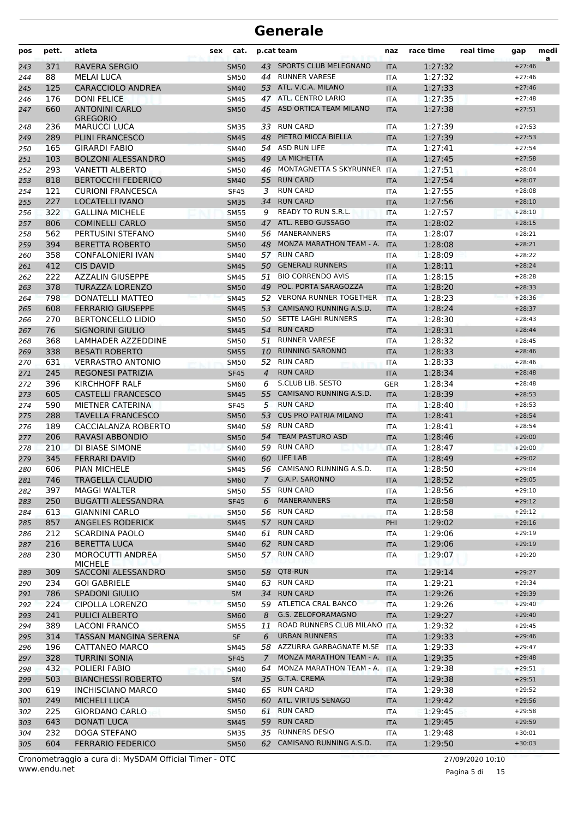| pos        | pett.      | atleta                                        | sex | cat.                       |                | p.cat team                     | naz               | race time          | real time | gap      | medi<br>a |
|------------|------------|-----------------------------------------------|-----|----------------------------|----------------|--------------------------------|-------------------|--------------------|-----------|----------|-----------|
| 243        | 371        | <b>RAVERA SERGIO</b>                          |     | <b>SM50</b>                |                | 43 SPORTS CLUB MELEGNANO       | <b>ITA</b>        | 1:27:32            |           | $+27:46$ |           |
| 244        | 88         | <b>MELAI LUCA</b>                             |     | <b>SM50</b>                | 44             | <b>RUNNER VARESE</b>           | ITA               | 1:27:32            |           | $+27:46$ |           |
| 245        | 125        | <b>CARACCIOLO ANDREA</b>                      |     | <b>SM40</b>                |                | 53 ATL. V.C.A. MILANO          | <b>ITA</b>        | 1:27:33            |           | $+27:46$ |           |
| 246        | 176        | <b>DONI FELICE</b>                            |     | <b>SM45</b>                |                | 47 ATL. CENTRO LARIO           | <b>ITA</b>        | 1:27:35            |           | $+27:48$ |           |
| 247        | 660        | <b>ANTONINI CARLO</b>                         |     | <b>SM50</b>                | 45             | ASD ORTICA TEAM MILANO         | <b>ITA</b>        | 1:27:38            |           | $+27:51$ |           |
|            |            | <b>GREGORIO</b>                               |     |                            | 33             | <b>RUN CARD</b>                |                   |                    |           | $+27:53$ |           |
| 248<br>249 | 236<br>289 | <b>MARUCCI LUCA</b><br><b>PLINI FRANCESCO</b> |     | <b>SM35</b><br><b>SM45</b> | 48             | PIETRO MICCA BIELLA            | ITA<br><b>ITA</b> | 1:27:39<br>1:27:39 |           | $+27:53$ |           |
| 250        | 165        | <b>GIRARDI FABIO</b>                          |     | <b>SM40</b>                | 54             | <b>ASD RUN LIFE</b>            | <b>ITA</b>        | 1:27:41            |           | $+27:54$ |           |
| 251        | 103        | <b>BOLZONI ALESSANDRO</b>                     |     | <b>SM45</b>                | 49             | LA MICHETTA                    | <b>ITA</b>        | 1:27:45            |           | $+27:58$ |           |
| 252        | 293        | <b>VANETTI ALBERTO</b>                        |     | SM50                       |                | 46 MONTAGNETTA S SKYRUNNER ITA |                   | 1:27:51            |           | $+28:04$ |           |
| 253        | 818        | <b>BERTOCCHI FEDERICO</b>                     |     | <b>SM40</b>                | 55             | <b>RUN CARD</b>                | <b>ITA</b>        | 1:27:54            |           | $+28:07$ |           |
| 254        | 121        | <b>CURIONI FRANCESCA</b>                      |     | <b>SF45</b>                | 3              | <b>RUN CARD</b>                | ITA               | 1:27:55            |           | $+28:08$ |           |
| 255        | 227        | LOCATELLI IVANO                               |     | <b>SM35</b>                | 34             | <b>RUN CARD</b>                | <b>ITA</b>        | 1:27:56            |           | $+28:10$ |           |
| 256        | 322        | <b>GALLINA MICHELE</b>                        |     | <b>SM55</b>                | 9              | <b>READY TO RUN S.R.L.</b>     | <b>ITA</b>        | 1:27:57            |           | $+28:10$ |           |
| 257        | 806        | <b>COMINELLI CARLO</b>                        |     | <b>SM50</b>                |                | 47 ATL. REBO GUSSAGO           | <b>ITA</b>        | 1:28:02            |           | $+28:15$ |           |
| 258        | 562        | PERTUSINI STEFANO                             |     | SM40                       |                | 56 MANERANNERS                 | <b>ITA</b>        | 1:28:07            |           | $+28:21$ |           |
| 259        | 394        | <b>BERETTA ROBERTO</b>                        |     | <b>SM50</b>                | 48             | MONZA MARATHON TEAM - A.       | <b>ITA</b>        | 1:28:08            |           | $+28:21$ |           |
| 260        | 358        | <b>CONFALONIERI IVAN</b>                      |     | SM40                       | 57             | <b>RUN CARD</b>                | <b>ITA</b>        | 1:28:09            |           | $+28:22$ |           |
| 261        | 412        | <b>CIS DAVID</b>                              |     | <b>SM45</b>                | 50             | <b>GENERALI RUNNERS</b>        | <b>ITA</b>        | 1:28:11            |           | $+28:24$ |           |
| 262        | 222        | <b>AZZALIN GIUSEPPE</b>                       |     | <b>SM45</b>                | 51             | <b>BIO CORRENDO AVIS</b>       | <b>ITA</b>        | 1:28:15            |           | $+28:28$ |           |
| 263        | 378        | <b>TURAZZA LORENZO</b>                        |     | <b>SM50</b>                | 49             | POL. PORTA SARAGOZZA           | <b>ITA</b>        | 1:28:20            |           | $+28:33$ |           |
| 264        | 798        | DONATELLI MATTEO                              |     | <b>SM45</b>                |                | 52 VERONA RUNNER TOGETHER      | <b>ITA</b>        | 1:28:23            |           | $+28:36$ |           |
| 265        | 608        | <b>FERRARIO GIUSEPPE</b>                      |     | <b>SM45</b>                | 53             | CAMISANO RUNNING A.S.D.        | <b>ITA</b>        | 1:28:24            |           | $+28:37$ |           |
| 266        | 270        | <b>BERTONCELLO LIDIO</b>                      |     | <b>SM50</b>                | 50             | SETTE LAGHI RUNNERS            | ITA               | 1:28:30            |           | $+28:43$ |           |
| 267        | 76         | SIGNORINI GIULIO                              |     | <b>SM45</b>                | 54             | <b>RUN CARD</b>                | <b>ITA</b>        | 1:28:31            |           | $+28:44$ |           |
| 268        | 368        | LAMHADER AZZEDDINE                            |     | <b>SM50</b>                | 51             | <b>RUNNER VARESE</b>           | <b>ITA</b>        | 1:28:32            |           | $+28:45$ |           |
| 269        | 338        | <b>BESATI ROBERTO</b>                         |     | <b>SM55</b>                | 10             | <b>RUNNING SARONNO</b>         | <b>ITA</b>        | 1:28:33            |           | $+28:46$ |           |
| 270        | 631        | <b>VERRASTRO ANTONIO</b>                      |     | <b>SM50</b>                |                | 52 RUN CARD                    | ITA               | 1:28:33            |           | $+28:46$ |           |
| 271        | 245        | <b>REGONESI PATRIZIA</b>                      |     | <b>SF45</b>                | $\overline{4}$ | <b>RUN CARD</b>                | <b>ITA</b>        | 1:28:34            |           | $+28:48$ |           |
| 272        | 396        | KIRCHHOFF RALF                                |     | <b>SM60</b>                | 6              | S.CLUB LIB. SESTO              | <b>GER</b>        | 1:28:34            |           | $+28:48$ |           |
| 273        | 605        | <b>CASTELLI FRANCESCO</b>                     |     | <b>SM45</b>                | 55             | CAMISANO RUNNING A.S.D.        | <b>ITA</b>        | 1:28:39            |           | $+28:53$ |           |
| 274        | 590        | MIETNER CATERINA                              |     | <b>SF45</b>                | 5              | <b>RUN CARD</b>                | <b>ITA</b>        | 1:28:40            |           | $+28:53$ |           |
| 275        | 288        | <b>TAVELLA FRANCESCO</b>                      |     | <b>SM50</b>                | 53             | <b>CUS PRO PATRIA MILANO</b>   | <b>ITA</b>        | 1:28:41            |           | $+28:54$ |           |
| 276        | 189        | CACCIALANZA ROBERTO                           |     | SM40                       |                | 58 RUN CARD                    | ITA               | 1:28:41            |           | $+28:54$ |           |
| 277        | 206        | RAVASI ABBONDIO                               |     | <b>SM50</b>                | 54             | <b>TEAM PASTURO ASD</b>        | <b>ITA</b>        | 1:28:46            |           | $+29:00$ |           |
| 278        | 210        | DI BIASE SIMONE                               |     | <b>SM40</b>                | 59             | <b>RUN CARD</b>                | ITA               | 1:28:47            |           | $+29:00$ |           |
| 279        | 345        | <b>FERRARI DAVID</b>                          |     | <b>SM40</b>                | 60             | <b>LIFE LAB</b>                | <b>ITA</b>        | 1:28:49            |           | $+29:02$ |           |
| 280        | 606        | <b>PIAN MICHELE</b>                           |     | <b>SM45</b>                |                | 56 CAMISANO RUNNING A.S.D.     | <b>ITA</b>        | 1:28:50            |           | $+29:04$ |           |
| 281        | 746        | TRAGELLA CLAUDIO                              |     | SM60                       | $\prime$       | G.A.P. SARONNO                 | ITA               | 1:28:52            |           | $+29:05$ |           |
| 282        | 397        | <b>MAGGI WALTER</b>                           |     | SM50                       |                | 55 RUN CARD                    | ITA               | 1:28:56            |           | $+29:10$ |           |
| 283        | 250        | <b>BUGATTI ALESSANDRA</b>                     |     | <b>SF45</b>                | 6              | <b>MANERANNERS</b>             | <b>ITA</b>        | 1:28:58            |           | $+29:12$ |           |
| 284        | 613        | <b>GIANNINI CARLO</b>                         |     | <b>SM50</b>                |                | 56 RUN CARD                    | <b>ITA</b>        | 1:28:58            |           | $+29:12$ |           |
| 285        | 857        | <b>ANGELES RODERICK</b>                       |     | <b>SM45</b>                | 57             | <b>RUN CARD</b>                | PHI               | 1:29:02            |           | $+29:16$ |           |
| 286        | 212        | SCARDINA PAOLO                                |     | SM40                       | 61             | RUN CARD                       | ITA               | 1:29:06            |           | $+29:19$ |           |
| 287        | 216        | <b>BERETTA LUCA</b>                           |     | <b>SM40</b>                |                | 62 RUN CARD                    | <b>ITA</b>        | 1:29:06            |           | $+29:19$ |           |
| 288        | 230        | <b>MOROCUTTI ANDREA</b>                       |     | SM50                       |                | 57 RUN CARD                    | ITA               | 1:29:07            |           | $+29:20$ |           |
|            |            | <b>MICHELE</b>                                |     |                            |                | 58 QT8-RUN                     |                   |                    |           | $+29:27$ |           |
| 289        | 309<br>234 | SACCONI ALESSANDRO<br><b>GOI GABRIELE</b>     |     | <b>SM50</b>                |                | 63 RUN CARD                    | <b>ITA</b>        | 1:29:14<br>1:29:21 |           | $+29:34$ |           |
| 290        | 786        | <b>SPADONI GIULIO</b>                         |     | SM40                       | 34             | <b>RUN CARD</b>                | ITA               |                    |           | $+29:39$ |           |
| 291        | 224        | <b>CIPOLLA LORENZO</b>                        |     | <b>SM</b>                  |                | 59 ATLETICA CRAL BANCO         | <b>ITA</b>        | 1:29:26<br>1:29:26 |           | $+29:40$ |           |
| 292<br>293 | 241        | <b>PULICI ALBERTO</b>                         |     | <b>SM50</b><br><b>SM60</b> | 8              | <b>G.S. ZELOFORAMAGNO</b>      | ITA<br><b>ITA</b> | 1:29:27            |           | $+29:40$ |           |
|            | 389        | <b>LACONI FRANCO</b>                          |     | SM55                       | 11             | ROAD RUNNERS CLUB MILANO ITA   |                   | 1:29:32            |           | $+29:45$ |           |
| 294<br>295 | 314        | TASSAN MANGINA SERENA                         |     | SF                         | 6              | <b>URBAN RUNNERS</b>           | <b>ITA</b>        | 1:29:33            |           | $+29:46$ |           |
|            | 196        | CATTANEO MARCO                                |     |                            |                | 58 AZZURRA GARBAGNATE M.SE ITA |                   | 1:29:33            |           | $+29:47$ |           |
| 296<br>297 | 328        | <b>TURRINI SONIA</b>                          |     | SM45<br><b>SF45</b>        | 7              | MONZA MARATHON TEAM - A.       | <b>ITA</b>        | 1:29:35            |           | $+29:48$ |           |
| 298        | 432        | POLIERI FABIO                                 |     | SM40                       | 64             | MONZA MARATHON TEAM - A.       | <b>ITA</b>        | 1:29:38            |           | $+29:51$ |           |
| 299        | 503        | <b>BIANCHESSI ROBERTO</b>                     |     | SM                         |                | 35 G.T.A. CREMA                | <b>ITA</b>        | 1:29:38            |           | $+29:51$ |           |
|            | 619        | <b>INCHISCIANO MARCO</b>                      |     | SM40                       |                | 65 RUN CARD                    |                   | 1:29:38            |           | $+29:52$ |           |
| 300<br>301 | 249        | <b>MICHELI LUCA</b>                           |     | <b>SM50</b>                |                | 60 ATL. VIRTUS SENAGO          | ITA<br><b>ITA</b> | 1:29:42            |           | $+29:56$ |           |
| 302        | 225        | <b>GIORDANO CARLO</b>                         |     | SM50                       |                | 61 RUN CARD                    | ITA               | 1:29:45            |           | $+29:58$ |           |
| 303        | 643        | <b>DONATI LUCA</b>                            |     | <b>SM45</b>                |                | 59 RUN CARD                    | <b>ITA</b>        | 1:29:45            |           | $+29:59$ |           |
| 304        | 232        | DOGA STEFANO                                  |     | SM35                       |                | 35 RUNNERS DESIO               | ITA               | 1:29:48            |           | $+30:01$ |           |
| 305        | 604        | <b>FERRARIO FEDERICO</b>                      |     | <b>SM50</b>                |                | 62 CAMISANO RUNNING A.S.D.     | <b>ITA</b>        | 1:29:50            |           | $+30:03$ |           |
|            |            |                                               |     |                            |                |                                |                   |                    |           |          |           |

www.endu.net Cronometraggio a cura di: MySDAM Official Timer - OTC 27/09/2020 10:10

Pagina 5 di 15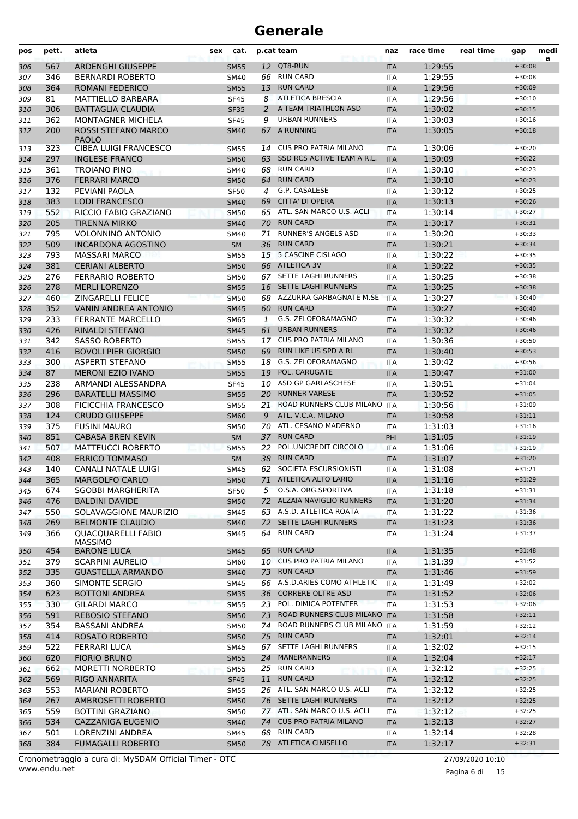| pos        | pett.      | atleta                                           | sex | cat.                       |    | p.cat team                                | naz                      | race time          | real time | gap                  | medi<br>a |
|------------|------------|--------------------------------------------------|-----|----------------------------|----|-------------------------------------------|--------------------------|--------------------|-----------|----------------------|-----------|
| 306        | 567        | <b>ARDENGHI GIUSEPPE</b>                         |     | <b>SM55</b>                |    | 12 QT8-RUN                                | <b>ITA</b>               | 1:29:55            |           | $+30:08$             |           |
| 307        | 346        | <b>BERNARDI ROBERTO</b>                          |     | SM40                       |    | 66 RUN CARD                               | <b>ITA</b>               | 1:29:55            |           | $+30:08$             |           |
| 308        | 364        | <b>ROMANI FEDERICO</b>                           |     | <b>SM55</b>                | 13 | <b>RUN CARD</b>                           | <b>ITA</b>               | 1:29:56            |           | $+30:09$             |           |
| 309        | 81         | <b>MATTIELLO BARBARA</b>                         |     | <b>SF45</b>                | 8  | <b>ATLETICA BRESCIA</b>                   | ITA                      | 1:29:56            |           | $+30:10$             |           |
| 310        | 306        | <b>BATTAGLIA CLAUDIA</b>                         |     | <b>SF35</b>                | 2  | A TEAM TRIATHLON ASD                      | <b>ITA</b>               | 1:30:02            |           | $+30:15$             |           |
| 311        | 362        | <b>MONTAGNER MICHELA</b>                         |     | <b>SF45</b>                | 9  | <b>URBAN RUNNERS</b>                      | <b>ITA</b>               | 1:30:03            |           | $+30:16$             |           |
| 312        | 200        | ROSSI STEFANO MARCO<br><b>PAOLO</b>              |     | <b>SM40</b>                |    | 67 A RUNNING                              | <b>ITA</b>               | 1:30:05            |           | $+30:18$             |           |
| 313        | 323        | <b>CIBEA LUIGI FRANCESCO</b>                     |     | <b>SM55</b>                | 14 | <b>CUS PRO PATRIA MILANO</b>              | ITA                      | 1:30:06            |           | $+30:20$             |           |
| 314        | 297        | <b>INGLESE FRANCO</b>                            |     | <b>SM50</b>                |    | 63 SSD RCS ACTIVE TEAM A R.L.             | <b>ITA</b>               | 1:30:09            |           | $+30:22$             |           |
| 315        | 361        | TROIANO PINO                                     |     | <b>SM40</b>                |    | 68 RUN CARD                               | <b>ITA</b>               | 1:30:10            |           | $+30:23$             |           |
| 316        | 376        | <b>FERRARI MARCO</b>                             |     | <b>SM50</b>                | 64 | <b>RUN CARD</b>                           | <b>ITA</b>               | 1:30:10            |           | $+30:23$             |           |
| 317        | 132        | PEVIANI PAOLA                                    |     | <b>SF50</b>                | 4  | G.P. CASALESE                             | <b>ITA</b>               | 1:30:12            |           | $+30:25$             |           |
| 318        | 383        | <b>LODI FRANCESCO</b>                            |     | <b>SM40</b>                | 69 | <b>CITTA' DI OPERA</b>                    | <b>ITA</b>               | 1:30:13            |           | $+30:26$             |           |
| 319        | 552        | RICCIO FABIO GRAZIANO                            |     | <b>SM50</b>                |    | 65 ATL. SAN MARCO U.S. ACLI               | <b>ITA</b>               | 1:30:14            |           | $+30:27$             |           |
| 320        | 205        | <b>TIRENNA MIRKO</b><br><b>VOLONNINO ANTONIO</b> |     | <b>SM40</b>                |    | 70 RUN CARD<br><b>RUNNER'S ANGELS ASD</b> | <b>ITA</b>               | 1:30:17            |           | $+30:31$             |           |
| 321        | 795<br>509 | <b>INCARDONA AGOSTINO</b>                        |     | <b>SM40</b>                | 71 | <b>RUN CARD</b>                           | ITA                      | 1:30:20<br>1:30:21 |           | $+30:33$<br>$+30:34$ |           |
| 322<br>323 | 793        | <b>MASSARI MARCO</b>                             |     | <b>SM</b><br><b>SM55</b>   | 36 | 15 5 CASCINE CISLAGO                      | <b>ITA</b><br><b>ITA</b> | 1:30:22            |           | $+30:35$             |           |
| 324        | 381        | <b>CERIANI ALBERTO</b>                           |     | <b>SM50</b>                |    | 66 ATLETICA 3V                            | <b>ITA</b>               | 1:30:22            |           | $+30:35$             |           |
| 325        | 276        | <b>FERRARIO ROBERTO</b>                          |     | <b>SM50</b>                | 67 | SETTE LAGHI RUNNERS                       | <b>ITA</b>               | 1:30:25            |           | $+30:38$             |           |
| 326        | 278        | <b>MERLI LORENZO</b>                             |     | <b>SM55</b>                |    | 16 SETTE LAGHI RUNNERS                    | <b>ITA</b>               | 1:30:25            |           | $+30:38$             |           |
| 327        | 460        | <b>ZINGARELLI FELICE</b>                         |     | <b>SM50</b>                |    | 68 AZZURRA GARBAGNATE M.SE                | <b>ITA</b>               | 1:30:27            |           | $+30:40$             |           |
| 328        | 352        | <b>VANIN ANDREA ANTONIO</b>                      |     | <b>SM45</b>                | 60 | <b>RUN CARD</b>                           | <b>ITA</b>               | 1:30:27            |           | $+30:40$             |           |
| 329        | 233        | <b>FERRANTE MARCELLO</b>                         |     | <b>SM65</b>                | 1  | G.S. ZELOFORAMAGNO                        | <b>ITA</b>               | 1:30:32            |           | $+30:46$             |           |
| 330        | 426        | <b>RINALDI STEFANO</b>                           |     | <b>SM45</b>                | 61 | <b>URBAN RUNNERS</b>                      | <b>ITA</b>               | 1:30:32            |           | $+30:46$             |           |
| 331        | 342        | <b>SASSO ROBERTO</b>                             |     | <b>SM55</b>                |    | 17 CUS PRO PATRIA MILANO                  | <b>ITA</b>               | 1:30:36            |           | $+30:50$             |           |
| 332        | 416        | <b>BOVOLI PIER GIORGIO</b>                       |     | <b>SM50</b>                |    | 69 RUN LIKE US SPD A RL                   | <b>ITA</b>               | 1:30:40            |           | $+30:53$             |           |
| 333        | 300        | <b>ASPERTI STEFANO</b>                           |     | <b>SM55</b>                |    | 18 G.S. ZELOFORAMAGNO                     | ITA                      | 1:30:42            |           | $+30:56$             |           |
| 334        | 87         | <b>MERONI EZIO IVANO</b>                         |     | <b>SM55</b>                | 19 | POL. CARUGATE                             | <b>ITA</b>               | 1:30:47            |           | $+31:00$             |           |
| 335        | 238        | ARMANDI ALESSANDRA                               |     | <b>SF45</b>                |    | 10 ASD GP GARLASCHESE                     | ITA                      | 1:30:51            |           | $+31:04$             |           |
| 336        | 296        | <b>BARATELLI MASSIMO</b>                         |     | <b>SM55</b>                | 20 | <b>RUNNER VARESE</b>                      | <b>ITA</b>               | 1:30:52            |           | $+31:05$             |           |
| 337        | 308        | <b>FICICCHIA FRANCESCO</b>                       |     | <b>SM55</b>                | 21 | ROAD RUNNERS CLUB MILANO                  | <b>ITA</b>               | 1:30:56            |           | $+31:09$             |           |
| 338        | 124        | <b>CRUDO GIUSEPPE</b>                            |     | <b>SM60</b>                | 9  | ATL. V.C.A. MILANO                        | <b>ITA</b>               | 1:30:58            |           | $+31:11$             |           |
| 339        | 375        | <b>FUSINI MAURO</b>                              |     | <b>SM50</b>                |    | 70 ATL. CESANO MADERNO                    | <b>ITA</b>               | 1:31:03            |           | $+31:16$             |           |
| 340        | 851        | <b>CABASA BREN KEVIN</b>                         |     | <b>SM</b>                  | 37 | <b>RUN CARD</b>                           | PHI                      | 1:31:05            |           | $+31:19$             |           |
| 341        | 507        | <b>MATTEUCCI ROBERTO</b>                         |     | <b>SM55</b>                | 22 | POL.UNICREDIT CIRCOLO                     | <b>ITA</b>               | 1:31:06            |           | $+31:19$             |           |
| 342        | 408        | <b>ERRICO TOMMASO</b>                            |     | <b>SM</b>                  |    | 38 RUN CARD<br>62 SOCIETA ESCURSIONISTI   | <b>ITA</b>               | 1:31:07<br>1:31:08 |           | $+31:20$             |           |
| 343<br>344 | 140<br>365 | CANALI NATALE LUIGI<br>MARGOLFO CARLO            |     | <b>SM45</b><br><b>SM50</b> |    | 71 ATLETICA ALTO LARIO                    | <b>ITA</b>               | 1:31:16            |           | $+31:21$<br>$+31:29$ |           |
| 345        | 674        | <b>SGOBBI MARGHERITA</b>                         |     | <b>SF50</b>                |    | 5 O.S.A. ORG.SPORTIVA                     | <b>ITA</b><br>ITA        | 1:31:18            |           | $+31:31$             |           |
| 346        | 476        | <b>BALDINI DAVIDE</b>                            |     | <b>SM50</b>                |    | 72 ALZAIA NAVIGLIO RUNNERS                | <b>ITA</b>               | 1:31:20            |           | $+31:34$             |           |
| 347        | 550        | SOLAVAGGIONE MAURIZIO                            |     | <b>SM45</b>                |    | 63 A.S.D. ATLETICA ROATA                  | ITA                      | 1:31:22            |           | $+31:36$             |           |
| 348        | 269        | <b>BELMONTE CLAUDIO</b>                          |     | <b>SM40</b>                |    | 72 SETTE LAGHI RUNNERS                    | <b>ITA</b>               | 1:31:23            |           | $+31:36$             |           |
| 349        | 366        | <b>QUACQUARELLI FABIO</b>                        |     | SM45                       |    | 64 RUN CARD                               | ITA                      | 1:31:24            |           | $+31:37$             |           |
| 350        | 454        | <b>MASSIMO</b><br><b>BARONE LUCA</b>             |     | SM45                       |    | 65 RUN CARD                               | <b>ITA</b>               | 1:31:35            |           | $+31:48$             |           |
| 351        | 379        | SCARPINI AURELIO                                 |     | <b>SM60</b>                |    | 10 CUS PRO PATRIA MILANO                  | ITA                      | 1:31:39            |           | $+31:52$             |           |
| 352        | 335        | <b>GUASTELLA ARMANDO</b>                         |     | <b>SM40</b>                |    | 73 RUN CARD                               | <b>ITA</b>               | 1:31:46            |           | $+31:59$             |           |
| 353        | 360        | SIMONTE SERGIO                                   |     | SM45                       |    | 66 A.S.D.ARIES COMO ATHLETIC              | <b>ITA</b>               | 1:31:49            |           | $+32:02$             |           |
| 354        | 623        | <b>BOTTONI ANDREA</b>                            |     | <b>SM35</b>                |    | 36 CORRERE OLTRE ASD                      | <b>ITA</b>               | 1:31:52            |           | $+32:06$             |           |
| 355        | 330        | <b>GILARDI MARCO</b>                             |     | <b>SM55</b>                |    | 23 POL. DIMICA POTENTER                   | <b>ITA</b>               | 1:31:53            |           | $+32:06$             |           |
| 356        | 591        | <b>REBOSIO STEFANO</b>                           |     | <b>SM50</b>                |    | 73 ROAD RUNNERS CLUB MILANO ITA           |                          | 1:31:58            |           | $+32:11$             |           |
| 357        | 354        | BASSANI ANDREA                                   |     | SM50                       |    | 74 ROAD RUNNERS CLUB MILANO ITA           |                          | 1:31:59            |           | $+32:12$             |           |
| 358        | 414        | ROSATO ROBERTO                                   |     | <b>SM50</b>                |    | 75 RUN CARD                               | <b>ITA</b>               | 1:32:01            |           | $+32:14$             |           |
| 359        | 522        | <b>FERRARI LUCA</b>                              |     | SM45                       | 67 | SETTE LAGHI RUNNERS                       | ITA                      | 1:32:02            |           | $+32:15$             |           |
| 360        | 620        | <b>FIORIO BRUNO</b>                              |     | <b>SM55</b>                |    | 24 MANERANNERS                            | <b>ITA</b>               | 1:32:04            |           | $+32:17$             |           |
| 361        | 662        | <b>MORETTI NORBERTO</b>                          |     | <b>SM55</b>                |    | 25 RUN CARD                               | ITA                      | 1:32:12            |           | $+32:25$             |           |
| 362        | 569        | RIGO ANNARITA                                    |     | <b>SF45</b>                | 11 | <b>RUN CARD</b>                           | <b>ITA</b>               | 1:32:12            |           | $+32:25$             |           |
| 363        | 553        | <b>MARIANI ROBERTO</b>                           |     | <b>SM55</b>                |    | 26 ATL. SAN MARCO U.S. ACLI               | <b>ITA</b>               | 1:32:12            |           | $+32:25$             |           |
| 364        | 267        | AMBROSETTI ROBERTO                               |     | <b>SM50</b>                |    | 76 SETTE LAGHI RUNNERS                    | <b>ITA</b>               | 1:32:12            |           | $+32:25$             |           |
| 365        | 559        | <b>BOTTINI GRAZIANO</b>                          |     | <b>SM50</b>                |    | 77 ATL. SAN MARCO U.S. ACLI               | <b>ITA</b>               | 1:32:12            |           | $+32:25$             |           |
| 366        | 534        | CAZZANIGA EUGENIO                                |     | <b>SM40</b>                |    | 74 CUS PRO PATRIA MILANO                  | <b>ITA</b>               | 1:32:13            |           | $+32:27$             |           |
| 367        | 501        | LORENZINI ANDREA                                 |     | SM45                       |    | 68 RUN CARD                               | ITA                      | 1:32:14            |           | $+32:28$             |           |
| 368        | 384        | <b>FUMAGALLI ROBERTO</b>                         |     | <b>SM50</b>                |    | 78 ATLETICA CINISELLO                     | <b>ITA</b>               | 1:32:17            |           | $+32:31$             |           |

www.endu.net Cronometraggio a cura di: MySDAM Official Timer - OTC 27/09/2020 10:10

Pagina 6 di 15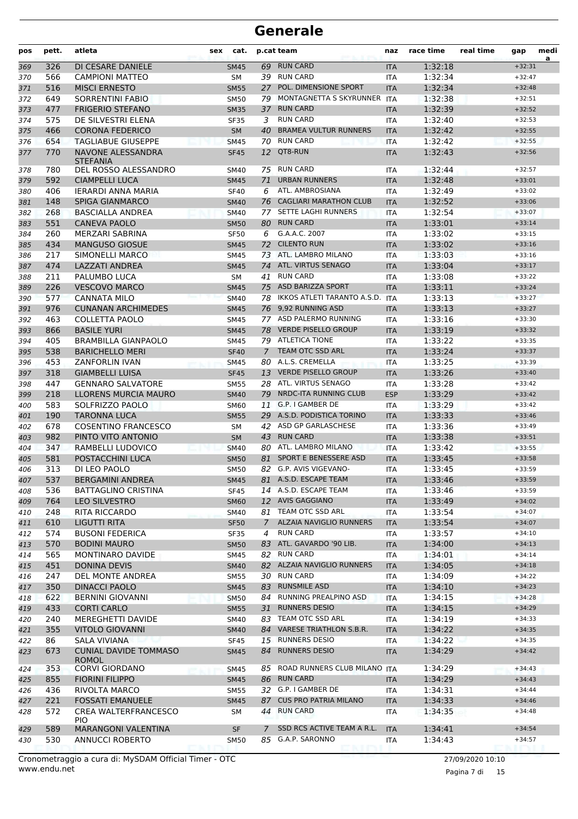| pos        | pett.      | atleta                                              | sex | cat.                       |             | p.cat team                                      | naz                      | race time          | real time | gap                  | medi<br>a |
|------------|------------|-----------------------------------------------------|-----|----------------------------|-------------|-------------------------------------------------|--------------------------|--------------------|-----------|----------------------|-----------|
| 369        | 326        | DI CESARE DANIELE                                   |     | <b>SM45</b>                |             | 69 RUN CARD                                     | <b>ITA</b>               | 1:32:18            |           | $+32:31$             |           |
| 370        | 566        | <b>CAMPIONI MATTEO</b>                              |     | SM                         |             | 39 RUN CARD                                     | ITA                      | 1:32:34            |           | $+32:47$             |           |
| 371        | 516        | <b>MISCI ERNESTO</b>                                |     | <b>SM55</b>                | 27          | POL. DIMENSIONE SPORT                           | <b>ITA</b>               | 1:32:34            |           | $+32:48$             |           |
| 372        | 649        | <b>SORRENTINI FABIO</b>                             |     | <b>SM50</b>                | 79          | MONTAGNETTA S SKYRUNNER                         | <b>ITA</b>               | 1:32:38            |           | $+32:51$             |           |
| 373        | 477        | <b>FRIGERIO STEFANO</b>                             |     | <b>SM35</b>                | 37          | <b>RUN CARD</b>                                 | <b>ITA</b>               | 1:32:39            |           | $+32:52$             |           |
| 374        | 575        | DE SILVESTRI ELENA                                  |     | <b>SF35</b>                | 3           | <b>RUN CARD</b><br><b>BRAMEA VULTUR RUNNERS</b> | ITA                      | 1:32:40            |           | $+32:53$             |           |
| 375        | 466<br>654 | <b>CORONA FEDERICO</b><br><b>TAGLIABUE GIUSEPPE</b> |     | <b>SM</b>                  | 40<br>70    | <b>RUN CARD</b>                                 | <b>ITA</b>               | 1:32:42<br>1:32:42 |           | $+32:55$<br>$+32:55$ |           |
| 376<br>377 | 770        | NAVONE ALESSANDRA                                   |     | <b>SM45</b><br><b>SF45</b> | 12          | QT8-RUN                                         | <b>ITA</b><br><b>ITA</b> | 1:32:43            |           | $+32:56$             |           |
|            |            | <b>STEFANIA</b>                                     |     |                            |             |                                                 |                          |                    |           |                      |           |
| 378        | 780        | DEL ROSSO ALESSANDRO                                |     | SM40                       |             | 75 RUN CARD                                     | ITA                      | 1:32:44            |           | $+32:57$             |           |
| 379        | 592        | <b>CIAMPELLI LUCA</b>                               |     | <b>SM45</b>                | 71          | <b>URBAN RUNNERS</b>                            | <b>ITA</b>               | 1:32:48            |           | $+33:01$             |           |
| 380        | 406        | <b>IERARDI ANNA MARIA</b>                           |     | <b>SF40</b>                | 6           | ATL. AMBROSIANA<br>76 CAGLIARI MARATHON CLUB    | <b>ITA</b>               | 1:32:49            |           | $+33:02$             |           |
| 381<br>382 | 148<br>268 | <b>SPIGA GIANMARCO</b><br><b>BASCIALLA ANDREA</b>   |     | <b>SM40</b><br><b>SM40</b> | 77          | SETTE LAGHI RUNNERS                             | <b>ITA</b><br><b>ITA</b> | 1:32:52<br>1:32:54 |           | $+33:06$<br>$+33:07$ |           |
| 383        | 551        | <b>CANEVA PAOLO</b>                                 |     | <b>SM50</b>                |             | 80 RUN CARD                                     | <b>ITA</b>               | 1:33:01            |           | $+33:14$             |           |
| 384        | 260        | MERZARI SABRINA                                     |     | <b>SF50</b>                | 6           | G.A.A.C. 2007                                   | <b>ITA</b>               | 1:33:02            |           | $+33:15$             |           |
| 385        | 434        | <b>MANGUSO GIOSUE</b>                               |     | <b>SM45</b>                | 72          | <b>CILENTO RUN</b>                              | <b>ITA</b>               | 1:33:02            |           | $+33:16$             |           |
| 386        | 217        | SIMONELLI MARCO                                     |     | <b>SM45</b>                |             | 73 ATL. LAMBRO MILANO                           | <b>ITA</b>               | 1:33:03            |           | $+33:16$             |           |
| 387        | 474        | LAZZATI ANDREA                                      |     | <b>SM45</b>                | 74          | ATL. VIRTUS SENAGO                              | <b>ITA</b>               | 1:33:04            |           | $+33:17$             |           |
| 388        | 211        | PALUMBO LUCA                                        |     | SM                         | 41          | <b>RUN CARD</b>                                 | <b>ITA</b>               | 1:33:08            |           | $+33:22$             |           |
| 389        | 226        | <b>VESCOVO MARCO</b>                                |     | <b>SM45</b>                |             | 75 ASD BARIZZA SPORT                            | <b>ITA</b>               | 1:33:11            |           | $+33:24$             |           |
| 390        | 577        | <b>CANNATA MILO</b>                                 |     | <b>SM40</b>                |             | 78 IKKOS ATLETI TARANTO A.S.D.                  | <b>ITA</b>               | 1:33:13            |           | $+33:27$             |           |
| 391        | 976        | <b>CUNANAN ARCHIMEDES</b>                           |     | <b>SM45</b>                |             | 76 9,92 RUNNING ASD                             | <b>ITA</b>               | 1:33:13            |           | $+33:27$             |           |
| 392        | 463        | COLLETTA PAOLO                                      |     | SM45                       |             | 77 ASD PALERMO RUNNING                          | <b>ITA</b>               | 1:33:16            |           | $+33:30$             |           |
| 393        | 866        | <b>BASILE YURI</b>                                  |     | <b>SM45</b>                |             | 78 VERDE PISELLO GROUP                          | <b>ITA</b>               | 1:33:19            |           | $+33:32$             |           |
| 394        | 405        | <b>BRAMBILLA GIANPAOLO</b>                          |     | <b>SM45</b>                |             | 79 ATLETICA TIONE                               | <b>ITA</b>               | 1:33:22            |           | $+33:35$             |           |
| 395        | 538        | <b>BARICHELLO MERI</b>                              |     | <b>SF40</b>                | $7^{\circ}$ | <b>TEAM OTC SSD ARL</b>                         | <b>ITA</b>               | 1:33:24            |           | $+33:37$             |           |
| 396        | 453        | <b>ZANFORLIN IVAN</b>                               |     | <b>SM45</b>                |             | 80 A.L.S. CREMELLA                              | <b>ITA</b>               | 1:33:25            |           | $+33:39$             |           |
| 397        | 318        | <b>GIAMBELLI LUISA</b>                              |     | <b>SF45</b>                |             | 13 VERDE PISELLO GROUP                          | <b>ITA</b>               | 1:33:26            |           | $+33:40$             |           |
| 398        | 447        | <b>GENNARO SALVATORE</b>                            |     | <b>SM55</b>                |             | 28 ATL. VIRTUS SENAGO                           | <b>ITA</b>               | 1:33:28            |           | $+33:42$             |           |
| 399        | 218        | LLORENS MURCIA MAURO                                |     | <b>SM40</b>                | 79          | NRDC-ITA RUNNING CLUB<br>11 G.P. I GAMBER DE    | <b>ESP</b>               | 1:33:29            |           | $+33:42$             |           |
| 400        | 583<br>190 | SOLFRIZZO PAOLO                                     |     | <b>SM60</b>                |             | 29 A.S.D. PODISTICA TORINO                      | <b>ITA</b>               | 1:33:29<br>1:33:33 |           | $+33:42$<br>$+33:46$ |           |
| 401<br>402 | 678        | <b>TARONNA LUCA</b><br><b>COSENTINO FRANCESCO</b>   |     | <b>SM55</b><br><b>SM</b>   |             | 42 ASD GP GARLASCHESE                           | <b>ITA</b><br><b>ITA</b> | 1:33:36            |           | $+33:49$             |           |
| 403        | 982        | PINTO VITO ANTONIO                                  |     | <b>SM</b>                  | 43          | <b>RUN CARD</b>                                 | <b>ITA</b>               | 1:33:38            |           | $+33:51$             |           |
| 404        | 347        | RAMBELLI LUDOVICO                                   |     | <b>SM40</b>                |             | 80 ATL. LAMBRO MILANO                           | <b>ITA</b>               | 1:33:42            |           | $+33:55$             |           |
| 405        | 581        | POSTACCHINI LUCA                                    |     | <b>SM50</b>                | 81          | <b>SPORT E BENESSERE ASD</b>                    | <b>ITA</b>               | 1:33:45            |           | $+33:58$             |           |
| 406        | 313        | DI LEO PAOLO                                        |     | <b>SM50</b>                |             | 82 G.P. AVIS VIGEVANO-                          | <b>ITA</b>               | 1:33:45            |           | $+33:59$             |           |
| 407        | 537        | <b>BERGAMINI ANDREA</b>                             |     | <b>SM45</b>                |             | 81 A.S.D. ESCAPE TEAM                           | <b>ITA</b>               | 1:33:46            |           | $+33:59$             |           |
| 408        | 536        | <b>BATTAGLINO CRISTINA</b>                          |     | <b>SF45</b>                |             | 14 A.S.D. ESCAPE TEAM                           | ITA.                     | 1:33:46            |           | $+33:59$             |           |
| 409        | 764        | LEO SILVESTRO                                       |     | <b>SM60</b>                |             | 12 AVIS GAGGIANO                                | <b>ITA</b>               | 1:33:49            |           | $+34:02$             |           |
| 410        | 248        | RITA RICCARDO                                       |     | SM40                       |             | 81 TEAM OTC SSD ARL                             | <b>ITA</b>               | 1:33:54            |           | $+34:07$             |           |
| 411        | 610        | LIGUTTI RITA                                        |     | <b>SF50</b>                | $7^{\circ}$ | <b>ALZAIA NAVIGLIO RUNNERS</b>                  | <b>ITA</b>               | 1:33:54            |           | $+34:07$             |           |
| 412        | 574        | <b>BUSONI FEDERICA</b>                              |     | SF35                       | 4           | <b>RUN CARD</b>                                 | <b>ITA</b>               | 1:33:57            |           | $+34:10$             |           |
| 413        | 570        | <b>BODINI MAURO</b>                                 |     | <b>SM50</b>                |             | 83 ATL. GAVARDO '90 LIB.                        | <b>ITA</b>               | 1:34:00            |           | $+34:13$             |           |
| 414        | 565        | <b>MONTINARO DAVIDE</b>                             |     | SM45                       |             | 82 RUN CARD                                     | ITA                      | 1:34:01            |           | $+34:14$             |           |
| 415        | 451        | <b>DONINA DEVIS</b>                                 |     | <b>SM40</b>                |             | 82 ALZAIA NAVIGLIO RUNNERS                      | <b>ITA</b>               | 1:34:05            |           | $+34:18$             |           |
| 416        | 247        | <b>DEL MONTE ANDREA</b>                             |     | <b>SM55</b>                |             | 30 RUN CARD                                     | <b>ITA</b>               | 1:34:09            |           | $+34:22$             |           |
| 417        | 350        | <b>DINACCI PAOLO</b>                                |     | <b>SM45</b>                |             | 83 RUNSMILE ASD                                 | <b>ITA</b>               | 1:34:10            |           | $+34:23$             |           |
| 418        | 622        | <b>BERNINI GIOVANNI</b>                             |     | <b>SM50</b>                |             | 84 RUNNING PREALPINO ASD                        | <b>ITA</b>               | 1:34:15            |           | $+34:28$             |           |
| 419        | 433        | <b>CORTI CARLO</b>                                  |     | <b>SM55</b>                |             | 31 RUNNERS DESIO<br>83 TEAM OTC SSD ARL         | <b>ITA</b>               | 1:34:15            |           | $+34:29$             |           |
| 420        | 240<br>355 | MEREGHETTI DAVIDE<br><b>VITOLO GIOVANNI</b>         |     | SM40                       |             | 84 VARESE TRIATHLON S.B.R.                      | ITA                      | 1:34:19<br>1:34:22 |           | $+34:33$<br>$+34:35$ |           |
| 421<br>422 | 86         | SALA VIVIANA                                        |     | <b>SM40</b><br><b>SF45</b> |             | 15 RUNNERS DESIO                                | <b>ITA</b><br><b>ITA</b> | 1:34:22            |           | $+34:35$             |           |
| 423        | 673        | <b>CUNIAL DAVIDE TOMMASO</b>                        |     | <b>SM45</b>                |             | 84 RUNNERS DESIO                                | <b>ITA</b>               | 1:34:29            |           | $+34:42$             |           |
| 424        | 353        | <b>ROMOL</b><br><b>CORVI GIORDANO</b>               |     | <b>SM45</b>                |             | 85 ROAD RUNNERS CLUB MILANO ITA                 |                          | 1:34:29            |           | $+34:43$             |           |
| 425        | 855        | FIORINI FILIPPO                                     |     | <b>SM45</b>                |             | 86 RUN CARD                                     | <b>ITA</b>               | 1:34:29            |           | $+34:43$             |           |
| 426        | 436        | RIVOLTA MARCO                                       |     | <b>SM55</b>                |             | 32 G.P. I GAMBER DE                             | ITA                      | 1:34:31            |           | $+34:44$             |           |
| 427        | 221        | <b>FOSSATI EMANUELE</b>                             |     | <b>SM45</b>                |             | 87 CUS PRO PATRIA MILANO                        | <b>ITA</b>               | 1:34:33            |           | $+34:46$             |           |
| 428        | 572        | CREA WALTERFRANCESCO<br>PIO.                        |     | SM                         |             | 44 RUN CARD                                     | ITA.                     | 1:34:35            |           | $+34:48$             |           |
| 429        | 589        | MARANGONI VALENTINA                                 |     | <b>SF</b>                  | Z.          | SSD RCS ACTIVE TEAM A R.L.                      | <b>ITA</b>               | 1:34:41            |           | $+34:54$             |           |
| 430        | 530        | ANNUCCI ROBERTO                                     |     | SM50                       |             | 85 G.A.P. SARONNO                               | <b>ITA</b>               | 1:34:43            |           | $+34:57$             |           |

www.endu.net Cronometraggio a cura di: MySDAM Official Timer - OTC 27/09/2020 10:10

Pagina 7 di 15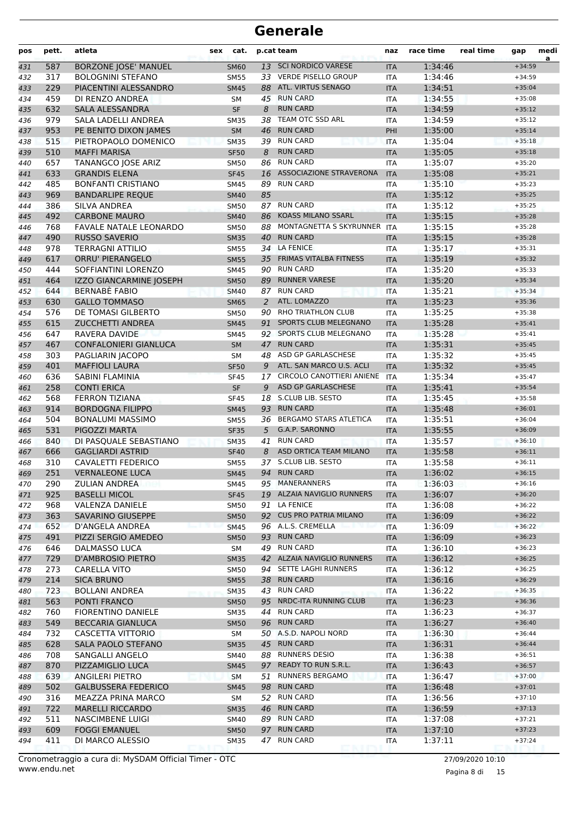| pos | pett. | atleta                         | sex | cat.        |    | p.cat team                    | naz        | race time | real time | gap      | medi<br>a |
|-----|-------|--------------------------------|-----|-------------|----|-------------------------------|------------|-----------|-----------|----------|-----------|
| 431 | 587   | <b>BORZONE JOSE' MANUEL</b>    |     | <b>SM60</b> |    | 13 SCI NORDICO VARESE         | <b>ITA</b> | 1:34:46   |           | $+34:59$ |           |
| 432 | 317   | <b>BOLOGNINI STEFANO</b>       |     | <b>SM55</b> |    | 33 VERDE PISELLO GROUP        | <b>ITA</b> | 1:34:46   |           | $+34:59$ |           |
| 433 | 229   | PIACENTINI ALESSANDRO          |     | <b>SM45</b> | 88 | ATL. VIRTUS SENAGO            | <b>ITA</b> | 1:34:51   |           | $+35:04$ |           |
| 434 | 459   | DI RENZO ANDREA                |     | <b>SM</b>   | 45 | <b>RUN CARD</b>               | <b>ITA</b> | 1:34:55   |           | $+35:08$ |           |
| 435 | 632   | <b>SALA ALESSANDRA</b>         |     | <b>SF</b>   | 8  | <b>RUN CARD</b>               | <b>ITA</b> | 1:34:59   |           | $+35:12$ |           |
| 436 | 979   | SALA LADELLI ANDREA            |     | <b>SM35</b> | 38 | TEAM OTC SSD ARL              | <b>ITA</b> | 1:34:59   |           | $+35:12$ |           |
| 437 | 953   | PE BENITO DIXON JAMES          |     | <b>SM</b>   | 46 | <b>RUN CARD</b>               | PHI        | 1:35:00   |           | $+35:14$ |           |
| 438 | 515   | PIETROPAOLO DOMENICO           |     | <b>SM35</b> | 39 | <b>RUN CARD</b>               | <b>ITA</b> | 1:35:04   |           | $+35:18$ |           |
| 439 | 510   | <b>MAFFI MARISA</b>            |     | <b>SF50</b> | 8  | <b>RUN CARD</b>               | <b>ITA</b> | 1:35:05   |           | $+35:18$ |           |
| 440 | 657   | TANANGCO JOSE ARIZ             |     | SM50        | 86 | <b>RUN CARD</b>               | <b>ITA</b> | 1:35:07   |           | $+35:20$ |           |
| 441 | 633   | <b>GRANDIS ELENA</b>           |     | <b>SF45</b> | 16 | ASSOCIAZIONE STRAVERONA       | <b>ITA</b> | 1:35:08   |           | $+35:21$ |           |
| 442 | 485   | <b>BONFANTI CRISTIANO</b>      |     | SM45        | 89 | <b>RUN CARD</b>               | <b>ITA</b> | 1:35:10   |           | $+35:23$ |           |
| 443 | 969   | <b>BANDARLIPE REQUE</b>        |     | <b>SM40</b> | 85 |                               | <b>ITA</b> | 1:35:12   |           | $+35:25$ |           |
| 444 | 386   | <b>SILVA ANDREA</b>            |     | <b>SM50</b> |    | 87 RUN CARD                   | <b>ITA</b> | 1:35:12   |           | $+35:25$ |           |
| 445 | 492   | <b>CARBONE MAURO</b>           |     | <b>SM40</b> | 86 | <b>KOASS MILANO SSARL</b>     | <b>ITA</b> | 1:35:15   |           | $+35:28$ |           |
| 446 | 768   | <b>FAVALE NATALE LEONARDO</b>  |     | <b>SM50</b> | 88 | MONTAGNETTA S SKYRUNNER       | <b>ITA</b> | 1:35:15   |           | $+35:28$ |           |
| 447 | 490   | <b>RUSSO SAVERIO</b>           |     | <b>SM35</b> | 40 | <b>RUN CARD</b>               | <b>ITA</b> | 1:35:15   |           | $+35:28$ |           |
| 448 | 978   | <b>TERRAGNI ATTILIO</b>        |     | <b>SM55</b> |    | 34 LA FENICE                  | <b>ITA</b> | 1:35:17   |           | $+35:31$ |           |
| 449 | 617   | <b>ORRU' PIERANGELO</b>        |     | <b>SM55</b> |    | 35 FRIMAS VITALBA FITNESS     | <b>ITA</b> | 1:35:19   |           | $+35:32$ |           |
| 450 | 444   | SOFFIANTINI LORENZO            |     | <b>SM45</b> | 90 | <b>RUN CARD</b>               | <b>ITA</b> | 1:35:20   |           | $+35:33$ |           |
| 451 | 464   | <b>IZZO GIANCARMINE JOSEPH</b> |     | <b>SM50</b> | 89 | <b>RUNNER VARESE</b>          | <b>ITA</b> | 1:35:20   |           | $+35:34$ |           |
| 452 | 644   | <b>BERNABE FABIO</b>           |     | <b>SM40</b> | 87 | <b>RUN CARD</b>               | <b>ITA</b> | 1:35:21   |           | $+35:34$ |           |
| 453 | 630   | <b>GALLO TOMMASO</b>           |     | <b>SM65</b> | 2  | ATL. LOMAZZO                  | <b>ITA</b> | 1:35:23   |           | $+35:36$ |           |
| 454 | 576   | DE TOMASI GILBERTO             |     | <b>SM50</b> | 90 | RHO TRIATHLON CLUB            | <b>ITA</b> | 1:35:25   |           | $+35:38$ |           |
| 455 | 615   | <b>ZUCCHETTI ANDREA</b>        |     | <b>SM45</b> | 91 | SPORTS CLUB MELEGNANO         | <b>ITA</b> | 1:35:28   |           | $+35:41$ |           |
| 456 | 647   | RAVERA DAVIDE                  |     | <b>SM45</b> | 92 | SPORTS CLUB MELEGNANO         | <b>ITA</b> | 1:35:28   |           | $+35:41$ |           |
| 457 | 467   | <b>CONFALONIERI GIANLUCA</b>   |     | <b>SM</b>   | 47 | <b>RUN CARD</b>               | <b>ITA</b> | 1:35:31   |           | $+35:45$ |           |
| 458 | 303   | PAGLIARIN JACOPO               |     | <b>SM</b>   | 48 | ASD GP GARLASCHESE            | <b>ITA</b> | 1:35:32   |           | $+35:45$ |           |
| 459 | 401   | <b>MAFFIOLI LAURA</b>          |     | <b>SF50</b> | 9  | ATL. SAN MARCO U.S. ACLI      | <b>ITA</b> | 1:35:32   |           | $+35:45$ |           |
| 460 | 636   | SABINI FLAMINIA                |     | <b>SF45</b> | 17 | CIRCOLO CANOTTIERI ANIENE     | <b>ITA</b> | 1:35:34   |           | $+35:47$ |           |
| 461 | 258   | <b>CONTI ERICA</b>             |     | <b>SF</b>   | 9  | ASD GP GARLASCHESE            | <b>ITA</b> | 1:35:41   |           | $+35:54$ |           |
| 462 | 568   | <b>FERRON TIZIANA</b>          |     | <b>SF45</b> | 18 | S.CLUB LIB. SESTO             | <b>ITA</b> | 1:35:45   |           | $+35:58$ |           |
| 463 | 914   | <b>BORDOGNA FILIPPO</b>        |     | <b>SM45</b> | 93 | <b>RUN CARD</b>               | <b>ITA</b> | 1:35:48   |           | $+36:01$ |           |
| 464 | 504   | <b>BONALUMI MASSIMO</b>        |     | <b>SM55</b> | 36 | <b>BERGAMO STARS ATLETICA</b> | <b>ITA</b> | 1:35:51   |           | $+36:04$ |           |
| 465 | 531   | PIGOZZI MARTA                  |     | <b>SF35</b> | 5  | G.A.P. SARONNO                | <b>ITA</b> | 1:35:55   |           | $+36:09$ |           |
| 466 | 840   | DI PASOUALE SEBASTIANO         |     | <b>SM35</b> | 41 | <b>RUN CARD</b>               | <b>ITA</b> | 1:35:57   |           | $+36:10$ |           |
| 467 | 666   | <b>GAGLIARDI ASTRID</b>        |     | <b>SF40</b> | 8  | ASD ORTICA TEAM MILANO        | <b>ITA</b> | 1:35:58   |           | $+36:11$ |           |
| 468 | 310   | <b>CAVALETTI FEDERICO</b>      |     | <b>SM55</b> | 37 | S.CLUB LIB. SESTO             | <b>ITA</b> | 1:35:58   |           | $+36:11$ |           |
| 469 | 251   | <b>VERNALEONE LUCA</b>         |     | <b>SM45</b> | 94 | <b>RUN CARD</b>               | <b>ITA</b> | 1:36:02   |           | $+36:15$ |           |
| 470 | 290   | <b>ZULIAN ANDREA</b>           |     | <b>SM45</b> |    | 95 MANERANNERS                | ITA        | 1:36:03   |           | $+36:16$ |           |
| 471 | 925   | <b>BASELLI MICOL</b>           |     | <b>SF45</b> |    | 19 ALZAIA NAVIGLIO RUNNERS    | <b>ITA</b> | 1:36:07   |           | $+36:20$ |           |
| 472 | 968   | <b>VALENZA DANIELE</b>         |     | <b>SM50</b> |    | 91 LA FENICE                  | ITA        | 1:36:08   |           | $+36:22$ |           |
| 473 | 363   | <b>SAVARINO GIUSEPPE</b>       |     | <b>SM50</b> |    | 92 CUS PRO PATRIA MILANO      | <b>ITA</b> | 1:36:09   |           | $+36:22$ |           |
| 474 | 652   | D'ANGELA ANDREA                |     | <b>SM45</b> |    | 96 A.L.S. CREMELLA            | ITA        | 1:36:09   |           | $+36:22$ |           |
| 475 | 491   | PIZZI SERGIO AMEDEO            |     | <b>SM50</b> |    | 93 RUN CARD                   | <b>ITA</b> | 1:36:09   |           | $+36:23$ |           |
| 476 | 646   | DALMASSO LUCA                  |     | SM          |    | 49 RUN CARD                   | ITA        | 1:36:10   |           | $+36:23$ |           |
| 477 | 729   | <b>D'AMBROSIO PIETRO</b>       |     | <b>SM35</b> |    | 42 ALZAIA NAVIGLIO RUNNERS    | <b>ITA</b> | 1:36:12   |           | $+36:25$ |           |
| 478 | 273   | <b>CARELLA VITO</b>            |     | <b>SM50</b> |    | 94 SETTE LAGHI RUNNERS        | ITA        | 1:36:12   |           | $+36:25$ |           |
| 479 | 214   | <b>SICA BRUNO</b>              |     | <b>SM55</b> |    | 38 RUN CARD                   | <b>ITA</b> | 1:36:16   |           | $+36:29$ |           |
| 480 | 723   | <b>BOLLANI ANDREA</b>          |     | <b>SM35</b> |    | 43 RUN CARD                   | <b>ITA</b> | 1:36:22   |           | $+36:35$ |           |
| 481 | 563   | PONTI FRANCO                   |     | <b>SM50</b> |    | 95 NRDC-ITA RUNNING CLUB      | <b>ITA</b> | 1:36:23   |           | $+36:36$ |           |
| 482 | 760   | <b>FIORENTINO DANIELE</b>      |     | <b>SM35</b> | 44 | <b>RUN CARD</b>               | ITA        | 1:36:23   |           | $+36:37$ |           |
| 483 | 549   | <b>BECCARIA GIANLUCA</b>       |     | <b>SM50</b> |    | 96 RUN CARD                   | <b>ITA</b> | 1:36:27   |           | $+36:40$ |           |
| 484 | 732   | CASCETTA VITTORIO              |     | SM          |    | 50 A.S.D. NAPOLI NORD         | ITA        | 1:36:30   |           | $+36:44$ |           |
| 485 | 628   | SALA PAOLO STEFANO             |     | <b>SM35</b> |    | 45 RUN CARD                   | <b>ITA</b> | 1:36:31   |           | $+36:44$ |           |
| 486 | 708   | SANGALLI ANGELO                |     | SM40        |    | 88 RUNNERS DESIO              | ITA        | 1:36:38   |           | $+36:51$ |           |
| 487 | 870   | PIZZAMIGLIO LUCA               |     | <b>SM45</b> |    | 97 READY TO RUN S.R.L.        | <b>ITA</b> | 1:36:43   |           | $+36:57$ |           |
| 488 | 639   | ANGILERI PIETRO                |     | <b>SM</b>   | 51 | <b>RUNNERS BERGAMO</b>        | ITA        | 1:36:47   |           | $+37:00$ |           |
| 489 | 502   | <b>GALBUSSERA FEDERICO</b>     |     | <b>SM45</b> |    | 98 RUN CARD                   | <b>ITA</b> | 1:36:48   |           | $+37:01$ |           |
| 490 | 316   | MEAZZA PRINA MARCO             |     | SM          |    | 52 RUN CARD                   | ITA        | 1:36:56   |           | $+37:10$ |           |
| 491 | 722   | <b>MARELLI RICCARDO</b>        |     | <b>SM35</b> |    | 46 RUN CARD                   | <b>ITA</b> | 1:36:59   |           | $+37:13$ |           |
| 492 | 511   | <b>NASCIMBENE LUIGI</b>        |     | SM40        |    | 89 RUN CARD                   | ITA        | 1:37:08   |           | $+37:21$ |           |
| 493 | 609   | <b>FOGGI EMANUEL</b>           |     | <b>SM50</b> |    | 97 RUN CARD                   | <b>ITA</b> | 1:37:10   |           | $+37:23$ |           |
| 494 | 411   | DI MARCO ALESSIO               |     | <b>SM35</b> |    | 47 RUN CARD                   | ITA        | 1:37:11   |           | $+37:24$ |           |
|     |       |                                |     |             |    |                               |            |           |           |          |           |

Pagina 8 di 15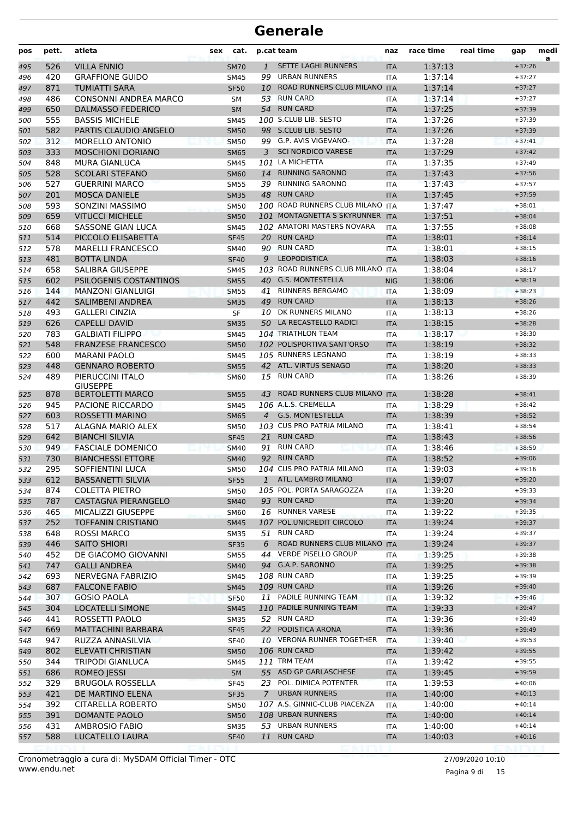| pos        | pett.      | atleta                                       | sex | cat.                       |              | p.cat team                               | naz               | race time          | real time | gap                  | medi<br>a |
|------------|------------|----------------------------------------------|-----|----------------------------|--------------|------------------------------------------|-------------------|--------------------|-----------|----------------------|-----------|
| 495        | 526        | <b>VILLA ENNIO</b>                           |     | <b>SM70</b>                | $\mathbf{1}$ | <b>SETTE LAGHI RUNNERS</b>               | <b>ITA</b>        | 1:37:13            |           | $+37:26$             |           |
| 496        | 420        | <b>GRAFFIONE GUIDO</b>                       |     | SM45                       |              | 99 URBAN RUNNERS                         | <b>ITA</b>        | 1:37:14            |           | $+37:27$             |           |
| 497        | 871        | <b>TUMIATTI SARA</b>                         |     | <b>SF50</b>                | 10           | ROAD RUNNERS CLUB MILANO                 | <b>ITA</b>        | 1:37:14            |           | $+37:27$             |           |
| 498        | 486        | <b>CONSONNI ANDREA MARCO</b>                 |     | SΜ                         | 53           | <b>RUN CARD</b>                          | ITA               | 1:37:14            |           | $+37:27$             |           |
| 499        | 650        | <b>DALMASSO FEDERICO</b>                     |     | <b>SM</b>                  |              | 54 RUN CARD                              | <b>ITA</b>        | 1:37:25            |           | $+37:39$             |           |
| 500        | 555        | <b>BASSIS MICHELE</b>                        |     | <b>SM45</b>                |              | 100 S.CLUB LIB. SESTO                    | <b>ITA</b>        | 1:37:26            |           | $+37:39$             |           |
| 501        | 582        | PARTIS CLAUDIO ANGELO                        |     | <b>SM50</b>                |              | 98 S.CLUB LIB. SESTO                     | <b>ITA</b>        | 1:37:26            |           | $+37:39$             |           |
| 502        | 312        | <b>MORELLO ANTONIO</b>                       |     | <b>SM50</b>                |              | 99 G.P. AVIS VIGEVANO-                   | <b>ITA</b>        | 1:37:28            |           | $+37:41$             |           |
| 503        | 333        | <b>MOSCHIONI DORIANO</b>                     |     | <b>SM65</b>                | 3            | <b>SCI NORDICO VARESE</b>                | <b>ITA</b>        | 1:37:29            |           | $+37:42$             |           |
| 504        | 848        | <b>MURA GIANLUCA</b>                         |     | SM45                       |              | 101 LA MICHETTA                          | ITA               | 1:37:35            |           | $+37:49$             |           |
| 505        | 528        | <b>SCOLARI STEFANO</b>                       |     | <b>SM60</b>                |              | 14 RUNNING SARONNO                       | <b>ITA</b>        | 1:37:43            |           | $+37:56$             |           |
| 506        | 527        | <b>GUERRINI MARCO</b>                        |     | <b>SM55</b>                |              | 39 RUNNING SARONNO<br>48 RUN CARD        | <b>ITA</b>        | 1:37:43            |           | $+37:57$             |           |
| 507        | 201        | <b>MOSCA DANIELE</b><br>SONZINI MASSIMO      |     | <b>SM35</b>                |              | 100 ROAD RUNNERS CLUB MILANO ITA         | <b>ITA</b>        | 1:37:45            |           | $+37:59$             |           |
| 508        | 593<br>659 | <b>VITUCCI MICHELE</b>                       |     | <b>SM50</b>                |              | 101 MONTAGNETTA S SKYRUNNER              | <b>ITA</b>        | 1:37:47<br>1:37:51 |           | $+38:01$<br>$+38:04$ |           |
| 509<br>510 | 668        | <b>SASSONE GIAN LUCA</b>                     |     | <b>SM50</b><br><b>SM45</b> |              | 102 AMATORI MASTERS NOVARA               | ITA               | 1:37:55            |           | $+38:08$             |           |
| 511        | 514        | PICCOLO ELISABETTA                           |     | <b>SF45</b>                |              | 20 RUN CARD                              | <b>ITA</b>        | 1:38:01            |           | $+38:14$             |           |
| 512        | 578        | <b>MARELLI FRANCESCO</b>                     |     | <b>SM40</b>                |              | 90 RUN CARD                              | <b>ITA</b>        | 1:38:01            |           | $+38:15$             |           |
| 513        | 481        | <b>BOTTA LINDA</b>                           |     | <b>SF40</b>                | 9            | <b>LEOPODISTICA</b>                      | <b>ITA</b>        | 1:38:03            |           | $+38:16$             |           |
| 514        | 658        | <b>SALIBRA GIUSEPPE</b>                      |     | SM45                       |              | 103 ROAD RUNNERS CLUB MILANO ITA         |                   | 1:38:04            |           | $+38:17$             |           |
| 515        | 602        | PSILOGENIS COSTANTINOS                       |     | <b>SM55</b>                |              | 40 G.S. MONTESTELLA                      | <b>NIG</b>        | 1:38:06            |           | $+38:19$             |           |
| 516        | 144        | <b>MANZONI GIANLUIGI</b>                     |     | <b>SM55</b>                | 41           | <b>RUNNERS BERGAMO</b>                   | <b>ITA</b>        | 1:38:09            |           | $+38:23$             |           |
| 517        | 442        | <b>SALIMBENI ANDREA</b>                      |     | <b>SM35</b>                |              | 49 RUN CARD                              | <b>ITA</b>        | 1:38:13            |           | $+38:26$             |           |
| 518        | 493        | <b>GALLERI CINZIA</b>                        |     | <b>SF</b>                  | 10           | DK RUNNERS MILANO                        | <b>ITA</b>        | 1:38:13            |           | $+38:26$             |           |
| 519        | 626        | <b>CAPELLI DAVID</b>                         |     | <b>SM35</b>                |              | 50 LA RECASTELLO RADICI                  | <b>ITA</b>        | 1:38:15            |           | $+38:28$             |           |
| 520        | 783        | <b>GALBIATI FILIPPO</b>                      |     | <b>SM45</b>                |              | 104 TRIATHLON TEAM                       | <b>ITA</b>        | 1:38:17            |           | $+38:30$             |           |
| 521        | 548        | <b>FRANZESE FRANCESCO</b>                    |     | <b>SM50</b>                |              | 102 POLISPORTIVA SANT'ORSO               | <b>ITA</b>        | 1:38:19            |           | $+38:32$             |           |
| 522        | 600        | <b>MARANI PAOLO</b>                          |     | <b>SM45</b>                |              | 105 RUNNERS LEGNANO                      | ITA               | 1:38:19            |           | $+38:33$             |           |
| 523        | 448        | <b>GENNARO ROBERTO</b>                       |     | <b>SM55</b>                |              | 42 ATL. VIRTUS SENAGO                    | <b>ITA</b>        | 1:38:20            |           | $+38:33$             |           |
| 524        | 489        | PIERUCCINI ITALO                             |     | <b>SM60</b>                |              | 15 RUN CARD                              | <b>ITA</b>        | 1:38:26            |           | $+38:39$             |           |
|            |            | <b>GIUSEPPE</b>                              |     |                            |              |                                          |                   |                    |           |                      |           |
| 525        | 878        | <b>BERTOLETTI MARCO</b>                      |     | <b>SM55</b>                |              | 43 ROAD RUNNERS CLUB MILANO              | <b>ITA</b>        | 1:38:28            |           | $+38:41$             |           |
| 526        | 945        | PACIONE RICCARDO                             |     | <b>SM45</b>                |              | 106 A.L.S. CREMELLA                      | ITA               | 1:38:29            |           | $+38:42$             |           |
| 527        | 603        | ROSSETTI MARINO                              |     | <b>SM65</b>                |              | 4 G.S. MONTESTELLA                       | <b>ITA</b>        | 1:38:39            |           | $+38:52$             |           |
| 528        | 517        | ALAGNA MARIO ALEX                            |     | <b>SM50</b>                |              | 103 CUS PRO PATRIA MILANO                | <b>ITA</b>        | 1:38:41            |           | $+38:54$             |           |
| 529        | 642        | <b>BIANCHI SILVIA</b>                        |     | <b>SF45</b>                | 21           | <b>RUN CARD</b>                          | <b>ITA</b>        | 1:38:43            |           | $+38:56$             |           |
| 530        | 949        | <b>FASCIALE DOMENICO</b>                     |     | <b>SM40</b>                |              | 91 RUN CARD                              | <b>ITA</b>        | 1:38:46            |           | $+38:59$             |           |
| 531        | 730        | <b>BIANCHESSI ETTORE</b>                     |     | <b>SM40</b>                |              | 92 RUN CARD<br>104 CUS PRO PATRIA MILANO | <b>ITA</b>        | 1:38:52            |           | $+39:06$             |           |
| 532        | 295<br>612 | SOFFIENTINI LUCA<br><b>BASSANETTI SILVIA</b> |     | SM50<br><b>SF55</b>        |              | 1 ATL. LAMBRO MILANO                     | <b>ITA</b>        | 1:39:03<br>1:39:07 |           | $+39:16$<br>$+39:20$ |           |
| 533        |            |                                              |     |                            |              | 105 POL. PORTA SARAGOZZA                 | <b>ITA</b>        |                    |           | $+39:33$             |           |
| 534<br>535 | 874<br>787 | <b>COLETTA PIETRO</b><br>CASTAGNA PIERANGELO |     | SM50<br><b>SM40</b>        |              | 93 RUN CARD                              | ITA               | 1:39:20<br>1:39:20 |           | $+39:34$             |           |
| 536        | 465        | MICALIZZI GIUSEPPE                           |     | <b>SM60</b>                |              | 16 RUNNER VARESE                         | <b>ITA</b><br>ITA | 1:39:22            |           | $+39:35$             |           |
| 537        | 252        | <b>TOFFANIN CRISTIANO</b>                    |     | <b>SM45</b>                |              | 107 POL.UNICREDIT CIRCOLO                | <b>ITA</b>        | 1:39:24            |           | $+39:37$             |           |
| 538        | 648        | <b>ROSSI MARCO</b>                           |     | <b>SM35</b>                |              | 51 RUN CARD                              | <b>ITA</b>        | 1:39:24            |           | $+39:37$             |           |
| 539        | 446        | <b>SAITO SHIORI</b>                          |     | <b>SF35</b>                | 6            | ROAD RUNNERS CLUB MILANO ITA             |                   | 1:39:24            |           | $+39:37$             |           |
| 540        | 452        | DE GIACOMO GIOVANNI                          |     | <b>SM55</b>                |              | 44 VERDE PISELLO GROUP                   | ITA               | 1:39:25            |           | $+39:38$             |           |
| 541        | 747        | <b>GALLI ANDREA</b>                          |     | <b>SM40</b>                |              | 94 G.A.P. SARONNO                        | <b>ITA</b>        | 1:39:25            |           | $+39:38$             |           |
| 542        | 693        | NERVEGNA FABRIZIO                            |     | SM45                       |              | 108 RUN CARD                             | ITA               | 1:39:25            |           | $+39:39$             |           |
| 543        | 687        | <b>FALCONE FABIO</b>                         |     | <b>SM45</b>                |              | 109 RUN CARD                             | <b>ITA</b>        | 1:39:26            |           | $+39:40$             |           |
| 544        | 307        | <b>GOSIO PAOLA</b>                           |     | SF <sub>50</sub>           |              | 11 PADILE RUNNING TEAM                   | ITA               | 1:39:32            |           | $+39:46$             |           |
| 545        | 304        | LOCATELLI SIMONE                             |     | <b>SM45</b>                |              | 110 PADILE RUNNING TEAM                  | <b>ITA</b>        | 1:39:33            |           | $+39:47$             |           |
| 546        | 441        | ROSSETTI PAOLO                               |     | <b>SM35</b>                |              | 52 RUN CARD                              | ITA               | 1:39:36            |           | $+39:49$             |           |
| 547        | 669        | <b>MATTACHINI BARBARA</b>                    |     | <b>SF45</b>                |              | 22 PODISTICA ARONA                       | <b>ITA</b>        | 1:39:36            |           | $+39:49$             |           |
| 548        | 947        | RUZZA ANNASILVIA                             |     | <b>SF40</b>                |              | 10 VERONA RUNNER TOGETHER                | <b>ITA</b>        | 1:39:40            |           | $+39:53$             |           |
| 549        | 802        | ELEVATI CHRISTIAN                            |     | <b>SM50</b>                |              | <b>106 RUN CARD</b>                      | <b>ITA</b>        | 1:39:42            |           | $+39:55$             |           |
| 550        | 344        | <b>TRIPODI GIANLUCA</b>                      |     | SM45                       |              | 111 TRM TEAM                             | ITA               | 1:39:42            |           | $+39:55$             |           |
| 551        | 686        | ROMEO JESSI                                  |     | SM                         |              | 55 ASD GP GARLASCHESE                    | <b>ITA</b>        | 1:39:45            |           | $+39:59$             |           |
| 552        | 329        | <b>BRUGOLA ROSSELLA</b>                      |     | <b>SF45</b>                |              | 23 POL. DIMICA POTENTER                  | ITA               | 1:39:53            |           | $+40:06$             |           |
| 553        | 421        | DE MARTINO ELENA                             |     | <b>SF35</b>                |              | 7 URBAN RUNNERS                          | <b>ITA</b>        | 1:40:00            |           | $+40:13$             |           |
| 554        | 392        | CITARELLA ROBERTO                            |     | SM50                       |              | 107 A.S. GINNIC-CLUB PIACENZA            | <b>ITA</b>        | 1:40:00            |           | $+40:14$             |           |
| 555        | 391        | DOMANTE PAOLO                                |     | <b>SM50</b>                |              | 108 URBAN RUNNERS                        | <b>ITA</b>        | 1:40:00            |           | $+40:14$             |           |
| 556        | 431        | AMBROSIO FABIO                               |     | <b>SM35</b>                |              | 53 URBAN RUNNERS                         | ITA               | 1:40:00            |           | $+40:14$             |           |
| 557        | 588        | LUCATELLO LAURA                              |     | <b>SF40</b>                |              | 11 RUN CARD                              | <b>ITA</b>        | 1:40:03            |           | $+40:16$             |           |
|            |            |                                              |     |                            |              |                                          |                   |                    |           |                      |           |

Pagina 9 di 15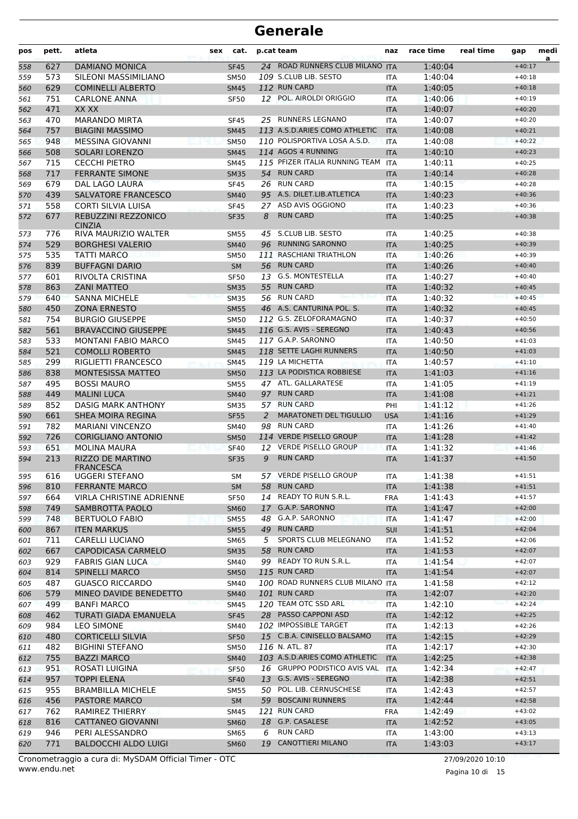| pos        | pett.      | atleta                                       | <b>sex</b> | cat.                |   | p.cat team                             | naz               | race time          | real time | gap                  | medi<br>a |
|------------|------------|----------------------------------------------|------------|---------------------|---|----------------------------------------|-------------------|--------------------|-----------|----------------------|-----------|
| 558        | 627        | <b>DAMIANO MONICA</b>                        |            | <b>SF45</b>         |   | 24 ROAD RUNNERS CLUB MILANO ITA        |                   | 1:40:04            |           | $+40:17$             |           |
| 559        | 573        | SILEONI MASSIMILIANO                         |            | <b>SM50</b>         |   | 109 S.CLUB LIB. SESTO                  | <b>ITA</b>        | 1:40:04            |           | $+40:18$             |           |
| 560        | 629        | <b>COMINELLI ALBERTO</b>                     |            | <b>SM45</b>         |   | 112 RUN CARD                           | <b>ITA</b>        | 1:40:05            |           | $+40:18$             |           |
| 561        | 751        | <b>CARLONE ANNA</b>                          |            | <b>SF50</b>         |   | 12 POL. AIROLDI ORIGGIO                | ITA               | 1:40:06            |           | $+40:19$             |           |
| 562        | 471        | XX XX                                        |            |                     |   |                                        | <b>ITA</b>        | 1:40:07            |           | $+40:20$             |           |
| 563        | 470        | <b>MARANDO MIRTA</b>                         |            | <b>SF45</b>         |   | 25 RUNNERS LEGNANO                     | <b>ITA</b>        | 1:40:07            |           | $+40:20$             |           |
| 564        | 757        | <b>BIAGINI MASSIMO</b>                       |            | <b>SM45</b>         |   | 113 A.S.D.ARIES COMO ATHLETIC          | <b>ITA</b>        | 1:40:08            |           | $+40:21$             |           |
| 565        | 948        | <b>MESSINA GIOVANNI</b>                      |            | <b>SM50</b>         |   | 110 POLISPORTIVA LOSA A.S.D.           | <b>ITA</b>        | 1:40:08            |           | $+40:22$             |           |
| 566        | 508        | SOLARI LORENZO                               |            | <b>SM45</b>         |   | 114 AGOS 4 RUNNING                     | <b>ITA</b>        | 1:40:10            |           | $+40:23$             |           |
| 567        | 715        | <b>CECCHI PIETRO</b>                         |            | <b>SM45</b>         |   | 115 PFIZER ITALIA RUNNING TEAM         | <b>ITA</b>        | 1:40:11            |           | $+40:25$             |           |
| 568        | 717        | <b>FERRANTE SIMONE</b>                       |            | <b>SM35</b>         |   | 54 RUN CARD                            | <b>ITA</b>        | 1:40:14            |           | $+40:28$             |           |
| 569        | 679        | DAL LAGO LAURA                               |            | <b>SF45</b>         |   | 26 RUN CARD                            | <b>ITA</b>        | 1:40:15            |           | $+40:28$             |           |
| 570        | 439        | <b>SALVATORE FRANCESCO</b>                   |            | <b>SM40</b>         |   | 95 A.S. DILET.LIB.ATLETICA             | <b>ITA</b>        | 1:40:23            |           | $+40:36$             |           |
| 571        | 558        | CORTI SILVIA LUISA                           |            | <b>SF45</b>         |   | 27 ASD AVIS OGGIONO                    | ITA               | 1:40:23            |           | $+40:36$             |           |
| 572        | 677        | REBUZZINI REZZONICO<br><b>CINZIA</b>         |            | <b>SF35</b>         | 8 | <b>RUN CARD</b>                        | <b>ITA</b>        | 1:40:25            |           | $+40:38$             |           |
| 573        | 776        | RIVA MAURIZIO WALTER                         |            | SM55                |   | 45 S.CLUB LIB. SESTO                   | <b>ITA</b>        | 1:40:25            |           | $+40:38$             |           |
| 574        | 529        | <b>BORGHESI VALERIO</b>                      |            | <b>SM40</b>         |   | 96 RUNNING SARONNO                     | <b>ITA</b>        | 1:40:25            |           | $+40:39$             |           |
| 575        | 535        | TATTI MARCO                                  |            | <b>SM50</b>         |   | 111 RASCHIANI TRIATHLON                | ITA               | 1:40:26            |           | $+40:39$             |           |
| 576        | 839        | <b>BUFFAGNI DARIO</b>                        |            | <b>SM</b>           |   | 56 RUN CARD                            | <b>ITA</b>        | 1:40:26            |           | $+40:40$             |           |
| 577        | 601        | RIVOLTA CRISTINA                             |            | <b>SF50</b>         |   | 13 G.S. MONTESTELLA                    | ITA               | 1:40:27            |           | $+40:40$             |           |
| 578        | 863        | <b>ZANI MATTEO</b>                           |            | <b>SM35</b>         |   | 55 RUN CARD                            | <b>ITA</b>        | 1:40:32            |           | $+40:45$             |           |
| 579        | 640        | <b>SANNA MICHELE</b>                         |            | <b>SM35</b>         |   | 56 RUN CARD                            | <b>ITA</b>        | 1:40:32            |           | $+40:45$             |           |
| 580        | 450        | <b>ZONA ERNESTO</b>                          |            | <b>SM55</b>         |   | 46 A.S. CANTURINA POL. S.              | <b>ITA</b>        | 1:40:32            |           | $+40:45$             |           |
| 581        | 754        | <b>BURGIO GIUSEPPE</b>                       |            | <b>SM50</b>         |   | 112 G.S. ZELOFORAMAGNO                 | ITA               | 1:40:37            |           | $+40:50$             |           |
| 582        | 561        | <b>BRAVACCINO GIUSEPPE</b>                   |            | <b>SM45</b>         |   | 116 G.S. AVIS - SEREGNO                | <b>ITA</b>        | 1:40:43            |           | $+40:56$             |           |
| 583        | 533        | <b>MONTANI FABIO MARCO</b>                   |            | <b>SM45</b>         |   | 117 G.A.P. SARONNO                     | <b>ITA</b>        | 1:40:50            |           | $+41:03$             |           |
| 584        | 521        | <b>COMOLLI ROBERTO</b>                       |            | <b>SM45</b>         |   | 118 SETTE LAGHI RUNNERS                | <b>ITA</b>        | 1:40:50            |           | $+41:03$             |           |
| 585        | 299        | <b>RIGLIETTI FRANCESCO</b>                   |            | <b>SM45</b>         |   | 119 LA MICHETTA                        | ITA               | 1:40:57            |           | $+41:10$             |           |
| 586        | 838        | <b>MONTESISSA MATTEO</b>                     |            | <b>SM50</b>         |   | 113 LA PODISTICA ROBBIESE              | <b>ITA</b>        | 1:41:03            |           | $+41:16$             |           |
| 587        | 495        | <b>BOSSI MAURO</b>                           |            | <b>SM55</b>         |   | 47 ATL. GALLARATESE                    | ITA               | 1:41:05            |           | $+41:19$             |           |
| 588        | 449        | <b>MALINI LUCA</b>                           |            | <b>SM40</b>         |   | 97 RUN CARD                            | <b>ITA</b>        | 1:41:08            |           | $+41:21$             |           |
| 589        | 852        | DASIG MARK ANTHONY                           |            | <b>SM35</b>         |   | 57 RUN CARD                            | PHI               | 1:41:12            |           | $+41:26$             |           |
| 590        | 661        | <b>SHEA MOIRA REGINA</b>                     |            | <b>SF55</b>         | 2 | <b>MARATONETI DEL TIGULLIO</b>         | <b>USA</b>        | 1:41:16            |           | $+41:29$             |           |
| 591        | 782        | <b>MARIANI VINCENZO</b>                      |            | <b>SM40</b>         |   | 98 RUN CARD                            | ITA               | 1:41:26            |           | $+41:40$             |           |
| 592        | 726        | <b>CORIGLIANO ANTONIO</b>                    |            | <b>SM50</b>         |   | 114 VERDE PISELLO GROUP                | <b>ITA</b>        | 1:41:28            |           | $+41:42$             |           |
| 593        | 651        | <b>MOLINA MAURA</b>                          |            | <b>SF40</b>         |   | 12 VERDE PISELLO GROUP                 | ITA               | 1:41:32            |           | $+41:46$             |           |
| 594        | 213        | <b>RIZZO DE MARTINO</b><br><b>FRANCESCA</b>  |            | <b>SF35</b>         | 9 | <b>RUN CARD</b>                        | <b>ITA</b>        | 1:41:37            |           | $+41:50$             |           |
| 595        | 616        | UGGERI STEFANO                               |            | SM                  |   | 57 VERDE PISELLO GROUP                 | ITA               | 1:41:38            |           | $+41:51$             |           |
| 596        | 810        | <b>FERRANTE MARCO</b>                        |            | <b>SM</b>           |   | 58 RUN CARD                            | <b>ITA</b>        | 1:41:38            |           | $+41:51$             |           |
| 597        | 664        | <b>VIRLA CHRISTINE ADRIENNE</b>              |            | <b>SF50</b>         |   | 14 READY TO RUN S.R.L.                 | <b>FRA</b>        | 1:41:43            |           | $+41:57$             |           |
| 598        | 749        | SAMBROTTA PAOLO                              |            | <b>SM60</b>         |   | 17 G.A.P. SARONNO<br>48 G.A.P. SARONNO | <b>ITA</b>        | 1:41:47            |           | $+42:00$             |           |
| 599        | 748        | <b>BERTUOLO FABIO</b>                        |            | <b>SM55</b>         |   | 49 RUN CARD                            | ITA               | 1:41:47            |           | $+42:00$<br>$+42:04$ |           |
| 600        | 867        | <b>ITEN MARKUS</b><br><b>CARELLI LUCIANO</b> |            | <b>SM55</b>         |   | SPORTS CLUB MELEGNANO                  | <b>SUI</b>        | 1:41:51            |           | $+42:06$             |           |
| 601        | 711<br>667 | CAPODICASA CARMELO                           |            | SM65                | 5 | 58 RUN CARD                            | ITA<br><b>ITA</b> | 1:41:52<br>1:41:53 |           | $+42:07$             |           |
| 602        | 929        | <b>FABRIS GIAN LUCA</b>                      |            | <b>SM35</b><br>SM40 |   | 99 READY TO RUN S.R.L.                 | ITA               | 1:41:54            |           | $+42:07$             |           |
| 603<br>604 | 814        | <b>SPINELLI MARCO</b>                        |            | <b>SM50</b>         |   | 115 RUN CARD                           | <b>ITA</b>        | 1:41:54            |           | $+42:07$             |           |
| 605        | 487        | <b>GUASCO RICCARDO</b>                       |            | SM40                |   | 100 ROAD RUNNERS CLUB MILANO ITA       |                   | 1:41:58            |           | $+42:12$             |           |
| 606        | 579        | MINEO DAVIDE BENEDETTO                       |            | <b>SM40</b>         |   | 101 RUN CARD                           | <b>ITA</b>        | 1:42:07            |           | $+42:20$             |           |
| 607        | 499        | <b>BANFI MARCO</b>                           |            | <b>SM45</b>         |   | 120 TEAM OTC SSD ARL                   | <b>ITA</b>        | 1:42:10            |           | $+42:24$             |           |
| 608        | 462        | TURATI GIADA EMANUELA                        |            | <b>SF45</b>         |   | 28 PASSO CAPPONI ASD                   | <b>ITA</b>        | 1:42:12            |           | $+42:25$             |           |
| 609        | 984        | <b>LEO SIMONE</b>                            |            | SM40                |   | 102 IMPOSSIBLE TARGET                  | ITA               | 1:42:13            |           | $+42:26$             |           |
| 610        | 480        | <b>CORTICELLI SILVIA</b>                     |            | <b>SF50</b>         |   | 15 C.B.A. CINISELLO BALSAMO            | <b>ITA</b>        | 1:42:15            |           | $+42:29$             |           |
| 611        | 482        | <b>BIGHINI STEFANO</b>                       |            | SM50                |   | 116 N. ATL. 87                         | ITA               | 1:42:17            |           | $+42:30$             |           |
| 612        | 755        | <b>BAZZI MARCO</b>                           |            | <b>SM40</b>         |   | 103 A.S.D.ARIES COMO ATHLETIC          | <b>ITA</b>        | 1:42:25            |           | $+42:38$             |           |
| 613        | 951        | ROSATI LUIGINA                               |            | <b>SF50</b>         |   | 16 GRUPPO PODISTICO AVIS VAL           | ITA               | 1:42:34            |           | $+42:47$             |           |
| 614        | 957        | <b>TOPPI ELENA</b>                           |            | <b>SF40</b>         |   | 13 G.S. AVIS - SEREGNO                 | <b>ITA</b>        | 1:42:38            |           | $+42:51$             |           |
| 615        | 955        | <b>BRAMBILLA MICHELE</b>                     |            | <b>SM55</b>         |   | 50 POL. LIB. CERNUSCHESE               | ITA               | 1:42:43            |           | $+42:57$             |           |
| 616        | 456        | PASTORE MARCO                                |            | SM                  |   | 59 BOSCAINI RUNNERS                    | <b>ITA</b>        | 1:42:44            |           | $+42:58$             |           |
| 617        | 762        | RAMIREZ THIERRY                              |            | SM45                |   | 121 RUN CARD                           | <b>FRA</b>        | 1:42:49            |           | $+43:02$             |           |
| 618        | 816        | CATTANEO GIOVANNI                            |            | <b>SM60</b>         |   | 18 G.P. CASALESE                       | <b>ITA</b>        | 1:42:52            |           | $+43:05$             |           |
| 619        | 946        | PERI ALESSANDRO                              |            | SM65                | 6 | <b>RUN CARD</b>                        | <b>ITA</b>        | 1:43:00            |           | $+43:13$             |           |
| 620        | 771        | <b>BALDOCCHI ALDO LUIGI</b>                  |            | <b>SM60</b>         |   | 19 CANOTTIERI MILANO                   | <b>ITA</b>        | 1:43:03            |           | $+43:17$             |           |
|            |            |                                              |            |                     |   |                                        |                   |                    |           |                      |           |

www.endu.net Cronometraggio a cura di: MySDAM Official Timer - OTC 27/09/2020 10:10

Pagina 10 di 15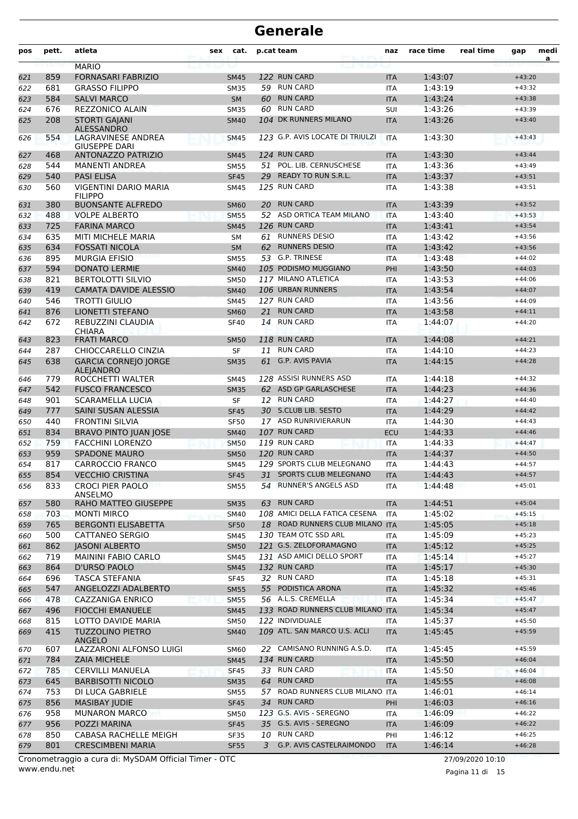| pos | pett. | atleta                                          | sex | cat.        |    | p.cat team                       | naz        | race time | real time | gap      | medi<br>a |
|-----|-------|-------------------------------------------------|-----|-------------|----|----------------------------------|------------|-----------|-----------|----------|-----------|
|     |       | <b>MARIO</b>                                    |     |             |    |                                  |            |           |           |          |           |
| 621 | 859   | <b>FORNASARI FABRIZIO</b>                       |     | <b>SM45</b> |    | 122 RUN CARD                     | <b>ITA</b> | 1:43:07   |           | $+43:20$ |           |
| 622 | 681   | <b>GRASSO FILIPPO</b>                           |     | <b>SM35</b> |    | 59 RUN CARD                      | <b>ITA</b> | 1:43:19   |           | $+43:32$ |           |
| 623 | 584   | <b>SALVI MARCO</b>                              |     | <b>SM</b>   | 60 | <b>RUN CARD</b>                  | <b>ITA</b> | 1:43:24   |           | $+43:38$ |           |
| 624 | 676   | <b>REZZONICO ALAIN</b>                          |     | <b>SM35</b> | 60 | <b>RUN CARD</b>                  | SUI        | 1:43:26   |           | $+43:39$ |           |
| 625 | 208   | <b>STORTI GAJANI</b><br><b>ALESSANDRO</b>       |     | <b>SM40</b> |    | 104 DK RUNNERS MILANO            | <b>ITA</b> | 1:43:26   |           | $+43:40$ |           |
| 626 | 554   | LAGRAVINESE ANDREA<br><b>GIUSEPPE DARI</b>      |     | <b>SM45</b> |    | 123 G.P. AVIS LOCATE DI TRIULZI  | <b>ITA</b> | 1:43:30   |           | $+43:43$ |           |
| 627 | 468   | <b>ANTONAZZO PATRIZIO</b>                       |     | <b>SM45</b> |    | 124 RUN CARD                     | <b>ITA</b> | 1:43:30   |           | $+43:44$ |           |
| 628 | 544   | <b>MANENTI ANDREA</b>                           |     | <b>SM55</b> |    | 51 POL. LIB. CERNUSCHESE         | <b>ITA</b> | 1:43:36   |           | $+43:49$ |           |
| 629 | 540   | <b>PASI ELISA</b>                               |     | <b>SF45</b> | 29 | <b>READY TO RUN S.R.L.</b>       | <b>ITA</b> | 1:43:37   |           | $+43:51$ |           |
| 630 | 560   | VIGENTINI DARIO MARIA<br><b>FILIPPO</b>         |     | <b>SM45</b> |    | 125 RUN CARD                     | <b>ITA</b> | 1:43:38   |           | $+43:51$ |           |
| 631 | 380   | <b>BUONSANTE ALFREDO</b>                        |     | <b>SM60</b> | 20 | <b>RUN CARD</b>                  | <b>ITA</b> | 1:43:39   |           | $+43:52$ |           |
| 632 | 488   | <b>VOLPE ALBERTO</b>                            |     | <b>SM55</b> |    | 52 ASD ORTICA TEAM MILANO        | <b>ITA</b> | 1:43:40   |           | $+43:53$ |           |
| 633 | 725   | <b>FARINA MARCO</b>                             |     | <b>SM45</b> |    | 126 RUN CARD                     | <b>ITA</b> | 1:43:41   |           | $+43:54$ |           |
| 634 | 635   | MITI MICHELE MARIA                              |     | <b>SM</b>   |    | 61 RUNNERS DESIO                 | <b>ITA</b> | 1:43:42   |           | $+43:56$ |           |
| 635 | 634   | <b>FOSSATI NICOLA</b>                           |     | <b>SM</b>   | 62 | <b>RUNNERS DESIO</b>             | <b>ITA</b> | 1:43:42   |           | $+43:56$ |           |
| 636 | 895   | <b>MURGIA EFISIO</b>                            |     | <b>SM55</b> |    | 53 G.P. TRINESE                  | <b>ITA</b> | 1:43:48   |           | $+44:02$ |           |
| 637 | 594   | <b>DONATO LERMIE</b>                            |     | <b>SM40</b> |    | 105 PODISMO MUGGIANO             | PHI        | 1:43:50   |           | $+44:03$ |           |
| 638 | 821   | <b>BERTOLOTTI SILVIO</b>                        |     | <b>SM50</b> |    | 117 MILANO ATLETICA              | <b>ITA</b> | 1:43:53   |           | $+44:06$ |           |
| 639 | 419   | <b>CAMATA DAVIDE ALESSIO</b>                    |     | <b>SM40</b> |    | 106 URBAN RUNNERS                | <b>ITA</b> | 1:43:54   |           | $+44:07$ |           |
| 640 | 546   | <b>TROTTI GIULIO</b>                            |     | <b>SM45</b> |    | 127 RUN CARD                     | <b>ITA</b> | 1:43:56   |           | $+44:09$ |           |
| 641 | 876   | <b>LIONETTI STEFANO</b>                         |     | <b>SM60</b> | 21 | <b>RUN CARD</b>                  | <b>ITA</b> | 1:43:58   |           | $+44:11$ |           |
| 642 | 672   | REBUZZINI CLAUDIA<br><b>CHIARA</b>              |     | <b>SF40</b> | 14 | <b>RUN CARD</b>                  | <b>ITA</b> | 1:44:07   |           | $+44:20$ |           |
| 643 | 823   | <b>FRATI MARCO</b>                              |     | <b>SM50</b> |    | 118 RUN CARD                     | <b>ITA</b> | 1:44:08   |           | $+44:21$ |           |
| 644 | 287   | CHIOCCARELLO CINZIA                             |     | <b>SF</b>   |    | 11 RUN CARD                      | <b>ITA</b> | 1:44:10   |           | $+44:23$ |           |
| 645 | 638   | <b>GARCIA CORNEJO JORGE</b><br><b>ALEJANDRO</b> |     | <b>SM35</b> | 61 | <b>G.P. AVIS PAVIA</b>           | <b>ITA</b> | 1:44:15   |           | $+44:28$ |           |
| 646 | 779   | ROCCHETTI WALTER                                |     | <b>SM45</b> |    | 128 ASSISI RUNNERS ASD           | <b>ITA</b> | 1:44:18   |           | $+44:32$ |           |
| 647 | 542   | <b>FUSCO FRANCESCO</b>                          |     | <b>SM35</b> |    | 62 ASD GP GARLASCHESE            | <b>ITA</b> | 1:44:23   |           | $+44:36$ |           |
| 648 | 901   | SCARAMELLA LUCIA                                |     | <b>SF</b>   |    | 12 RUN CARD                      | <b>ITA</b> | 1:44:27   |           | $+44:40$ |           |
| 649 | 777   | SAINI SUSAN ALESSIA                             |     | <b>SF45</b> |    | 30 S.CLUB LIB. SESTO             | <b>ITA</b> | 1:44:29   |           | $+44:42$ |           |
| 650 | 440   | <b>FRONTINI SILVIA</b>                          |     | <b>SF50</b> |    | 17 ASD RUNRIVIERARUN             | <b>ITA</b> | 1:44:30   |           | $+44:43$ |           |
| 651 | 834   | <b>BRAVO PINTO JUAN JOSE</b>                    |     | <b>SM40</b> |    | 107 RUN CARD                     | <b>ECU</b> | 1:44:33   |           | $+44:46$ |           |
| 652 | 759   | <b>FACCHINI LORENZO</b>                         |     | <b>SM50</b> |    | 119 RUN CARD                     | <b>ITA</b> | 1:44:33   |           | $+44:47$ |           |
| 653 | 959   | <b>SPADONE MAURO</b>                            |     | <b>SM50</b> |    | 120 RUN CARD                     | <b>ITA</b> | 1:44:37   |           | $+44:50$ |           |
| 654 | 817   | <b>CARROCCIO FRANCO</b>                         |     | <b>SM45</b> |    | 129 SPORTS CLUB MELEGNANO        | <b>ITA</b> | 1:44:43   |           | $+44:57$ |           |
| 655 | 854   | <b>VECCHIO CRISTINA</b>                         |     | <b>SF45</b> |    | 31 SPORTS CLUB MELEGNANO         | <b>ITA</b> | 1:44:43   |           | $+44:57$ |           |
| 656 | 833   | <b>CROCI PIER PAOLO</b><br>ANSELMO              |     | <b>SM55</b> |    | 54 RUNNER'S ANGELS ASD           | <b>ITA</b> | 1:44:48   |           | $+45:01$ |           |
| 657 | 580   | RAHO MATTEO GIUSEPPE                            |     | <b>SM35</b> |    | 63 RUN CARD                      | <b>ITA</b> | 1:44:51   |           | $+45:04$ |           |
| 658 | 703   | <b>MONTI MIRCO</b>                              |     | <b>SM40</b> |    | 108 AMICI DELLA FATICA CESENA    | ITA        | 1:45:02   |           | $+45:15$ |           |
| 659 | 765   | <b>BERGONTI ELISABETTA</b>                      |     | <b>SF50</b> |    | 18 ROAD RUNNERS CLUB MILANO ITA  |            | 1:45:05   |           | $+45:18$ |           |
| 660 | 500   | <b>CATTANEO SERGIO</b>                          |     | SM45        |    | 130 TEAM OTC SSD ARL             | ITA        | 1:45:09   |           | $+45:23$ |           |
| 661 | 862   | <b>JASONI ALBERTO</b>                           |     | <b>SM50</b> |    | 121 G.S. ZELOFORAMAGNO           | <b>ITA</b> | 1:45:12   |           | $+45:25$ |           |
| 662 | 719   | <b>MAININI FABIO CARLO</b>                      |     | SM45        |    | 131 ASD AMICI DELLO SPORT        | <b>ITA</b> | 1:45:14   |           | $+45:27$ |           |
| 663 | 864   | D'URSO PAOLO                                    |     | <b>SM45</b> |    | 132 RUN CARD                     | <b>ITA</b> | 1:45:17   |           | $+45:30$ |           |
| 664 | 696   | <b>TASCA STEFANIA</b>                           |     | <b>SF45</b> |    | 32 RUN CARD                      | <b>ITA</b> | 1:45:18   |           | $+45:31$ |           |
| 665 | 547   | ANGELOZZI ADALBERTO                             |     | <b>SM55</b> |    | 55 PODISTICA ARONA               | <b>ITA</b> | 1:45:32   |           | $+45:46$ |           |
| 666 | 478   | <b>CAZZANIGA ENRICO</b>                         |     | <b>SM55</b> |    | 56 A.L.S. CREMELLA               | ITA        | 1:45:34   |           | $+45:47$ |           |
| 667 | 496   | <b>FIOCCHI EMANUELE</b>                         |     | <b>SM45</b> |    | 133 ROAD RUNNERS CLUB MILANO ITA |            | 1:45:34   |           | $+45:47$ |           |
| 668 | 815   | LOTTO DAVIDE MARIA                              |     | SM50        |    | 122 INDIVIDUALE                  | ITA        | 1:45:37   |           | $+45:50$ |           |
| 669 | 415   | <b>TUZZOLINO PIETRO</b><br>ANGELO               |     | <b>SM40</b> |    | 109 ATL. SAN MARCO U.S. ACLI     | <b>ITA</b> | 1:45:45   |           | $+45:59$ |           |
| 670 | 607   | LAZZARONI ALFONSO LUIGI                         |     | SM60        |    | 22 CAMISANO RUNNING A.S.D.       | ITA        | 1:45:45   |           | $+45:59$ |           |
| 671 | 784   | <b>ZAIA MICHELE</b>                             |     | <b>SM45</b> |    | 134 RUN CARD                     | <b>ITA</b> | 1:45:50   |           | $+46:04$ |           |
| 672 | 785   | <b>CERVILLI MANUELA</b>                         |     | <b>SF45</b> |    | 33 RUN CARD                      | ITA        | 1:45:50   |           | $+46:04$ |           |
| 673 | 645   | <b>BARBISOTTI NICOLO</b>                        |     | <b>SM35</b> |    | 64 RUN CARD                      | <b>ITA</b> | 1:45:55   |           | $+46:08$ |           |
| 674 | 753   | DI LUCA GABRIELE                                |     | SM55        |    | 57 ROAD RUNNERS CLUB MILANO      | <b>ITA</b> | 1:46:01   |           | $+46:14$ |           |
| 675 | 856   | <b>MASIBAY JUDIE</b>                            |     | <b>SF45</b> |    | 34 RUN CARD                      | PHI        | 1:46:03   |           | $+46:16$ |           |
| 676 | 958   | <b>MUNARON MARCO</b>                            |     | SM50        |    | 123 G.S. AVIS - SEREGNO          | ITA        | 1:46:09   |           | $+46:22$ |           |
| 677 | 956   | POZZI MARINA                                    |     | <b>SF45</b> |    | 35 G.S. AVIS - SEREGNO           | <b>ITA</b> | 1:46:09   |           | $+46:22$ |           |
| 678 | 850   | CABASA RACHELLE MEIGH                           |     | <b>SF35</b> |    | 10 RUN CARD                      | PHI        | 1:46:12   |           | $+46:25$ |           |
| 679 | 801   | <b>CRESCIMBENI MARIA</b>                        |     | <b>SF55</b> | 3  | G.P. AVIS CASTELRAIMONDO         | <b>ITA</b> | 1:46:14   |           | $+46:28$ |           |

www.endu.net Cronometraggio a cura di: MySDAM Official Timer - OTC 27/09/2020 10:10

Pagina 11 di 15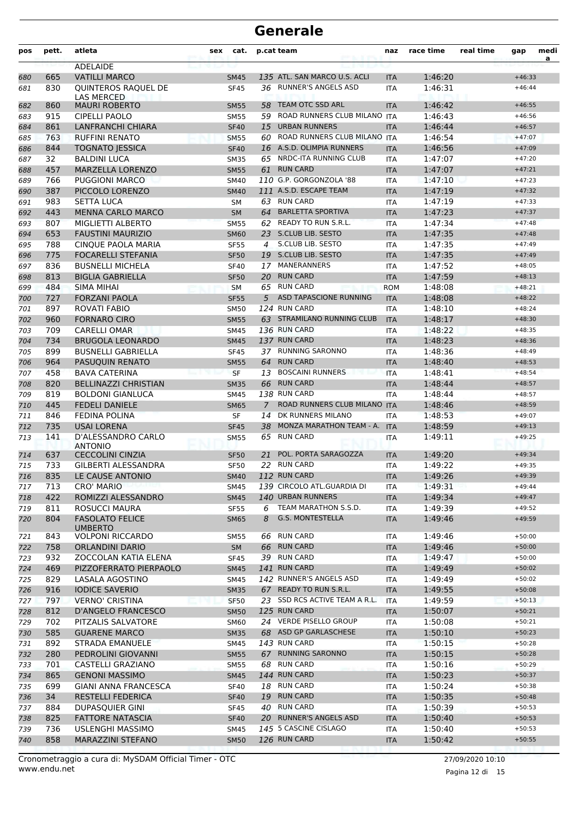| pos        | pett.      | atleta                                            | <b>sex</b> | cat.                       |                | p.cat team                                 | naz                      | race time          | real time | gap                  | medi<br>a |
|------------|------------|---------------------------------------------------|------------|----------------------------|----------------|--------------------------------------------|--------------------------|--------------------|-----------|----------------------|-----------|
|            |            | <b>ADELAIDE</b>                                   |            |                            |                |                                            |                          |                    |           |                      |           |
| 680        | 665        | <b>VATILLI MARCO</b>                              |            | <b>SM45</b>                |                | 135 ATL. SAN MARCO U.S. ACLI               | <b>ITA</b>               | 1:46:20            |           | $+46:33$             |           |
| 681        | 830        | QUINTEROS RAQUEL DE<br>LAS MERCED                 |            | <b>SF45</b>                | 36.            | <b>RUNNER'S ANGELS ASD</b>                 | <b>ITA</b>               | 1:46:31            |           | $+46:44$             |           |
| 682        | 860        | <b>MAURI ROBERTO</b>                              |            | <b>SM55</b>                | 58             | <b>TEAM OTC SSD ARL</b>                    | <b>ITA</b>               | 1:46:42            |           | $+46:55$             |           |
| 683        | 915        | <b>CIPELLI PAOLO</b>                              |            | <b>SM55</b>                | 59             | ROAD RUNNERS CLUB MILANO ITA               |                          | 1:46:43            |           | $+46:56$             |           |
| 684        | 861        | <b>LANFRANCHI CHIARA</b>                          |            | <b>SF40</b>                | 15             | <b>URBAN RUNNERS</b>                       | <b>ITA</b>               | 1:46:44            |           | $+46:57$             |           |
| 685        | 763        | <b>RUFFINI RENATO</b>                             |            | <b>SM55</b>                | 60             | ROAD RUNNERS CLUB MILANO ITA               |                          | 1:46:54            |           | $+47:07$             |           |
| 686        | 844        | <b>TOGNATO JESSICA</b>                            |            | <b>SF40</b>                | 16             | A.S.D. OLIMPIA RUNNERS                     | <b>ITA</b>               | 1:46:56            |           | $+47:09$             |           |
| 687        | 32         | <b>BALDINI LUCA</b>                               |            | <b>SM35</b>                | 65             | NRDC-ITA RUNNING CLUB                      | <b>ITA</b>               | 1:47:07            |           | $+47:20$             |           |
| 688        | 457        | MARZELLA LORENZO                                  |            | <b>SM55</b>                |                | 61 RUN CARD                                | <b>ITA</b>               | 1:47:07            |           | $+47:21$             |           |
| 689        | 766        | <b>PUGGIONI MARCO</b>                             |            | <b>SM40</b>                |                | 110 G.P. GORGONZOLA '88                    | <b>ITA</b>               | 1:47:10            |           | $+47:23$             |           |
| 690        | 387        | PICCOLO LORENZO                                   |            | <b>SM40</b>                |                | 111 A.S.D. ESCAPE TEAM                     | <b>ITA</b>               | 1:47:19            |           | $+47:32$             |           |
| 691        | 983        | <b>SETTA LUCA</b>                                 |            | SΜ                         |                | 63 RUN CARD                                | <b>ITA</b>               | 1:47:19            |           | $+47:33$             |           |
| 692        | 443        | <b>MENNA CARLO MARCO</b>                          |            | <b>SM</b>                  | 64             | <b>BARLETTA SPORTIVA</b>                   | <b>ITA</b>               | 1:47:23            |           | $+47:37$             |           |
| 693        | 807        | MIGLIETTI ALBERTO                                 |            | <b>SM55</b>                | 62             | <b>READY TO RUN S.R.L.</b>                 | <b>ITA</b>               | 1:47:34            |           | $+47:48$             |           |
| 694        | 653        | <b>FAUSTINI MAURIZIO</b>                          |            | <b>SM60</b>                |                | 23 S.CLUB LIB. SESTO                       | <b>ITA</b>               | 1:47:35            |           | $+47:48$             |           |
| 695        | 788        | CINQUE PAOLA MARIA                                |            | <b>SF55</b>                | 4              | S.CLUB LIB. SESTO                          | <b>ITA</b>               | 1:47:35            |           | $+47:49$             |           |
| 696        | 775        | <b>FOCARELLI STEFANIA</b>                         |            | <b>SF50</b>                |                | 19 S.CLUB LIB. SESTO                       | <b>ITA</b>               | 1:47:35            |           | $+47:49$             |           |
| 697        | 836        | <b>BUSNELLI MICHELA</b>                           |            | <b>SF40</b>                | 17             | MANERANNERS                                | <b>ITA</b>               | 1:47:52            |           | $+48:05$             |           |
| 698        | 813        | <b>BIGLIA GABRIELLA</b>                           |            | <b>SF50</b>                | 20             | <b>RUN CARD</b>                            | <b>ITA</b>               | 1:47:59            |           | $+48:13$             |           |
| 699        | 484        | <b>SIMA MIHAI</b>                                 |            | <b>SM</b>                  | 65             | <b>RUN CARD</b>                            | <b>ROM</b>               | 1:48:08            |           | $+48:21$             |           |
| 700        | 727        | <b>FORZANI PAOLA</b>                              |            | <b>SF55</b>                | 5              | ASD TAPASCIONE RUNNING<br>124 RUN CARD     | <b>ITA</b>               | 1:48:08            |           | $+48:22$             |           |
| 701        | 897        | <b>ROVATI FABIO</b>                               |            | <b>SM50</b>                |                |                                            | <b>ITA</b>               | 1:48:10            |           | $+48:24$             |           |
| 702        | 960        | <b>FORNARO CIRO</b>                               |            | <b>SM55</b>                |                | 63 STRAMILANO RUNNING CLUB<br>136 RUN CARD | <b>ITA</b>               | 1:48:17            |           | $+48:30$             |           |
| 703        | 709        | <b>CARELLI OMAR</b><br><b>BRUGOLA LEONARDO</b>    |            | <b>SM45</b>                |                | 137 RUN CARD                               | <b>ITA</b>               | 1:48:22            |           | $+48:35$<br>$+48:36$ |           |
| 704<br>705 | 734<br>899 | <b>BUSNELLI GABRIELLA</b>                         |            | <b>SM45</b><br><b>SF45</b> |                | 37 RUNNING SARONNO                         | <b>ITA</b><br><b>ITA</b> | 1:48:23<br>1:48:36 |           | $+48:49$             |           |
| 706        | 964        | PASUQUIN RENATO                                   |            | <b>SM55</b>                | 64             | <b>RUN CARD</b>                            | <b>ITA</b>               | 1:48:40            |           | $+48:53$             |           |
| 707        | 458        | <b>BAVA CATERINA</b>                              |            | <b>SF</b>                  | 13             | <b>BOSCAINI RUNNERS</b>                    | <b>ITA</b>               | 1:48:41            |           | $+48:54$             |           |
| 708        | 820        | <b>BELLINAZZI CHRISTIAN</b>                       |            | <b>SM35</b>                | 66             | <b>RUN CARD</b>                            | <b>ITA</b>               | 1:48:44            |           | $+48:57$             |           |
| 709        | 819        | <b>BOLDONI GIANLUCA</b>                           |            | <b>SM45</b>                |                | 138 RUN CARD                               | <b>ITA</b>               | 1:48:44            |           | $+48:57$             |           |
| 710        | 445        | <b>FEDELI DANIELE</b>                             |            | <b>SM65</b>                | $\overline{7}$ | ROAD RUNNERS CLUB MILANO                   | <b>ITA</b>               | 1:48:46            |           | $+48:59$             |           |
| 711        | 846        | <b>FEDINA POLINA</b>                              |            | SF                         | 14             | DK RUNNERS MILANO                          | <b>ITA</b>               | 1:48:53            |           | $+49:07$             |           |
| 712        | 735        | <b>USAI LORENA</b>                                |            | <b>SF45</b>                | 38             | MONZA MARATHON TEAM - A.                   | <b>ITA</b>               | 1:48:59            |           | $+49:13$             |           |
| 713        | 141        | D'ALESSANDRO CARLO                                |            | <b>SM55</b>                | 65             | <b>RUN CARD</b>                            | ITA                      | 1:49:11            |           | $+49:25$             |           |
|            |            | <b>ANTONIO</b>                                    |            |                            | 21             | POL. PORTA SARAGOZZA                       |                          |                    |           |                      |           |
| 714<br>715 | 637<br>733 | <b>CECCOLINI CINZIA</b><br>GILBERTI ALESSANDRA    |            | <b>SF50</b><br><b>SF50</b> | 22             | <b>RUN CARD</b>                            | <b>ITA</b><br><b>ITA</b> | 1:49:20<br>1:49:22 |           | $+49:34$<br>$+49:35$ |           |
|            | 835        | LE CAUSE ANTONIO                                  |            | <b>SM40</b>                |                | 112 RUN CARD                               | <b>ITA</b>               | 1:49:26            |           | $+49:39$             |           |
| 716<br>717 | 713        | <b>CRO' MARIO</b>                                 |            | <b>SM45</b>                |                | 139 CIRCOLO ATL.GUARDIA DI                 | ITA                      | 1:49:31            |           | $+49:44$             |           |
| 718        | 422        | ROMIZZI ALESSANDRO                                |            | <b>SM45</b>                |                | 140 URBAN RUNNERS                          | <b>ITA</b>               | 1:49:34            |           | $+49:47$             |           |
| 719        | 811        | ROSUCCI MAURA                                     |            | <b>SF55</b>                | 6              | TEAM MARATHON S.S.D.                       | <b>ITA</b>               | 1:49:39            |           | $+49:52$             |           |
| 720        | 804        | <b>FASOLATO FELICE</b>                            |            | <b>SM65</b>                | 8              | G.S. MONTESTELLA                           | <b>ITA</b>               | 1:49:46            |           | $+49:59$             |           |
|            |            | <b>UMBERTO</b>                                    |            |                            |                | 66 RUN CARD                                |                          |                    |           |                      |           |
| 721        | 843<br>758 | <b>VOLPONI RICCARDO</b><br><b>ORLANDINI DARIO</b> |            | SM55                       |                | 66 RUN CARD                                | ITA                      | 1:49:46<br>1:49:46 |           | $+50:00$<br>$+50:00$ |           |
| 722        | 932        | ZOCCOLAN KATIA ELENA                              |            | <b>SM</b><br><b>SF45</b>   |                | 39 RUN CARD                                | <b>ITA</b><br>ITA        | 1:49:47            |           | $+50:00$             |           |
| 723<br>724 | 469        | PIZZOFERRATO PIERPAOLO                            |            | <b>SM45</b>                |                | 141 RUN CARD                               | <b>ITA</b>               | 1:49:49            |           | $+50:02$             |           |
| 725        | 829        | LASALA AGOSTINO                                   |            | SM45                       |                | 142 RUNNER'S ANGELS ASD                    | ITA                      | 1:49:49            |           | $+50:02$             |           |
| 726        | 916        | <b>IODICE SAVERIO</b>                             |            | <b>SM35</b>                |                | 67 READY TO RUN S.R.L.                     | <b>ITA</b>               | 1:49:55            |           | $+50:08$             |           |
| 727        | 797        | <b>VERNO' CRISTINA</b>                            |            | <b>SF50</b>                |                | 23 SSD RCS ACTIVE TEAM A R.L.              | <b>ITA</b>               | 1:49:59            |           | $+50:13$             |           |
| 728        | 812        | <b>D'ANGELO FRANCESCO</b>                         |            | <b>SM50</b>                |                | 125 RUN CARD                               | <b>ITA</b>               | 1:50:07            |           | $+50:21$             |           |
| 729        | 702        | PITZALIS SALVATORE                                |            | <b>SM60</b>                |                | 24 VERDE PISELLO GROUP                     | ITA                      | 1:50:08            |           | $+50:21$             |           |
| 730        | 585        | <b>GUARENE MARCO</b>                              |            | <b>SM35</b>                |                | 68 ASD GP GARLASCHESE                      | <b>ITA</b>               | 1:50:10            |           | $+50:23$             |           |
| 731        | 892        | <b>STRADA EMANUELE</b>                            |            | SM45                       |                | 143 RUN CARD                               | ITA                      | 1:50:15            |           | $+50:28$             |           |
| 732        | 280        | PEDROLINI GIOVANNI                                |            | <b>SM55</b>                |                | 67 RUNNING SARONNO                         | <b>ITA</b>               | 1:50:15            |           | $+50:28$             |           |
| 733        | 701        | CASTELLI GRAZIANO                                 |            | <b>SM55</b>                |                | 68 RUN CARD                                | ITA                      | 1:50:16            |           | $+50:29$             |           |
| 734        | 865        | <b>GENONI MASSIMO</b>                             |            | <b>SM45</b>                |                | 144 RUN CARD                               | <b>ITA</b>               | 1:50:23            |           | $+50:37$             |           |
| 735        | 699        | <b>GIANI ANNA FRANCESCA</b>                       |            | <b>SF40</b>                |                | 18 RUN CARD                                | ITA                      | 1:50:24            |           | $+50:38$             |           |
| 736        | 34         | <b>RESTELLI FEDERICA</b>                          |            | <b>SF40</b>                |                | 19 RUN CARD                                | <b>ITA</b>               | 1:50:35            |           | $+50:48$             |           |
| 737        | 884        | DUPASQUIER GINI                                   |            | <b>SF45</b>                |                | 40 RUN CARD                                | ITA                      | 1:50:39            |           | $+50:53$             |           |
| 738        | 825        | <b>FATTORE NATASCIA</b>                           |            | <b>SF40</b>                |                | 20 RUNNER'S ANGELS ASD                     | <b>ITA</b>               | 1:50:40            |           | $+50:53$             |           |
| 739        | 736        | USLENGHI MASSIMO                                  |            | SM45                       |                | 145 5 CASCINE CISLAGO                      | ITA                      | 1:50:40            |           | $+50:53$             |           |
| 740        | 858        | MARAZZINI STEFANO                                 |            | <b>SM50</b>                |                | 126 RUN CARD                               | <b>ITA</b>               | 1:50:42            |           | $+50:55$             |           |
|            |            |                                                   |            |                            |                |                                            |                          |                    |           |                      |           |

Pagina 12 di 15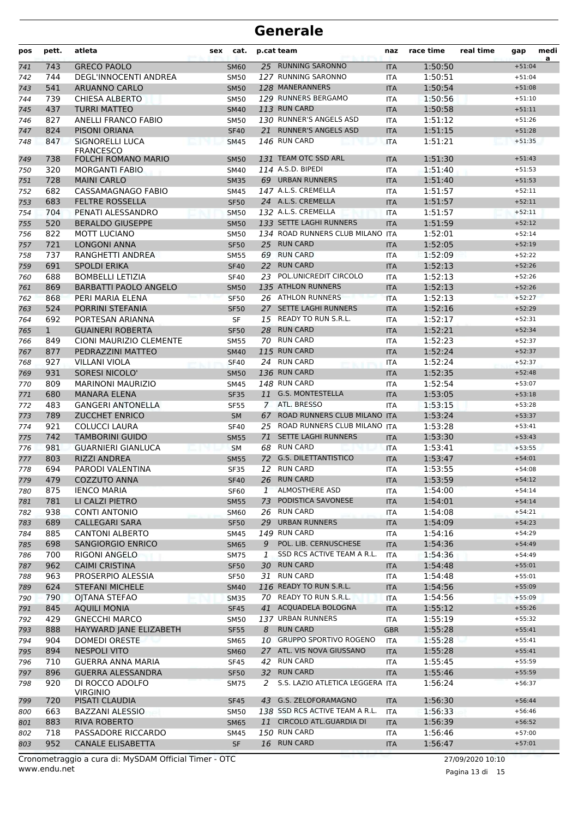| pos        | pett.        | atleta                                              | sex | cat.                       |              | p.cat team                                              | naz                      | race time          | real time | gap                  | medi<br>a |
|------------|--------------|-----------------------------------------------------|-----|----------------------------|--------------|---------------------------------------------------------|--------------------------|--------------------|-----------|----------------------|-----------|
| 741        | 743          | <b>GRECO PAOLO</b>                                  |     | <b>SM60</b>                |              | 25 RUNNING SARONNO                                      | <b>ITA</b>               | 1:50:50            |           | $+51:04$             |           |
| 742        | 744          | DEGL'INNOCENTI ANDREA                               |     | <b>SM50</b>                |              | 127 RUNNING SARONNO                                     | <b>ITA</b>               | 1:50:51            |           | $+51:04$             |           |
| 743        | 541          | ARUANNO CARLO                                       |     | <b>SM50</b>                |              | 128 MANERANNERS                                         | <b>ITA</b>               | 1:50:54            |           | $+51:08$             |           |
| 744        | 739          | <b>CHIESA ALBERTO</b>                               |     | <b>SM50</b>                |              | 129 RUNNERS BERGAMO                                     | <b>ITA</b>               | 1:50:56            |           | $+51:10$             |           |
| 745        | 437          | <b>TURRI MATTEO</b>                                 |     | <b>SM40</b>                |              | 113 RUN CARD                                            | <b>ITA</b>               | 1:50:58            |           | $+51:11$             |           |
| 746        | 827          | ANELLI FRANCO FABIO                                 |     | <b>SM50</b>                |              | 130 RUNNER'S ANGELS ASD                                 | <b>ITA</b>               | 1:51:12            |           | $+51:26$             |           |
| 747        | 824          | PISONI ORIANA                                       |     | <b>SF40</b>                | 21           | <b>RUNNER'S ANGELS ASD</b>                              | <b>ITA</b>               | 1:51:15            |           | $+51:28$             |           |
| 748        | 847          | SIGNORELLI LUCA<br><b>FRANCESCO</b>                 |     | <b>SM45</b>                |              | <b>146 RUN CARD</b><br>131 TEAM OTC SSD ARL             | <b>ITA</b>               | 1:51:21            |           | $+51:35$             |           |
| 749        | 738          | <b>FOLCHI ROMANO MARIO</b><br><b>MORGANTI FABIO</b> |     | <b>SM50</b>                |              | 114 A.S.D. BIPEDI                                       | <b>ITA</b>               | 1:51:30<br>1:51:40 |           | $+51:43$             |           |
| 750        | 320<br>728   | <b>MAINI CARLO</b>                                  |     | <b>SM40</b>                |              | 69 URBAN RUNNERS                                        | <b>ITA</b>               | 1:51:40            |           | $+51:53$<br>$+51:53$ |           |
| 751<br>752 | 682          | CASSAMAGNAGO FABIO                                  |     | <b>SM35</b><br><b>SM45</b> |              | 147 A.L.S. CREMELLA                                     | <b>ITA</b><br><b>ITA</b> | 1:51:57            |           | $+52:11$             |           |
| 753        | 683          | <b>FELTRE ROSSELLA</b>                              |     | <b>SF50</b>                |              | 24 A.L.S. CREMELLA                                      | <b>ITA</b>               | 1:51:57            |           | $+52:11$             |           |
| 754        | 704          | PENATI ALESSANDRO                                   |     | <b>SM50</b>                |              | 132 A.L.S. CREMELLA                                     | <b>ITA</b>               | 1:51:57            |           | $+52:11$             |           |
| 755        | 520          | <b>BERALDO GIUSEPPE</b>                             |     | <b>SM50</b>                |              | 133 SETTE LAGHI RUNNERS                                 | <b>ITA</b>               | 1:51:59            |           | $+52:12$             |           |
| 756        | 822          | MOTT LUCIANO                                        |     | <b>SM50</b>                |              | 134 ROAD RUNNERS CLUB MILANO ITA                        |                          | 1:52:01            |           | $+52:14$             |           |
| 757        | 721          | <b>LONGONI ANNA</b>                                 |     | <b>SF50</b>                | 25           | <b>RUN CARD</b>                                         | <b>ITA</b>               | 1:52:05            |           | $+52:19$             |           |
| 758        | 737          | RANGHETTI ANDREA                                    |     | <b>SM55</b>                | 69           | <b>RUN CARD</b>                                         | <b>ITA</b>               | 1:52:09            |           | $+52:22$             |           |
| 759        | 691          | <b>SPOLDI ERIKA</b>                                 |     | <b>SF40</b>                | 22           | <b>RUN CARD</b>                                         | <b>ITA</b>               | 1:52:13            |           | $+52:26$             |           |
| 760        | 688          | <b>BOMBELLI LETIZIA</b>                             |     | <b>SF40</b>                | 23           | POL.UNICREDIT CIRCOLO                                   | <b>ITA</b>               | 1:52:13            |           | $+52:26$             |           |
| 761        | 869          | <b>BARBATTI PAOLO ANGELO</b>                        |     | <b>SM50</b>                |              | 135 ATHLON RUNNERS                                      | <b>ITA</b>               | 1:52:13            |           | $+52:26$             |           |
| 762        | 868          | PERI MARIA ELENA                                    |     | <b>SF50</b>                |              | 26 ATHLON RUNNERS                                       | <b>ITA</b>               | 1:52:13            |           | $+52:27$             |           |
| 763        | 524          | PORRINI STEFANIA                                    |     | <b>SF50</b>                | 27           | <b>SETTE LAGHI RUNNERS</b>                              | <b>ITA</b>               | 1:52:16            |           | $+52:29$             |           |
| 764        | 692          | PORTESAN ARIANNA                                    |     | SF                         |              | 15 READY TO RUN S.R.L.                                  | <b>ITA</b>               | 1:52:17            |           | $+52:31$             |           |
| 765        | $\mathbf{1}$ | <b>GUAINERI ROBERTA</b>                             |     | <b>SF50</b>                | 28           | <b>RUN CARD</b>                                         | <b>ITA</b>               | 1:52:21            |           | $+52:34$             |           |
| 766        | 849          | CIONI MAURIZIO CLEMENTE                             |     | <b>SM55</b>                |              | 70 RUN CARD                                             | ITA                      | 1:52:23            |           | $+52:37$             |           |
| 767        | 877          | PEDRAZZINI MATTEO                                   |     | <b>SM40</b>                |              | 115 RUN CARD                                            | <b>ITA</b>               | 1:52:24            |           | $+52:37$             |           |
| 768        | 927          | VILLANI VIOLA                                       |     | <b>SF40</b>                |              | 24 RUN CARD                                             | <b>ITA</b>               | 1:52:24            |           | $+52:37$             |           |
| 769        | 931          | <b>SORESI NICOLO'</b>                               |     | <b>SM50</b>                |              | 136 RUN CARD                                            | <b>ITA</b>               | 1:52:35            |           | $+52:48$             |           |
| 770        | 809          | <b>MARINONI MAURIZIO</b>                            |     | <b>SM45</b>                |              | 148 RUN CARD                                            | <b>ITA</b>               | 1:52:54            |           | $+53:07$             |           |
| 771        | 680          | <b>MANARA ELENA</b>                                 |     | <b>SF35</b>                |              | 11 G.S. MONTESTELLA                                     | <b>ITA</b>               | 1:53:05            |           | $+53:18$             |           |
| 772        | 483          | <b>GANGERI ANTONELLA</b>                            |     | <b>SF55</b>                |              | 7 ATL. BRESSO<br>ROAD RUNNERS CLUB MILANO ITA           | <b>ITA</b>               | 1:53:15            |           | $+53:28$             |           |
| 773<br>774 | 789<br>921   | <b>ZUCCHET ENRICO</b><br>COLUCCI LAURA              |     | <b>SM</b><br><b>SF40</b>   | 67           | 25 ROAD RUNNERS CLUB MILANO ITA                         |                          | 1:53:24<br>1:53:28 |           | $+53:37$<br>$+53:41$ |           |
| 775        | 742          | <b>TAMBORINI GUIDO</b>                              |     | <b>SM55</b>                | 71           | <b>SETTE LAGHI RUNNERS</b>                              | <b>ITA</b>               | 1:53:30            |           | $+53:43$             |           |
| 776        | 981          | <b>GUARNIERI GIANLUCA</b>                           |     | <b>SM</b>                  | 68           | <b>RUN CARD</b>                                         | <b>ITA</b>               | 1:53:41            |           | $+53:55$             |           |
| 777        | 803          | <b>RIZZI ANDREA</b>                                 |     | <b>SM55</b>                |              | 72 G.S. DILETTANTISTICO                                 | <b>ITA</b>               | 1:53:47            |           | $+54:01$             |           |
| 778        | 694          | PARODI VALENTINA                                    |     | <b>SF35</b>                |              | 12 RUN CARD                                             | <b>ITA</b>               | 1:53:55            |           | $+54:08$             |           |
| 779        | 479          | COZZUTO ANNA                                        |     | <b>SF40</b>                |              | 26 RUN CARD                                             | <b>ITA</b>               | 1:53:59            |           | $+54:12$             |           |
| 780        | 875          | <b>IENCO MARIA</b>                                  |     | SF60                       |              | 1 ALMOSTHERE ASD                                        | ITA                      | 1:54:00            |           | $+54:14$             |           |
| 781        | 781          | LI CALZI PIETRO                                     |     | <b>SM55</b>                | 73           | PODISTICA SAVONESE                                      | <b>ITA</b>               | 1:54:01            |           | $+54:14$             |           |
| 782        | 938          | <b>CONTI ANTONIO</b>                                |     | <b>SM60</b>                |              | 26 RUN CARD                                             | ITA                      | 1:54:08            |           | $+54:21$             |           |
| 783        | 689          | <b>CALLEGARI SARA</b>                               |     | <b>SF50</b>                | 29           | <b>URBAN RUNNERS</b>                                    | <b>ITA</b>               | 1:54:09            |           | $+54:23$             |           |
| 784        | 885          | <b>CANTONI ALBERTO</b>                              |     | SM45                       |              | 149 RUN CARD                                            | ITA                      | 1:54:16            |           | $+54:29$             |           |
| 785        | 698          | SANGIORGIO ENRICO                                   |     | <b>SM65</b>                | 9            | POL. LIB. CERNUSCHESE                                   | <b>ITA</b>               | 1:54:36            |           | $+54:49$             |           |
| 786        | 700          | RIGONI ANGELO                                       |     | SM75                       | $\mathbf{1}$ | SSD RCS ACTIVE TEAM A R.L.                              | <b>ITA</b>               | 1:54:36            |           | $+54:49$             |           |
| 787        | 962          | <b>CAIMI CRISTINA</b>                               |     | <b>SF50</b>                |              | 30 RUN CARD                                             | <b>ITA</b>               | 1:54:48            |           | $+55:01$             |           |
| 788        | 963          | PROSERPIO ALESSIA                                   |     | <b>SF50</b>                |              | 31 RUN CARD                                             | ITA                      | 1:54:48            |           | $+55:01$             |           |
| 789        | 624          | <b>STEFANI MICHELE</b>                              |     | <b>SM40</b>                |              | 116 READY TO RUN S.R.L.                                 | <b>ITA</b>               | 1:54:56            |           | $+55:09$             |           |
| 790        | 790          | OJTANA STEFAO                                       |     | <b>SM35</b>                |              | 70 READY TO RUN S.R.L.                                  | <b>ITA</b>               | 1:54:56            |           | $+55:09$             |           |
| 791        | 845          | <b>AQUILI MONIA</b>                                 |     | <b>SF45</b>                |              | 41 ACQUADELA BOLOGNA                                    | <b>ITA</b>               | 1:55:12            |           | $+55:26$             |           |
| 792        | 429          | <b>GNECCHI MARCO</b>                                |     | SM50                       |              | 137 URBAN RUNNERS                                       | ITA                      | 1:55:19            |           | $+55:32$             |           |
| 793        | 888          | HAYWARD JANE ELIZABETH                              |     | <b>SF55</b>                | 8            | <b>RUN CARD</b>                                         | <b>GBR</b>               | 1:55:28            |           | $+55:41$             |           |
| 794        | 904          | DOMEDI ORESTE                                       |     | SM65                       |              | 10 GRUPPO SPORTIVO ROGENO                               | ITA                      | 1:55:28            |           | $+55:41$             |           |
| 795        | 894          | <b>NESPOLI VITO</b><br><b>GUERRA ANNA MARIA</b>     |     | <b>SM60</b>                |              | 27 ATL. VIS NOVA GIUSSANO<br>42 RUN CARD                | <b>ITA</b>               | 1:55:28            |           | $+55:41$             |           |
| 796        | 710<br>896   | <b>GUERRA ALESSANDRA</b>                            |     | <b>SF45</b><br><b>SF50</b> |              | 32 RUN CARD                                             | <b>ITA</b>               | 1:55:45<br>1:55:46 |           | $+55:59$<br>$+55:59$ |           |
| 797<br>798 | 920          | DI ROCCO ADOLFO                                     |     | SM75                       | 2            | S.S. LAZIO ATLETICA LEGGERA ITA                         | <b>ITA</b>               | 1:56:24            |           | $+56:37$             |           |
|            |              | <b>VIRGINIO</b>                                     |     |                            |              |                                                         |                          |                    |           |                      |           |
| 799        | 720          | PISATI CLAUDIA                                      |     | <b>SF45</b>                |              | 43 G.S. ZELOFORAMAGNO<br>138 SSD RCS ACTIVE TEAM A R.L. | <b>ITA</b>               | 1:56:30            |           | $+56:44$             |           |
| 800        | 663<br>883   | BAZZANI ALESSIO<br>RIVA ROBERTO                     |     | <b>SM50</b>                |              | 11 CIRCOLO ATL.GUARDIA DI                               | <b>ITA</b>               | 1:56:33            |           | $+56:46$<br>$+56:52$ |           |
| 801<br>802 | 718          | PASSADORE RICCARDO                                  |     | <b>SM65</b><br>SM45        |              | 150 RUN CARD                                            | <b>ITA</b><br>ITA        | 1:56:39<br>1:56:46 |           | $+57:00$             |           |
| 803        | 952          | <b>CANALE ELISABETTA</b>                            |     | <b>SF</b>                  |              | 16 RUN CARD                                             | <b>ITA</b>               | 1:56:47            |           | $+57:01$             |           |
|            |              |                                                     |     |                            |              |                                                         |                          |                    |           |                      |           |

www.endu.net Cronometraggio a cura di: MySDAM Official Timer - OTC 27/09/2020 10:10

Pagina 13 di 15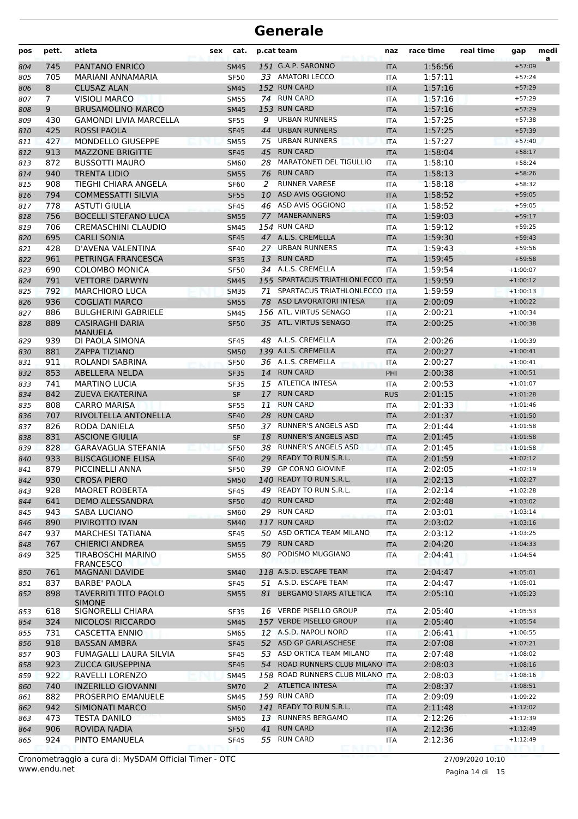| pos | pett.          | atleta                                       | sex | cat.        |    | p.cat team                       | naz        | race time | real time | gap        | medi<br>a |
|-----|----------------|----------------------------------------------|-----|-------------|----|----------------------------------|------------|-----------|-----------|------------|-----------|
| 804 | 745            | <b>PANTANO ENRICO</b>                        |     | <b>SM45</b> |    | 151 G.A.P. SARONNO               | <b>ITA</b> | 1:56:56   |           | $+57:09$   |           |
| 805 | 705            | <b>MARIANI ANNAMARIA</b>                     |     | <b>SF50</b> |    | 33 AMATORI LECCO                 | <b>ITA</b> | 1:57:11   |           | $+57:24$   |           |
| 806 | 8              | <b>CLUSAZ ALAN</b>                           |     | <b>SM45</b> |    | 152 RUN CARD                     | <b>ITA</b> | 1:57:16   |           | $+57:29$   |           |
| 807 | $\overline{7}$ | <b>VISIOLI MARCO</b>                         |     | <b>SM55</b> |    | 74 RUN CARD                      | <b>ITA</b> | 1:57:16   |           | $+57:29$   |           |
| 808 | 9              | <b>BRUSAMOLINO MARCO</b>                     |     | <b>SM45</b> |    | 153 RUN CARD                     | <b>ITA</b> | 1:57:16   |           | $+57:29$   |           |
| 809 | 430            | <b>GAMONDI LIVIA MARCELLA</b>                |     | <b>SF55</b> | 9  | <b>URBAN RUNNERS</b>             | <b>ITA</b> | 1:57:25   |           | $+57:38$   |           |
| 810 | 425            | <b>ROSSI PAOLA</b>                           |     | <b>SF45</b> | 44 | <b>URBAN RUNNERS</b>             | <b>ITA</b> | 1:57:25   |           | $+57:39$   |           |
| 811 | 427            | MONDELLO GIUSEPPE                            |     | <b>SM55</b> |    | 75 URBAN RUNNERS                 | <b>ITA</b> | 1:57:27   |           | $+57:40$   |           |
| 812 | 913            | <b>MAZZONE BRIGITTE</b>                      |     | <b>SF45</b> | 45 | <b>RUN CARD</b>                  | <b>ITA</b> | 1:58:04   |           | $+58:17$   |           |
| 813 | 872            | <b>BUSSOTTI MAURO</b>                        |     | <b>SM60</b> | 28 | <b>MARATONETI DEL TIGULLIO</b>   | <b>ITA</b> | 1:58:10   |           | $+58:24$   |           |
| 814 | 940            | <b>TRENTA LIDIO</b>                          |     | <b>SM55</b> | 76 | <b>RUN CARD</b>                  | <b>ITA</b> | 1:58:13   |           | $+58:26$   |           |
| 815 | 908            | TIEGHI CHIARA ANGELA                         |     | <b>SF60</b> | 2  | <b>RUNNER VARESE</b>             | <b>ITA</b> | 1:58:18   |           | $+58:32$   |           |
| 816 | 794            | <b>COMMESSATTI SILVIA</b>                    |     | <b>SF55</b> | 10 | ASD AVIS OGGIONO                 | <b>ITA</b> | 1:58:52   |           | $+59:05$   |           |
| 817 | 778            | <b>ASTUTI GIULIA</b>                         |     | <b>SF45</b> |    | 46 ASD AVIS OGGIONO              | <b>ITA</b> | 1:58:52   |           | $+59:05$   |           |
| 818 | 756            | <b>BOCELLI STEFANO LUCA</b>                  |     | <b>SM55</b> | 77 | <b>MANERANNERS</b>               | <b>ITA</b> | 1:59:03   |           | $+59:17$   |           |
| 819 | 706            | <b>CREMASCHINI CLAUDIO</b>                   |     | <b>SM45</b> |    | 154 RUN CARD                     | ITA        | 1:59:12   |           | $+59:25$   |           |
| 820 | 695            | <b>CARLI SONIA</b>                           |     | <b>SF45</b> |    | 47 A.L.S. CREMELLA               | <b>ITA</b> | 1:59:30   |           | $+59:43$   |           |
| 821 | 428            | D'AVENA VALENTINA                            |     | <b>SF40</b> |    | 27 URBAN RUNNERS                 | <b>ITA</b> | 1:59:43   |           | $+59:56$   |           |
| 822 | 961            | PETRINGA FRANCESCA                           |     | <b>SF35</b> | 13 | <b>RUN CARD</b>                  | <b>ITA</b> | 1:59:45   |           | $+59:58$   |           |
| 823 | 690            | <b>COLOMBO MONICA</b>                        |     | <b>SF50</b> |    | 34 A.L.S. CREMELLA               | ITA        | 1:59:54   |           | $+1:00:07$ |           |
| 824 | 791            | <b>VETTORE DARWYN</b>                        |     | <b>SM45</b> |    | 155 SPARTACUS TRIATHLONLECCO ITA |            | 1:59:59   |           | $+1:00:12$ |           |
| 825 | 792            | <b>MARCHIORO LUCA</b>                        |     | <b>SM35</b> | 71 | SPARTACUS TRIATHLONLECCO ITA     |            | 1:59:59   |           | $+1:00:13$ |           |
| 826 | 936            | <b>COGLIATI MARCO</b>                        |     | <b>SM55</b> |    | 78 ASD LAVORATORI INTESA         | <b>ITA</b> | 2:00:09   |           | $+1:00:22$ |           |
| 827 | 886            | <b>BULGHERINI GABRIELE</b>                   |     | <b>SM45</b> |    | 156 ATL. VIRTUS SENAGO           | <b>ITA</b> | 2:00:21   |           | $+1:00:34$ |           |
| 828 | 889            | <b>CASIRAGHI DARIA</b><br>MANUELA            |     | <b>SF50</b> |    | 35 ATL. VIRTUS SENAGO            | <b>ITA</b> | 2:00:25   |           | $+1:00:38$ |           |
| 829 | 939            | DI PAOLA SIMONA                              |     | SF45        |    | 48 A.L.S. CREMELLA               | ITA        | 2:00:26   |           | $+1:00:39$ |           |
| 830 | 881            | <b>ZAPPA TIZIANO</b>                         |     | <b>SM50</b> |    | 139 A.L.S. CREMELLA              | <b>ITA</b> | 2:00:27   |           | $+1:00:41$ |           |
| 831 | 911            | ROLANDI SABRINA                              |     | <b>SF50</b> |    | 36 A.L.S. CREMELLA               | <b>ITA</b> | 2:00:27   |           | $+1:00:41$ |           |
| 832 | 853            | ABELLERA NELDA                               |     | <b>SF35</b> | 14 | <b>RUN CARD</b>                  | PHI        | 2:00:38   |           | $+1:00:51$ |           |
| 833 | 741            | <b>MARTINO LUCIA</b>                         |     | <b>SF35</b> |    | 15 ATLETICA INTESA               | <b>ITA</b> | 2:00:53   |           | $+1:01:07$ |           |
| 834 | 842            | ZUEVA EKATERINA                              |     | <b>SF</b>   | 17 | <b>RUN CARD</b>                  | <b>RUS</b> | 2:01:15   |           | $+1:01:28$ |           |
| 835 | 808            | <b>CARRO MARISA</b>                          |     | <b>SF55</b> | 11 | <b>RUN CARD</b>                  | ITA        | 2:01:33   |           | $+1:01:46$ |           |
| 836 | 707            | RIVOLTELLA ANTONELLA                         |     | <b>SF40</b> | 28 | <b>RUN CARD</b>                  | <b>ITA</b> | 2:01:37   |           | $+1:01:50$ |           |
| 837 | 826            | RODA DANIELA                                 |     | <b>SF50</b> | 37 | <b>RUNNER'S ANGELS ASD</b>       | <b>ITA</b> | 2:01:44   |           | $+1:01:58$ |           |
| 838 | 831            | <b>ASCIONE GIULIA</b>                        |     | <b>SF</b>   | 18 | <b>RUNNER'S ANGELS ASD</b>       | <b>ITA</b> | 2:01:45   |           | $+1:01:58$ |           |
| 839 | 828            | <b>GARAVAGLIA STEFANIA</b>                   |     | <b>SF50</b> | 38 | <b>RUNNER'S ANGELS ASD</b>       | <b>ITA</b> | 2:01:45   |           | $+1:01:58$ |           |
| 840 | 933            | <b>BUSCAGLIONE ELISA</b>                     |     | <b>SF40</b> | 29 | <b>READY TO RUN S.R.L.</b>       | <b>ITA</b> | 2:01:59   |           | $+1:02:12$ |           |
| 841 | 879            | PICCINELLI ANNA                              |     | <b>SF50</b> |    | 39 GP CORNO GIOVINE              | <b>ITA</b> | 2:02:05   |           | $+1:02:19$ |           |
| 842 | 930            | <b>CROSA PIERO</b>                           |     | <b>SM50</b> |    | 140 READY TO RUN S.R.L.          | <b>ITA</b> | 2:02:13   |           | $+1:02:27$ |           |
| 843 | 928            | <b>MAORET ROBERTA</b>                        |     | <b>SF45</b> |    | 49 READY TO RUN S.R.L.           | ITA        | 2:02:14   |           | $+1:02:28$ |           |
| 844 | 641            | DEMO ALESSANDRA                              |     | <b>SF50</b> | 40 | <b>RUN CARD</b>                  | <b>ITA</b> | 2:02:48   |           | $+1:03:02$ |           |
| 845 | 943            | SABA LUCIANO                                 |     | <b>SM60</b> |    | 29 RUN CARD                      | ITA        | 2:03:01   |           | $+1:03:14$ |           |
| 846 | 890            | PIVIROTTO IVAN                               |     | <b>SM40</b> |    | 117 RUN CARD                     | <b>ITA</b> | 2:03:02   |           | $+1:03:16$ |           |
| 847 | 937            | <b>MARCHESI TATIANA</b>                      |     | <b>SF45</b> |    | 50 ASD ORTICA TEAM MILANO        | <b>ITA</b> | 2:03:12   |           | $+1:03:25$ |           |
| 848 | 767            | <b>CHIERICI ANDREA</b>                       |     | <b>SM55</b> |    | 79 RUN CARD                      | <b>ITA</b> | 2:04:20   |           | $+1:04:33$ |           |
| 849 | 325            | TIRABOSCHI MARINO<br><b>FRANCESCO</b>        |     | <b>SM55</b> |    | 80 PODISMO MUGGIANO              | ITA        | 2:04:41   |           | $+1:04:54$ |           |
| 850 | 761            | <b>MAGNANI DAVIDE</b>                        |     | <b>SM40</b> |    | 118 A.S.D. ESCAPE TEAM           | <b>ITA</b> | 2:04:47   |           | $+1:05:01$ |           |
| 851 | 837            | BARBE' PAOLA                                 |     | <b>SF45</b> |    | 51 A.S.D. ESCAPE TEAM            | ITA        | 2:04:47   |           | $+1:05:01$ |           |
| 852 | 898            | <b>TAVERRITI TITO PAOLO</b><br><b>SIMONE</b> |     | <b>SM55</b> | 81 | <b>BERGAMO STARS ATLETICA</b>    | <b>ITA</b> | 2:05:10   |           | $+1:05:23$ |           |
| 853 | 618            | SIGNORELLI CHIARA                            |     | <b>SF35</b> |    | 16 VERDE PISELLO GROUP           | <b>ITA</b> | 2:05:40   |           | $+1:05:53$ |           |
| 854 | 324            | NICOLOSI RICCARDO                            |     | <b>SM45</b> |    | 157 VERDE PISELLO GROUP          | <b>ITA</b> | 2:05:40   |           | $+1:05:54$ |           |
| 855 | 731            | CASCETTA ENNIO                               |     | <b>SM65</b> |    | 12 A.S.D. NAPOLI NORD            | ITA        | 2:06:41   |           | $+1:06:55$ |           |
| 856 | 918            | <b>BASSAN AMBRA</b>                          |     | <b>SF45</b> |    | 52 ASD GP GARLASCHESE            | <b>ITA</b> | 2:07:08   |           | $+1:07:21$ |           |
| 857 | 903            | FUMAGALLI LAURA SILVIA                       |     | <b>SF45</b> |    | 53 ASD ORTICA TEAM MILANO        | ITA        | 2:07:48   |           | $+1:08:02$ |           |
| 858 | 923            | <b>ZUCCA GIUSEPPINA</b>                      |     | <b>SF45</b> |    | 54 ROAD RUNNERS CLUB MILANO ITA  |            | 2:08:03   |           | $+1:08:16$ |           |
| 859 | 922            | RAVELLI LORENZO                              |     | <b>SM45</b> |    | 158 ROAD RUNNERS CLUB MILANO ITA |            | 2:08:03   |           | $+1:08:16$ |           |
| 860 | 740            | <b>INZERILLO GIOVANNI</b>                    |     | <b>SM70</b> |    | 2 ATLETICA INTESA                | <b>ITA</b> | 2:08:37   |           | $+1:08:51$ |           |
| 861 | 882            | PROSERPIO EMANUELE                           |     | SM45        |    | 159 RUN CARD                     | ITA        | 2:09:09   |           | $+1:09:22$ |           |
| 862 | 942            | SIMIONATI MARCO                              |     | <b>SM50</b> |    | 141 READY TO RUN S.R.L.          | <b>ITA</b> | 2:11:48   |           | $+1:12:02$ |           |
| 863 | 473            | <b>TESTA DANILO</b>                          |     | <b>SM65</b> |    | 13 RUNNERS BERGAMO               | ITA        | 2:12:26   |           | $+1:12:39$ |           |
| 864 | 906            | ROVIDA NADIA                                 |     | <b>SF50</b> | 41 | <b>RUN CARD</b>                  | <b>ITA</b> | 2:12:36   |           | $+1:12:49$ |           |
| 865 | 924            | PINTO EMANUELA                               |     | <b>SF45</b> |    | 55 RUN CARD                      | ITA        | 2:12:36   |           | $+1:12:49$ |           |

www.endu.net Cronometraggio a cura di: MySDAM Official Timer - OTC 27/09/2020 10:10

Pagina 14 di 15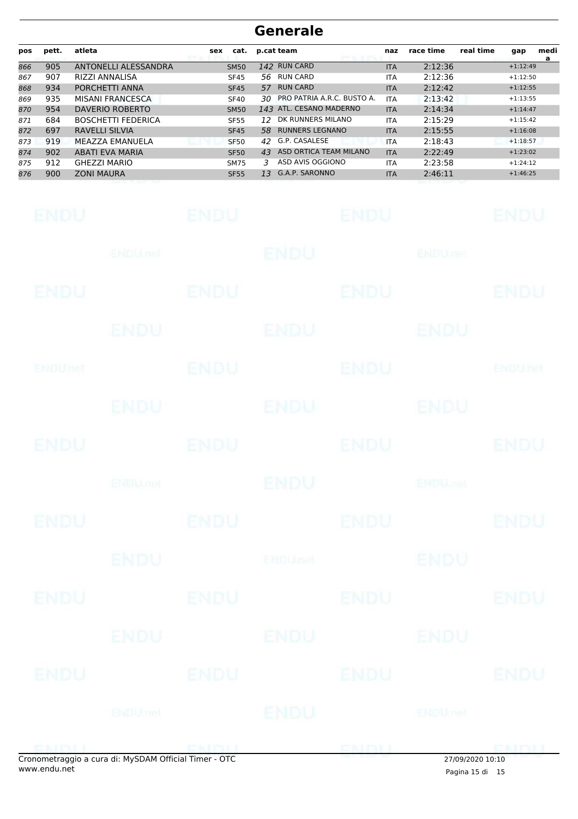| pos | pett. | atleta                      | cat.<br><b>sex</b> | p.cat team                       | naz        | race time | medi<br>real time<br>gap<br>a |
|-----|-------|-----------------------------|--------------------|----------------------------------|------------|-----------|-------------------------------|
| 866 | 905   | <b>ANTONELLI ALESSANDRA</b> | <b>SM50</b>        | 142 RUN CARD                     | <b>ITA</b> | 2:12:36   | $+1:12:49$                    |
| 867 | 907   | RIZZI ANNALISA              | <b>SF45</b>        | RUN CARD<br>56.                  | <b>ITA</b> | 2:12:36   | $+1:12:50$                    |
| 868 | 934   | PORCHETTI ANNA              | <b>SF45</b>        | <b>RUN CARD</b><br>57            | <b>ITA</b> | 2:12:42   | $+1:12:55$                    |
| 869 | 935   | <b>MISANI FRANCESCA</b>     | <b>SF40</b>        | PRO PATRIA A.R.C. BUSTO A.<br>30 | <b>ITA</b> | 2:13:42   | $+1:13:55$                    |
| 870 | 954   | DAVERIO ROBERTO             | <b>SM50</b>        | 143 ATL. CESANO MADERNO          | <b>ITA</b> | 2:14:34   | $+1:14:47$                    |
| 871 | 684   | <b>BOSCHETTI FEDERICA</b>   | <b>SF55</b>        | DK RUNNERS MILANO<br>12          | <b>ITA</b> | 2:15:29   | $+1:15:42$                    |
| 872 | 697   | <b>RAVELLI SILVIA</b>       | <b>SF45</b>        | <b>RUNNERS LEGNANO</b><br>58     | <b>ITA</b> | 2:15:55   | $+1:16:08$                    |
| 873 | 919   | MEAZZA EMANUELA             | <b>SF50</b>        | G.P. CASALESE<br>42              | <b>ITA</b> | 2:18:43   | $+1:18:57$                    |
| 874 | 902   | <b>ABATI EVA MARIA</b>      | <b>SF50</b>        | ASD ORTICA TEAM MILANO<br>43     | <b>ITA</b> | 2:22:49   | $+1:23:02$                    |
| 875 | 912   | <b>GHEZZI MARIO</b>         | <b>SM75</b>        | ASD AVIS OGGIONO<br>3            | <b>ITA</b> | 2:23:58   | $+1:24:12$                    |
| 876 | 900   | <b>ZONI MAURA</b>           | <b>SF55</b>        | G.A.P. SARONNO<br>13             | <b>ITA</b> | 2:46:11   | $+1:46:25$                    |

| <b>ENDU</b> |                                                    | <b>ENDU</b>       |                | <b>ENDU</b> |                           | <b>ENDU</b>    |
|-------------|----------------------------------------------------|-------------------|----------------|-------------|---------------------------|----------------|
|             | ENDU.net                                           |                   | <b>ENDU</b>    |             | <b>ENDUnet</b>            |                |
| <b>ENDU</b> |                                                    | ENDU              |                | <b>ENDU</b> |                           | <b>ENDU</b>    |
|             | ENDU                                               |                   | ENDU           |             | ENDU                      |                |
| ENDUMet     |                                                    | <b>ENDU</b>       |                | <b>ENDU</b> |                           | <b>ENDUnet</b> |
|             | <b>ENDU.</b>                                       |                   | <b>ENDU</b>    |             | <b>ENDU</b>               |                |
| <b>ENDU</b> |                                                    | <b>ENDU</b>       |                | <b>ENDU</b> |                           | <b>ENDU</b>    |
|             | <b>ENDU<sub>met</sub></b>                          |                   | ENDU           |             | <b>ENDU<sub>JIC</sub></b> |                |
| <b>ENDU</b> |                                                    | <b>ENDU</b>       |                | <b>ENDU</b> |                           | <b>ENDU</b>    |
|             | <b>ENDU</b>                                        |                   | <b>ENDUnet</b> |             | <b>ENDU</b>               |                |
| <b>ENDU</b> |                                                    | <b>ENDU</b>       |                | <b>ENDU</b> |                           | <b>ENDU</b>    |
|             | <b>ENDU</b>                                        |                   | <b>ENDU</b>    |             | <b>ENDU</b>               |                |
| ENDU        |                                                    | <b>ENDU</b>       |                | <b>ENDU</b> |                           | <b>ENDU</b>    |
|             | ENDU <sub>net</sub>                                |                   | <b>ENDU</b>    |             | <b>ENDUmet</b>            |                |
| ENM I       | enemetraggie a cura di: MyCDAM Official Timor. OTC | <b>END HOLLOW</b> |                | ENDE        | 27/00/2020 10:10          | <b>ENDLI</b>   |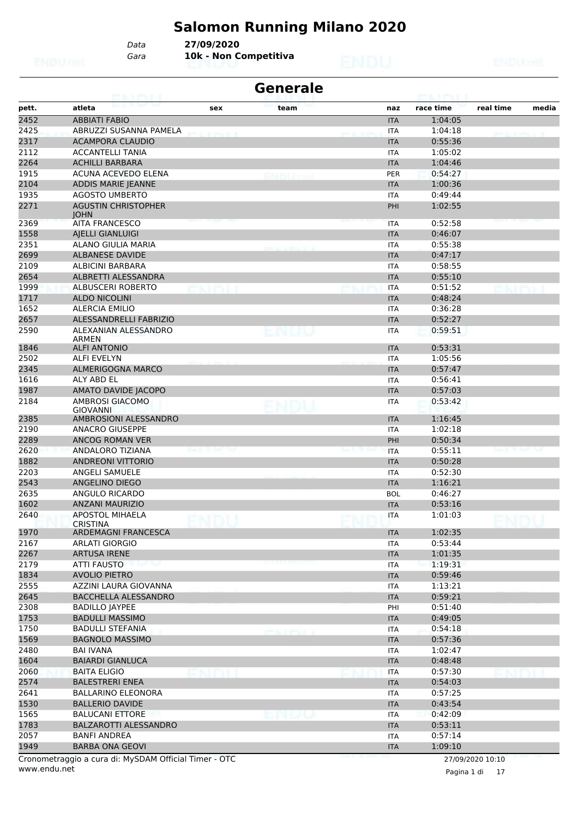# **Salomon Running Milano 2020**

*Gara* **10k - Non Competitiva** *Data* **27/09/2020**

| <b>Generale</b><br><b>POLICE BOOK STOLE</b> |                                           |       |                           |  |            |           |           |           |  |  |
|---------------------------------------------|-------------------------------------------|-------|---------------------------|--|------------|-----------|-----------|-----------|--|--|
| pett.                                       | atleta                                    | sex   | team                      |  | naz        | race time | real time | media     |  |  |
| 2452                                        | <b>ABBIATI FABIO</b>                      |       |                           |  | <b>ITA</b> | 1:04:05   |           |           |  |  |
| 2425                                        | ABRUZZI SUSANNA PAMELA                    |       |                           |  | <b>ITA</b> | 1:04:18   |           |           |  |  |
| 2317                                        | <b>ACAMPORA CLAUDIO</b>                   |       |                           |  | <b>ITA</b> | 0:55:36   |           |           |  |  |
| 2112                                        | <b>ACCANTELLI TANIA</b>                   |       |                           |  | <b>ITA</b> | 1:05:02   |           |           |  |  |
| 2264                                        | <b>ACHILLI BARBARA</b>                    |       |                           |  | <b>ITA</b> | 1:04:46   |           |           |  |  |
| 1915                                        | ACUNA ACEVEDO ELENA                       |       |                           |  | PER        | 0:54:27   |           |           |  |  |
| 2104                                        | ADDIS MARIE JEANNE                        |       |                           |  | <b>ITA</b> | 1:00:36   |           |           |  |  |
| 1935                                        | <b>AGOSTO UMBERTO</b>                     |       |                           |  | <b>ITA</b> | 0:49:44   |           |           |  |  |
| 2271                                        | <b>AGUSTIN CHRISTOPHER</b><br><b>IOHN</b> |       |                           |  | PHI        | 1:02:55   |           |           |  |  |
| 2369                                        | <b>AITA FRANCESCO</b>                     |       |                           |  | <b>ITA</b> | 0:52:58   |           |           |  |  |
| 1558                                        | <b>AJELLI GIANLUIGI</b>                   |       |                           |  | <b>ITA</b> | 0:46:07   |           |           |  |  |
| 2351                                        | ALANO GIULIA MARIA                        |       |                           |  | <b>ITA</b> | 0:55:38   |           |           |  |  |
| 2699                                        | <b>ALBANESE DAVIDE</b>                    |       |                           |  | <b>ITA</b> | 0:47:17   |           |           |  |  |
| 2109                                        | ALBICINI BARBARA                          |       |                           |  | <b>ITA</b> | 0:58:55   |           |           |  |  |
| 2654                                        | ALBRETTI ALESSANDRA                       |       |                           |  | <b>ITA</b> | 0:55:10   |           |           |  |  |
| 1999                                        | <b>ALBUSCERI ROBERTO</b>                  |       |                           |  | <b>ITA</b> | 0:51:52   |           |           |  |  |
| 1717                                        | <b>ALDO NICOLINI</b>                      |       |                           |  | <b>ITA</b> | 0:48:24   |           |           |  |  |
| 1652                                        | <b>ALERCIA EMILIO</b>                     |       |                           |  | <b>ITA</b> | 0:36:28   |           |           |  |  |
| 2657                                        | ALESSANDRELLI FABRIZIO                    |       |                           |  | <b>ITA</b> | 0:52:27   |           |           |  |  |
| 2590                                        | ALEXANIAN ALESSANDRO<br>ARMEN             |       | ENDU                      |  | <b>ITA</b> | 0:59:51   |           |           |  |  |
| 1846                                        | <b>ALFI ANTONIO</b>                       |       |                           |  | <b>ITA</b> | 0:53:31   |           |           |  |  |
| 2502                                        | <b>ALFI EVELYN</b>                        |       |                           |  | <b>ITA</b> | 1:05:56   |           |           |  |  |
| 2345                                        | ALMERIGOGNA MARCO                         |       |                           |  | <b>ITA</b> | 0:57:47   |           |           |  |  |
| 1616                                        | ALY ABD EL                                |       |                           |  | <b>ITA</b> | 0:56:41   |           |           |  |  |
| 1987                                        | AMATO DAVIDE JACOPO                       |       |                           |  | <b>ITA</b> | 0:57:03   |           |           |  |  |
| 2184                                        | AMBROSI GIACOMO<br><b>GIOVANNI</b>        |       |                           |  | <b>ITA</b> | 0:53:42   |           |           |  |  |
| 2385                                        | AMBROSIONI ALESSANDRO                     |       |                           |  | <b>ITA</b> | 1:16:45   |           |           |  |  |
| 2190                                        | <b>ANACRO GIUSEPPE</b>                    |       |                           |  | <b>ITA</b> | 1:02:18   |           |           |  |  |
| 2289                                        | ANCOG ROMAN VER                           |       |                           |  | PHI        | 0:50:34   |           |           |  |  |
| 2620                                        | ANDALORO TIZIANA                          |       |                           |  | <b>ITA</b> | 0:55:11   |           |           |  |  |
| 1882                                        | <b>ANDREONI VITTORIO</b>                  |       |                           |  | <b>ITA</b> | 0:50:28   |           |           |  |  |
| 2203                                        | ANGELI SAMUELE                            |       |                           |  | <b>ITA</b> | 0:52:30   |           |           |  |  |
| 2543                                        | <b>ANGELINO DIEGO</b>                     |       |                           |  | <b>ITA</b> | 1:16:21   |           |           |  |  |
| 2635                                        | ANGULO RICARDO                            |       |                           |  | <b>BOL</b> | 0:46:27   |           |           |  |  |
| 1602                                        | <b>ANZANI MAURIZIO</b>                    |       |                           |  | <b>ITA</b> | 0:53:16   |           |           |  |  |
| 2640                                        | <b>APOSTOL MIHAELA</b><br><b>CRISTINA</b> |       |                           |  | <b>ITA</b> | 1:01:03   |           |           |  |  |
| 1970                                        | ARDEMAGNI FRANCESCA                       |       |                           |  | <b>ITA</b> | 1:02:35   |           |           |  |  |
| 2167                                        | ARLATI GIORGIO                            |       |                           |  | <b>ITA</b> | 0:53:44   |           |           |  |  |
| 2267                                        | <b>ARTUSA IRENE</b>                       |       |                           |  | <b>ITA</b> | 1:01:35   |           |           |  |  |
| 2179                                        | ATTI FAUSTO                               |       |                           |  | <b>ITA</b> | 1:19:31   |           |           |  |  |
| 1834                                        | <b>AVOLIO PIETRO</b>                      |       |                           |  | <b>ITA</b> | 0:59:46   |           |           |  |  |
| 2555                                        | AZZINI LAURA GIOVANNA                     |       |                           |  | ITA        | 1:13:21   |           |           |  |  |
| 2645                                        | BACCHELLA ALESSANDRO                      |       |                           |  | <b>ITA</b> | 0:59:21   |           |           |  |  |
| 2308                                        | <b>BADILLO JAYPEE</b>                     |       |                           |  | PHI        | 0:51:40   |           |           |  |  |
| 1753                                        | <b>BADULLI MASSIMO</b>                    |       |                           |  | <b>ITA</b> | 0:49:05   |           |           |  |  |
| 1750                                        | <b>BADULLI STEFANIA</b>                   |       | <b>PERSONAL REPORT OF</b> |  | <b>ITA</b> | 0:54:18   |           |           |  |  |
| 1569                                        | <b>BAGNOLO MASSIMO</b>                    |       |                           |  | <b>ITA</b> | 0:57:36   |           |           |  |  |
| 2480                                        | <b>BAI IVANA</b>                          |       |                           |  | ITA        | 1:02:47   |           |           |  |  |
| 1604                                        | <b>BAIARDI GIANLUCA</b>                   |       |                           |  | <b>ITA</b> | 0:48:48   |           |           |  |  |
| 2060                                        | <b>BAITA ELIGIO</b>                       | NI MI |                           |  | <b>ITA</b> | 0:57:30   |           | ETNIENI J |  |  |
| 2574                                        | <b>BALESTRERI ENEA</b>                    |       |                           |  | <b>ITA</b> | 0:54:03   |           |           |  |  |
| 2641                                        | <b>BALLARINO ELEONORA</b>                 |       |                           |  | <b>ITA</b> | 0:57:25   |           |           |  |  |
| 1530                                        | <b>BALLERIO DAVIDE</b>                    |       |                           |  | <b>ITA</b> | 0:43:54   |           |           |  |  |
| 1565                                        | <b>BALUCANI ETTORE</b>                    |       |                           |  | ITA        | 0:42:09   |           |           |  |  |
| 1783                                        | BALZAROTTI ALESSANDRO                     |       |                           |  | <b>ITA</b> | 0:53:11   |           |           |  |  |
| 2057                                        | <b>BANFI ANDREA</b>                       |       |                           |  | <b>ITA</b> | 0:57:14   |           |           |  |  |
| 1949                                        | <b>BARBA ONA GEOVI</b>                    |       |                           |  | <b>ITA</b> | 1:09:10   |           |           |  |  |
|                                             |                                           |       |                           |  |            |           |           |           |  |  |

www.endu.net Cronometraggio a cura di: MySDAM Official Timer - OTC 27/09/2020 10:10

Pagina 1 di 17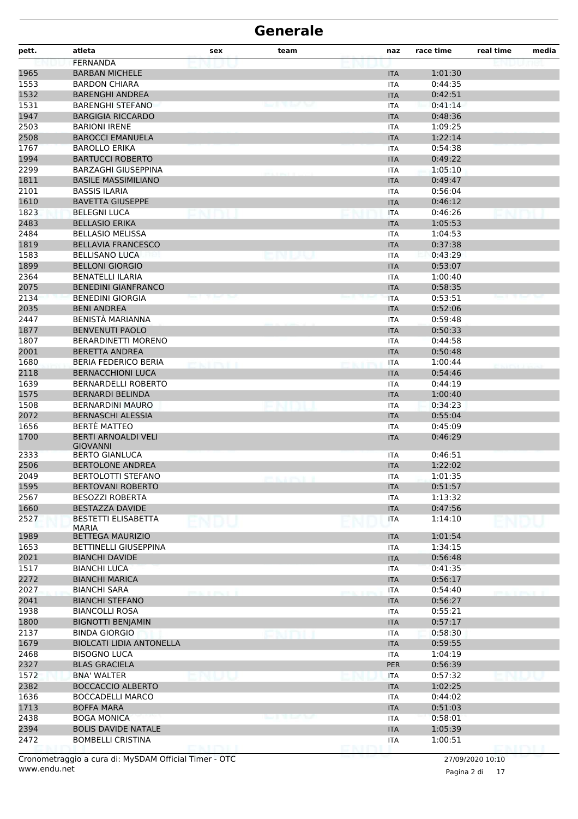| pett.        | atleta                                           | sex                   | team                        | naz                      | race time          | real time | media |
|--------------|--------------------------------------------------|-----------------------|-----------------------------|--------------------------|--------------------|-----------|-------|
|              | <b>FERNANDA</b>                                  |                       |                             |                          |                    |           |       |
| 1965         | <b>BARBAN MICHELE</b>                            |                       |                             | <b>ITA</b>               | 1:01:30            |           |       |
| 1553         | <b>BARDON CHIARA</b>                             |                       |                             | ITA                      | 0:44:35            |           |       |
| 1532         | <b>BARENGHI ANDREA</b>                           |                       |                             | <b>ITA</b>               | 0:42:51            |           |       |
| 1531         | <b>BARENGHI STEFANO</b>                          |                       | المتلاد المتلا اللاداة بستا | ITA                      | 0:41:14            |           |       |
| 1947         | <b>BARGIGIA RICCARDO</b>                         |                       |                             | <b>ITA</b>               | 0:48:36            |           |       |
| 2503         | <b>BARIONI IRENE</b>                             |                       |                             | <b>ITA</b>               | 1:09:25            |           |       |
| 2508         | <b>BAROCCI EMANUELA</b>                          |                       |                             | <b>ITA</b>               | 1:22:14            |           |       |
| 1767         | <b>BAROLLO ERIKA</b>                             |                       |                             | <b>ITA</b>               | 0:54:38            |           |       |
| 1994         | <b>BARTUCCI ROBERTO</b>                          |                       |                             | <b>ITA</b>               | 0:49:22            |           |       |
| 2299         | <b>BARZAGHI GIUSEPPINA</b>                       |                       |                             | ITA                      | 1:05:10            |           |       |
| 1811         | <b>BASILE MASSIMILIANO</b>                       |                       |                             | <b>ITA</b>               | 0:49:47            |           |       |
| 2101         | <b>BASSIS ILARIA</b>                             |                       |                             | ITA                      | 0:56:04            |           |       |
| 1610         | <b>BAVETTA GIUSEPPE</b>                          |                       |                             | <b>ITA</b>               | 0:46:12            |           |       |
| 1823         | <b>BELEGNI LUCA</b>                              |                       |                             | <b>ITA</b>               | 0:46:26            |           |       |
| 2483         | <b>BELLASIO ERIKA</b>                            |                       |                             | <b>ITA</b>               | 1:05:53            |           |       |
| 2484         | <b>BELLASIO MELISSA</b>                          |                       |                             | <b>ITA</b>               | 1:04:53            |           |       |
| 1819         | <b>BELLAVIA FRANCESCO</b>                        |                       |                             | <b>ITA</b>               | 0:37:38            |           |       |
| 1583         | <b>BELLISANO LUCA</b>                            |                       |                             | <b>ITA</b>               | 0:43:29            |           |       |
| 1899         | <b>BELLONI GIORGIO</b>                           |                       |                             | <b>ITA</b>               | 0:53:07            |           |       |
| 2364         | <b>BENATELLI ILARIA</b>                          |                       |                             | ITA                      | 1:00:40            |           |       |
| 2075         | <b>BENEDINI GIANFRANCO</b>                       |                       |                             | <b>ITA</b>               | 0:58:35            |           |       |
| 2134         | <b>BENEDINI GIORGIA</b>                          |                       |                             | <b>ITA</b>               | 0:53:51            |           |       |
| 2035         | <b>BENI ANDREA</b>                               |                       |                             | <b>ITA</b>               | 0:52:06            |           |       |
| 2447         | BENISTÀ MARIANNA                                 |                       |                             | <b>ITA</b>               | 0:59:48            |           |       |
| 1877         | <b>BENVENUTI PAOLO</b>                           |                       |                             | <b>ITA</b>               | 0:50:33            |           |       |
| 1807         | <b>BERARDINETTI MORENO</b>                       |                       |                             | ITA                      | 0:44:58            |           |       |
| 2001         | <b>BERETTA ANDREA</b>                            |                       |                             | <b>ITA</b>               | 0:50:48            |           |       |
| 1680         | <b>BERIA FEDERICO BERIA</b>                      | r vinn í h            |                             | ITA                      | 1:00:44            |           |       |
| 2118         | <b>BERNACCHIONI LUCA</b>                         |                       |                             | <b>ITA</b>               | 0:54:46            |           |       |
| 1639         | <b>BERNARDELLI ROBERTO</b>                       |                       |                             | ITA                      | 0:44:19            |           |       |
| 1575         | <b>BERNARDI BELINDA</b>                          |                       |                             | <b>ITA</b>               | 1:00:40            |           |       |
| 1508         | <b>BERNARDINI MAURO</b>                          |                       |                             | ITA                      | 0:34:23            |           |       |
| 2072         | <b>BERNASCHI ALESSIA</b>                         |                       |                             | <b>ITA</b>               | 0:55:04            |           |       |
| 1656         | <b>BERTÈ MATTEO</b>                              |                       |                             | <b>ITA</b>               | 0:45:09            |           |       |
| 1700         | <b>BERTI ARNOALDI VELI</b><br><b>GIOVANNI</b>    |                       |                             | <b>ITA</b>               | 0:46:29            |           |       |
| 2333         | <b>BERTO GIANLUCA</b>                            |                       |                             | <b>ITA</b>               | 0:46:51            |           |       |
| 2506         | <b>BERTOLONE ANDREA</b>                          |                       |                             | <b>ITA</b>               | 1:22:02            |           |       |
| 2049         | <b>BERTOLOTTI STEFANO</b>                        |                       |                             | <b>ITA</b>               | 1:01:35            |           |       |
| 1595         | <b>BERTOVANI ROBERTO</b>                         |                       |                             | <b>ITA</b>               | 0:51:57            |           |       |
| 2567         | <b>BESOZZI ROBERTA</b>                           |                       |                             | <b>ITA</b>               | 1:13:32            |           |       |
| 1660         | <b>BESTAZZA DAVIDE</b>                           |                       |                             | <b>ITA</b>               | 0:47:56            |           |       |
| 2527         | <b>BESTETTI ELISABETTA</b><br><b>MARIA</b>       | ENDU                  |                             | <b>ITA</b>               | 1:14:10            |           |       |
| 1989         | <b>BETTEGA MAURIZIO</b>                          |                       |                             | <b>ITA</b>               | 1:01:54            |           |       |
| 1653         | <b>BETTINELLI GIUSEPPINA</b>                     |                       |                             | <b>ITA</b>               | 1:34:15            |           |       |
| 2021         | <b>BIANCHI DAVIDE</b>                            |                       |                             | <b>ITA</b>               | 0:56:48            |           |       |
| 1517         | <b>BIANCHI LUCA</b>                              |                       |                             | ITA                      | 0:41:35            |           |       |
| 2272         | <b>BIANCHI MARICA</b>                            |                       |                             | <b>ITA</b>               | 0:56:17            |           |       |
| 2027         | <b>BIANCHI SARA</b>                              | <b>WAS CONSTITUTE</b> |                             | <b>ITA</b>               | 0:54:40            |           |       |
| 2041         | <b>BIANCHI STEFANO</b>                           |                       |                             | <b>ITA</b>               | 0:56:27            |           |       |
| 1938         | <b>BIANCOLLI ROSA</b>                            |                       |                             | <b>ITA</b>               | 0:55:21            |           |       |
| 1800         | <b>BIGNOTTI BENJAMIN</b>                         |                       |                             | <b>ITA</b>               | 0:57:17            |           |       |
| 2137         | <b>BINDA GIORGIO</b>                             |                       |                             | ITA                      | 0:58:30            |           |       |
| 1679         | <b>BIOLCATI LIDIA ANTONELLA</b>                  |                       |                             | <b>ITA</b>               | 0:59:55            |           |       |
| 2468         | <b>BISOGNO LUCA</b>                              |                       |                             | <b>ITA</b>               | 1:04:19            |           |       |
| 2327         | <b>BLAS GRACIELA</b>                             |                       |                             | PER                      | 0:56:39            |           |       |
| 1572         | <b>BNA' WALTER</b>                               |                       |                             | <b>ITA</b>               | 0:57:32            |           |       |
| 2382         | <b>BOCCACCIO ALBERTO</b>                         |                       |                             | <b>ITA</b>               | 1:02:25            |           |       |
| 1636         | <b>BOCCADELLI MARCO</b>                          |                       |                             | ITA                      | 0:44:02            |           |       |
| 1713         | <b>BOFFA MARA</b>                                |                       |                             | <b>ITA</b>               | 0:51:03            |           |       |
| 2438<br>2394 | <b>BOGA MONICA</b><br><b>BOLIS DAVIDE NATALE</b> |                       |                             | <b>ITA</b><br><b>ITA</b> | 0:58:01<br>1:05:39 |           |       |
| 2472         | <b>BOMBELLI CRISTINA</b>                         |                       |                             | <b>ITA</b>               | 1:00:51            |           |       |
|              |                                                  | ENITYLI               |                             |                          |                    | DMINIT    |       |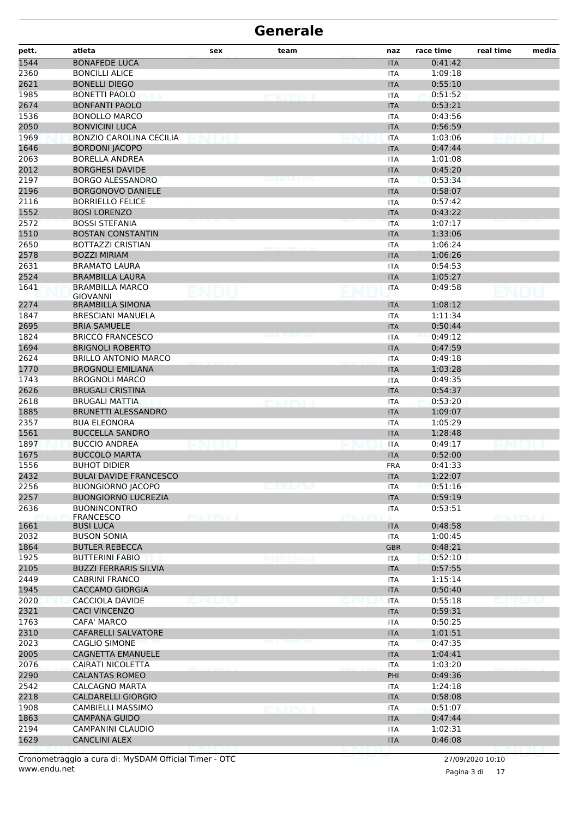| pett. | atleta                                    | sex          | team  | naz        | race time | real time     | media |
|-------|-------------------------------------------|--------------|-------|------------|-----------|---------------|-------|
| 1544  | <b>BONAFEDE LUCA</b>                      |              |       | <b>ITA</b> | 0:41:42   |               |       |
| 2360  | <b>BONCILLI ALICE</b>                     |              |       | <b>ITA</b> | 1:09:18   |               |       |
| 2621  | <b>BONELLI DIEGO</b>                      |              |       | <b>ITA</b> | 0:55:10   |               |       |
| 1985  | <b>BONETTI PAOLO</b>                      |              |       | ITA        | 0:51:52   |               |       |
| 2674  | <b>BONFANTI PAOLO</b>                     |              |       | <b>ITA</b> | 0:53:21   |               |       |
| 1536  | <b>BONOLLO MARCO</b>                      |              |       | <b>ITA</b> | 0:43:56   |               |       |
| 2050  | <b>BONVICINI LUCA</b>                     |              |       | <b>ITA</b> | 0:56:59   |               |       |
| 1969  | <b>BONZIO CAROLINA CECILIA</b>            |              |       | <b>ITA</b> | 1:03:06   |               |       |
| 1646  | <b>BORDONI JACOPO</b>                     |              |       | <b>ITA</b> | 0:47:44   |               |       |
| 2063  | <b>BORELLA ANDREA</b>                     |              |       | ITA        | 1:01:08   |               |       |
| 2012  | <b>BORGHESI DAVIDE</b>                    |              |       | <b>ITA</b> | 0:45:20   |               |       |
| 2197  | BORGO ALESSANDRO                          |              |       | ITA        | 0:53:34   |               |       |
| 2196  | <b>BORGONOVO DANIELE</b>                  |              |       | <b>ITA</b> | 0:58:07   |               |       |
| 2116  | <b>BORRIELLO FELICE</b>                   |              |       | <b>ITA</b> | 0:57:42   |               |       |
| 1552  | <b>BOSI LORENZO</b>                       |              |       | <b>ITA</b> | 0:43:22   |               |       |
| 2572  | <b>BOSSI STEFANIA</b>                     |              |       | <b>ITA</b> | 1:07:17   |               |       |
| 1510  | <b>BOSTAN CONSTANTIN</b>                  |              |       | <b>ITA</b> | 1:33:06   |               |       |
| 2650  | <b>BOTTAZZI CRISTIAN</b>                  |              |       | <b>ITA</b> | 1:06:24   |               |       |
| 2578  | <b>BOZZI MIRIAM</b>                       |              |       | <b>ITA</b> | 1:06:26   |               |       |
| 2631  | <b>BRAMATO LAURA</b>                      |              |       | <b>ITA</b> | 0:54:53   |               |       |
| 2524  | <b>BRAMBILLA LAURA</b>                    |              |       | <b>ITA</b> | 1:05:27   |               |       |
| 1641  | <b>BRAMBILLA MARCO</b><br><b>GIOVANNI</b> |              |       | <b>ITA</b> | 0:49:58   |               |       |
| 2274  | <b>BRAMBILLA SIMONA</b>                   |              |       | <b>ITA</b> | 1:08:12   |               |       |
| 1847  | <b>BRESCIANI MANUELA</b>                  |              |       | <b>ITA</b> | 1:11:34   |               |       |
| 2695  | <b>BRIA SAMUELE</b>                       |              |       | <b>ITA</b> | 0:50:44   |               |       |
| 1824  | <b>BRICCO FRANCESCO</b>                   |              |       | <b>ITA</b> | 0:49:12   |               |       |
| 1694  | <b>BRIGNOLI ROBERTO</b>                   |              |       | <b>ITA</b> | 0:47:59   |               |       |
| 2624  | <b>BRILLO ANTONIO MARCO</b>               |              |       | <b>ITA</b> | 0:49:18   |               |       |
| 1770  | <b>BROGNOLI EMILIANA</b>                  |              |       | <b>ITA</b> | 1:03:28   |               |       |
| 1743  | <b>BROGNOLI MARCO</b>                     |              |       | <b>ITA</b> | 0:49:35   |               |       |
| 2626  | <b>BRUGALI CRISTINA</b>                   |              |       | <b>ITA</b> | 0:54:37   |               |       |
| 2618  | <b>BRUGALI MATTIA</b>                     |              |       | <b>ITA</b> | 0:53:20   |               |       |
| 1885  | <b>BRUNETTI ALESSANDRO</b>                |              |       | <b>ITA</b> | 1:09:07   |               |       |
| 2357  | <b>BUA ELEONORA</b>                       |              |       | <b>ITA</b> | 1:05:29   |               |       |
| 1561  | <b>BUCCELLA SANDRO</b>                    |              |       | <b>ITA</b> | 1:28:48   |               |       |
| 1897  | <b>BUCCIO ANDREA</b>                      |              |       | <b>ITA</b> | 0:49:17   |               |       |
| 1675  | <b>BUCCOLO MARTA</b>                      |              |       | <b>ITA</b> | 0:52:00   |               |       |
| 1556  | <b>BUHOT DIDIER</b>                       |              |       | <b>FRA</b> | 0:41:33   |               |       |
| 2432  | <b>BULAI DAVIDE FRANCESCO</b>             |              |       | <b>ITA</b> | 1:22:07   |               |       |
| 2256  | <b>BUONGIORNO JACOPO</b>                  |              | emuv  | <b>ITA</b> | 0:51:16   |               |       |
| 2257  | <b>BUONGIORNO LUCREZIA</b>                |              |       | <b>ITA</b> | 0:59:19   |               |       |
| 2636  | <b>BUONINCONTRO</b>                       |              |       | <b>ITA</b> | 0:53:51   |               |       |
| 1661  | <b>FRANCESCO</b><br><b>BUSI LUCA</b>      | <b>EXIBU</b> |       | <b>ITA</b> | 0:48:58   | <b>EXTRIL</b> |       |
| 2032  | <b>BUSON SONIA</b>                        |              |       | <b>ITA</b> | 1:00:45   |               |       |
| 1864  | <b>BUTLER REBECCA</b>                     |              |       | <b>GBR</b> | 0:48:21   |               |       |
| 1925  | <b>BUTTERINI FABIO</b>                    |              | NDUmo | <b>ITA</b> | 0:52:10   |               |       |
| 2105  | <b>BUZZI FERRARIS SILVIA</b>              |              |       | <b>ITA</b> | 0:57:55   |               |       |
| 2449  | <b>CABRINI FRANCO</b>                     |              |       | <b>ITA</b> | 1:15:14   |               |       |
| 1945  | <b>CACCAMO GIORGIA</b>                    |              |       | <b>ITA</b> | 0:50:40   |               |       |
| 2020  | CACCIOLA DAVIDE                           | nuw          |       | <b>ITA</b> | 0:55:18   | E IN LINA     |       |
| 2321  | <b>CACI VINCENZO</b>                      |              |       | <b>ITA</b> | 0:59:31   |               |       |
| 1763  | CAFA' MARCO                               |              |       | <b>ITA</b> | 0:50:25   |               |       |
| 2310  | <b>CAFARELLI SALVATORE</b>                |              |       | <b>ITA</b> | 1:01:51   |               |       |
| 2023  | CAGLIO SIMONE                             |              |       | <b>ITA</b> | 0:47:35   |               |       |
| 2005  | <b>CAGNETTA EMANUELE</b>                  |              |       | <b>ITA</b> | 1:04:41   |               |       |
| 2076  | CAIRATI NICOLETTA                         |              |       | <b>ITA</b> | 1:03:20   |               |       |
| 2290  | <b>CALANTAS ROMEO</b>                     |              |       | PHI        | 0:49:36   |               |       |
| 2542  | <b>CALCAGNO MARTA</b>                     |              |       | ITA        | 1:24:18   |               |       |
| 2218  | <b>CALDARELLI GIORGIO</b>                 |              |       | <b>ITA</b> | 0:58:08   |               |       |
| 1908  | CAMBIELLI MASSIMO                         |              |       | <b>ITA</b> | 0:51:07   |               |       |
| 1863  | <b>CAMPANA GUIDO</b>                      |              |       | <b>ITA</b> | 0:47:44   |               |       |
| 2194  | CAMPANINI CLAUDIO                         |              |       | <b>ITA</b> | 1:02:31   |               |       |
| 1629  | <b>CANCLINI ALEX</b>                      |              |       | <b>ITA</b> | 0:46:08   |               |       |
|       |                                           |              |       |            |           |               |       |

Pagina 3 di 17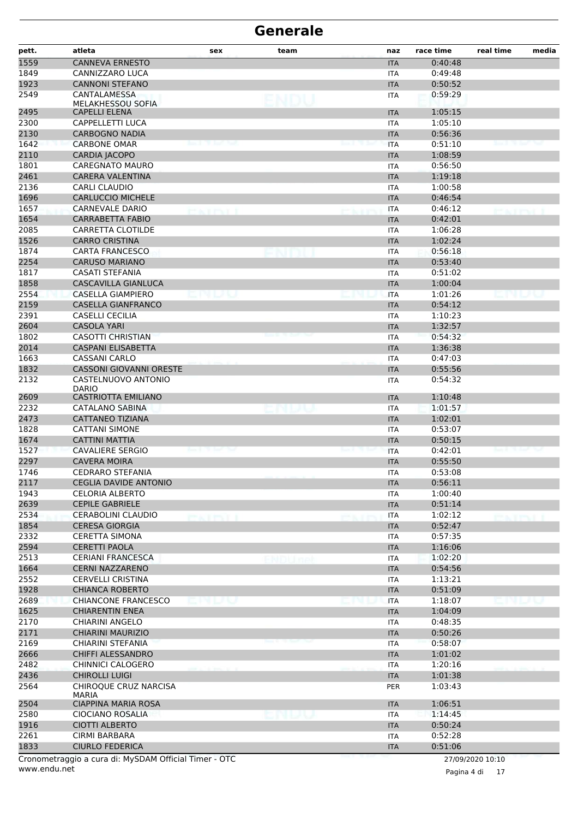| <b>CANNEVA ERNESTO</b><br>0:40:48<br><b>ITA</b><br>CANNIZZARO LUCA<br><b>ITA</b><br>0:49:48<br><b>CANNONI STEFANO</b><br>0:50:52<br><b>ITA</b><br><b>CANTALAMESSA</b><br>0:59:29<br><b>ITA</b><br><b>MELAKHESSOU SOFIA</b><br><b>CAPELLI ELENA</b><br><b>ITA</b><br>1:05:15<br><b>CAPPELLETTI LUCA</b><br>1:05:10<br><b>ITA</b><br><b>CARBOGNO NADIA</b><br>0:56:36<br><b>ITA</b><br><b>CARBONE OMAR</b><br>0:51:10<br><b>ITA</b><br>CARDIA JACOPO<br><b>ITA</b><br>1:08:59<br><b>CAREGNATO MAURO</b><br><b>ITA</b><br>0:56:50<br><b>CARERA VALENTINA</b><br>1:19:18<br><b>ITA</b><br><b>CARLI CLAUDIO</b><br><b>ITA</b><br>1:00:58<br><b>CARLUCCIO MICHELE</b><br>0:46:54<br><b>ITA</b><br>0:46:12<br>CARNEVALE DARIO<br><b>ITA</b><br><b>CARRABETTA FABIO</b><br>0:42:01<br><b>ITA</b><br>CARRETTA CLOTILDE<br><b>ITA</b><br>1:06:28<br>1526<br><b>CARRO CRISTINA</b><br>1:02:24<br><b>ITA</b><br><b>CARTA FRANCESCO</b><br>0:56:18<br><b>ITA</b><br>2254<br><b>CARUSO MARIANO</b><br>0:53:40<br><b>ITA</b><br>CASATI STEFANIA<br>0:51:02<br><b>ITA</b><br><b>CASCAVILLA GIANLUCA</b><br>1:00:04<br><b>ITA</b><br>CASELLA GIAMPIERO<br><b>ITA</b><br>1:01:26<br><b>CASELLA GIANFRANCO</b><br>0:54:12<br><b>ITA</b><br><b>CASELLI CECILIA</b><br>1:10:23<br><b>ITA</b><br><b>CASOLA YARI</b><br>1:32:57<br><b>ITA</b><br><b>CASOTTI CHRISTIAN</b><br>0:54:32<br><b>ITA</b><br><b>CASPANI ELISABETTA</b><br>1:36:38<br><b>ITA</b><br><b>CASSANI CARLO</b><br><b>ITA</b><br>0:47:03<br><b>CASSONI GIOVANNI ORESTE</b><br>0:55:56<br><b>ITA</b><br>CASTELNUOVO ANTONIO<br>0:54:32<br><b>ITA</b><br><b>DARIO</b><br>2609<br><b>CASTRIOTTA EMILIANO</b><br>1:10:48<br><b>ITA</b><br>CATALANO SABINA<br>1:01:57<br><b>ITA</b><br>1:02:01<br>CATTANEO TIZIANA<br><b>ITA</b><br><b>CATTANI SIMONE</b><br>0:53:07<br><b>ITA</b><br><b>CATTINI MATTIA</b><br>0:50:15<br><b>ITA</b><br><b>CAVALIERE SERGIO</b><br>0:42:01<br><b>ITA</b><br><b>CAVERA MOIRA</b><br>0:55:50<br><b>ITA</b><br>1746<br><b>CEDRARO STEFANIA</b><br>0:53:08<br><b>ITA</b><br>0:56:11<br><b>CEGLIA DAVIDE ANTONIO</b><br><b>ITA</b><br><b>CELORIA ALBERTO</b><br>1:00:40<br><b>ITA</b><br>2639<br>0:51:14<br><b>CEPILE GABRIELE</b><br><b>ITA</b><br>CERABOLINI CLAUDIO<br>1:02:12<br><b>ITA</b><br><b>CERESA GIORGIA</b><br>0:52:47<br><b>ITA</b><br><b>CERETTA SIMONA</b><br>0:57:35<br>ITA<br><b>CERETTI PAOLA</b><br><b>ITA</b><br>1:16:06<br><b>CERIANI FRANCESCA</b><br>1:02:20<br><b>ITA</b><br>NDUme<br>0:54:56<br><b>CERNI NAZZARENO</b><br><b>ITA</b><br><b>CERVELLI CRISTINA</b><br><b>ITA</b><br>1:13:21<br><b>CHIANCA ROBERTO</b><br>0:51:09<br><b>ITA</b><br><b>CHIANCONE FRANCESCO</b><br><b>ITA</b><br>1:18:07<br>MU JAM<br>jnija v<br>1625<br><b>CHIARENTIN ENEA</b><br>1:04:09<br><b>ITA</b><br><b>CHIARINI ANGELO</b><br>0:48:35<br><b>ITA</b><br><b>CHIARINI MAURIZIO</b><br><b>ITA</b><br>0:50:26<br>CHIARINI STEFANIA<br>0:58:07<br><b>ITA</b><br>CHIFFI ALESSANDRO<br>1:01:02<br><b>ITA</b><br>CHINNICI CALOGERO<br><b>ITA</b><br>1:20:16<br><b>CHIROLLI LUIGI</b><br>1:01:38<br><b>ITA</b><br>CHIROQUE CRUZ NARCISA<br>1:03:43<br><b>PER</b><br><b>MARIA</b><br><b>CIAPPINA MARIA ROSA</b><br>1:06:51<br><b>ITA</b><br>2580<br>CIOCIANO ROSALIA<br><b>ITA</b><br>1:14:45<br>cnuu<br>1916<br><b>CIOTTI ALBERTO</b><br>0:50:24<br><b>ITA</b><br>2261<br><b>CIRMI BARBARA</b><br>0:52:28<br>ITA<br>1833<br><b>CIURLO FEDERICA</b><br>0:51:06<br><b>ITA</b><br>Cronometraggio a cura di: MySDAM Official Timer - OTC<br>27/09/2020 10:10 | pett. | atleta | sex | team | naz | race time | real time | media |
|-----------------------------------------------------------------------------------------------------------------------------------------------------------------------------------------------------------------------------------------------------------------------------------------------------------------------------------------------------------------------------------------------------------------------------------------------------------------------------------------------------------------------------------------------------------------------------------------------------------------------------------------------------------------------------------------------------------------------------------------------------------------------------------------------------------------------------------------------------------------------------------------------------------------------------------------------------------------------------------------------------------------------------------------------------------------------------------------------------------------------------------------------------------------------------------------------------------------------------------------------------------------------------------------------------------------------------------------------------------------------------------------------------------------------------------------------------------------------------------------------------------------------------------------------------------------------------------------------------------------------------------------------------------------------------------------------------------------------------------------------------------------------------------------------------------------------------------------------------------------------------------------------------------------------------------------------------------------------------------------------------------------------------------------------------------------------------------------------------------------------------------------------------------------------------------------------------------------------------------------------------------------------------------------------------------------------------------------------------------------------------------------------------------------------------------------------------------------------------------------------------------------------------------------------------------------------------------------------------------------------------------------------------------------------------------------------------------------------------------------------------------------------------------------------------------------------------------------------------------------------------------------------------------------------------------------------------------------------------------------------------------------------------------------------------------------------------------------------------------------------------------------------------------------------------------------------------------------------------------------------------------------------------------------------------------------------------------------------------------------------------------------------------------------------------------------------------------------------------------------------------------------------------|-------|--------|-----|------|-----|-----------|-----------|-------|
|                                                                                                                                                                                                                                                                                                                                                                                                                                                                                                                                                                                                                                                                                                                                                                                                                                                                                                                                                                                                                                                                                                                                                                                                                                                                                                                                                                                                                                                                                                                                                                                                                                                                                                                                                                                                                                                                                                                                                                                                                                                                                                                                                                                                                                                                                                                                                                                                                                                                                                                                                                                                                                                                                                                                                                                                                                                                                                                                                                                                                                                                                                                                                                                                                                                                                                                                                                                                                                                                                                                             | 1559  |        |     |      |     |           |           |       |
|                                                                                                                                                                                                                                                                                                                                                                                                                                                                                                                                                                                                                                                                                                                                                                                                                                                                                                                                                                                                                                                                                                                                                                                                                                                                                                                                                                                                                                                                                                                                                                                                                                                                                                                                                                                                                                                                                                                                                                                                                                                                                                                                                                                                                                                                                                                                                                                                                                                                                                                                                                                                                                                                                                                                                                                                                                                                                                                                                                                                                                                                                                                                                                                                                                                                                                                                                                                                                                                                                                                             | 1849  |        |     |      |     |           |           |       |
|                                                                                                                                                                                                                                                                                                                                                                                                                                                                                                                                                                                                                                                                                                                                                                                                                                                                                                                                                                                                                                                                                                                                                                                                                                                                                                                                                                                                                                                                                                                                                                                                                                                                                                                                                                                                                                                                                                                                                                                                                                                                                                                                                                                                                                                                                                                                                                                                                                                                                                                                                                                                                                                                                                                                                                                                                                                                                                                                                                                                                                                                                                                                                                                                                                                                                                                                                                                                                                                                                                                             | 1923  |        |     |      |     |           |           |       |
|                                                                                                                                                                                                                                                                                                                                                                                                                                                                                                                                                                                                                                                                                                                                                                                                                                                                                                                                                                                                                                                                                                                                                                                                                                                                                                                                                                                                                                                                                                                                                                                                                                                                                                                                                                                                                                                                                                                                                                                                                                                                                                                                                                                                                                                                                                                                                                                                                                                                                                                                                                                                                                                                                                                                                                                                                                                                                                                                                                                                                                                                                                                                                                                                                                                                                                                                                                                                                                                                                                                             | 2549  |        |     |      |     |           |           |       |
|                                                                                                                                                                                                                                                                                                                                                                                                                                                                                                                                                                                                                                                                                                                                                                                                                                                                                                                                                                                                                                                                                                                                                                                                                                                                                                                                                                                                                                                                                                                                                                                                                                                                                                                                                                                                                                                                                                                                                                                                                                                                                                                                                                                                                                                                                                                                                                                                                                                                                                                                                                                                                                                                                                                                                                                                                                                                                                                                                                                                                                                                                                                                                                                                                                                                                                                                                                                                                                                                                                                             | 2495  |        |     |      |     |           |           |       |
|                                                                                                                                                                                                                                                                                                                                                                                                                                                                                                                                                                                                                                                                                                                                                                                                                                                                                                                                                                                                                                                                                                                                                                                                                                                                                                                                                                                                                                                                                                                                                                                                                                                                                                                                                                                                                                                                                                                                                                                                                                                                                                                                                                                                                                                                                                                                                                                                                                                                                                                                                                                                                                                                                                                                                                                                                                                                                                                                                                                                                                                                                                                                                                                                                                                                                                                                                                                                                                                                                                                             | 2300  |        |     |      |     |           |           |       |
|                                                                                                                                                                                                                                                                                                                                                                                                                                                                                                                                                                                                                                                                                                                                                                                                                                                                                                                                                                                                                                                                                                                                                                                                                                                                                                                                                                                                                                                                                                                                                                                                                                                                                                                                                                                                                                                                                                                                                                                                                                                                                                                                                                                                                                                                                                                                                                                                                                                                                                                                                                                                                                                                                                                                                                                                                                                                                                                                                                                                                                                                                                                                                                                                                                                                                                                                                                                                                                                                                                                             | 2130  |        |     |      |     |           |           |       |
|                                                                                                                                                                                                                                                                                                                                                                                                                                                                                                                                                                                                                                                                                                                                                                                                                                                                                                                                                                                                                                                                                                                                                                                                                                                                                                                                                                                                                                                                                                                                                                                                                                                                                                                                                                                                                                                                                                                                                                                                                                                                                                                                                                                                                                                                                                                                                                                                                                                                                                                                                                                                                                                                                                                                                                                                                                                                                                                                                                                                                                                                                                                                                                                                                                                                                                                                                                                                                                                                                                                             | 1642  |        |     |      |     |           |           |       |
|                                                                                                                                                                                                                                                                                                                                                                                                                                                                                                                                                                                                                                                                                                                                                                                                                                                                                                                                                                                                                                                                                                                                                                                                                                                                                                                                                                                                                                                                                                                                                                                                                                                                                                                                                                                                                                                                                                                                                                                                                                                                                                                                                                                                                                                                                                                                                                                                                                                                                                                                                                                                                                                                                                                                                                                                                                                                                                                                                                                                                                                                                                                                                                                                                                                                                                                                                                                                                                                                                                                             | 2110  |        |     |      |     |           |           |       |
|                                                                                                                                                                                                                                                                                                                                                                                                                                                                                                                                                                                                                                                                                                                                                                                                                                                                                                                                                                                                                                                                                                                                                                                                                                                                                                                                                                                                                                                                                                                                                                                                                                                                                                                                                                                                                                                                                                                                                                                                                                                                                                                                                                                                                                                                                                                                                                                                                                                                                                                                                                                                                                                                                                                                                                                                                                                                                                                                                                                                                                                                                                                                                                                                                                                                                                                                                                                                                                                                                                                             | 1801  |        |     |      |     |           |           |       |
|                                                                                                                                                                                                                                                                                                                                                                                                                                                                                                                                                                                                                                                                                                                                                                                                                                                                                                                                                                                                                                                                                                                                                                                                                                                                                                                                                                                                                                                                                                                                                                                                                                                                                                                                                                                                                                                                                                                                                                                                                                                                                                                                                                                                                                                                                                                                                                                                                                                                                                                                                                                                                                                                                                                                                                                                                                                                                                                                                                                                                                                                                                                                                                                                                                                                                                                                                                                                                                                                                                                             | 2461  |        |     |      |     |           |           |       |
|                                                                                                                                                                                                                                                                                                                                                                                                                                                                                                                                                                                                                                                                                                                                                                                                                                                                                                                                                                                                                                                                                                                                                                                                                                                                                                                                                                                                                                                                                                                                                                                                                                                                                                                                                                                                                                                                                                                                                                                                                                                                                                                                                                                                                                                                                                                                                                                                                                                                                                                                                                                                                                                                                                                                                                                                                                                                                                                                                                                                                                                                                                                                                                                                                                                                                                                                                                                                                                                                                                                             | 2136  |        |     |      |     |           |           |       |
|                                                                                                                                                                                                                                                                                                                                                                                                                                                                                                                                                                                                                                                                                                                                                                                                                                                                                                                                                                                                                                                                                                                                                                                                                                                                                                                                                                                                                                                                                                                                                                                                                                                                                                                                                                                                                                                                                                                                                                                                                                                                                                                                                                                                                                                                                                                                                                                                                                                                                                                                                                                                                                                                                                                                                                                                                                                                                                                                                                                                                                                                                                                                                                                                                                                                                                                                                                                                                                                                                                                             | 1696  |        |     |      |     |           |           |       |
|                                                                                                                                                                                                                                                                                                                                                                                                                                                                                                                                                                                                                                                                                                                                                                                                                                                                                                                                                                                                                                                                                                                                                                                                                                                                                                                                                                                                                                                                                                                                                                                                                                                                                                                                                                                                                                                                                                                                                                                                                                                                                                                                                                                                                                                                                                                                                                                                                                                                                                                                                                                                                                                                                                                                                                                                                                                                                                                                                                                                                                                                                                                                                                                                                                                                                                                                                                                                                                                                                                                             | 1657  |        |     |      |     |           |           |       |
|                                                                                                                                                                                                                                                                                                                                                                                                                                                                                                                                                                                                                                                                                                                                                                                                                                                                                                                                                                                                                                                                                                                                                                                                                                                                                                                                                                                                                                                                                                                                                                                                                                                                                                                                                                                                                                                                                                                                                                                                                                                                                                                                                                                                                                                                                                                                                                                                                                                                                                                                                                                                                                                                                                                                                                                                                                                                                                                                                                                                                                                                                                                                                                                                                                                                                                                                                                                                                                                                                                                             | 1654  |        |     |      |     |           |           |       |
|                                                                                                                                                                                                                                                                                                                                                                                                                                                                                                                                                                                                                                                                                                                                                                                                                                                                                                                                                                                                                                                                                                                                                                                                                                                                                                                                                                                                                                                                                                                                                                                                                                                                                                                                                                                                                                                                                                                                                                                                                                                                                                                                                                                                                                                                                                                                                                                                                                                                                                                                                                                                                                                                                                                                                                                                                                                                                                                                                                                                                                                                                                                                                                                                                                                                                                                                                                                                                                                                                                                             | 2085  |        |     |      |     |           |           |       |
|                                                                                                                                                                                                                                                                                                                                                                                                                                                                                                                                                                                                                                                                                                                                                                                                                                                                                                                                                                                                                                                                                                                                                                                                                                                                                                                                                                                                                                                                                                                                                                                                                                                                                                                                                                                                                                                                                                                                                                                                                                                                                                                                                                                                                                                                                                                                                                                                                                                                                                                                                                                                                                                                                                                                                                                                                                                                                                                                                                                                                                                                                                                                                                                                                                                                                                                                                                                                                                                                                                                             |       |        |     |      |     |           |           |       |
|                                                                                                                                                                                                                                                                                                                                                                                                                                                                                                                                                                                                                                                                                                                                                                                                                                                                                                                                                                                                                                                                                                                                                                                                                                                                                                                                                                                                                                                                                                                                                                                                                                                                                                                                                                                                                                                                                                                                                                                                                                                                                                                                                                                                                                                                                                                                                                                                                                                                                                                                                                                                                                                                                                                                                                                                                                                                                                                                                                                                                                                                                                                                                                                                                                                                                                                                                                                                                                                                                                                             | 1874  |        |     |      |     |           |           |       |
|                                                                                                                                                                                                                                                                                                                                                                                                                                                                                                                                                                                                                                                                                                                                                                                                                                                                                                                                                                                                                                                                                                                                                                                                                                                                                                                                                                                                                                                                                                                                                                                                                                                                                                                                                                                                                                                                                                                                                                                                                                                                                                                                                                                                                                                                                                                                                                                                                                                                                                                                                                                                                                                                                                                                                                                                                                                                                                                                                                                                                                                                                                                                                                                                                                                                                                                                                                                                                                                                                                                             |       |        |     |      |     |           |           |       |
|                                                                                                                                                                                                                                                                                                                                                                                                                                                                                                                                                                                                                                                                                                                                                                                                                                                                                                                                                                                                                                                                                                                                                                                                                                                                                                                                                                                                                                                                                                                                                                                                                                                                                                                                                                                                                                                                                                                                                                                                                                                                                                                                                                                                                                                                                                                                                                                                                                                                                                                                                                                                                                                                                                                                                                                                                                                                                                                                                                                                                                                                                                                                                                                                                                                                                                                                                                                                                                                                                                                             | 1817  |        |     |      |     |           |           |       |
|                                                                                                                                                                                                                                                                                                                                                                                                                                                                                                                                                                                                                                                                                                                                                                                                                                                                                                                                                                                                                                                                                                                                                                                                                                                                                                                                                                                                                                                                                                                                                                                                                                                                                                                                                                                                                                                                                                                                                                                                                                                                                                                                                                                                                                                                                                                                                                                                                                                                                                                                                                                                                                                                                                                                                                                                                                                                                                                                                                                                                                                                                                                                                                                                                                                                                                                                                                                                                                                                                                                             | 1858  |        |     |      |     |           |           |       |
|                                                                                                                                                                                                                                                                                                                                                                                                                                                                                                                                                                                                                                                                                                                                                                                                                                                                                                                                                                                                                                                                                                                                                                                                                                                                                                                                                                                                                                                                                                                                                                                                                                                                                                                                                                                                                                                                                                                                                                                                                                                                                                                                                                                                                                                                                                                                                                                                                                                                                                                                                                                                                                                                                                                                                                                                                                                                                                                                                                                                                                                                                                                                                                                                                                                                                                                                                                                                                                                                                                                             | 2554  |        |     |      |     |           |           |       |
|                                                                                                                                                                                                                                                                                                                                                                                                                                                                                                                                                                                                                                                                                                                                                                                                                                                                                                                                                                                                                                                                                                                                                                                                                                                                                                                                                                                                                                                                                                                                                                                                                                                                                                                                                                                                                                                                                                                                                                                                                                                                                                                                                                                                                                                                                                                                                                                                                                                                                                                                                                                                                                                                                                                                                                                                                                                                                                                                                                                                                                                                                                                                                                                                                                                                                                                                                                                                                                                                                                                             | 2159  |        |     |      |     |           |           |       |
|                                                                                                                                                                                                                                                                                                                                                                                                                                                                                                                                                                                                                                                                                                                                                                                                                                                                                                                                                                                                                                                                                                                                                                                                                                                                                                                                                                                                                                                                                                                                                                                                                                                                                                                                                                                                                                                                                                                                                                                                                                                                                                                                                                                                                                                                                                                                                                                                                                                                                                                                                                                                                                                                                                                                                                                                                                                                                                                                                                                                                                                                                                                                                                                                                                                                                                                                                                                                                                                                                                                             | 2391  |        |     |      |     |           |           |       |
|                                                                                                                                                                                                                                                                                                                                                                                                                                                                                                                                                                                                                                                                                                                                                                                                                                                                                                                                                                                                                                                                                                                                                                                                                                                                                                                                                                                                                                                                                                                                                                                                                                                                                                                                                                                                                                                                                                                                                                                                                                                                                                                                                                                                                                                                                                                                                                                                                                                                                                                                                                                                                                                                                                                                                                                                                                                                                                                                                                                                                                                                                                                                                                                                                                                                                                                                                                                                                                                                                                                             | 2604  |        |     |      |     |           |           |       |
|                                                                                                                                                                                                                                                                                                                                                                                                                                                                                                                                                                                                                                                                                                                                                                                                                                                                                                                                                                                                                                                                                                                                                                                                                                                                                                                                                                                                                                                                                                                                                                                                                                                                                                                                                                                                                                                                                                                                                                                                                                                                                                                                                                                                                                                                                                                                                                                                                                                                                                                                                                                                                                                                                                                                                                                                                                                                                                                                                                                                                                                                                                                                                                                                                                                                                                                                                                                                                                                                                                                             | 1802  |        |     |      |     |           |           |       |
|                                                                                                                                                                                                                                                                                                                                                                                                                                                                                                                                                                                                                                                                                                                                                                                                                                                                                                                                                                                                                                                                                                                                                                                                                                                                                                                                                                                                                                                                                                                                                                                                                                                                                                                                                                                                                                                                                                                                                                                                                                                                                                                                                                                                                                                                                                                                                                                                                                                                                                                                                                                                                                                                                                                                                                                                                                                                                                                                                                                                                                                                                                                                                                                                                                                                                                                                                                                                                                                                                                                             | 2014  |        |     |      |     |           |           |       |
|                                                                                                                                                                                                                                                                                                                                                                                                                                                                                                                                                                                                                                                                                                                                                                                                                                                                                                                                                                                                                                                                                                                                                                                                                                                                                                                                                                                                                                                                                                                                                                                                                                                                                                                                                                                                                                                                                                                                                                                                                                                                                                                                                                                                                                                                                                                                                                                                                                                                                                                                                                                                                                                                                                                                                                                                                                                                                                                                                                                                                                                                                                                                                                                                                                                                                                                                                                                                                                                                                                                             | 1663  |        |     |      |     |           |           |       |
|                                                                                                                                                                                                                                                                                                                                                                                                                                                                                                                                                                                                                                                                                                                                                                                                                                                                                                                                                                                                                                                                                                                                                                                                                                                                                                                                                                                                                                                                                                                                                                                                                                                                                                                                                                                                                                                                                                                                                                                                                                                                                                                                                                                                                                                                                                                                                                                                                                                                                                                                                                                                                                                                                                                                                                                                                                                                                                                                                                                                                                                                                                                                                                                                                                                                                                                                                                                                                                                                                                                             | 1832  |        |     |      |     |           |           |       |
|                                                                                                                                                                                                                                                                                                                                                                                                                                                                                                                                                                                                                                                                                                                                                                                                                                                                                                                                                                                                                                                                                                                                                                                                                                                                                                                                                                                                                                                                                                                                                                                                                                                                                                                                                                                                                                                                                                                                                                                                                                                                                                                                                                                                                                                                                                                                                                                                                                                                                                                                                                                                                                                                                                                                                                                                                                                                                                                                                                                                                                                                                                                                                                                                                                                                                                                                                                                                                                                                                                                             | 2132  |        |     |      |     |           |           |       |
|                                                                                                                                                                                                                                                                                                                                                                                                                                                                                                                                                                                                                                                                                                                                                                                                                                                                                                                                                                                                                                                                                                                                                                                                                                                                                                                                                                                                                                                                                                                                                                                                                                                                                                                                                                                                                                                                                                                                                                                                                                                                                                                                                                                                                                                                                                                                                                                                                                                                                                                                                                                                                                                                                                                                                                                                                                                                                                                                                                                                                                                                                                                                                                                                                                                                                                                                                                                                                                                                                                                             |       |        |     |      |     |           |           |       |
|                                                                                                                                                                                                                                                                                                                                                                                                                                                                                                                                                                                                                                                                                                                                                                                                                                                                                                                                                                                                                                                                                                                                                                                                                                                                                                                                                                                                                                                                                                                                                                                                                                                                                                                                                                                                                                                                                                                                                                                                                                                                                                                                                                                                                                                                                                                                                                                                                                                                                                                                                                                                                                                                                                                                                                                                                                                                                                                                                                                                                                                                                                                                                                                                                                                                                                                                                                                                                                                                                                                             | 2232  |        |     |      |     |           |           |       |
|                                                                                                                                                                                                                                                                                                                                                                                                                                                                                                                                                                                                                                                                                                                                                                                                                                                                                                                                                                                                                                                                                                                                                                                                                                                                                                                                                                                                                                                                                                                                                                                                                                                                                                                                                                                                                                                                                                                                                                                                                                                                                                                                                                                                                                                                                                                                                                                                                                                                                                                                                                                                                                                                                                                                                                                                                                                                                                                                                                                                                                                                                                                                                                                                                                                                                                                                                                                                                                                                                                                             | 2473  |        |     |      |     |           |           |       |
|                                                                                                                                                                                                                                                                                                                                                                                                                                                                                                                                                                                                                                                                                                                                                                                                                                                                                                                                                                                                                                                                                                                                                                                                                                                                                                                                                                                                                                                                                                                                                                                                                                                                                                                                                                                                                                                                                                                                                                                                                                                                                                                                                                                                                                                                                                                                                                                                                                                                                                                                                                                                                                                                                                                                                                                                                                                                                                                                                                                                                                                                                                                                                                                                                                                                                                                                                                                                                                                                                                                             | 1828  |        |     |      |     |           |           |       |
|                                                                                                                                                                                                                                                                                                                                                                                                                                                                                                                                                                                                                                                                                                                                                                                                                                                                                                                                                                                                                                                                                                                                                                                                                                                                                                                                                                                                                                                                                                                                                                                                                                                                                                                                                                                                                                                                                                                                                                                                                                                                                                                                                                                                                                                                                                                                                                                                                                                                                                                                                                                                                                                                                                                                                                                                                                                                                                                                                                                                                                                                                                                                                                                                                                                                                                                                                                                                                                                                                                                             | 1674  |        |     |      |     |           |           |       |
|                                                                                                                                                                                                                                                                                                                                                                                                                                                                                                                                                                                                                                                                                                                                                                                                                                                                                                                                                                                                                                                                                                                                                                                                                                                                                                                                                                                                                                                                                                                                                                                                                                                                                                                                                                                                                                                                                                                                                                                                                                                                                                                                                                                                                                                                                                                                                                                                                                                                                                                                                                                                                                                                                                                                                                                                                                                                                                                                                                                                                                                                                                                                                                                                                                                                                                                                                                                                                                                                                                                             | 1527  |        |     |      |     |           |           |       |
|                                                                                                                                                                                                                                                                                                                                                                                                                                                                                                                                                                                                                                                                                                                                                                                                                                                                                                                                                                                                                                                                                                                                                                                                                                                                                                                                                                                                                                                                                                                                                                                                                                                                                                                                                                                                                                                                                                                                                                                                                                                                                                                                                                                                                                                                                                                                                                                                                                                                                                                                                                                                                                                                                                                                                                                                                                                                                                                                                                                                                                                                                                                                                                                                                                                                                                                                                                                                                                                                                                                             | 2297  |        |     |      |     |           |           |       |
|                                                                                                                                                                                                                                                                                                                                                                                                                                                                                                                                                                                                                                                                                                                                                                                                                                                                                                                                                                                                                                                                                                                                                                                                                                                                                                                                                                                                                                                                                                                                                                                                                                                                                                                                                                                                                                                                                                                                                                                                                                                                                                                                                                                                                                                                                                                                                                                                                                                                                                                                                                                                                                                                                                                                                                                                                                                                                                                                                                                                                                                                                                                                                                                                                                                                                                                                                                                                                                                                                                                             |       |        |     |      |     |           |           |       |
|                                                                                                                                                                                                                                                                                                                                                                                                                                                                                                                                                                                                                                                                                                                                                                                                                                                                                                                                                                                                                                                                                                                                                                                                                                                                                                                                                                                                                                                                                                                                                                                                                                                                                                                                                                                                                                                                                                                                                                                                                                                                                                                                                                                                                                                                                                                                                                                                                                                                                                                                                                                                                                                                                                                                                                                                                                                                                                                                                                                                                                                                                                                                                                                                                                                                                                                                                                                                                                                                                                                             | 2117  |        |     |      |     |           |           |       |
|                                                                                                                                                                                                                                                                                                                                                                                                                                                                                                                                                                                                                                                                                                                                                                                                                                                                                                                                                                                                                                                                                                                                                                                                                                                                                                                                                                                                                                                                                                                                                                                                                                                                                                                                                                                                                                                                                                                                                                                                                                                                                                                                                                                                                                                                                                                                                                                                                                                                                                                                                                                                                                                                                                                                                                                                                                                                                                                                                                                                                                                                                                                                                                                                                                                                                                                                                                                                                                                                                                                             | 1943  |        |     |      |     |           |           |       |
|                                                                                                                                                                                                                                                                                                                                                                                                                                                                                                                                                                                                                                                                                                                                                                                                                                                                                                                                                                                                                                                                                                                                                                                                                                                                                                                                                                                                                                                                                                                                                                                                                                                                                                                                                                                                                                                                                                                                                                                                                                                                                                                                                                                                                                                                                                                                                                                                                                                                                                                                                                                                                                                                                                                                                                                                                                                                                                                                                                                                                                                                                                                                                                                                                                                                                                                                                                                                                                                                                                                             |       |        |     |      |     |           |           |       |
|                                                                                                                                                                                                                                                                                                                                                                                                                                                                                                                                                                                                                                                                                                                                                                                                                                                                                                                                                                                                                                                                                                                                                                                                                                                                                                                                                                                                                                                                                                                                                                                                                                                                                                                                                                                                                                                                                                                                                                                                                                                                                                                                                                                                                                                                                                                                                                                                                                                                                                                                                                                                                                                                                                                                                                                                                                                                                                                                                                                                                                                                                                                                                                                                                                                                                                                                                                                                                                                                                                                             | 2534  |        |     |      |     |           |           |       |
|                                                                                                                                                                                                                                                                                                                                                                                                                                                                                                                                                                                                                                                                                                                                                                                                                                                                                                                                                                                                                                                                                                                                                                                                                                                                                                                                                                                                                                                                                                                                                                                                                                                                                                                                                                                                                                                                                                                                                                                                                                                                                                                                                                                                                                                                                                                                                                                                                                                                                                                                                                                                                                                                                                                                                                                                                                                                                                                                                                                                                                                                                                                                                                                                                                                                                                                                                                                                                                                                                                                             | 1854  |        |     |      |     |           |           |       |
|                                                                                                                                                                                                                                                                                                                                                                                                                                                                                                                                                                                                                                                                                                                                                                                                                                                                                                                                                                                                                                                                                                                                                                                                                                                                                                                                                                                                                                                                                                                                                                                                                                                                                                                                                                                                                                                                                                                                                                                                                                                                                                                                                                                                                                                                                                                                                                                                                                                                                                                                                                                                                                                                                                                                                                                                                                                                                                                                                                                                                                                                                                                                                                                                                                                                                                                                                                                                                                                                                                                             | 2332  |        |     |      |     |           |           |       |
|                                                                                                                                                                                                                                                                                                                                                                                                                                                                                                                                                                                                                                                                                                                                                                                                                                                                                                                                                                                                                                                                                                                                                                                                                                                                                                                                                                                                                                                                                                                                                                                                                                                                                                                                                                                                                                                                                                                                                                                                                                                                                                                                                                                                                                                                                                                                                                                                                                                                                                                                                                                                                                                                                                                                                                                                                                                                                                                                                                                                                                                                                                                                                                                                                                                                                                                                                                                                                                                                                                                             | 2594  |        |     |      |     |           |           |       |
|                                                                                                                                                                                                                                                                                                                                                                                                                                                                                                                                                                                                                                                                                                                                                                                                                                                                                                                                                                                                                                                                                                                                                                                                                                                                                                                                                                                                                                                                                                                                                                                                                                                                                                                                                                                                                                                                                                                                                                                                                                                                                                                                                                                                                                                                                                                                                                                                                                                                                                                                                                                                                                                                                                                                                                                                                                                                                                                                                                                                                                                                                                                                                                                                                                                                                                                                                                                                                                                                                                                             | 2513  |        |     |      |     |           |           |       |
|                                                                                                                                                                                                                                                                                                                                                                                                                                                                                                                                                                                                                                                                                                                                                                                                                                                                                                                                                                                                                                                                                                                                                                                                                                                                                                                                                                                                                                                                                                                                                                                                                                                                                                                                                                                                                                                                                                                                                                                                                                                                                                                                                                                                                                                                                                                                                                                                                                                                                                                                                                                                                                                                                                                                                                                                                                                                                                                                                                                                                                                                                                                                                                                                                                                                                                                                                                                                                                                                                                                             | 1664  |        |     |      |     |           |           |       |
|                                                                                                                                                                                                                                                                                                                                                                                                                                                                                                                                                                                                                                                                                                                                                                                                                                                                                                                                                                                                                                                                                                                                                                                                                                                                                                                                                                                                                                                                                                                                                                                                                                                                                                                                                                                                                                                                                                                                                                                                                                                                                                                                                                                                                                                                                                                                                                                                                                                                                                                                                                                                                                                                                                                                                                                                                                                                                                                                                                                                                                                                                                                                                                                                                                                                                                                                                                                                                                                                                                                             | 2552  |        |     |      |     |           |           |       |
|                                                                                                                                                                                                                                                                                                                                                                                                                                                                                                                                                                                                                                                                                                                                                                                                                                                                                                                                                                                                                                                                                                                                                                                                                                                                                                                                                                                                                                                                                                                                                                                                                                                                                                                                                                                                                                                                                                                                                                                                                                                                                                                                                                                                                                                                                                                                                                                                                                                                                                                                                                                                                                                                                                                                                                                                                                                                                                                                                                                                                                                                                                                                                                                                                                                                                                                                                                                                                                                                                                                             | 1928  |        |     |      |     |           |           |       |
|                                                                                                                                                                                                                                                                                                                                                                                                                                                                                                                                                                                                                                                                                                                                                                                                                                                                                                                                                                                                                                                                                                                                                                                                                                                                                                                                                                                                                                                                                                                                                                                                                                                                                                                                                                                                                                                                                                                                                                                                                                                                                                                                                                                                                                                                                                                                                                                                                                                                                                                                                                                                                                                                                                                                                                                                                                                                                                                                                                                                                                                                                                                                                                                                                                                                                                                                                                                                                                                                                                                             | 2689  |        |     |      |     |           |           |       |
|                                                                                                                                                                                                                                                                                                                                                                                                                                                                                                                                                                                                                                                                                                                                                                                                                                                                                                                                                                                                                                                                                                                                                                                                                                                                                                                                                                                                                                                                                                                                                                                                                                                                                                                                                                                                                                                                                                                                                                                                                                                                                                                                                                                                                                                                                                                                                                                                                                                                                                                                                                                                                                                                                                                                                                                                                                                                                                                                                                                                                                                                                                                                                                                                                                                                                                                                                                                                                                                                                                                             |       |        |     |      |     |           |           |       |
|                                                                                                                                                                                                                                                                                                                                                                                                                                                                                                                                                                                                                                                                                                                                                                                                                                                                                                                                                                                                                                                                                                                                                                                                                                                                                                                                                                                                                                                                                                                                                                                                                                                                                                                                                                                                                                                                                                                                                                                                                                                                                                                                                                                                                                                                                                                                                                                                                                                                                                                                                                                                                                                                                                                                                                                                                                                                                                                                                                                                                                                                                                                                                                                                                                                                                                                                                                                                                                                                                                                             | 2170  |        |     |      |     |           |           |       |
|                                                                                                                                                                                                                                                                                                                                                                                                                                                                                                                                                                                                                                                                                                                                                                                                                                                                                                                                                                                                                                                                                                                                                                                                                                                                                                                                                                                                                                                                                                                                                                                                                                                                                                                                                                                                                                                                                                                                                                                                                                                                                                                                                                                                                                                                                                                                                                                                                                                                                                                                                                                                                                                                                                                                                                                                                                                                                                                                                                                                                                                                                                                                                                                                                                                                                                                                                                                                                                                                                                                             | 2171  |        |     |      |     |           |           |       |
|                                                                                                                                                                                                                                                                                                                                                                                                                                                                                                                                                                                                                                                                                                                                                                                                                                                                                                                                                                                                                                                                                                                                                                                                                                                                                                                                                                                                                                                                                                                                                                                                                                                                                                                                                                                                                                                                                                                                                                                                                                                                                                                                                                                                                                                                                                                                                                                                                                                                                                                                                                                                                                                                                                                                                                                                                                                                                                                                                                                                                                                                                                                                                                                                                                                                                                                                                                                                                                                                                                                             | 2169  |        |     |      |     |           |           |       |
|                                                                                                                                                                                                                                                                                                                                                                                                                                                                                                                                                                                                                                                                                                                                                                                                                                                                                                                                                                                                                                                                                                                                                                                                                                                                                                                                                                                                                                                                                                                                                                                                                                                                                                                                                                                                                                                                                                                                                                                                                                                                                                                                                                                                                                                                                                                                                                                                                                                                                                                                                                                                                                                                                                                                                                                                                                                                                                                                                                                                                                                                                                                                                                                                                                                                                                                                                                                                                                                                                                                             | 2666  |        |     |      |     |           |           |       |
|                                                                                                                                                                                                                                                                                                                                                                                                                                                                                                                                                                                                                                                                                                                                                                                                                                                                                                                                                                                                                                                                                                                                                                                                                                                                                                                                                                                                                                                                                                                                                                                                                                                                                                                                                                                                                                                                                                                                                                                                                                                                                                                                                                                                                                                                                                                                                                                                                                                                                                                                                                                                                                                                                                                                                                                                                                                                                                                                                                                                                                                                                                                                                                                                                                                                                                                                                                                                                                                                                                                             | 2482  |        |     |      |     |           |           |       |
|                                                                                                                                                                                                                                                                                                                                                                                                                                                                                                                                                                                                                                                                                                                                                                                                                                                                                                                                                                                                                                                                                                                                                                                                                                                                                                                                                                                                                                                                                                                                                                                                                                                                                                                                                                                                                                                                                                                                                                                                                                                                                                                                                                                                                                                                                                                                                                                                                                                                                                                                                                                                                                                                                                                                                                                                                                                                                                                                                                                                                                                                                                                                                                                                                                                                                                                                                                                                                                                                                                                             | 2436  |        |     |      |     |           |           |       |
|                                                                                                                                                                                                                                                                                                                                                                                                                                                                                                                                                                                                                                                                                                                                                                                                                                                                                                                                                                                                                                                                                                                                                                                                                                                                                                                                                                                                                                                                                                                                                                                                                                                                                                                                                                                                                                                                                                                                                                                                                                                                                                                                                                                                                                                                                                                                                                                                                                                                                                                                                                                                                                                                                                                                                                                                                                                                                                                                                                                                                                                                                                                                                                                                                                                                                                                                                                                                                                                                                                                             | 2564  |        |     |      |     |           |           |       |
|                                                                                                                                                                                                                                                                                                                                                                                                                                                                                                                                                                                                                                                                                                                                                                                                                                                                                                                                                                                                                                                                                                                                                                                                                                                                                                                                                                                                                                                                                                                                                                                                                                                                                                                                                                                                                                                                                                                                                                                                                                                                                                                                                                                                                                                                                                                                                                                                                                                                                                                                                                                                                                                                                                                                                                                                                                                                                                                                                                                                                                                                                                                                                                                                                                                                                                                                                                                                                                                                                                                             | 2504  |        |     |      |     |           |           |       |
|                                                                                                                                                                                                                                                                                                                                                                                                                                                                                                                                                                                                                                                                                                                                                                                                                                                                                                                                                                                                                                                                                                                                                                                                                                                                                                                                                                                                                                                                                                                                                                                                                                                                                                                                                                                                                                                                                                                                                                                                                                                                                                                                                                                                                                                                                                                                                                                                                                                                                                                                                                                                                                                                                                                                                                                                                                                                                                                                                                                                                                                                                                                                                                                                                                                                                                                                                                                                                                                                                                                             |       |        |     |      |     |           |           |       |
|                                                                                                                                                                                                                                                                                                                                                                                                                                                                                                                                                                                                                                                                                                                                                                                                                                                                                                                                                                                                                                                                                                                                                                                                                                                                                                                                                                                                                                                                                                                                                                                                                                                                                                                                                                                                                                                                                                                                                                                                                                                                                                                                                                                                                                                                                                                                                                                                                                                                                                                                                                                                                                                                                                                                                                                                                                                                                                                                                                                                                                                                                                                                                                                                                                                                                                                                                                                                                                                                                                                             |       |        |     |      |     |           |           |       |
|                                                                                                                                                                                                                                                                                                                                                                                                                                                                                                                                                                                                                                                                                                                                                                                                                                                                                                                                                                                                                                                                                                                                                                                                                                                                                                                                                                                                                                                                                                                                                                                                                                                                                                                                                                                                                                                                                                                                                                                                                                                                                                                                                                                                                                                                                                                                                                                                                                                                                                                                                                                                                                                                                                                                                                                                                                                                                                                                                                                                                                                                                                                                                                                                                                                                                                                                                                                                                                                                                                                             |       |        |     |      |     |           |           |       |
|                                                                                                                                                                                                                                                                                                                                                                                                                                                                                                                                                                                                                                                                                                                                                                                                                                                                                                                                                                                                                                                                                                                                                                                                                                                                                                                                                                                                                                                                                                                                                                                                                                                                                                                                                                                                                                                                                                                                                                                                                                                                                                                                                                                                                                                                                                                                                                                                                                                                                                                                                                                                                                                                                                                                                                                                                                                                                                                                                                                                                                                                                                                                                                                                                                                                                                                                                                                                                                                                                                                             |       |        |     |      |     |           |           |       |
|                                                                                                                                                                                                                                                                                                                                                                                                                                                                                                                                                                                                                                                                                                                                                                                                                                                                                                                                                                                                                                                                                                                                                                                                                                                                                                                                                                                                                                                                                                                                                                                                                                                                                                                                                                                                                                                                                                                                                                                                                                                                                                                                                                                                                                                                                                                                                                                                                                                                                                                                                                                                                                                                                                                                                                                                                                                                                                                                                                                                                                                                                                                                                                                                                                                                                                                                                                                                                                                                                                                             |       |        |     |      |     |           |           |       |

www.endu.net

Pagina 4 di 17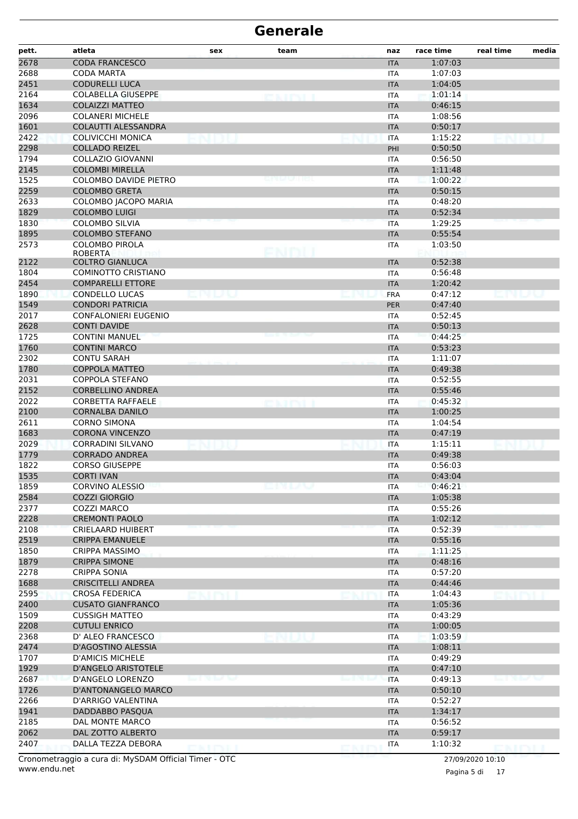| pett.        | atleta                                          | sex           | team   | naz                      | race time          | real time | media |
|--------------|-------------------------------------------------|---------------|--------|--------------------------|--------------------|-----------|-------|
| 2678         | <b>CODA FRANCESCO</b>                           |               |        | <b>ITA</b>               | 1:07:03            |           |       |
| 2688         | <b>CODA MARTA</b>                               |               |        | <b>ITA</b>               | 1:07:03            |           |       |
| 2451         | <b>CODURELLI LUCA</b>                           |               |        | <b>ITA</b>               | 1:04:05            |           |       |
| 2164         | <b>COLABELLA GIUSEPPE</b>                       |               | exipti | <b>ITA</b>               | 1:01:14            |           |       |
| 1634         | <b>COLAIZZI MATTEO</b>                          |               |        | <b>ITA</b>               | 0:46:15            |           |       |
| 2096         | <b>COLANERI MICHELE</b>                         |               |        | <b>ITA</b>               | 1:08:56            |           |       |
| 1601         | COLAUTTI ALESSANDRA                             |               |        | <b>ITA</b>               | 0:50:17            |           |       |
| 2422         | COLIVICCHI MONICA                               |               |        | <b>ITA</b>               | 1:15:22            |           |       |
| 2298         | <b>COLLADO REIZEL</b>                           |               |        | PHI                      | 0:50:50            |           |       |
| 1794         | <b>COLLAZIO GIOVANNI</b>                        |               |        | ITA                      | 0:56:50            |           |       |
| 2145         | <b>COLOMBI MIRELLA</b>                          |               |        | <b>ITA</b>               | 1:11:48            |           |       |
| 1525         | <b>COLOMBO DAVIDE PIETRO</b>                    |               |        | <b>ITA</b>               | 1:00:22            |           |       |
| 2259         | <b>COLOMBO GRETA</b>                            |               |        | <b>ITA</b>               | 0:50:15            |           |       |
| 2633         | COLOMBO JACOPO MARIA                            |               |        | <b>ITA</b>               | 0:48:20            |           |       |
| 1829         | <b>COLOMBO LUIGI</b>                            |               |        | <b>ITA</b>               | 0:52:34            |           |       |
| 1830         | <b>COLOMBO SILVIA</b><br><b>COLOMBO STEFANO</b> |               |        | <b>ITA</b>               | 1:29:25<br>0:55:54 |           |       |
| 1895         |                                                 |               |        | <b>ITA</b>               |                    |           |       |
| 2573         | <b>COLOMBO PIROLA</b><br><b>ROBERTA</b>         |               | FNMIT  | ITA                      | 1:03:50            |           |       |
| 2122         | <b>COLTRO GIANLUCA</b>                          |               |        | <b>ITA</b>               | 0:52:38            |           |       |
| 1804         | COMINOTTO CRISTIANO                             |               |        | <b>ITA</b>               | 0:56:48            |           |       |
| 2454         | <b>COMPARELLI ETTORE</b>                        |               |        | <b>ITA</b>               | 1:20:42            |           |       |
| 1890         | <b>CONDELLO LUCAS</b>                           |               |        | <b>FRA</b>               | 0:47:12            |           |       |
| 1549         | <b>CONDORI PATRICIA</b>                         |               |        | <b>PER</b>               | 0:47:40            |           |       |
| 2017         | <b>CONFALONIERI EUGENIO</b>                     |               |        | <b>ITA</b>               | 0:52:45            |           |       |
| 2628         | <b>CONTI DAVIDE</b>                             |               |        | <b>ITA</b>               | 0:50:13            |           |       |
| 1725         | <b>CONTINI MANUEL</b>                           |               |        | <b>ITA</b>               | 0:44:25            |           |       |
| 1760         | <b>CONTINI MARCO</b>                            |               |        | <b>ITA</b>               | 0:53:23            |           |       |
| 2302         | <b>CONTU SARAH</b>                              |               |        | ITA                      | 1:11:07            |           |       |
| 1780         | <b>COPPOLA MATTEO</b>                           |               |        | <b>ITA</b>               | 0:49:38            |           |       |
| 2031         | <b>COPPOLA STEFANO</b>                          |               |        | <b>ITA</b>               | 0:52:55            |           |       |
| 2152         | <b>CORBELLINO ANDREA</b>                        |               |        | <b>ITA</b>               | 0:55:46            |           |       |
| 2022         | <b>CORBETTA RAFFAELE</b>                        |               |        | <b>ITA</b>               | 0:45:32            |           |       |
| 2100         | <b>CORNALBA DANILO</b>                          |               |        | <b>ITA</b>               | 1:00:25            |           |       |
| 2611         | <b>CORNO SIMONA</b>                             |               |        | ITA                      | 1:04:54            |           |       |
| 1683         | <b>CORONA VINCENZO</b>                          |               |        | <b>ITA</b>               | 0:47:19            |           |       |
| 2029         | <b>CORRADINI SILVANO</b>                        |               |        | <b>ITA</b>               | 1:15:11            |           |       |
| 1779         | <b>CORRADO ANDREA</b>                           |               |        | <b>ITA</b>               | 0:49:38            |           |       |
| 1822         | <b>CORSO GIUSEPPE</b>                           |               |        | <b>ITA</b>               | 0:56:03            |           |       |
| 1535         | <b>CORTI IVAN</b>                               |               |        | <b>ITA</b>               | 0:43:04            |           |       |
| 1859         | <b>CORVINO ALESSIO</b>                          |               | エレハン   | ITA                      | 0:46:21            |           |       |
| 2584         | <b>COZZI GIORGIO</b>                            |               |        | <b>ITA</b>               | 1:05:38            |           |       |
| 2377<br>2228 | <b>COZZI MARCO</b><br><b>CREMONTI PAOLO</b>     |               |        | <b>ITA</b>               | 0:55:26            |           |       |
| 2108         | <b>CRIELAARD HUIBERT</b>                        |               |        | <b>ITA</b><br><b>ITA</b> | 1:02:12<br>0:52:39 |           |       |
| 2519         | <b>CRIPPA EMANUELE</b>                          |               |        | <b>ITA</b>               | 0:55:16            |           |       |
| 1850         | CRIPPA MASSIMO                                  |               |        | ITA                      | 1:11:25            |           |       |
| 1879         | <b>CRIPPA SIMONE</b>                            |               |        | <b>ITA</b>               | 0:48:16            |           |       |
| 2278         | <b>CRIPPA SONIA</b>                             |               |        | <b>ITA</b>               | 0:57:20            |           |       |
| 1688         | <b>CRISCITELLI ANDREA</b>                       |               |        | <b>ITA</b>               | 0:44:46            |           |       |
| 2595         | <b>CROSA FEDERICA</b>                           |               |        | <b>ITA</b>               | 1:04:43            |           |       |
| 2400         | <b>CUSATO GIANFRANCO</b>                        |               |        | <b>ITA</b>               | 1:05:36            |           |       |
| 1509         | <b>CUSSIGH MATTEO</b>                           |               |        | <b>ITA</b>               | 0:43:29            |           |       |
| 2208         | <b>CUTULI ENRICO</b>                            |               |        | <b>ITA</b>               | 1:00:05            |           |       |
| 2368         | D' ALEO FRANCESCO                               |               |        | <b>ITA</b>               | 1:03:59            |           |       |
| 2474         | D'AGOSTINO ALESSIA                              |               |        | <b>ITA</b>               | 1:08:11            |           |       |
| 1707         | <b>D'AMICIS MICHELE</b>                         |               |        | <b>ITA</b>               | 0:49:29            |           |       |
| 1929         | <b>D'ANGELO ARISTOTELE</b>                      |               |        | <b>ITA</b>               | 0:47:10            |           |       |
| 2687         | D'ANGELO LORENZO                                | 76 Turk Tour  |        | <b>ITA</b>               | 0:49:13            |           |       |
| 1726         | D'ANTONANGELO MARCO                             |               |        | <b>ITA</b>               | 0:50:10            |           |       |
| 2266         | D'ARRIGO VALENTINA                              |               |        | ITA                      | 0:52:27            |           |       |
| 1941         | DADDABBO PASQUA                                 |               |        | <b>ITA</b>               | 1:34:17            |           |       |
| 2185         | DAL MONTE MARCO                                 |               |        | <b>ITA</b>               | 0:56:52            |           |       |
| 2062         | DAL ZOTTO ALBERTO                               |               |        | <b>ITA</b>               | 0:59:17            |           |       |
| 2407         | DALLA TEZZA DEBORA                              | <b>CRIMIL</b> |        | <b>ITA</b>               | 1:10:32            | DNINI I   |       |

www.endu.net Cronometraggio a cura di: MySDAM Official Timer - OTC 27/09/2020 10:10

Pagina 5 di 17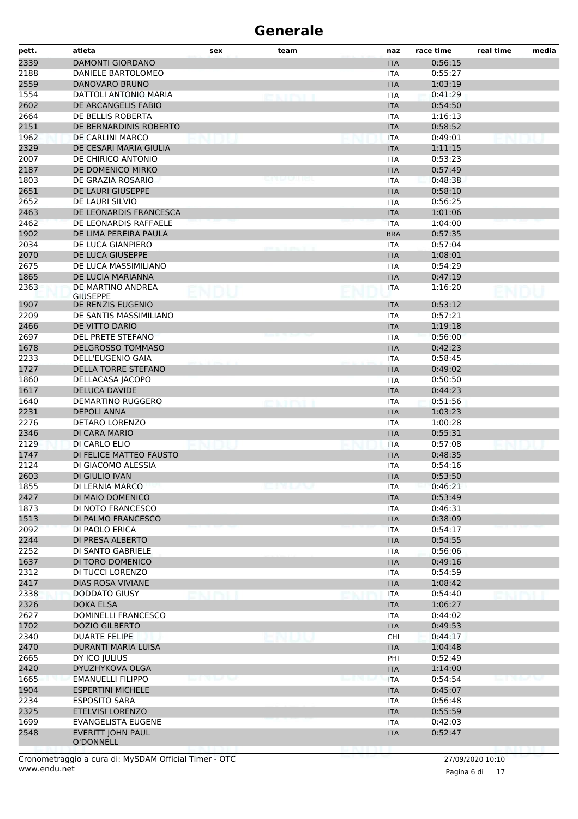| <b>DAMONTI GIORDANO</b><br>0:56:15<br><b>ITA</b><br>DANIELE BARTOLOMEO<br>0:55:27<br>ITA<br>2559<br><b>DANOVARO BRUNO</b><br>1:03:19<br><b>ITA</b><br>DATTOLI ANTONIO MARIA<br>0:41:29<br>ITA<br>2602<br>DE ARCANGELIS FABIO<br>0:54:50<br><b>ITA</b><br>DE BELLIS ROBERTA<br><b>ITA</b><br>1:16:13<br>2151<br>DE BERNARDINIS ROBERTO<br>0:58:52<br><b>ITA</b><br>1962<br>DE CARLINI MARCO<br>0:49:01<br><b>ITA</b><br>2329<br>DE CESARI MARIA GIULIA<br>1:11:15<br><b>ITA</b><br>2007<br>DE CHIRICO ANTONIO<br>0:53:23<br><b>ITA</b><br>2187<br>DE DOMENICO MIRKO<br>0:57:49<br><b>ITA</b><br>1803<br>DE GRAZIA ROSARIO<br>0:48:38<br><b>ITA</b><br>2651<br>DE LAURI GIUSEPPE<br>0:58:10<br><b>ITA</b><br>2652<br>0:56:25<br>DE LAURI SILVIO<br><b>ITA</b><br>2463<br>DE LEONARDIS FRANCESCA<br><b>ITA</b><br>1:01:06<br>2462<br>DE LEONARDIS RAFFAELE<br>1:04:00<br><b>ITA</b><br>1902<br>0:57:35<br>DE LIMA PEREIRA PAULA<br><b>BRA</b><br>2034<br>DE LUCA GIANPIERO<br>0:57:04<br><b>ITA</b><br>2070<br>DE LUCA GIUSEPPE<br>1:08:01<br><b>ITA</b><br>2675<br>DE LUCA MASSIMILIANO<br>0:54:29<br>ITA<br>1865<br>DE LUCIA MARIANNA<br>0:47:19<br><b>ITA</b><br>2363<br>DE MARTINO ANDREA<br>1:16:20<br>ITA<br><b>GIUSEPPE</b><br>0:53:12<br>1907<br>DE RENZIS EUGENIO<br><b>ITA</b><br>2209<br>0:57:21<br>DE SANTIS MASSIMILIANO<br><b>ITA</b><br>2466<br>DE VITTO DARIO<br>1:19:18<br><b>ITA</b><br>2697<br>DEL PRETE STEFANO<br>0:56:00<br>ITA<br>1678<br><b>DELGROSSO TOMMASO</b><br>0:42:23<br><b>ITA</b><br>2233<br><b>DELL'EUGENIO GAIA</b><br>0:58:45<br><b>ITA</b><br>1727<br><b>DELLA TORRE STEFANO</b><br><b>ITA</b><br>0:49:02<br>1860<br>DELLACASA JACOPO<br>0:50:50<br>ITA<br>1617<br><b>DELUCA DAVIDE</b><br><b>ITA</b><br>0:44:23<br>1640<br><b>DEMARTINO RUGGERO</b><br>0:51:56<br>ITA<br><b>DEPOLI ANNA</b><br>1:03:23<br><b>ITA</b><br>DETARO LORENZO<br>1:00:28<br><b>ITA</b><br>2346<br>DI CARA MARIO<br>0:55:31<br><b>ITA</b><br>DI CARLO ELIO<br>0:57:08<br><b>ITA</b><br>DI FELICE MATTEO FAUSTO<br>0:48:35<br><b>ITA</b><br>DI GIACOMO ALESSIA<br>0:54:16<br>ITA<br>DI GIULIO IVAN<br>0:53:50<br><b>ITA</b><br><b>DI LERNIA MARCO</b><br>emuu<br>0:46:21<br>ITA<br>DI MAIO DOMENICO<br>0:53:49<br><b>ITA</b><br>DI NOTO FRANCESCO<br>0:46:31<br><b>ITA</b><br>DI PALMO FRANCESCO<br>0:38:09<br><b>ITA</b><br>DI PAOLO ERICA<br>0:54:17<br><b>ITA</b><br>DI PRESA ALBERTO<br>0:54:55<br><b>ITA</b><br>DI SANTO GABRIELE<br>0:56:06<br><b>ITA</b><br>DI TORO DOMENICO<br><b>ITA</b><br>0:49:16<br>DI TUCCI LORENZO<br>0:54:59<br><b>ITA</b><br>2417<br>DIAS ROSA VIVIANE<br><b>ITA</b><br>1:08:42<br>2338<br>DODDATO GIUSY<br>0:54:40<br>ITA<br>2326<br><b>DOKA ELSA</b><br>1:06:27<br><b>ITA</b><br>2627<br>DOMINELLI FRANCESCO<br><b>ITA</b><br>0:44:02<br>1702<br>DOZIO GILBERTO<br>0:49:53<br><b>ITA</b><br>2340<br><b>DUARTE FELIPE</b><br>0:44:17<br><b>CHI</b><br>2470<br><b>DURANTI MARIA LUISA</b><br>1:04:48<br><b>ITA</b><br>2665<br>DY ICO JULIUS<br>0:52:49<br>PHI<br>2420<br>DYUZHYKOVA OLGA<br>1:14:00<br><b>ITA</b><br>1665<br><b>EMANUELLI FILIPPO</b><br>0:54:54<br><b>END OF THE SH</b><br><b>ITA</b><br>beat Willem Pro<br>1904<br><b>ESPERTINI MICHELE</b><br>0:45:07<br><b>ITA</b><br>2234<br><b>ESPOSITO SARA</b><br><b>ITA</b><br>0:56:48<br>2325<br><b>ETELVISI LORENZO</b><br>0:55:59<br><b>ITA</b><br>1699<br><b>EVANGELISTA EUGENE</b><br>0:42:03<br>ITA<br>2548<br>EVERITT JOHN PAUL<br>0:52:47<br><b>ITA</b><br>O'DONNELL | pett. | atleta | sex | team | naz | race time | real time | media |
|---------------------------------------------------------------------------------------------------------------------------------------------------------------------------------------------------------------------------------------------------------------------------------------------------------------------------------------------------------------------------------------------------------------------------------------------------------------------------------------------------------------------------------------------------------------------------------------------------------------------------------------------------------------------------------------------------------------------------------------------------------------------------------------------------------------------------------------------------------------------------------------------------------------------------------------------------------------------------------------------------------------------------------------------------------------------------------------------------------------------------------------------------------------------------------------------------------------------------------------------------------------------------------------------------------------------------------------------------------------------------------------------------------------------------------------------------------------------------------------------------------------------------------------------------------------------------------------------------------------------------------------------------------------------------------------------------------------------------------------------------------------------------------------------------------------------------------------------------------------------------------------------------------------------------------------------------------------------------------------------------------------------------------------------------------------------------------------------------------------------------------------------------------------------------------------------------------------------------------------------------------------------------------------------------------------------------------------------------------------------------------------------------------------------------------------------------------------------------------------------------------------------------------------------------------------------------------------------------------------------------------------------------------------------------------------------------------------------------------------------------------------------------------------------------------------------------------------------------------------------------------------------------------------------------------------------------------------------------------------------------------------------------------------------------------------------------------------------------------------------------------------------------------------------------------------------------------------------------------------------------------------------------------------------------------------------------------------------------------------------------------------------------------------------------------------------------------------------------------|-------|--------|-----|------|-----|-----------|-----------|-------|
|                                                                                                                                                                                                                                                                                                                                                                                                                                                                                                                                                                                                                                                                                                                                                                                                                                                                                                                                                                                                                                                                                                                                                                                                                                                                                                                                                                                                                                                                                                                                                                                                                                                                                                                                                                                                                                                                                                                                                                                                                                                                                                                                                                                                                                                                                                                                                                                                                                                                                                                                                                                                                                                                                                                                                                                                                                                                                                                                                                                                                                                                                                                                                                                                                                                                                                                                                                                                                                                                                 | 2339  |        |     |      |     |           |           |       |
|                                                                                                                                                                                                                                                                                                                                                                                                                                                                                                                                                                                                                                                                                                                                                                                                                                                                                                                                                                                                                                                                                                                                                                                                                                                                                                                                                                                                                                                                                                                                                                                                                                                                                                                                                                                                                                                                                                                                                                                                                                                                                                                                                                                                                                                                                                                                                                                                                                                                                                                                                                                                                                                                                                                                                                                                                                                                                                                                                                                                                                                                                                                                                                                                                                                                                                                                                                                                                                                                                 | 2188  |        |     |      |     |           |           |       |
|                                                                                                                                                                                                                                                                                                                                                                                                                                                                                                                                                                                                                                                                                                                                                                                                                                                                                                                                                                                                                                                                                                                                                                                                                                                                                                                                                                                                                                                                                                                                                                                                                                                                                                                                                                                                                                                                                                                                                                                                                                                                                                                                                                                                                                                                                                                                                                                                                                                                                                                                                                                                                                                                                                                                                                                                                                                                                                                                                                                                                                                                                                                                                                                                                                                                                                                                                                                                                                                                                 |       |        |     |      |     |           |           |       |
|                                                                                                                                                                                                                                                                                                                                                                                                                                                                                                                                                                                                                                                                                                                                                                                                                                                                                                                                                                                                                                                                                                                                                                                                                                                                                                                                                                                                                                                                                                                                                                                                                                                                                                                                                                                                                                                                                                                                                                                                                                                                                                                                                                                                                                                                                                                                                                                                                                                                                                                                                                                                                                                                                                                                                                                                                                                                                                                                                                                                                                                                                                                                                                                                                                                                                                                                                                                                                                                                                 | 1554  |        |     |      |     |           |           |       |
|                                                                                                                                                                                                                                                                                                                                                                                                                                                                                                                                                                                                                                                                                                                                                                                                                                                                                                                                                                                                                                                                                                                                                                                                                                                                                                                                                                                                                                                                                                                                                                                                                                                                                                                                                                                                                                                                                                                                                                                                                                                                                                                                                                                                                                                                                                                                                                                                                                                                                                                                                                                                                                                                                                                                                                                                                                                                                                                                                                                                                                                                                                                                                                                                                                                                                                                                                                                                                                                                                 |       |        |     |      |     |           |           |       |
|                                                                                                                                                                                                                                                                                                                                                                                                                                                                                                                                                                                                                                                                                                                                                                                                                                                                                                                                                                                                                                                                                                                                                                                                                                                                                                                                                                                                                                                                                                                                                                                                                                                                                                                                                                                                                                                                                                                                                                                                                                                                                                                                                                                                                                                                                                                                                                                                                                                                                                                                                                                                                                                                                                                                                                                                                                                                                                                                                                                                                                                                                                                                                                                                                                                                                                                                                                                                                                                                                 | 2664  |        |     |      |     |           |           |       |
|                                                                                                                                                                                                                                                                                                                                                                                                                                                                                                                                                                                                                                                                                                                                                                                                                                                                                                                                                                                                                                                                                                                                                                                                                                                                                                                                                                                                                                                                                                                                                                                                                                                                                                                                                                                                                                                                                                                                                                                                                                                                                                                                                                                                                                                                                                                                                                                                                                                                                                                                                                                                                                                                                                                                                                                                                                                                                                                                                                                                                                                                                                                                                                                                                                                                                                                                                                                                                                                                                 |       |        |     |      |     |           |           |       |
|                                                                                                                                                                                                                                                                                                                                                                                                                                                                                                                                                                                                                                                                                                                                                                                                                                                                                                                                                                                                                                                                                                                                                                                                                                                                                                                                                                                                                                                                                                                                                                                                                                                                                                                                                                                                                                                                                                                                                                                                                                                                                                                                                                                                                                                                                                                                                                                                                                                                                                                                                                                                                                                                                                                                                                                                                                                                                                                                                                                                                                                                                                                                                                                                                                                                                                                                                                                                                                                                                 |       |        |     |      |     |           |           |       |
|                                                                                                                                                                                                                                                                                                                                                                                                                                                                                                                                                                                                                                                                                                                                                                                                                                                                                                                                                                                                                                                                                                                                                                                                                                                                                                                                                                                                                                                                                                                                                                                                                                                                                                                                                                                                                                                                                                                                                                                                                                                                                                                                                                                                                                                                                                                                                                                                                                                                                                                                                                                                                                                                                                                                                                                                                                                                                                                                                                                                                                                                                                                                                                                                                                                                                                                                                                                                                                                                                 |       |        |     |      |     |           |           |       |
|                                                                                                                                                                                                                                                                                                                                                                                                                                                                                                                                                                                                                                                                                                                                                                                                                                                                                                                                                                                                                                                                                                                                                                                                                                                                                                                                                                                                                                                                                                                                                                                                                                                                                                                                                                                                                                                                                                                                                                                                                                                                                                                                                                                                                                                                                                                                                                                                                                                                                                                                                                                                                                                                                                                                                                                                                                                                                                                                                                                                                                                                                                                                                                                                                                                                                                                                                                                                                                                                                 |       |        |     |      |     |           |           |       |
|                                                                                                                                                                                                                                                                                                                                                                                                                                                                                                                                                                                                                                                                                                                                                                                                                                                                                                                                                                                                                                                                                                                                                                                                                                                                                                                                                                                                                                                                                                                                                                                                                                                                                                                                                                                                                                                                                                                                                                                                                                                                                                                                                                                                                                                                                                                                                                                                                                                                                                                                                                                                                                                                                                                                                                                                                                                                                                                                                                                                                                                                                                                                                                                                                                                                                                                                                                                                                                                                                 |       |        |     |      |     |           |           |       |
|                                                                                                                                                                                                                                                                                                                                                                                                                                                                                                                                                                                                                                                                                                                                                                                                                                                                                                                                                                                                                                                                                                                                                                                                                                                                                                                                                                                                                                                                                                                                                                                                                                                                                                                                                                                                                                                                                                                                                                                                                                                                                                                                                                                                                                                                                                                                                                                                                                                                                                                                                                                                                                                                                                                                                                                                                                                                                                                                                                                                                                                                                                                                                                                                                                                                                                                                                                                                                                                                                 |       |        |     |      |     |           |           |       |
|                                                                                                                                                                                                                                                                                                                                                                                                                                                                                                                                                                                                                                                                                                                                                                                                                                                                                                                                                                                                                                                                                                                                                                                                                                                                                                                                                                                                                                                                                                                                                                                                                                                                                                                                                                                                                                                                                                                                                                                                                                                                                                                                                                                                                                                                                                                                                                                                                                                                                                                                                                                                                                                                                                                                                                                                                                                                                                                                                                                                                                                                                                                                                                                                                                                                                                                                                                                                                                                                                 |       |        |     |      |     |           |           |       |
|                                                                                                                                                                                                                                                                                                                                                                                                                                                                                                                                                                                                                                                                                                                                                                                                                                                                                                                                                                                                                                                                                                                                                                                                                                                                                                                                                                                                                                                                                                                                                                                                                                                                                                                                                                                                                                                                                                                                                                                                                                                                                                                                                                                                                                                                                                                                                                                                                                                                                                                                                                                                                                                                                                                                                                                                                                                                                                                                                                                                                                                                                                                                                                                                                                                                                                                                                                                                                                                                                 |       |        |     |      |     |           |           |       |
|                                                                                                                                                                                                                                                                                                                                                                                                                                                                                                                                                                                                                                                                                                                                                                                                                                                                                                                                                                                                                                                                                                                                                                                                                                                                                                                                                                                                                                                                                                                                                                                                                                                                                                                                                                                                                                                                                                                                                                                                                                                                                                                                                                                                                                                                                                                                                                                                                                                                                                                                                                                                                                                                                                                                                                                                                                                                                                                                                                                                                                                                                                                                                                                                                                                                                                                                                                                                                                                                                 |       |        |     |      |     |           |           |       |
|                                                                                                                                                                                                                                                                                                                                                                                                                                                                                                                                                                                                                                                                                                                                                                                                                                                                                                                                                                                                                                                                                                                                                                                                                                                                                                                                                                                                                                                                                                                                                                                                                                                                                                                                                                                                                                                                                                                                                                                                                                                                                                                                                                                                                                                                                                                                                                                                                                                                                                                                                                                                                                                                                                                                                                                                                                                                                                                                                                                                                                                                                                                                                                                                                                                                                                                                                                                                                                                                                 |       |        |     |      |     |           |           |       |
|                                                                                                                                                                                                                                                                                                                                                                                                                                                                                                                                                                                                                                                                                                                                                                                                                                                                                                                                                                                                                                                                                                                                                                                                                                                                                                                                                                                                                                                                                                                                                                                                                                                                                                                                                                                                                                                                                                                                                                                                                                                                                                                                                                                                                                                                                                                                                                                                                                                                                                                                                                                                                                                                                                                                                                                                                                                                                                                                                                                                                                                                                                                                                                                                                                                                                                                                                                                                                                                                                 |       |        |     |      |     |           |           |       |
|                                                                                                                                                                                                                                                                                                                                                                                                                                                                                                                                                                                                                                                                                                                                                                                                                                                                                                                                                                                                                                                                                                                                                                                                                                                                                                                                                                                                                                                                                                                                                                                                                                                                                                                                                                                                                                                                                                                                                                                                                                                                                                                                                                                                                                                                                                                                                                                                                                                                                                                                                                                                                                                                                                                                                                                                                                                                                                                                                                                                                                                                                                                                                                                                                                                                                                                                                                                                                                                                                 |       |        |     |      |     |           |           |       |
|                                                                                                                                                                                                                                                                                                                                                                                                                                                                                                                                                                                                                                                                                                                                                                                                                                                                                                                                                                                                                                                                                                                                                                                                                                                                                                                                                                                                                                                                                                                                                                                                                                                                                                                                                                                                                                                                                                                                                                                                                                                                                                                                                                                                                                                                                                                                                                                                                                                                                                                                                                                                                                                                                                                                                                                                                                                                                                                                                                                                                                                                                                                                                                                                                                                                                                                                                                                                                                                                                 |       |        |     |      |     |           |           |       |
|                                                                                                                                                                                                                                                                                                                                                                                                                                                                                                                                                                                                                                                                                                                                                                                                                                                                                                                                                                                                                                                                                                                                                                                                                                                                                                                                                                                                                                                                                                                                                                                                                                                                                                                                                                                                                                                                                                                                                                                                                                                                                                                                                                                                                                                                                                                                                                                                                                                                                                                                                                                                                                                                                                                                                                                                                                                                                                                                                                                                                                                                                                                                                                                                                                                                                                                                                                                                                                                                                 |       |        |     |      |     |           |           |       |
|                                                                                                                                                                                                                                                                                                                                                                                                                                                                                                                                                                                                                                                                                                                                                                                                                                                                                                                                                                                                                                                                                                                                                                                                                                                                                                                                                                                                                                                                                                                                                                                                                                                                                                                                                                                                                                                                                                                                                                                                                                                                                                                                                                                                                                                                                                                                                                                                                                                                                                                                                                                                                                                                                                                                                                                                                                                                                                                                                                                                                                                                                                                                                                                                                                                                                                                                                                                                                                                                                 |       |        |     |      |     |           |           |       |
|                                                                                                                                                                                                                                                                                                                                                                                                                                                                                                                                                                                                                                                                                                                                                                                                                                                                                                                                                                                                                                                                                                                                                                                                                                                                                                                                                                                                                                                                                                                                                                                                                                                                                                                                                                                                                                                                                                                                                                                                                                                                                                                                                                                                                                                                                                                                                                                                                                                                                                                                                                                                                                                                                                                                                                                                                                                                                                                                                                                                                                                                                                                                                                                                                                                                                                                                                                                                                                                                                 |       |        |     |      |     |           |           |       |
|                                                                                                                                                                                                                                                                                                                                                                                                                                                                                                                                                                                                                                                                                                                                                                                                                                                                                                                                                                                                                                                                                                                                                                                                                                                                                                                                                                                                                                                                                                                                                                                                                                                                                                                                                                                                                                                                                                                                                                                                                                                                                                                                                                                                                                                                                                                                                                                                                                                                                                                                                                                                                                                                                                                                                                                                                                                                                                                                                                                                                                                                                                                                                                                                                                                                                                                                                                                                                                                                                 |       |        |     |      |     |           |           |       |
|                                                                                                                                                                                                                                                                                                                                                                                                                                                                                                                                                                                                                                                                                                                                                                                                                                                                                                                                                                                                                                                                                                                                                                                                                                                                                                                                                                                                                                                                                                                                                                                                                                                                                                                                                                                                                                                                                                                                                                                                                                                                                                                                                                                                                                                                                                                                                                                                                                                                                                                                                                                                                                                                                                                                                                                                                                                                                                                                                                                                                                                                                                                                                                                                                                                                                                                                                                                                                                                                                 |       |        |     |      |     |           |           |       |
|                                                                                                                                                                                                                                                                                                                                                                                                                                                                                                                                                                                                                                                                                                                                                                                                                                                                                                                                                                                                                                                                                                                                                                                                                                                                                                                                                                                                                                                                                                                                                                                                                                                                                                                                                                                                                                                                                                                                                                                                                                                                                                                                                                                                                                                                                                                                                                                                                                                                                                                                                                                                                                                                                                                                                                                                                                                                                                                                                                                                                                                                                                                                                                                                                                                                                                                                                                                                                                                                                 |       |        |     |      |     |           |           |       |
|                                                                                                                                                                                                                                                                                                                                                                                                                                                                                                                                                                                                                                                                                                                                                                                                                                                                                                                                                                                                                                                                                                                                                                                                                                                                                                                                                                                                                                                                                                                                                                                                                                                                                                                                                                                                                                                                                                                                                                                                                                                                                                                                                                                                                                                                                                                                                                                                                                                                                                                                                                                                                                                                                                                                                                                                                                                                                                                                                                                                                                                                                                                                                                                                                                                                                                                                                                                                                                                                                 |       |        |     |      |     |           |           |       |
|                                                                                                                                                                                                                                                                                                                                                                                                                                                                                                                                                                                                                                                                                                                                                                                                                                                                                                                                                                                                                                                                                                                                                                                                                                                                                                                                                                                                                                                                                                                                                                                                                                                                                                                                                                                                                                                                                                                                                                                                                                                                                                                                                                                                                                                                                                                                                                                                                                                                                                                                                                                                                                                                                                                                                                                                                                                                                                                                                                                                                                                                                                                                                                                                                                                                                                                                                                                                                                                                                 |       |        |     |      |     |           |           |       |
|                                                                                                                                                                                                                                                                                                                                                                                                                                                                                                                                                                                                                                                                                                                                                                                                                                                                                                                                                                                                                                                                                                                                                                                                                                                                                                                                                                                                                                                                                                                                                                                                                                                                                                                                                                                                                                                                                                                                                                                                                                                                                                                                                                                                                                                                                                                                                                                                                                                                                                                                                                                                                                                                                                                                                                                                                                                                                                                                                                                                                                                                                                                                                                                                                                                                                                                                                                                                                                                                                 |       |        |     |      |     |           |           |       |
|                                                                                                                                                                                                                                                                                                                                                                                                                                                                                                                                                                                                                                                                                                                                                                                                                                                                                                                                                                                                                                                                                                                                                                                                                                                                                                                                                                                                                                                                                                                                                                                                                                                                                                                                                                                                                                                                                                                                                                                                                                                                                                                                                                                                                                                                                                                                                                                                                                                                                                                                                                                                                                                                                                                                                                                                                                                                                                                                                                                                                                                                                                                                                                                                                                                                                                                                                                                                                                                                                 |       |        |     |      |     |           |           |       |
|                                                                                                                                                                                                                                                                                                                                                                                                                                                                                                                                                                                                                                                                                                                                                                                                                                                                                                                                                                                                                                                                                                                                                                                                                                                                                                                                                                                                                                                                                                                                                                                                                                                                                                                                                                                                                                                                                                                                                                                                                                                                                                                                                                                                                                                                                                                                                                                                                                                                                                                                                                                                                                                                                                                                                                                                                                                                                                                                                                                                                                                                                                                                                                                                                                                                                                                                                                                                                                                                                 |       |        |     |      |     |           |           |       |
|                                                                                                                                                                                                                                                                                                                                                                                                                                                                                                                                                                                                                                                                                                                                                                                                                                                                                                                                                                                                                                                                                                                                                                                                                                                                                                                                                                                                                                                                                                                                                                                                                                                                                                                                                                                                                                                                                                                                                                                                                                                                                                                                                                                                                                                                                                                                                                                                                                                                                                                                                                                                                                                                                                                                                                                                                                                                                                                                                                                                                                                                                                                                                                                                                                                                                                                                                                                                                                                                                 |       |        |     |      |     |           |           |       |
|                                                                                                                                                                                                                                                                                                                                                                                                                                                                                                                                                                                                                                                                                                                                                                                                                                                                                                                                                                                                                                                                                                                                                                                                                                                                                                                                                                                                                                                                                                                                                                                                                                                                                                                                                                                                                                                                                                                                                                                                                                                                                                                                                                                                                                                                                                                                                                                                                                                                                                                                                                                                                                                                                                                                                                                                                                                                                                                                                                                                                                                                                                                                                                                                                                                                                                                                                                                                                                                                                 |       |        |     |      |     |           |           |       |
|                                                                                                                                                                                                                                                                                                                                                                                                                                                                                                                                                                                                                                                                                                                                                                                                                                                                                                                                                                                                                                                                                                                                                                                                                                                                                                                                                                                                                                                                                                                                                                                                                                                                                                                                                                                                                                                                                                                                                                                                                                                                                                                                                                                                                                                                                                                                                                                                                                                                                                                                                                                                                                                                                                                                                                                                                                                                                                                                                                                                                                                                                                                                                                                                                                                                                                                                                                                                                                                                                 | 2231  |        |     |      |     |           |           |       |
|                                                                                                                                                                                                                                                                                                                                                                                                                                                                                                                                                                                                                                                                                                                                                                                                                                                                                                                                                                                                                                                                                                                                                                                                                                                                                                                                                                                                                                                                                                                                                                                                                                                                                                                                                                                                                                                                                                                                                                                                                                                                                                                                                                                                                                                                                                                                                                                                                                                                                                                                                                                                                                                                                                                                                                                                                                                                                                                                                                                                                                                                                                                                                                                                                                                                                                                                                                                                                                                                                 | 2276  |        |     |      |     |           |           |       |
|                                                                                                                                                                                                                                                                                                                                                                                                                                                                                                                                                                                                                                                                                                                                                                                                                                                                                                                                                                                                                                                                                                                                                                                                                                                                                                                                                                                                                                                                                                                                                                                                                                                                                                                                                                                                                                                                                                                                                                                                                                                                                                                                                                                                                                                                                                                                                                                                                                                                                                                                                                                                                                                                                                                                                                                                                                                                                                                                                                                                                                                                                                                                                                                                                                                                                                                                                                                                                                                                                 |       |        |     |      |     |           |           |       |
|                                                                                                                                                                                                                                                                                                                                                                                                                                                                                                                                                                                                                                                                                                                                                                                                                                                                                                                                                                                                                                                                                                                                                                                                                                                                                                                                                                                                                                                                                                                                                                                                                                                                                                                                                                                                                                                                                                                                                                                                                                                                                                                                                                                                                                                                                                                                                                                                                                                                                                                                                                                                                                                                                                                                                                                                                                                                                                                                                                                                                                                                                                                                                                                                                                                                                                                                                                                                                                                                                 | 2129  |        |     |      |     |           |           |       |
|                                                                                                                                                                                                                                                                                                                                                                                                                                                                                                                                                                                                                                                                                                                                                                                                                                                                                                                                                                                                                                                                                                                                                                                                                                                                                                                                                                                                                                                                                                                                                                                                                                                                                                                                                                                                                                                                                                                                                                                                                                                                                                                                                                                                                                                                                                                                                                                                                                                                                                                                                                                                                                                                                                                                                                                                                                                                                                                                                                                                                                                                                                                                                                                                                                                                                                                                                                                                                                                                                 | 1747  |        |     |      |     |           |           |       |
|                                                                                                                                                                                                                                                                                                                                                                                                                                                                                                                                                                                                                                                                                                                                                                                                                                                                                                                                                                                                                                                                                                                                                                                                                                                                                                                                                                                                                                                                                                                                                                                                                                                                                                                                                                                                                                                                                                                                                                                                                                                                                                                                                                                                                                                                                                                                                                                                                                                                                                                                                                                                                                                                                                                                                                                                                                                                                                                                                                                                                                                                                                                                                                                                                                                                                                                                                                                                                                                                                 | 2124  |        |     |      |     |           |           |       |
|                                                                                                                                                                                                                                                                                                                                                                                                                                                                                                                                                                                                                                                                                                                                                                                                                                                                                                                                                                                                                                                                                                                                                                                                                                                                                                                                                                                                                                                                                                                                                                                                                                                                                                                                                                                                                                                                                                                                                                                                                                                                                                                                                                                                                                                                                                                                                                                                                                                                                                                                                                                                                                                                                                                                                                                                                                                                                                                                                                                                                                                                                                                                                                                                                                                                                                                                                                                                                                                                                 | 2603  |        |     |      |     |           |           |       |
|                                                                                                                                                                                                                                                                                                                                                                                                                                                                                                                                                                                                                                                                                                                                                                                                                                                                                                                                                                                                                                                                                                                                                                                                                                                                                                                                                                                                                                                                                                                                                                                                                                                                                                                                                                                                                                                                                                                                                                                                                                                                                                                                                                                                                                                                                                                                                                                                                                                                                                                                                                                                                                                                                                                                                                                                                                                                                                                                                                                                                                                                                                                                                                                                                                                                                                                                                                                                                                                                                 | 1855  |        |     |      |     |           |           |       |
|                                                                                                                                                                                                                                                                                                                                                                                                                                                                                                                                                                                                                                                                                                                                                                                                                                                                                                                                                                                                                                                                                                                                                                                                                                                                                                                                                                                                                                                                                                                                                                                                                                                                                                                                                                                                                                                                                                                                                                                                                                                                                                                                                                                                                                                                                                                                                                                                                                                                                                                                                                                                                                                                                                                                                                                                                                                                                                                                                                                                                                                                                                                                                                                                                                                                                                                                                                                                                                                                                 | 2427  |        |     |      |     |           |           |       |
|                                                                                                                                                                                                                                                                                                                                                                                                                                                                                                                                                                                                                                                                                                                                                                                                                                                                                                                                                                                                                                                                                                                                                                                                                                                                                                                                                                                                                                                                                                                                                                                                                                                                                                                                                                                                                                                                                                                                                                                                                                                                                                                                                                                                                                                                                                                                                                                                                                                                                                                                                                                                                                                                                                                                                                                                                                                                                                                                                                                                                                                                                                                                                                                                                                                                                                                                                                                                                                                                                 | 1873  |        |     |      |     |           |           |       |
|                                                                                                                                                                                                                                                                                                                                                                                                                                                                                                                                                                                                                                                                                                                                                                                                                                                                                                                                                                                                                                                                                                                                                                                                                                                                                                                                                                                                                                                                                                                                                                                                                                                                                                                                                                                                                                                                                                                                                                                                                                                                                                                                                                                                                                                                                                                                                                                                                                                                                                                                                                                                                                                                                                                                                                                                                                                                                                                                                                                                                                                                                                                                                                                                                                                                                                                                                                                                                                                                                 | 1513  |        |     |      |     |           |           |       |
|                                                                                                                                                                                                                                                                                                                                                                                                                                                                                                                                                                                                                                                                                                                                                                                                                                                                                                                                                                                                                                                                                                                                                                                                                                                                                                                                                                                                                                                                                                                                                                                                                                                                                                                                                                                                                                                                                                                                                                                                                                                                                                                                                                                                                                                                                                                                                                                                                                                                                                                                                                                                                                                                                                                                                                                                                                                                                                                                                                                                                                                                                                                                                                                                                                                                                                                                                                                                                                                                                 | 2092  |        |     |      |     |           |           |       |
|                                                                                                                                                                                                                                                                                                                                                                                                                                                                                                                                                                                                                                                                                                                                                                                                                                                                                                                                                                                                                                                                                                                                                                                                                                                                                                                                                                                                                                                                                                                                                                                                                                                                                                                                                                                                                                                                                                                                                                                                                                                                                                                                                                                                                                                                                                                                                                                                                                                                                                                                                                                                                                                                                                                                                                                                                                                                                                                                                                                                                                                                                                                                                                                                                                                                                                                                                                                                                                                                                 | 2244  |        |     |      |     |           |           |       |
|                                                                                                                                                                                                                                                                                                                                                                                                                                                                                                                                                                                                                                                                                                                                                                                                                                                                                                                                                                                                                                                                                                                                                                                                                                                                                                                                                                                                                                                                                                                                                                                                                                                                                                                                                                                                                                                                                                                                                                                                                                                                                                                                                                                                                                                                                                                                                                                                                                                                                                                                                                                                                                                                                                                                                                                                                                                                                                                                                                                                                                                                                                                                                                                                                                                                                                                                                                                                                                                                                 | 2252  |        |     |      |     |           |           |       |
|                                                                                                                                                                                                                                                                                                                                                                                                                                                                                                                                                                                                                                                                                                                                                                                                                                                                                                                                                                                                                                                                                                                                                                                                                                                                                                                                                                                                                                                                                                                                                                                                                                                                                                                                                                                                                                                                                                                                                                                                                                                                                                                                                                                                                                                                                                                                                                                                                                                                                                                                                                                                                                                                                                                                                                                                                                                                                                                                                                                                                                                                                                                                                                                                                                                                                                                                                                                                                                                                                 | 1637  |        |     |      |     |           |           |       |
|                                                                                                                                                                                                                                                                                                                                                                                                                                                                                                                                                                                                                                                                                                                                                                                                                                                                                                                                                                                                                                                                                                                                                                                                                                                                                                                                                                                                                                                                                                                                                                                                                                                                                                                                                                                                                                                                                                                                                                                                                                                                                                                                                                                                                                                                                                                                                                                                                                                                                                                                                                                                                                                                                                                                                                                                                                                                                                                                                                                                                                                                                                                                                                                                                                                                                                                                                                                                                                                                                 | 2312  |        |     |      |     |           |           |       |
|                                                                                                                                                                                                                                                                                                                                                                                                                                                                                                                                                                                                                                                                                                                                                                                                                                                                                                                                                                                                                                                                                                                                                                                                                                                                                                                                                                                                                                                                                                                                                                                                                                                                                                                                                                                                                                                                                                                                                                                                                                                                                                                                                                                                                                                                                                                                                                                                                                                                                                                                                                                                                                                                                                                                                                                                                                                                                                                                                                                                                                                                                                                                                                                                                                                                                                                                                                                                                                                                                 |       |        |     |      |     |           |           |       |
|                                                                                                                                                                                                                                                                                                                                                                                                                                                                                                                                                                                                                                                                                                                                                                                                                                                                                                                                                                                                                                                                                                                                                                                                                                                                                                                                                                                                                                                                                                                                                                                                                                                                                                                                                                                                                                                                                                                                                                                                                                                                                                                                                                                                                                                                                                                                                                                                                                                                                                                                                                                                                                                                                                                                                                                                                                                                                                                                                                                                                                                                                                                                                                                                                                                                                                                                                                                                                                                                                 |       |        |     |      |     |           |           |       |
|                                                                                                                                                                                                                                                                                                                                                                                                                                                                                                                                                                                                                                                                                                                                                                                                                                                                                                                                                                                                                                                                                                                                                                                                                                                                                                                                                                                                                                                                                                                                                                                                                                                                                                                                                                                                                                                                                                                                                                                                                                                                                                                                                                                                                                                                                                                                                                                                                                                                                                                                                                                                                                                                                                                                                                                                                                                                                                                                                                                                                                                                                                                                                                                                                                                                                                                                                                                                                                                                                 |       |        |     |      |     |           |           |       |
|                                                                                                                                                                                                                                                                                                                                                                                                                                                                                                                                                                                                                                                                                                                                                                                                                                                                                                                                                                                                                                                                                                                                                                                                                                                                                                                                                                                                                                                                                                                                                                                                                                                                                                                                                                                                                                                                                                                                                                                                                                                                                                                                                                                                                                                                                                                                                                                                                                                                                                                                                                                                                                                                                                                                                                                                                                                                                                                                                                                                                                                                                                                                                                                                                                                                                                                                                                                                                                                                                 |       |        |     |      |     |           |           |       |
|                                                                                                                                                                                                                                                                                                                                                                                                                                                                                                                                                                                                                                                                                                                                                                                                                                                                                                                                                                                                                                                                                                                                                                                                                                                                                                                                                                                                                                                                                                                                                                                                                                                                                                                                                                                                                                                                                                                                                                                                                                                                                                                                                                                                                                                                                                                                                                                                                                                                                                                                                                                                                                                                                                                                                                                                                                                                                                                                                                                                                                                                                                                                                                                                                                                                                                                                                                                                                                                                                 |       |        |     |      |     |           |           |       |
|                                                                                                                                                                                                                                                                                                                                                                                                                                                                                                                                                                                                                                                                                                                                                                                                                                                                                                                                                                                                                                                                                                                                                                                                                                                                                                                                                                                                                                                                                                                                                                                                                                                                                                                                                                                                                                                                                                                                                                                                                                                                                                                                                                                                                                                                                                                                                                                                                                                                                                                                                                                                                                                                                                                                                                                                                                                                                                                                                                                                                                                                                                                                                                                                                                                                                                                                                                                                                                                                                 |       |        |     |      |     |           |           |       |
|                                                                                                                                                                                                                                                                                                                                                                                                                                                                                                                                                                                                                                                                                                                                                                                                                                                                                                                                                                                                                                                                                                                                                                                                                                                                                                                                                                                                                                                                                                                                                                                                                                                                                                                                                                                                                                                                                                                                                                                                                                                                                                                                                                                                                                                                                                                                                                                                                                                                                                                                                                                                                                                                                                                                                                                                                                                                                                                                                                                                                                                                                                                                                                                                                                                                                                                                                                                                                                                                                 |       |        |     |      |     |           |           |       |
|                                                                                                                                                                                                                                                                                                                                                                                                                                                                                                                                                                                                                                                                                                                                                                                                                                                                                                                                                                                                                                                                                                                                                                                                                                                                                                                                                                                                                                                                                                                                                                                                                                                                                                                                                                                                                                                                                                                                                                                                                                                                                                                                                                                                                                                                                                                                                                                                                                                                                                                                                                                                                                                                                                                                                                                                                                                                                                                                                                                                                                                                                                                                                                                                                                                                                                                                                                                                                                                                                 |       |        |     |      |     |           |           |       |
|                                                                                                                                                                                                                                                                                                                                                                                                                                                                                                                                                                                                                                                                                                                                                                                                                                                                                                                                                                                                                                                                                                                                                                                                                                                                                                                                                                                                                                                                                                                                                                                                                                                                                                                                                                                                                                                                                                                                                                                                                                                                                                                                                                                                                                                                                                                                                                                                                                                                                                                                                                                                                                                                                                                                                                                                                                                                                                                                                                                                                                                                                                                                                                                                                                                                                                                                                                                                                                                                                 |       |        |     |      |     |           |           |       |
|                                                                                                                                                                                                                                                                                                                                                                                                                                                                                                                                                                                                                                                                                                                                                                                                                                                                                                                                                                                                                                                                                                                                                                                                                                                                                                                                                                                                                                                                                                                                                                                                                                                                                                                                                                                                                                                                                                                                                                                                                                                                                                                                                                                                                                                                                                                                                                                                                                                                                                                                                                                                                                                                                                                                                                                                                                                                                                                                                                                                                                                                                                                                                                                                                                                                                                                                                                                                                                                                                 |       |        |     |      |     |           |           |       |
|                                                                                                                                                                                                                                                                                                                                                                                                                                                                                                                                                                                                                                                                                                                                                                                                                                                                                                                                                                                                                                                                                                                                                                                                                                                                                                                                                                                                                                                                                                                                                                                                                                                                                                                                                                                                                                                                                                                                                                                                                                                                                                                                                                                                                                                                                                                                                                                                                                                                                                                                                                                                                                                                                                                                                                                                                                                                                                                                                                                                                                                                                                                                                                                                                                                                                                                                                                                                                                                                                 |       |        |     |      |     |           |           |       |
|                                                                                                                                                                                                                                                                                                                                                                                                                                                                                                                                                                                                                                                                                                                                                                                                                                                                                                                                                                                                                                                                                                                                                                                                                                                                                                                                                                                                                                                                                                                                                                                                                                                                                                                                                                                                                                                                                                                                                                                                                                                                                                                                                                                                                                                                                                                                                                                                                                                                                                                                                                                                                                                                                                                                                                                                                                                                                                                                                                                                                                                                                                                                                                                                                                                                                                                                                                                                                                                                                 |       |        |     |      |     |           |           |       |
|                                                                                                                                                                                                                                                                                                                                                                                                                                                                                                                                                                                                                                                                                                                                                                                                                                                                                                                                                                                                                                                                                                                                                                                                                                                                                                                                                                                                                                                                                                                                                                                                                                                                                                                                                                                                                                                                                                                                                                                                                                                                                                                                                                                                                                                                                                                                                                                                                                                                                                                                                                                                                                                                                                                                                                                                                                                                                                                                                                                                                                                                                                                                                                                                                                                                                                                                                                                                                                                                                 |       |        |     |      |     |           |           |       |
|                                                                                                                                                                                                                                                                                                                                                                                                                                                                                                                                                                                                                                                                                                                                                                                                                                                                                                                                                                                                                                                                                                                                                                                                                                                                                                                                                                                                                                                                                                                                                                                                                                                                                                                                                                                                                                                                                                                                                                                                                                                                                                                                                                                                                                                                                                                                                                                                                                                                                                                                                                                                                                                                                                                                                                                                                                                                                                                                                                                                                                                                                                                                                                                                                                                                                                                                                                                                                                                                                 |       |        |     |      |     |           |           |       |
|                                                                                                                                                                                                                                                                                                                                                                                                                                                                                                                                                                                                                                                                                                                                                                                                                                                                                                                                                                                                                                                                                                                                                                                                                                                                                                                                                                                                                                                                                                                                                                                                                                                                                                                                                                                                                                                                                                                                                                                                                                                                                                                                                                                                                                                                                                                                                                                                                                                                                                                                                                                                                                                                                                                                                                                                                                                                                                                                                                                                                                                                                                                                                                                                                                                                                                                                                                                                                                                                                 |       |        |     |      |     |           |           |       |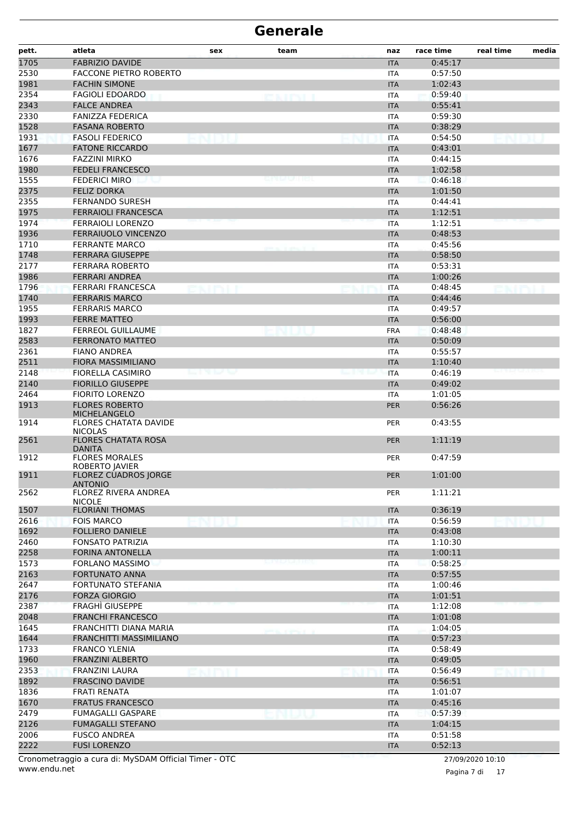| <b>FABRIZIO DAVIDE</b><br>0:45:17<br><b>ITA</b><br>2530<br>FACCONE PIETRO ROBERTO<br>0:57:50<br><b>ITA</b><br>1981<br><b>FACHIN SIMONE</b><br>1:02:43<br><b>ITA</b><br>2354<br>0:59:40<br><b>FAGIOLI EDOARDO</b><br>ITA<br>enirvii<br>2343<br><b>FALCE ANDREA</b><br>0:55:41<br><b>ITA</b><br>2330<br><b>FANIZZA FEDERICA</b><br>0:59:30<br><b>ITA</b><br>1528<br><b>FASANA ROBERTO</b><br>0:38:29<br><b>ITA</b><br>1931<br><b>FASOLI FEDERICO</b><br>0:54:50<br><b>ITA</b><br>1677<br><b>FATONE RICCARDO</b><br>0:43:01<br><b>ITA</b><br>1676<br><b>FAZZINI MIRKO</b><br>0:44:15<br>ITA<br>1980<br><b>FEDELI FRANCESCO</b><br>1:02:58<br><b>ITA</b><br>1555<br><b>FEDERICI MIRO</b><br>0:46:18<br><b>ITA</b><br>2375<br><b>FELIZ DORKA</b><br>1:01:50<br><b>ITA</b><br>2355<br><b>FERNANDO SURESH</b><br>0:44:41<br><b>ITA</b><br>1975<br><b>FERRAIOLI FRANCESCA</b><br>1:12:51<br><b>ITA</b><br>1974<br><b>FERRAIOLI LORENZO</b><br>1:12:51<br><b>ITA</b><br>1936<br>FERRAIUOLO VINCENZO<br>0:48:53<br><b>ITA</b><br>1710<br><b>FERRANTE MARCO</b><br>0:45:56<br><b>ITA</b><br>1748<br><b>FERRARA GIUSEPPE</b><br>0:58:50<br><b>ITA</b><br>2177<br>FERRARA ROBERTO<br>0:53:31<br><b>ITA</b><br>1986<br><b>FERRARI ANDREA</b><br>1:00:26<br><b>ITA</b><br>1796<br>FERRARI FRANCESCA<br>0:48:45<br><b>ITA</b><br>1740<br><b>FERRARIS MARCO</b><br>0:44:46<br><b>ITA</b><br>1955<br><b>FERRARIS MARCO</b><br>0:49:57<br><b>ITA</b><br>1993<br>0:56:00<br><b>FERRE MATTEO</b><br><b>ITA</b><br>1827<br><b>FERREOL GUILLAUME</b><br>0:48:48<br><b>FRA</b><br>2583<br><b>FERRONATO MATTEO</b><br>0:50:09<br><b>ITA</b><br>2361<br><b>FIANO ANDREA</b><br>0:55:57<br>ITA<br>2511<br><b>FIORA MASSIMILIANO</b><br>1:10:40<br><b>ITA</b><br>2148<br><b>FIORELLA CASIMIRO</b><br>.<br>0:46:19<br><b>ITA</b><br>2140<br><b>FIORILLO GIUSEPPE</b><br>0:49:02<br><b>ITA</b><br>2464<br><b>FIORITO LORENZO</b><br>1:01:05<br>ITA<br>1913<br><b>FLORES ROBERTO</b><br><b>PER</b><br>0:56:26<br><b>MICHELANGELO</b><br>1914<br>0:43:55<br><b>FLORES CHATATA DAVIDE</b><br><b>PER</b><br><b>NICOLAS</b><br>2561<br><b>FLORES CHATATA ROSA</b><br>1:11:19<br><b>PER</b><br>DANITA<br>1912<br><b>FLORES MORALES</b><br>0:47:59<br><b>PER</b><br>ROBERTO JAVIER<br>1911<br><b>FLOREZ CUADROS JORGE</b><br>1:01:00<br><b>PER</b><br><b>ANTONIO</b><br>2562<br><b>FLOREZ RIVERA ANDREA</b><br>1:11:21<br><b>PER</b><br><b>NICOLE</b><br>1507<br><b>FLORIANI THOMAS</b><br><b>ITA</b><br>0:36:19<br>2616<br><b>FOIS MARCO</b><br><b>ITA</b><br>0:56:59<br>1692<br><b>FOLLIERO DANIELE</b><br>0:43:08<br><b>ITA</b><br>2460<br><b>FONSATO PATRIZIA</b><br>1:10:30<br><b>ITA</b><br>2258<br>FORINA ANTONELLA<br><b>ITA</b><br>1:00:11<br>1573<br><b>FORLANO MASSIMO</b><br>0:58:25<br>ITA<br>2163<br><b>FORTUNATO ANNA</b><br>0:57:55<br><b>ITA</b><br>2647<br><b>FORTUNATO STEFANIA</b><br><b>ITA</b><br>1:00:46<br>2176<br><b>FORZA GIORGIO</b><br>1:01:51<br><b>ITA</b><br>2387<br>FRAGHÌ GIUSEPPE<br>1:12:08<br><b>ITA</b><br>2048<br><b>FRANCHI FRANCESCO</b><br>1:01:08<br><b>ITA</b><br>1645<br>FRANCHITTI DIANA MARIA<br>1:04:05<br>ITA<br>1644<br>FRANCHITTI MASSIMILIANO<br>0:57:23<br><b>ITA</b><br>1733<br><b>FRANCO YLENIA</b><br>0:58:49<br><b>ITA</b><br>1960<br><b>FRANZINI ALBERTO</b><br><b>ITA</b><br>0:49:05<br>2353<br><b>FRANZINI LAURA</b><br><b>ITA</b><br>0:56:49<br>1892<br><b>FRASCINO DAVIDE</b><br>0:56:51<br><b>ITA</b><br>1836<br><b>FRATI RENATA</b><br>1:01:07<br>ITA<br>1670<br><b>FRATUS FRANCESCO</b><br><b>ITA</b><br>0:45:16<br>2479<br><b>FUMAGALLI GASPARE</b><br>0:57:39<br><b>ITA</b><br>2126<br><b>FUMAGALLI STEFANO</b><br><b>ITA</b><br>1:04:15<br>2006<br><b>FUSCO ANDREA</b><br><b>ITA</b><br>0:51:58<br>2222<br><b>FUSI LORENZO</b><br>0:52:13<br><b>ITA</b> | pett. | atleta | sex | team | naz | race time | real time | media |
|---------------------------------------------------------------------------------------------------------------------------------------------------------------------------------------------------------------------------------------------------------------------------------------------------------------------------------------------------------------------------------------------------------------------------------------------------------------------------------------------------------------------------------------------------------------------------------------------------------------------------------------------------------------------------------------------------------------------------------------------------------------------------------------------------------------------------------------------------------------------------------------------------------------------------------------------------------------------------------------------------------------------------------------------------------------------------------------------------------------------------------------------------------------------------------------------------------------------------------------------------------------------------------------------------------------------------------------------------------------------------------------------------------------------------------------------------------------------------------------------------------------------------------------------------------------------------------------------------------------------------------------------------------------------------------------------------------------------------------------------------------------------------------------------------------------------------------------------------------------------------------------------------------------------------------------------------------------------------------------------------------------------------------------------------------------------------------------------------------------------------------------------------------------------------------------------------------------------------------------------------------------------------------------------------------------------------------------------------------------------------------------------------------------------------------------------------------------------------------------------------------------------------------------------------------------------------------------------------------------------------------------------------------------------------------------------------------------------------------------------------------------------------------------------------------------------------------------------------------------------------------------------------------------------------------------------------------------------------------------------------------------------------------------------------------------------------------------------------------------------------------------------------------------------------------------------------------------------------------------------------------------------------------------------------------------------------------------------------------------------------------------------------------------------------------------------------------------------------------------------------------------------------------------------------------------------------------------------------------------------------------------------------------------------------------------------------------------------------------------------------------------------------------------|-------|--------|-----|------|-----|-----------|-----------|-------|
|                                                                                                                                                                                                                                                                                                                                                                                                                                                                                                                                                                                                                                                                                                                                                                                                                                                                                                                                                                                                                                                                                                                                                                                                                                                                                                                                                                                                                                                                                                                                                                                                                                                                                                                                                                                                                                                                                                                                                                                                                                                                                                                                                                                                                                                                                                                                                                                                                                                                                                                                                                                                                                                                                                                                                                                                                                                                                                                                                                                                                                                                                                                                                                                                                                                                                                                                                                                                                                                                                                                                                                                                                                                                                                                                                                                       | 1705  |        |     |      |     |           |           |       |
|                                                                                                                                                                                                                                                                                                                                                                                                                                                                                                                                                                                                                                                                                                                                                                                                                                                                                                                                                                                                                                                                                                                                                                                                                                                                                                                                                                                                                                                                                                                                                                                                                                                                                                                                                                                                                                                                                                                                                                                                                                                                                                                                                                                                                                                                                                                                                                                                                                                                                                                                                                                                                                                                                                                                                                                                                                                                                                                                                                                                                                                                                                                                                                                                                                                                                                                                                                                                                                                                                                                                                                                                                                                                                                                                                                                       |       |        |     |      |     |           |           |       |
|                                                                                                                                                                                                                                                                                                                                                                                                                                                                                                                                                                                                                                                                                                                                                                                                                                                                                                                                                                                                                                                                                                                                                                                                                                                                                                                                                                                                                                                                                                                                                                                                                                                                                                                                                                                                                                                                                                                                                                                                                                                                                                                                                                                                                                                                                                                                                                                                                                                                                                                                                                                                                                                                                                                                                                                                                                                                                                                                                                                                                                                                                                                                                                                                                                                                                                                                                                                                                                                                                                                                                                                                                                                                                                                                                                                       |       |        |     |      |     |           |           |       |
|                                                                                                                                                                                                                                                                                                                                                                                                                                                                                                                                                                                                                                                                                                                                                                                                                                                                                                                                                                                                                                                                                                                                                                                                                                                                                                                                                                                                                                                                                                                                                                                                                                                                                                                                                                                                                                                                                                                                                                                                                                                                                                                                                                                                                                                                                                                                                                                                                                                                                                                                                                                                                                                                                                                                                                                                                                                                                                                                                                                                                                                                                                                                                                                                                                                                                                                                                                                                                                                                                                                                                                                                                                                                                                                                                                                       |       |        |     |      |     |           |           |       |
|                                                                                                                                                                                                                                                                                                                                                                                                                                                                                                                                                                                                                                                                                                                                                                                                                                                                                                                                                                                                                                                                                                                                                                                                                                                                                                                                                                                                                                                                                                                                                                                                                                                                                                                                                                                                                                                                                                                                                                                                                                                                                                                                                                                                                                                                                                                                                                                                                                                                                                                                                                                                                                                                                                                                                                                                                                                                                                                                                                                                                                                                                                                                                                                                                                                                                                                                                                                                                                                                                                                                                                                                                                                                                                                                                                                       |       |        |     |      |     |           |           |       |
|                                                                                                                                                                                                                                                                                                                                                                                                                                                                                                                                                                                                                                                                                                                                                                                                                                                                                                                                                                                                                                                                                                                                                                                                                                                                                                                                                                                                                                                                                                                                                                                                                                                                                                                                                                                                                                                                                                                                                                                                                                                                                                                                                                                                                                                                                                                                                                                                                                                                                                                                                                                                                                                                                                                                                                                                                                                                                                                                                                                                                                                                                                                                                                                                                                                                                                                                                                                                                                                                                                                                                                                                                                                                                                                                                                                       |       |        |     |      |     |           |           |       |
|                                                                                                                                                                                                                                                                                                                                                                                                                                                                                                                                                                                                                                                                                                                                                                                                                                                                                                                                                                                                                                                                                                                                                                                                                                                                                                                                                                                                                                                                                                                                                                                                                                                                                                                                                                                                                                                                                                                                                                                                                                                                                                                                                                                                                                                                                                                                                                                                                                                                                                                                                                                                                                                                                                                                                                                                                                                                                                                                                                                                                                                                                                                                                                                                                                                                                                                                                                                                                                                                                                                                                                                                                                                                                                                                                                                       |       |        |     |      |     |           |           |       |
|                                                                                                                                                                                                                                                                                                                                                                                                                                                                                                                                                                                                                                                                                                                                                                                                                                                                                                                                                                                                                                                                                                                                                                                                                                                                                                                                                                                                                                                                                                                                                                                                                                                                                                                                                                                                                                                                                                                                                                                                                                                                                                                                                                                                                                                                                                                                                                                                                                                                                                                                                                                                                                                                                                                                                                                                                                                                                                                                                                                                                                                                                                                                                                                                                                                                                                                                                                                                                                                                                                                                                                                                                                                                                                                                                                                       |       |        |     |      |     |           |           |       |
|                                                                                                                                                                                                                                                                                                                                                                                                                                                                                                                                                                                                                                                                                                                                                                                                                                                                                                                                                                                                                                                                                                                                                                                                                                                                                                                                                                                                                                                                                                                                                                                                                                                                                                                                                                                                                                                                                                                                                                                                                                                                                                                                                                                                                                                                                                                                                                                                                                                                                                                                                                                                                                                                                                                                                                                                                                                                                                                                                                                                                                                                                                                                                                                                                                                                                                                                                                                                                                                                                                                                                                                                                                                                                                                                                                                       |       |        |     |      |     |           |           |       |
|                                                                                                                                                                                                                                                                                                                                                                                                                                                                                                                                                                                                                                                                                                                                                                                                                                                                                                                                                                                                                                                                                                                                                                                                                                                                                                                                                                                                                                                                                                                                                                                                                                                                                                                                                                                                                                                                                                                                                                                                                                                                                                                                                                                                                                                                                                                                                                                                                                                                                                                                                                                                                                                                                                                                                                                                                                                                                                                                                                                                                                                                                                                                                                                                                                                                                                                                                                                                                                                                                                                                                                                                                                                                                                                                                                                       |       |        |     |      |     |           |           |       |
|                                                                                                                                                                                                                                                                                                                                                                                                                                                                                                                                                                                                                                                                                                                                                                                                                                                                                                                                                                                                                                                                                                                                                                                                                                                                                                                                                                                                                                                                                                                                                                                                                                                                                                                                                                                                                                                                                                                                                                                                                                                                                                                                                                                                                                                                                                                                                                                                                                                                                                                                                                                                                                                                                                                                                                                                                                                                                                                                                                                                                                                                                                                                                                                                                                                                                                                                                                                                                                                                                                                                                                                                                                                                                                                                                                                       |       |        |     |      |     |           |           |       |
|                                                                                                                                                                                                                                                                                                                                                                                                                                                                                                                                                                                                                                                                                                                                                                                                                                                                                                                                                                                                                                                                                                                                                                                                                                                                                                                                                                                                                                                                                                                                                                                                                                                                                                                                                                                                                                                                                                                                                                                                                                                                                                                                                                                                                                                                                                                                                                                                                                                                                                                                                                                                                                                                                                                                                                                                                                                                                                                                                                                                                                                                                                                                                                                                                                                                                                                                                                                                                                                                                                                                                                                                                                                                                                                                                                                       |       |        |     |      |     |           |           |       |
|                                                                                                                                                                                                                                                                                                                                                                                                                                                                                                                                                                                                                                                                                                                                                                                                                                                                                                                                                                                                                                                                                                                                                                                                                                                                                                                                                                                                                                                                                                                                                                                                                                                                                                                                                                                                                                                                                                                                                                                                                                                                                                                                                                                                                                                                                                                                                                                                                                                                                                                                                                                                                                                                                                                                                                                                                                                                                                                                                                                                                                                                                                                                                                                                                                                                                                                                                                                                                                                                                                                                                                                                                                                                                                                                                                                       |       |        |     |      |     |           |           |       |
|                                                                                                                                                                                                                                                                                                                                                                                                                                                                                                                                                                                                                                                                                                                                                                                                                                                                                                                                                                                                                                                                                                                                                                                                                                                                                                                                                                                                                                                                                                                                                                                                                                                                                                                                                                                                                                                                                                                                                                                                                                                                                                                                                                                                                                                                                                                                                                                                                                                                                                                                                                                                                                                                                                                                                                                                                                                                                                                                                                                                                                                                                                                                                                                                                                                                                                                                                                                                                                                                                                                                                                                                                                                                                                                                                                                       |       |        |     |      |     |           |           |       |
|                                                                                                                                                                                                                                                                                                                                                                                                                                                                                                                                                                                                                                                                                                                                                                                                                                                                                                                                                                                                                                                                                                                                                                                                                                                                                                                                                                                                                                                                                                                                                                                                                                                                                                                                                                                                                                                                                                                                                                                                                                                                                                                                                                                                                                                                                                                                                                                                                                                                                                                                                                                                                                                                                                                                                                                                                                                                                                                                                                                                                                                                                                                                                                                                                                                                                                                                                                                                                                                                                                                                                                                                                                                                                                                                                                                       |       |        |     |      |     |           |           |       |
|                                                                                                                                                                                                                                                                                                                                                                                                                                                                                                                                                                                                                                                                                                                                                                                                                                                                                                                                                                                                                                                                                                                                                                                                                                                                                                                                                                                                                                                                                                                                                                                                                                                                                                                                                                                                                                                                                                                                                                                                                                                                                                                                                                                                                                                                                                                                                                                                                                                                                                                                                                                                                                                                                                                                                                                                                                                                                                                                                                                                                                                                                                                                                                                                                                                                                                                                                                                                                                                                                                                                                                                                                                                                                                                                                                                       |       |        |     |      |     |           |           |       |
|                                                                                                                                                                                                                                                                                                                                                                                                                                                                                                                                                                                                                                                                                                                                                                                                                                                                                                                                                                                                                                                                                                                                                                                                                                                                                                                                                                                                                                                                                                                                                                                                                                                                                                                                                                                                                                                                                                                                                                                                                                                                                                                                                                                                                                                                                                                                                                                                                                                                                                                                                                                                                                                                                                                                                                                                                                                                                                                                                                                                                                                                                                                                                                                                                                                                                                                                                                                                                                                                                                                                                                                                                                                                                                                                                                                       |       |        |     |      |     |           |           |       |
|                                                                                                                                                                                                                                                                                                                                                                                                                                                                                                                                                                                                                                                                                                                                                                                                                                                                                                                                                                                                                                                                                                                                                                                                                                                                                                                                                                                                                                                                                                                                                                                                                                                                                                                                                                                                                                                                                                                                                                                                                                                                                                                                                                                                                                                                                                                                                                                                                                                                                                                                                                                                                                                                                                                                                                                                                                                                                                                                                                                                                                                                                                                                                                                                                                                                                                                                                                                                                                                                                                                                                                                                                                                                                                                                                                                       |       |        |     |      |     |           |           |       |
|                                                                                                                                                                                                                                                                                                                                                                                                                                                                                                                                                                                                                                                                                                                                                                                                                                                                                                                                                                                                                                                                                                                                                                                                                                                                                                                                                                                                                                                                                                                                                                                                                                                                                                                                                                                                                                                                                                                                                                                                                                                                                                                                                                                                                                                                                                                                                                                                                                                                                                                                                                                                                                                                                                                                                                                                                                                                                                                                                                                                                                                                                                                                                                                                                                                                                                                                                                                                                                                                                                                                                                                                                                                                                                                                                                                       |       |        |     |      |     |           |           |       |
|                                                                                                                                                                                                                                                                                                                                                                                                                                                                                                                                                                                                                                                                                                                                                                                                                                                                                                                                                                                                                                                                                                                                                                                                                                                                                                                                                                                                                                                                                                                                                                                                                                                                                                                                                                                                                                                                                                                                                                                                                                                                                                                                                                                                                                                                                                                                                                                                                                                                                                                                                                                                                                                                                                                                                                                                                                                                                                                                                                                                                                                                                                                                                                                                                                                                                                                                                                                                                                                                                                                                                                                                                                                                                                                                                                                       |       |        |     |      |     |           |           |       |
|                                                                                                                                                                                                                                                                                                                                                                                                                                                                                                                                                                                                                                                                                                                                                                                                                                                                                                                                                                                                                                                                                                                                                                                                                                                                                                                                                                                                                                                                                                                                                                                                                                                                                                                                                                                                                                                                                                                                                                                                                                                                                                                                                                                                                                                                                                                                                                                                                                                                                                                                                                                                                                                                                                                                                                                                                                                                                                                                                                                                                                                                                                                                                                                                                                                                                                                                                                                                                                                                                                                                                                                                                                                                                                                                                                                       |       |        |     |      |     |           |           |       |
|                                                                                                                                                                                                                                                                                                                                                                                                                                                                                                                                                                                                                                                                                                                                                                                                                                                                                                                                                                                                                                                                                                                                                                                                                                                                                                                                                                                                                                                                                                                                                                                                                                                                                                                                                                                                                                                                                                                                                                                                                                                                                                                                                                                                                                                                                                                                                                                                                                                                                                                                                                                                                                                                                                                                                                                                                                                                                                                                                                                                                                                                                                                                                                                                                                                                                                                                                                                                                                                                                                                                                                                                                                                                                                                                                                                       |       |        |     |      |     |           |           |       |
|                                                                                                                                                                                                                                                                                                                                                                                                                                                                                                                                                                                                                                                                                                                                                                                                                                                                                                                                                                                                                                                                                                                                                                                                                                                                                                                                                                                                                                                                                                                                                                                                                                                                                                                                                                                                                                                                                                                                                                                                                                                                                                                                                                                                                                                                                                                                                                                                                                                                                                                                                                                                                                                                                                                                                                                                                                                                                                                                                                                                                                                                                                                                                                                                                                                                                                                                                                                                                                                                                                                                                                                                                                                                                                                                                                                       |       |        |     |      |     |           |           |       |
|                                                                                                                                                                                                                                                                                                                                                                                                                                                                                                                                                                                                                                                                                                                                                                                                                                                                                                                                                                                                                                                                                                                                                                                                                                                                                                                                                                                                                                                                                                                                                                                                                                                                                                                                                                                                                                                                                                                                                                                                                                                                                                                                                                                                                                                                                                                                                                                                                                                                                                                                                                                                                                                                                                                                                                                                                                                                                                                                                                                                                                                                                                                                                                                                                                                                                                                                                                                                                                                                                                                                                                                                                                                                                                                                                                                       |       |        |     |      |     |           |           |       |
|                                                                                                                                                                                                                                                                                                                                                                                                                                                                                                                                                                                                                                                                                                                                                                                                                                                                                                                                                                                                                                                                                                                                                                                                                                                                                                                                                                                                                                                                                                                                                                                                                                                                                                                                                                                                                                                                                                                                                                                                                                                                                                                                                                                                                                                                                                                                                                                                                                                                                                                                                                                                                                                                                                                                                                                                                                                                                                                                                                                                                                                                                                                                                                                                                                                                                                                                                                                                                                                                                                                                                                                                                                                                                                                                                                                       |       |        |     |      |     |           |           |       |
|                                                                                                                                                                                                                                                                                                                                                                                                                                                                                                                                                                                                                                                                                                                                                                                                                                                                                                                                                                                                                                                                                                                                                                                                                                                                                                                                                                                                                                                                                                                                                                                                                                                                                                                                                                                                                                                                                                                                                                                                                                                                                                                                                                                                                                                                                                                                                                                                                                                                                                                                                                                                                                                                                                                                                                                                                                                                                                                                                                                                                                                                                                                                                                                                                                                                                                                                                                                                                                                                                                                                                                                                                                                                                                                                                                                       |       |        |     |      |     |           |           |       |
|                                                                                                                                                                                                                                                                                                                                                                                                                                                                                                                                                                                                                                                                                                                                                                                                                                                                                                                                                                                                                                                                                                                                                                                                                                                                                                                                                                                                                                                                                                                                                                                                                                                                                                                                                                                                                                                                                                                                                                                                                                                                                                                                                                                                                                                                                                                                                                                                                                                                                                                                                                                                                                                                                                                                                                                                                                                                                                                                                                                                                                                                                                                                                                                                                                                                                                                                                                                                                                                                                                                                                                                                                                                                                                                                                                                       |       |        |     |      |     |           |           |       |
|                                                                                                                                                                                                                                                                                                                                                                                                                                                                                                                                                                                                                                                                                                                                                                                                                                                                                                                                                                                                                                                                                                                                                                                                                                                                                                                                                                                                                                                                                                                                                                                                                                                                                                                                                                                                                                                                                                                                                                                                                                                                                                                                                                                                                                                                                                                                                                                                                                                                                                                                                                                                                                                                                                                                                                                                                                                                                                                                                                                                                                                                                                                                                                                                                                                                                                                                                                                                                                                                                                                                                                                                                                                                                                                                                                                       |       |        |     |      |     |           |           |       |
|                                                                                                                                                                                                                                                                                                                                                                                                                                                                                                                                                                                                                                                                                                                                                                                                                                                                                                                                                                                                                                                                                                                                                                                                                                                                                                                                                                                                                                                                                                                                                                                                                                                                                                                                                                                                                                                                                                                                                                                                                                                                                                                                                                                                                                                                                                                                                                                                                                                                                                                                                                                                                                                                                                                                                                                                                                                                                                                                                                                                                                                                                                                                                                                                                                                                                                                                                                                                                                                                                                                                                                                                                                                                                                                                                                                       |       |        |     |      |     |           |           |       |
|                                                                                                                                                                                                                                                                                                                                                                                                                                                                                                                                                                                                                                                                                                                                                                                                                                                                                                                                                                                                                                                                                                                                                                                                                                                                                                                                                                                                                                                                                                                                                                                                                                                                                                                                                                                                                                                                                                                                                                                                                                                                                                                                                                                                                                                                                                                                                                                                                                                                                                                                                                                                                                                                                                                                                                                                                                                                                                                                                                                                                                                                                                                                                                                                                                                                                                                                                                                                                                                                                                                                                                                                                                                                                                                                                                                       |       |        |     |      |     |           |           |       |
|                                                                                                                                                                                                                                                                                                                                                                                                                                                                                                                                                                                                                                                                                                                                                                                                                                                                                                                                                                                                                                                                                                                                                                                                                                                                                                                                                                                                                                                                                                                                                                                                                                                                                                                                                                                                                                                                                                                                                                                                                                                                                                                                                                                                                                                                                                                                                                                                                                                                                                                                                                                                                                                                                                                                                                                                                                                                                                                                                                                                                                                                                                                                                                                                                                                                                                                                                                                                                                                                                                                                                                                                                                                                                                                                                                                       |       |        |     |      |     |           |           |       |
|                                                                                                                                                                                                                                                                                                                                                                                                                                                                                                                                                                                                                                                                                                                                                                                                                                                                                                                                                                                                                                                                                                                                                                                                                                                                                                                                                                                                                                                                                                                                                                                                                                                                                                                                                                                                                                                                                                                                                                                                                                                                                                                                                                                                                                                                                                                                                                                                                                                                                                                                                                                                                                                                                                                                                                                                                                                                                                                                                                                                                                                                                                                                                                                                                                                                                                                                                                                                                                                                                                                                                                                                                                                                                                                                                                                       |       |        |     |      |     |           |           |       |
|                                                                                                                                                                                                                                                                                                                                                                                                                                                                                                                                                                                                                                                                                                                                                                                                                                                                                                                                                                                                                                                                                                                                                                                                                                                                                                                                                                                                                                                                                                                                                                                                                                                                                                                                                                                                                                                                                                                                                                                                                                                                                                                                                                                                                                                                                                                                                                                                                                                                                                                                                                                                                                                                                                                                                                                                                                                                                                                                                                                                                                                                                                                                                                                                                                                                                                                                                                                                                                                                                                                                                                                                                                                                                                                                                                                       |       |        |     |      |     |           |           |       |
|                                                                                                                                                                                                                                                                                                                                                                                                                                                                                                                                                                                                                                                                                                                                                                                                                                                                                                                                                                                                                                                                                                                                                                                                                                                                                                                                                                                                                                                                                                                                                                                                                                                                                                                                                                                                                                                                                                                                                                                                                                                                                                                                                                                                                                                                                                                                                                                                                                                                                                                                                                                                                                                                                                                                                                                                                                                                                                                                                                                                                                                                                                                                                                                                                                                                                                                                                                                                                                                                                                                                                                                                                                                                                                                                                                                       |       |        |     |      |     |           |           |       |
|                                                                                                                                                                                                                                                                                                                                                                                                                                                                                                                                                                                                                                                                                                                                                                                                                                                                                                                                                                                                                                                                                                                                                                                                                                                                                                                                                                                                                                                                                                                                                                                                                                                                                                                                                                                                                                                                                                                                                                                                                                                                                                                                                                                                                                                                                                                                                                                                                                                                                                                                                                                                                                                                                                                                                                                                                                                                                                                                                                                                                                                                                                                                                                                                                                                                                                                                                                                                                                                                                                                                                                                                                                                                                                                                                                                       |       |        |     |      |     |           |           |       |
|                                                                                                                                                                                                                                                                                                                                                                                                                                                                                                                                                                                                                                                                                                                                                                                                                                                                                                                                                                                                                                                                                                                                                                                                                                                                                                                                                                                                                                                                                                                                                                                                                                                                                                                                                                                                                                                                                                                                                                                                                                                                                                                                                                                                                                                                                                                                                                                                                                                                                                                                                                                                                                                                                                                                                                                                                                                                                                                                                                                                                                                                                                                                                                                                                                                                                                                                                                                                                                                                                                                                                                                                                                                                                                                                                                                       |       |        |     |      |     |           |           |       |
|                                                                                                                                                                                                                                                                                                                                                                                                                                                                                                                                                                                                                                                                                                                                                                                                                                                                                                                                                                                                                                                                                                                                                                                                                                                                                                                                                                                                                                                                                                                                                                                                                                                                                                                                                                                                                                                                                                                                                                                                                                                                                                                                                                                                                                                                                                                                                                                                                                                                                                                                                                                                                                                                                                                                                                                                                                                                                                                                                                                                                                                                                                                                                                                                                                                                                                                                                                                                                                                                                                                                                                                                                                                                                                                                                                                       |       |        |     |      |     |           |           |       |
|                                                                                                                                                                                                                                                                                                                                                                                                                                                                                                                                                                                                                                                                                                                                                                                                                                                                                                                                                                                                                                                                                                                                                                                                                                                                                                                                                                                                                                                                                                                                                                                                                                                                                                                                                                                                                                                                                                                                                                                                                                                                                                                                                                                                                                                                                                                                                                                                                                                                                                                                                                                                                                                                                                                                                                                                                                                                                                                                                                                                                                                                                                                                                                                                                                                                                                                                                                                                                                                                                                                                                                                                                                                                                                                                                                                       |       |        |     |      |     |           |           |       |
|                                                                                                                                                                                                                                                                                                                                                                                                                                                                                                                                                                                                                                                                                                                                                                                                                                                                                                                                                                                                                                                                                                                                                                                                                                                                                                                                                                                                                                                                                                                                                                                                                                                                                                                                                                                                                                                                                                                                                                                                                                                                                                                                                                                                                                                                                                                                                                                                                                                                                                                                                                                                                                                                                                                                                                                                                                                                                                                                                                                                                                                                                                                                                                                                                                                                                                                                                                                                                                                                                                                                                                                                                                                                                                                                                                                       |       |        |     |      |     |           |           |       |
|                                                                                                                                                                                                                                                                                                                                                                                                                                                                                                                                                                                                                                                                                                                                                                                                                                                                                                                                                                                                                                                                                                                                                                                                                                                                                                                                                                                                                                                                                                                                                                                                                                                                                                                                                                                                                                                                                                                                                                                                                                                                                                                                                                                                                                                                                                                                                                                                                                                                                                                                                                                                                                                                                                                                                                                                                                                                                                                                                                                                                                                                                                                                                                                                                                                                                                                                                                                                                                                                                                                                                                                                                                                                                                                                                                                       |       |        |     |      |     |           |           |       |
|                                                                                                                                                                                                                                                                                                                                                                                                                                                                                                                                                                                                                                                                                                                                                                                                                                                                                                                                                                                                                                                                                                                                                                                                                                                                                                                                                                                                                                                                                                                                                                                                                                                                                                                                                                                                                                                                                                                                                                                                                                                                                                                                                                                                                                                                                                                                                                                                                                                                                                                                                                                                                                                                                                                                                                                                                                                                                                                                                                                                                                                                                                                                                                                                                                                                                                                                                                                                                                                                                                                                                                                                                                                                                                                                                                                       |       |        |     |      |     |           |           |       |
|                                                                                                                                                                                                                                                                                                                                                                                                                                                                                                                                                                                                                                                                                                                                                                                                                                                                                                                                                                                                                                                                                                                                                                                                                                                                                                                                                                                                                                                                                                                                                                                                                                                                                                                                                                                                                                                                                                                                                                                                                                                                                                                                                                                                                                                                                                                                                                                                                                                                                                                                                                                                                                                                                                                                                                                                                                                                                                                                                                                                                                                                                                                                                                                                                                                                                                                                                                                                                                                                                                                                                                                                                                                                                                                                                                                       |       |        |     |      |     |           |           |       |
|                                                                                                                                                                                                                                                                                                                                                                                                                                                                                                                                                                                                                                                                                                                                                                                                                                                                                                                                                                                                                                                                                                                                                                                                                                                                                                                                                                                                                                                                                                                                                                                                                                                                                                                                                                                                                                                                                                                                                                                                                                                                                                                                                                                                                                                                                                                                                                                                                                                                                                                                                                                                                                                                                                                                                                                                                                                                                                                                                                                                                                                                                                                                                                                                                                                                                                                                                                                                                                                                                                                                                                                                                                                                                                                                                                                       |       |        |     |      |     |           |           |       |
|                                                                                                                                                                                                                                                                                                                                                                                                                                                                                                                                                                                                                                                                                                                                                                                                                                                                                                                                                                                                                                                                                                                                                                                                                                                                                                                                                                                                                                                                                                                                                                                                                                                                                                                                                                                                                                                                                                                                                                                                                                                                                                                                                                                                                                                                                                                                                                                                                                                                                                                                                                                                                                                                                                                                                                                                                                                                                                                                                                                                                                                                                                                                                                                                                                                                                                                                                                                                                                                                                                                                                                                                                                                                                                                                                                                       |       |        |     |      |     |           |           |       |
|                                                                                                                                                                                                                                                                                                                                                                                                                                                                                                                                                                                                                                                                                                                                                                                                                                                                                                                                                                                                                                                                                                                                                                                                                                                                                                                                                                                                                                                                                                                                                                                                                                                                                                                                                                                                                                                                                                                                                                                                                                                                                                                                                                                                                                                                                                                                                                                                                                                                                                                                                                                                                                                                                                                                                                                                                                                                                                                                                                                                                                                                                                                                                                                                                                                                                                                                                                                                                                                                                                                                                                                                                                                                                                                                                                                       |       |        |     |      |     |           |           |       |
|                                                                                                                                                                                                                                                                                                                                                                                                                                                                                                                                                                                                                                                                                                                                                                                                                                                                                                                                                                                                                                                                                                                                                                                                                                                                                                                                                                                                                                                                                                                                                                                                                                                                                                                                                                                                                                                                                                                                                                                                                                                                                                                                                                                                                                                                                                                                                                                                                                                                                                                                                                                                                                                                                                                                                                                                                                                                                                                                                                                                                                                                                                                                                                                                                                                                                                                                                                                                                                                                                                                                                                                                                                                                                                                                                                                       |       |        |     |      |     |           |           |       |
|                                                                                                                                                                                                                                                                                                                                                                                                                                                                                                                                                                                                                                                                                                                                                                                                                                                                                                                                                                                                                                                                                                                                                                                                                                                                                                                                                                                                                                                                                                                                                                                                                                                                                                                                                                                                                                                                                                                                                                                                                                                                                                                                                                                                                                                                                                                                                                                                                                                                                                                                                                                                                                                                                                                                                                                                                                                                                                                                                                                                                                                                                                                                                                                                                                                                                                                                                                                                                                                                                                                                                                                                                                                                                                                                                                                       |       |        |     |      |     |           |           |       |
|                                                                                                                                                                                                                                                                                                                                                                                                                                                                                                                                                                                                                                                                                                                                                                                                                                                                                                                                                                                                                                                                                                                                                                                                                                                                                                                                                                                                                                                                                                                                                                                                                                                                                                                                                                                                                                                                                                                                                                                                                                                                                                                                                                                                                                                                                                                                                                                                                                                                                                                                                                                                                                                                                                                                                                                                                                                                                                                                                                                                                                                                                                                                                                                                                                                                                                                                                                                                                                                                                                                                                                                                                                                                                                                                                                                       |       |        |     |      |     |           |           |       |
|                                                                                                                                                                                                                                                                                                                                                                                                                                                                                                                                                                                                                                                                                                                                                                                                                                                                                                                                                                                                                                                                                                                                                                                                                                                                                                                                                                                                                                                                                                                                                                                                                                                                                                                                                                                                                                                                                                                                                                                                                                                                                                                                                                                                                                                                                                                                                                                                                                                                                                                                                                                                                                                                                                                                                                                                                                                                                                                                                                                                                                                                                                                                                                                                                                                                                                                                                                                                                                                                                                                                                                                                                                                                                                                                                                                       |       |        |     |      |     |           |           |       |
|                                                                                                                                                                                                                                                                                                                                                                                                                                                                                                                                                                                                                                                                                                                                                                                                                                                                                                                                                                                                                                                                                                                                                                                                                                                                                                                                                                                                                                                                                                                                                                                                                                                                                                                                                                                                                                                                                                                                                                                                                                                                                                                                                                                                                                                                                                                                                                                                                                                                                                                                                                                                                                                                                                                                                                                                                                                                                                                                                                                                                                                                                                                                                                                                                                                                                                                                                                                                                                                                                                                                                                                                                                                                                                                                                                                       |       |        |     |      |     |           |           |       |
|                                                                                                                                                                                                                                                                                                                                                                                                                                                                                                                                                                                                                                                                                                                                                                                                                                                                                                                                                                                                                                                                                                                                                                                                                                                                                                                                                                                                                                                                                                                                                                                                                                                                                                                                                                                                                                                                                                                                                                                                                                                                                                                                                                                                                                                                                                                                                                                                                                                                                                                                                                                                                                                                                                                                                                                                                                                                                                                                                                                                                                                                                                                                                                                                                                                                                                                                                                                                                                                                                                                                                                                                                                                                                                                                                                                       |       |        |     |      |     |           |           |       |
|                                                                                                                                                                                                                                                                                                                                                                                                                                                                                                                                                                                                                                                                                                                                                                                                                                                                                                                                                                                                                                                                                                                                                                                                                                                                                                                                                                                                                                                                                                                                                                                                                                                                                                                                                                                                                                                                                                                                                                                                                                                                                                                                                                                                                                                                                                                                                                                                                                                                                                                                                                                                                                                                                                                                                                                                                                                                                                                                                                                                                                                                                                                                                                                                                                                                                                                                                                                                                                                                                                                                                                                                                                                                                                                                                                                       |       |        |     |      |     |           |           |       |
|                                                                                                                                                                                                                                                                                                                                                                                                                                                                                                                                                                                                                                                                                                                                                                                                                                                                                                                                                                                                                                                                                                                                                                                                                                                                                                                                                                                                                                                                                                                                                                                                                                                                                                                                                                                                                                                                                                                                                                                                                                                                                                                                                                                                                                                                                                                                                                                                                                                                                                                                                                                                                                                                                                                                                                                                                                                                                                                                                                                                                                                                                                                                                                                                                                                                                                                                                                                                                                                                                                                                                                                                                                                                                                                                                                                       |       |        |     |      |     |           |           |       |
|                                                                                                                                                                                                                                                                                                                                                                                                                                                                                                                                                                                                                                                                                                                                                                                                                                                                                                                                                                                                                                                                                                                                                                                                                                                                                                                                                                                                                                                                                                                                                                                                                                                                                                                                                                                                                                                                                                                                                                                                                                                                                                                                                                                                                                                                                                                                                                                                                                                                                                                                                                                                                                                                                                                                                                                                                                                                                                                                                                                                                                                                                                                                                                                                                                                                                                                                                                                                                                                                                                                                                                                                                                                                                                                                                                                       |       |        |     |      |     |           |           |       |
|                                                                                                                                                                                                                                                                                                                                                                                                                                                                                                                                                                                                                                                                                                                                                                                                                                                                                                                                                                                                                                                                                                                                                                                                                                                                                                                                                                                                                                                                                                                                                                                                                                                                                                                                                                                                                                                                                                                                                                                                                                                                                                                                                                                                                                                                                                                                                                                                                                                                                                                                                                                                                                                                                                                                                                                                                                                                                                                                                                                                                                                                                                                                                                                                                                                                                                                                                                                                                                                                                                                                                                                                                                                                                                                                                                                       |       |        |     |      |     |           |           |       |
|                                                                                                                                                                                                                                                                                                                                                                                                                                                                                                                                                                                                                                                                                                                                                                                                                                                                                                                                                                                                                                                                                                                                                                                                                                                                                                                                                                                                                                                                                                                                                                                                                                                                                                                                                                                                                                                                                                                                                                                                                                                                                                                                                                                                                                                                                                                                                                                                                                                                                                                                                                                                                                                                                                                                                                                                                                                                                                                                                                                                                                                                                                                                                                                                                                                                                                                                                                                                                                                                                                                                                                                                                                                                                                                                                                                       |       |        |     |      |     |           |           |       |
|                                                                                                                                                                                                                                                                                                                                                                                                                                                                                                                                                                                                                                                                                                                                                                                                                                                                                                                                                                                                                                                                                                                                                                                                                                                                                                                                                                                                                                                                                                                                                                                                                                                                                                                                                                                                                                                                                                                                                                                                                                                                                                                                                                                                                                                                                                                                                                                                                                                                                                                                                                                                                                                                                                                                                                                                                                                                                                                                                                                                                                                                                                                                                                                                                                                                                                                                                                                                                                                                                                                                                                                                                                                                                                                                                                                       |       |        |     |      |     |           |           |       |
|                                                                                                                                                                                                                                                                                                                                                                                                                                                                                                                                                                                                                                                                                                                                                                                                                                                                                                                                                                                                                                                                                                                                                                                                                                                                                                                                                                                                                                                                                                                                                                                                                                                                                                                                                                                                                                                                                                                                                                                                                                                                                                                                                                                                                                                                                                                                                                                                                                                                                                                                                                                                                                                                                                                                                                                                                                                                                                                                                                                                                                                                                                                                                                                                                                                                                                                                                                                                                                                                                                                                                                                                                                                                                                                                                                                       |       |        |     |      |     |           |           |       |
|                                                                                                                                                                                                                                                                                                                                                                                                                                                                                                                                                                                                                                                                                                                                                                                                                                                                                                                                                                                                                                                                                                                                                                                                                                                                                                                                                                                                                                                                                                                                                                                                                                                                                                                                                                                                                                                                                                                                                                                                                                                                                                                                                                                                                                                                                                                                                                                                                                                                                                                                                                                                                                                                                                                                                                                                                                                                                                                                                                                                                                                                                                                                                                                                                                                                                                                                                                                                                                                                                                                                                                                                                                                                                                                                                                                       |       |        |     |      |     |           |           |       |
|                                                                                                                                                                                                                                                                                                                                                                                                                                                                                                                                                                                                                                                                                                                                                                                                                                                                                                                                                                                                                                                                                                                                                                                                                                                                                                                                                                                                                                                                                                                                                                                                                                                                                                                                                                                                                                                                                                                                                                                                                                                                                                                                                                                                                                                                                                                                                                                                                                                                                                                                                                                                                                                                                                                                                                                                                                                                                                                                                                                                                                                                                                                                                                                                                                                                                                                                                                                                                                                                                                                                                                                                                                                                                                                                                                                       |       |        |     |      |     |           |           |       |
|                                                                                                                                                                                                                                                                                                                                                                                                                                                                                                                                                                                                                                                                                                                                                                                                                                                                                                                                                                                                                                                                                                                                                                                                                                                                                                                                                                                                                                                                                                                                                                                                                                                                                                                                                                                                                                                                                                                                                                                                                                                                                                                                                                                                                                                                                                                                                                                                                                                                                                                                                                                                                                                                                                                                                                                                                                                                                                                                                                                                                                                                                                                                                                                                                                                                                                                                                                                                                                                                                                                                                                                                                                                                                                                                                                                       |       |        |     |      |     |           |           |       |

www.endu.net Cronometraggio a cura di: MySDAM Official Timer - OTC 27/09/2020 10:10

Pagina 7 di 17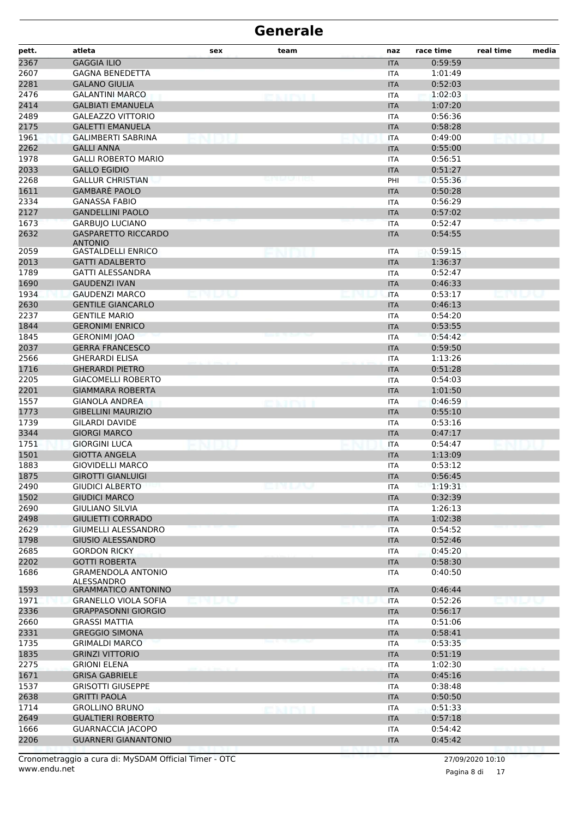| pett.        | atleta                                            | sex | team                 | naz               | race time          | real time | media |
|--------------|---------------------------------------------------|-----|----------------------|-------------------|--------------------|-----------|-------|
| 2367         | <b>GAGGIA ILIO</b>                                |     |                      | <b>ITA</b>        | 0:59:59            |           |       |
| 2607         | <b>GAGNA BENEDETTA</b>                            |     |                      | <b>ITA</b>        | 1:01:49            |           |       |
| 2281         | <b>GALANO GIULIA</b>                              |     |                      | <b>ITA</b>        | 0:52:03            |           |       |
| 2476         | <b>GALANTINI MARCO</b>                            |     | exipti               | <b>ITA</b>        | 1:02:03            |           |       |
| 2414         | <b>GALBIATI EMANUELA</b>                          |     |                      | <b>ITA</b>        | 1:07:20            |           |       |
| 2489         | <b>GALEAZZO VITTORIO</b>                          |     |                      | ITA               | 0:56:36            |           |       |
| 2175         | <b>GALETTI EMANUELA</b>                           |     |                      | <b>ITA</b>        | 0:58:28            |           |       |
| 1961         | GALIMBERTI SABRINA                                |     |                      | <b>ITA</b>        | 0:49:00            |           |       |
| 2262         | <b>GALLI ANNA</b>                                 |     |                      | <b>ITA</b>        | 0:55:00            |           |       |
| 1978         | <b>GALLI ROBERTO MARIO</b>                        |     |                      | <b>ITA</b>        | 0:56:51            |           |       |
| 2033         | <b>GALLO EGIDIO</b>                               |     |                      | <b>ITA</b>        | 0:51:27            |           |       |
| 2268         | <b>GALLUR CHRISTIAN</b>                           |     |                      | PHI               | 0:55:36            |           |       |
| 1611         | <b>GAMBARÈ PAOLO</b>                              |     |                      | <b>ITA</b>        | 0:50:28            |           |       |
| 2334         | <b>GANASSA FABIO</b>                              |     |                      | <b>ITA</b>        | 0:56:29            |           |       |
| 2127         | <b>GANDELLINI PAOLO</b>                           |     |                      | <b>ITA</b>        | 0:57:02            |           |       |
| 1673         | <b>GARBUJO LUCIANO</b>                            |     |                      | <b>ITA</b>        | 0:52:47            |           |       |
| 2632         | <b>GASPARETTO RICCARDO</b><br><b>ANTONIO</b>      |     |                      | <b>ITA</b>        | 0:54:55            |           |       |
| 2059         | <b>GASTALDELLI ENRICO</b>                         |     |                      | <b>ITA</b>        | 0:59:15            |           |       |
| 2013         | <b>GATTI ADALBERTO</b>                            |     |                      | <b>ITA</b>        | 1:36:37            |           |       |
| 1789         | <b>GATTI ALESSANDRA</b>                           |     |                      | <b>ITA</b>        | 0:52:47            |           |       |
| 1690         | <b>GAUDENZI IVAN</b>                              |     |                      | <b>ITA</b>        | 0:46:33            |           |       |
| 1934         | <b>GAUDENZI MARCO</b>                             |     |                      | <b>ITA</b>        | 0:53:17            |           |       |
| 2630         | <b>GENTILE GIANCARLO</b>                          |     |                      | <b>ITA</b>        | 0:46:13            |           |       |
| 2237         | <b>GENTILE MARIO</b>                              |     |                      | <b>ITA</b>        | 0:54:20            |           |       |
| 1844         | <b>GERONIMI ENRICO</b>                            |     |                      | <b>ITA</b>        | 0:53:55            |           |       |
| 1845         | <b>GERONIMI JOAO</b>                              |     |                      | <b>ITA</b>        | 0:54:42            |           |       |
| 2037         | <b>GERRA FRANCESCO</b>                            |     |                      | <b>ITA</b>        | 0:59:50            |           |       |
| 2566         | <b>GHERARDI ELISA</b>                             |     |                      |                   | 1:13:26            |           |       |
| 1716         | <b>GHERARDI PIETRO</b>                            |     |                      | ITA<br><b>ITA</b> | 0:51:28            |           |       |
| 2205         | <b>GIACOMELLI ROBERTO</b>                         |     |                      | <b>ITA</b>        | 0:54:03            |           |       |
| 2201         | <b>GIAMMARA ROBERTA</b>                           |     |                      | <b>ITA</b>        | 1:01:50            |           |       |
| 1557         | <b>GIANOLA ANDREA</b>                             |     |                      | <b>ITA</b>        | 0:46:59            |           |       |
| 1773         | <b>GIBELLINI MAURIZIO</b>                         |     |                      | <b>ITA</b>        | 0:55:10            |           |       |
| 1739         | <b>GILARDI DAVIDE</b>                             |     |                      | ITA               | 0:53:16            |           |       |
| 3344         | <b>GIORGI MARCO</b>                               |     |                      | <b>ITA</b>        | 0:47:17            |           |       |
| 1751         | <b>GIORGINI LUCA</b>                              |     |                      | <b>ITA</b>        | 0:54:47            |           |       |
| 1501         | <b>GIOTTA ANGELA</b>                              |     |                      | <b>ITA</b>        | 1:13:09            |           |       |
| 1883         | <b>GIOVIDELLI MARCO</b>                           |     |                      | <b>ITA</b>        | 0:53:12            |           |       |
| 1875         | <b>GIROTTI GIANLUIGI</b>                          |     |                      | <b>ITA</b>        | 0:56:45            |           |       |
| 2490         | <b>GIUDICI ALBERTO</b>                            |     |                      | <b>ITA</b>        | 1:19:31            |           |       |
| 1502         | <b>GIUDICI MARCO</b>                              |     |                      | <b>ITA</b>        | 0:32:39            |           |       |
| 2690         | <b>GIULIANO SILVIA</b>                            |     |                      | <b>ITA</b>        | 1:26:13            |           |       |
| 2498         | <b>GIULIETTI CORRADO</b>                          |     |                      | <b>ITA</b>        | 1:02:38            |           |       |
| 2629         | <b>GIUMELLI ALESSANDRO</b>                        |     |                      | <b>ITA</b>        | 0:54:52            |           |       |
| 1798         | <b>GIUSIO ALESSANDRO</b>                          |     |                      | <b>ITA</b>        | 0:52:46            |           |       |
| 2685         | <b>GORDON RICKY</b>                               |     |                      | ITA               | 0:45:20            |           |       |
| 2202         | <b>GOTTI ROBERTA</b>                              |     |                      | <b>ITA</b>        | 0:58:30            |           |       |
| 1686         | <b>GRAMENDOLA ANTONIO</b>                         |     |                      | ITA               | 0:40:50            |           |       |
|              | ALESSANDRO<br><b>GRAMMATICO ANTONINO</b>          |     |                      |                   |                    |           |       |
| 1593<br>1971 | <b>GRANELLO VIOLA SOFIA</b>                       |     |                      | <b>ITA</b>        | 0:46:44<br>0:52:26 |           |       |
| 2336         |                                                   |     |                      | <b>ITA</b>        |                    |           |       |
|              | <b>GRAPPASONNI GIORGIO</b>                        |     |                      | <b>ITA</b>        | 0:56:17            |           |       |
| 2660         | <b>GRASSI MATTIA</b>                              |     |                      | <b>ITA</b>        | 0:51:06            |           |       |
| 2331         | <b>GREGGIO SIMONA</b>                             |     |                      | <b>ITA</b>        | 0:58:41            |           |       |
| 1735         | <b>GRIMALDI MARCO</b><br><b>GRINZI VITTORIO</b>   |     |                      | <b>ITA</b>        | 0:53:35            |           |       |
| 1835         | <b>GRIONI ELENA</b>                               |     |                      | <b>ITA</b>        | 0:51:19<br>1:02:30 |           |       |
| 2275         |                                                   |     |                      | ITA               |                    |           |       |
| 1671         | <b>GRISA GABRIELE</b>                             |     |                      | <b>ITA</b>        | 0:45:16            |           |       |
| 1537         | <b>GRISOTTI GIUSEPPE</b>                          |     |                      | <b>ITA</b>        | 0:38:48            |           |       |
| 2638         | <b>GRITTI PAOLA</b>                               |     |                      | <b>ITA</b>        | 0:50:50            |           |       |
| 1714<br>2649 | <b>GROLLINO BRUNO</b><br><b>GUALTIERI ROBERTO</b> |     | <b>BALLAS DE SAN</b> | <b>ITA</b>        | 0:51:33<br>0:57:18 |           |       |
|              |                                                   |     |                      | <b>ITA</b>        |                    |           |       |
| 1666         | <b>GUARNACCIA JACOPO</b>                          |     |                      | <b>ITA</b>        | 0:54:42            |           |       |
| 2206         | <b>GUARNERI GIANANTONIO</b>                       |     |                      | <b>ITA</b>        | 0:45:42            |           |       |

Pagina 8 di 17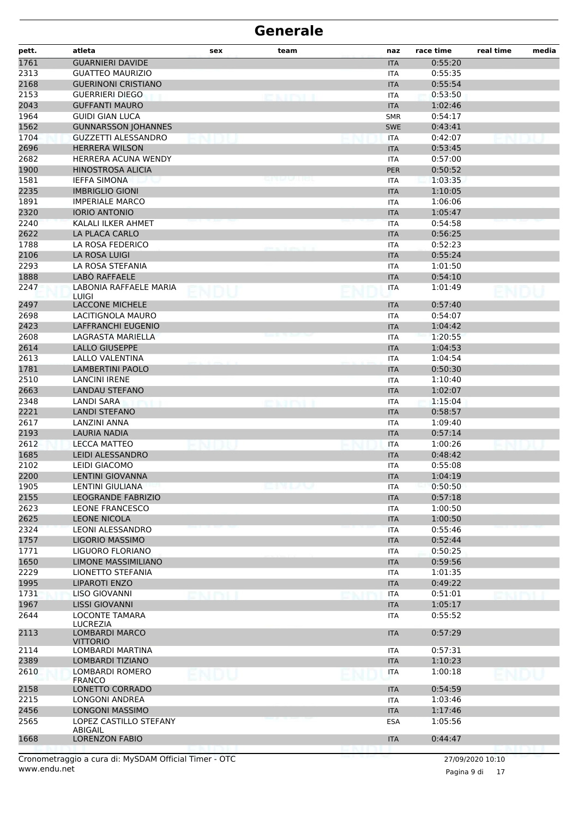| pett. | atleta                                   | sex  | team | naz        | race time | real time | media |
|-------|------------------------------------------|------|------|------------|-----------|-----------|-------|
| 1761  | <b>GUARNIERI DAVIDE</b>                  |      |      | <b>ITA</b> | 0:55:20   |           |       |
| 2313  | <b>GUATTEO MAURIZIO</b>                  |      |      | <b>ITA</b> | 0:55:35   |           |       |
| 2168  | <b>GUERINONI CRISTIANO</b>               |      |      | <b>ITA</b> | 0:55:54   |           |       |
| 2153  | <b>GUERRIERI DIEGO</b>                   |      |      | <b>ITA</b> | 0:53:50   |           |       |
| 2043  | <b>GUFFANTI MAURO</b>                    |      |      | <b>ITA</b> | 1:02:46   |           |       |
| 1964  | <b>GUIDI GIAN LUCA</b>                   |      |      | <b>SMR</b> | 0:54:17   |           |       |
| 1562  | <b>GUNNARSSON JOHANNES</b>               |      |      | <b>SWE</b> | 0:43:41   |           |       |
| 1704  | <b>GUZZETTI ALESSANDRO</b>               |      |      | <b>ITA</b> | 0:42:07   |           |       |
| 2696  | <b>HERRERA WILSON</b>                    |      |      | <b>ITA</b> | 0:53:45   |           |       |
| 2682  | HERRERA ACUNA WENDY                      |      |      | ITA        | 0:57:00   |           |       |
| 1900  | <b>HINOSTROSA ALICIA</b>                 |      |      | <b>PER</b> | 0:50:52   |           |       |
| 1581  | <b>IEFFA SIMONA</b>                      |      |      | <b>ITA</b> | 1:03:35   |           |       |
| 2235  | <b>IMBRIGLIO GIONI</b>                   |      |      | <b>ITA</b> | 1:10:05   |           |       |
| 1891  | <b>IMPERIALE MARCO</b>                   |      |      | <b>ITA</b> | 1:06:06   |           |       |
| 2320  | <b>IORIO ANTONIO</b>                     |      |      | <b>ITA</b> | 1:05:47   |           |       |
| 2240  | KALALI ILKER AHMET                       |      |      | <b>ITA</b> | 0:54:58   |           |       |
| 2622  | <b>LA PLACA CARLO</b>                    |      |      | <b>ITA</b> | 0:56:25   |           |       |
| 1788  | LA ROSA FEDERICO                         |      |      | <b>ITA</b> | 0:52:23   |           |       |
| 2106  | LA ROSA LUIGI                            |      |      | <b>ITA</b> | 0:55:24   |           |       |
| 2293  | LA ROSA STEFANIA                         |      |      | <b>ITA</b> | 1:01:50   |           |       |
| 1888  | LABO RAFFAELE                            |      |      | <b>ITA</b> | 0:54:10   |           |       |
| 2247  | LABONIA RAFFAELE MARIA                   |      |      | <b>ITA</b> | 1:01:49   |           |       |
| 2497  | <b>LUIGI</b><br><b>LACCONE MICHELE</b>   |      |      | <b>ITA</b> | 0:57:40   |           |       |
| 2698  | LACITIGNOLA MAURO                        |      |      | <b>ITA</b> | 0:54:07   |           |       |
| 2423  | LAFFRANCHI EUGENIO                       |      |      | <b>ITA</b> | 1:04:42   |           |       |
| 2608  | LAGRASTA MARIELLA                        |      |      | <b>ITA</b> | 1:20:55   |           |       |
| 2614  | LALLO GIUSEPPE                           |      |      | <b>ITA</b> | 1:04:53   |           |       |
| 2613  | LALLO VALENTINA                          |      |      | <b>ITA</b> | 1:04:54   |           |       |
| 1781  | LAMBERTINI PAOLO                         |      |      | <b>ITA</b> | 0:50:30   |           |       |
| 2510  | <b>LANCINI IRENE</b>                     |      |      | <b>ITA</b> | 1:10:40   |           |       |
| 2663  | <b>LANDAU STEFANO</b>                    |      |      | <b>ITA</b> | 1:02:07   |           |       |
| 2348  | LANDI SARA                               |      |      | <b>ITA</b> | 1:15:04   |           |       |
| 2221  | LANDI STEFANO                            |      |      | <b>ITA</b> | 0:58:57   |           |       |
| 2617  | LANZINI ANNA                             |      |      | <b>ITA</b> | 1:09:40   |           |       |
| 2193  | <b>LAURIA NADIA</b>                      |      |      | <b>ITA</b> | 0:57:14   |           |       |
| 2612  | <b>LECCA MATTEO</b>                      |      |      | <b>ITA</b> | 1:00:26   |           |       |
| 1685  | <b>LEIDI ALESSANDRO</b>                  |      |      | <b>ITA</b> | 0:48:42   |           |       |
| 2102  | LEIDI GIACOMO                            |      |      | <b>ITA</b> | 0:55:08   |           |       |
| 2200  | <b>LENTINI GIOVANNA</b>                  |      |      | <b>ITA</b> | 1:04:19   |           |       |
| 1905  | <b>LENTINI GIULIANA</b>                  |      | emuu | ITA        | 0:50:50   |           |       |
| 2155  | <b>LEOGRANDE FABRIZIO</b>                |      |      | <b>ITA</b> | 0:57:18   |           |       |
| 2623  | <b>LEONE FRANCESCO</b>                   |      |      | <b>ITA</b> | 1:00:50   |           |       |
| 2625  | <b>LEONE NICOLA</b>                      |      |      | <b>ITA</b> | 1:00:50   |           |       |
| 2324  | LEONI ALESSANDRO                         |      |      | <b>ITA</b> | 0:55:46   |           |       |
| 1757  | <b>LIGORIO MASSIMO</b>                   |      |      | <b>ITA</b> | 0:52:44   |           |       |
| 1771  | LIGUORO FLORIANO                         |      |      | <b>ITA</b> | 0:50:25   |           |       |
| 1650  | LIMONE MASSIMILIANO                      |      |      | <b>ITA</b> | 0:59:56   |           |       |
| 2229  | LIONETTO STEFANIA                        |      |      | <b>ITA</b> | 1:01:35   |           |       |
| 1995  | <b>LIPAROTI ENZO</b>                     |      |      | <b>ITA</b> | 0:49:22   |           |       |
| 1731  | LISO GIOVANNI                            |      |      | ITA        | 0:51:01   |           |       |
| 1967  | <b>LISSI GIOVANNI</b>                    |      |      | <b>ITA</b> | 1:05:17   |           |       |
| 2644  | LOCONTE TAMARA                           |      |      | <b>ITA</b> | 0:55:52   |           |       |
|       | <b>LUCREZIA</b>                          |      |      |            |           |           |       |
| 2113  | <b>LOMBARDI MARCO</b><br><b>VITTORIO</b> |      |      | <b>ITA</b> | 0:57:29   |           |       |
| 2114  | LOMBARDI MARTINA                         |      |      | ITA        | 0:57:31   |           |       |
| 2389  | LOMBARDI TIZIANO                         |      |      | <b>ITA</b> | 1:10:23   |           |       |
| 2610  | LOMBARDI ROMERO                          |      |      | <b>ITA</b> | 1:00:18   | ENJOLJ    |       |
|       | <b>FRANCO</b>                            | ENDU |      |            |           |           |       |
| 2158  | LONETTO CORRADO                          |      |      | <b>ITA</b> | 0:54:59   |           |       |
| 2215  | LONGONI ANDREA                           |      |      | <b>ITA</b> | 1:03:46   |           |       |
| 2456  | <b>LONGONI MASSIMO</b>                   |      |      | <b>ITA</b> | 1:17:46   |           |       |
| 2565  | LOPEZ CASTILLO STEFANY<br>ABIGAIL        |      |      | <b>ESA</b> | 1:05:56   |           |       |
| 1668  | <b>LORENZON FABIO</b>                    |      |      | <b>ITA</b> | 0:44:47   |           |       |
|       |                                          |      |      |            |           |           |       |

Pagina 9 di 17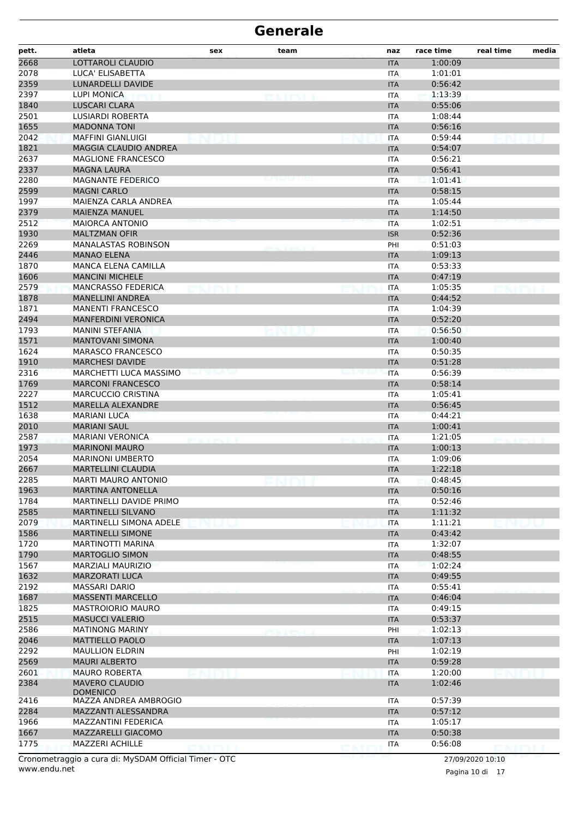| pett. | atleta                                     | sex              | team          | naz                      | race time | real time | media |
|-------|--------------------------------------------|------------------|---------------|--------------------------|-----------|-----------|-------|
| 2668  | LOTTAROLI CLAUDIO                          |                  |               | <b>ITA</b>               | 1:00:09   |           |       |
| 2078  | LUCA' ELISABETTA                           |                  |               | <b>ITA</b>               | 1:01:01   |           |       |
| 2359  | LUNARDELLI DAVIDE                          |                  |               | <b>ITA</b>               | 0:56:42   |           |       |
| 2397  | <b>LUPI MONICA</b>                         |                  |               | <b>ITA</b>               | 1:13:39   |           |       |
| 1840  | <b>LUSCARI CLARA</b>                       |                  |               | <b>ITA</b>               | 0:55:06   |           |       |
| 2501  | <b>LUSIARDI ROBERTA</b>                    |                  |               | <b>ITA</b>               | 1:08:44   |           |       |
| 1655  | <b>MADONNA TONI</b>                        |                  |               | <b>ITA</b>               | 0:56:16   |           |       |
| 2042  | <b>MAFFINI GIANLUIGI</b>                   |                  |               | <b>ITA</b>               | 0:59:44   |           |       |
| 1821  | MAGGIA CLAUDIO ANDREA                      |                  |               | <b>ITA</b>               | 0:54:07   |           |       |
| 2637  | <b>MAGLIONE FRANCESCO</b>                  |                  |               | ITA                      | 0:56:21   |           |       |
| 2337  | <b>MAGNA LAURA</b>                         |                  |               | <b>ITA</b>               | 0:56:41   |           |       |
| 2280  | <b>MAGNANTE FEDERICO</b>                   |                  |               | <b>ITA</b>               | 1:01:41   |           |       |
| 2599  | <b>MAGNI CARLO</b>                         |                  |               | <b>ITA</b>               | 0:58:15   |           |       |
| 1997  | MAIENZA CARLA ANDREA                       |                  |               | <b>ITA</b>               | 1:05:44   |           |       |
| 2379  | <b>MAIENZA MANUEL</b>                      |                  |               | <b>ITA</b>               | 1:14:50   |           |       |
| 2512  | <b>MAIORCA ANTONIO</b>                     |                  |               | <b>ITA</b>               | 1:02:51   |           |       |
| 1930  | <b>MALTZMAN OFIR</b>                       |                  |               | <b>ISR</b>               | 0:52:36   |           |       |
| 2269  | <b>MANALASTAS ROBINSON</b>                 |                  |               | PHI                      | 0:51:03   |           |       |
| 2446  | <b>MANAO ELENA</b>                         |                  |               | <b>ITA</b>               | 1:09:13   |           |       |
| 1870  | MANCA ELENA CAMILLA                        |                  |               | <b>ITA</b>               | 0:53:33   |           |       |
| 1606  | <b>MANCINI MICHELE</b>                     |                  |               | <b>ITA</b>               | 0:47:19   |           |       |
| 2579  | <b>MANCRASSO FEDERICA</b>                  |                  |               | <b>ITA</b>               | 1:05:35   |           |       |
| 1878  | <b>MANELLINI ANDREA</b>                    |                  |               | <b>ITA</b>               | 0:44:52   |           |       |
| 1871  | <b>MANENTI FRANCESCO</b>                   |                  |               | <b>ITA</b>               | 1:04:39   |           |       |
| 2494  | <b>MANFERDINI VERONICA</b>                 |                  |               | <b>ITA</b>               | 0:52:20   |           |       |
| 1793  | MANINI STEFANIA                            |                  |               | <b>ITA</b>               | 0:56:50   |           |       |
| 1571  | <b>MANTOVANI SIMONA</b>                    |                  |               | <b>ITA</b>               | 1:00:40   |           |       |
| 1624  | <b>MARASCO FRANCESCO</b>                   |                  |               | ITA                      | 0:50:35   |           |       |
| 1910  | <b>MARCHESI DAVIDE</b>                     |                  |               | <b>ITA</b>               | 0:51:28   |           |       |
| 2316  | MARCHETTI LUCA MASSIMO                     | en versone       |               | <b>ITA</b>               | 0:56:39   |           |       |
| 1769  | <b>MARCONI FRANCESCO</b>                   |                  |               |                          | 0:58:14   |           |       |
| 2227  | <b>MARCUCCIO CRISTINA</b>                  |                  |               | <b>ITA</b>               | 1:05:41   |           |       |
| 1512  | MARELLA ALEXANDRE                          |                  |               | <b>ITA</b><br><b>ITA</b> | 0:56:45   |           |       |
|       |                                            |                  |               |                          |           |           |       |
| 1638  | <b>MARIANI LUCA</b><br><b>MARIANI SAUL</b> |                  |               | ITA                      | 0:44:21   |           |       |
| 2010  | <b>MARIANI VERONICA</b>                    |                  |               | <b>ITA</b>               | 1:00:41   |           |       |
| 2587  |                                            | <b>KITS-VIII</b> |               | <b>ITA</b>               | 1:21:05   |           |       |
| 1973  | <b>MARINONI MAURO</b>                      |                  |               | <b>ITA</b>               | 1:00:13   |           |       |
| 2054  | <b>MARINONI UMBERTO</b>                    |                  |               | <b>ITA</b>               | 1:09:06   |           |       |
| 2667  | <b>MARTELLINI CLAUDIA</b>                  |                  |               | <b>ITA</b>               | 1:22:18   |           |       |
| 2285  | MARTI MAURO ANTONIO                        |                  |               | <b>ITA</b>               | 0:48:45   |           |       |
| 1963  | <b>MARTINA ANTONELLA</b>                   |                  |               | <b>ITA</b>               | 0:50:16   |           |       |
| 1784  | MARTINELLI DAVIDE PRIMO                    |                  |               | <b>ITA</b>               | 0:52:46   |           |       |
| 2585  | <b>MARTINELLI SILVANO</b>                  |                  |               | <b>ITA</b>               | 1:11:32   |           |       |
| 2079  | <b>MARTINELLI SIMONA ADELE</b>             |                  |               | <b>ITA</b>               | 1:11:21   |           |       |
| 1586  | <b>MARTINELLI SIMONE</b>                   |                  |               | <b>ITA</b>               | 0:43:42   |           |       |
| 1720  | <b>MARTINOTTI MARINA</b>                   |                  |               | <b>ITA</b>               | 1:32:07   |           |       |
| 1790  | <b>MARTOGLIO SIMON</b>                     |                  |               | <b>ITA</b>               | 0:48:55   |           |       |
| 1567  | MARZIALI MAURIZIO                          |                  |               | <b>ITA</b>               | 1:02:24   |           |       |
| 1632  | <b>MARZORATI LUCA</b>                      |                  |               | <b>ITA</b>               | 0:49:55   |           |       |
| 2192  | MASSARI DARIO                              |                  |               | <b>ITA</b>               | 0:55:41   |           |       |
| 1687  | <b>MASSENTI MARCELLO</b>                   |                  |               | <b>ITA</b>               | 0:46:04   |           |       |
| 1825  | <b>MASTROIORIO MAURO</b>                   |                  |               | ITA                      | 0:49:15   |           |       |
| 2515  | <b>MASUCCI VALERIO</b>                     |                  |               | <b>ITA</b>               | 0:53:37   |           |       |
| 2586  | <b>MATINONG MARINY</b>                     |                  | <b>CAIRLI</b> | PHI                      | 1:02:13   |           |       |
| 2046  | <b>MATTIELLO PAOLO</b>                     |                  |               | <b>ITA</b>               | 1:07:13   |           |       |
| 2292  | <b>MAULLION ELDRIN</b>                     |                  |               | PHI                      | 1:02:19   |           |       |
| 2569  | <b>MAURI ALBERTO</b>                       |                  |               | <b>ITA</b>               | 0:59:28   |           |       |
| 2601  | <b>MAURO ROBERTA</b>                       |                  |               | <b>ITA</b>               | 1:20:00   |           |       |
| 2384  | <b>MAVERO CLAUDIO</b><br><b>DOMENICO</b>   |                  |               | <b>ITA</b>               | 1:02:46   |           |       |
| 2416  | MAZZA ANDREA AMBROGIO                      |                  |               | ITA                      | 0:57:39   |           |       |
| 2284  | MAZZANTI ALESSANDRA                        |                  |               | <b>ITA</b>               | 0:57:12   |           |       |
| 1966  | MAZZANTINI FEDERICA                        |                  |               | ITA                      | 1:05:17   |           |       |
| 1667  | MAZZARELLI GIACOMO                         |                  |               | <b>ITA</b>               | 0:50:38   |           |       |
| 1775  | <b>MAZZERI ACHILLE</b>                     | ekiril           |               | <b>ITA</b>               | 0:56:08   | DMINIT    |       |
|       |                                            |                  |               |                          |           |           |       |

www.endu.net Cronometraggio a cura di: MySDAM Official Timer - OTC 27/09/2020 10:10

Pagina 10 di 17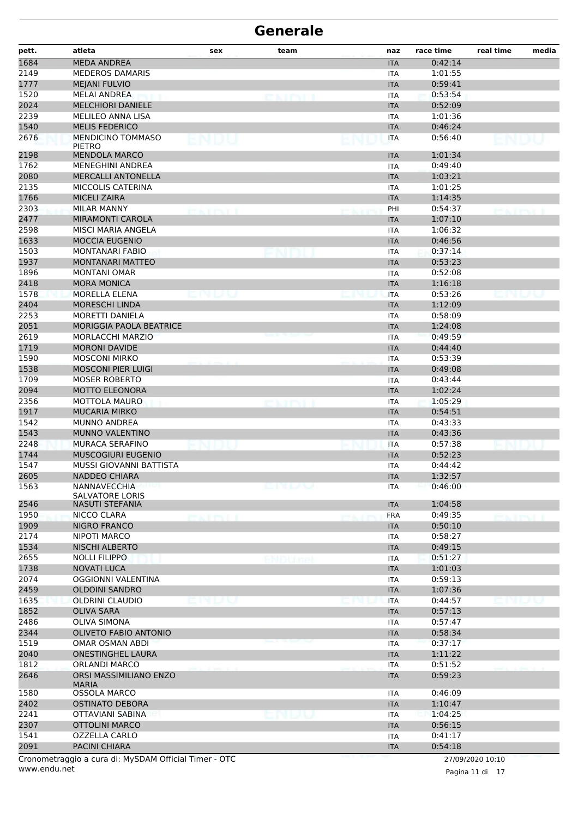| pett.              | atleta                                        | sex                 | team         | naz                      | race time          | real time         | media |
|--------------------|-----------------------------------------------|---------------------|--------------|--------------------------|--------------------|-------------------|-------|
| 1684               | <b>MEDA ANDREA</b>                            |                     |              | <b>ITA</b>               | 0:42:14            |                   |       |
| 2149               | <b>MEDEROS DAMARIS</b>                        |                     |              | <b>ITA</b>               | 1:01:55            |                   |       |
| 1777               | <b>MEJANI FULVIO</b>                          |                     |              | <b>ITA</b>               | 0:59:41            |                   |       |
| 1520               | <b>MELAI ANDREA</b>                           |                     | <b>CAINT</b> | <b>ITA</b>               | 0:53:54            |                   |       |
| 2024               | <b>MELCHIORI DANIELE</b>                      |                     |              | <b>ITA</b>               | 0:52:09            |                   |       |
| 2239               | MELILEO ANNA LISA                             |                     |              | <b>ITA</b>               | 1:01:36            |                   |       |
| 1540               | <b>MELIS FEDERICO</b>                         |                     |              | <b>ITA</b>               | 0:46:24            |                   |       |
| 2676               | <b>MENDICINO TOMMASO</b><br><b>PIETRO</b>     | ENDU                |              | <b>ITA</b>               | 0:56:40            | ENDL              |       |
| 2198               | <b>MENDOLA MARCO</b>                          |                     |              | <b>ITA</b>               | 1:01:34            |                   |       |
| 1762               | <b>MENEGHINI ANDREA</b>                       |                     |              | <b>ITA</b>               | 0:49:40            |                   |       |
| 2080               | <b>MERCALLI ANTONELLA</b>                     |                     |              | <b>ITA</b>               | 1:03:21            |                   |       |
| 2135               | MICCOLIS CATERINA                             |                     |              | <b>ITA</b>               | 1:01:25            |                   |       |
| 1766               | <b>MICELI ZAIRA</b>                           |                     |              | <b>ITA</b>               | 1:14:35            |                   |       |
| 2303               | <b>MILAR MANNY</b>                            | tairtí i            |              | PHI                      | 0:54:37            | <b>PEACE PROF</b> |       |
| 2477               | <b>MIRAMONTI CAROLA</b>                       |                     |              | <b>ITA</b>               | 1:07:10            |                   |       |
| 2598               | MISCI MARIA ANGELA                            |                     |              | ITA                      | 1:06:32            |                   |       |
| 1633               | <b>MOCCIA EUGENIO</b>                         |                     |              | <b>ITA</b>               | 0:46:56            |                   |       |
| 1503               | <b>MONTANARI FABIO</b>                        |                     |              | <b>ITA</b>               | 0:37:14            |                   |       |
| 1937               | <b>MONTANARI MATTEO</b>                       |                     |              | <b>ITA</b>               | 0:53:23            |                   |       |
| 1896               | <b>MONTANI OMAR</b>                           |                     |              | <b>ITA</b>               | 0:52:08            |                   |       |
| 2418               | <b>MORA MONICA</b>                            |                     |              | <b>ITA</b>               | 1:16:18            |                   |       |
| 1578               | MORELLA ELENA                                 |                     |              | <b>ITA</b>               | 0:53:26            |                   |       |
| 2404               | <b>MORESCHI LINDA</b>                         |                     |              | <b>ITA</b>               | 1:12:09            |                   |       |
| 2253               | <b>MORETTI DANIELA</b>                        |                     |              | <b>ITA</b>               | 0:58:09            |                   |       |
| 2051               | <b>MORIGGIA PAOLA BEATRICE</b>                |                     |              | <b>ITA</b>               | 1:24:08            |                   |       |
| 2619               | <b>MORLACCHI MARZIO</b>                       |                     |              | <b>ITA</b>               | 0:49:59            |                   |       |
| 1719               | <b>MORONI DAVIDE</b>                          |                     |              | <b>ITA</b>               | 0:44:40            |                   |       |
| 1590               | <b>MOSCONI MIRKO</b>                          |                     |              | <b>ITA</b>               | 0:53:39            |                   |       |
| 1538               | <b>MOSCONI PIER LUIGI</b>                     |                     |              | <b>ITA</b>               | 0:49:08            |                   |       |
| 1709               | <b>MOSER ROBERTO</b>                          |                     |              | <b>ITA</b>               | 0:43:44            |                   |       |
| 2094               | <b>MOTTO ELEONORA</b>                         |                     |              | <b>ITA</b>               | 1:02:24            |                   |       |
| 2356               | MOTTOLA MAURO                                 |                     | c vityi i    | ITA                      | 1:05:29            |                   |       |
| 1917               | <b>MUCARIA MIRKO</b>                          |                     |              | <b>ITA</b>               | 0:54:51            |                   |       |
| 1542<br>1543       | <b>MUNNO ANDREA</b><br>MUNNO VALENTINO        |                     |              | <b>ITA</b>               | 0:43:33<br>0:43:36 |                   |       |
|                    | <b>MURACA SERAFINO</b>                        |                     |              | <b>ITA</b>               |                    |                   |       |
| 2248               | <b>MUSCOGIURI EUGENIO</b>                     |                     |              | <b>ITA</b>               | 0:57:38<br>0:52:23 |                   |       |
| 1744<br>1547       | MUSSI GIOVANNI BATTISTA                       |                     |              | <b>ITA</b><br><b>ITA</b> | 0:44:42            |                   |       |
| 2605               | NADDEO CHIARA                                 |                     |              |                          | 1:32:57            |                   |       |
| 1563               | NANNAVECCHIA                                  |                     | enuv         | <b>ITA</b>               | 0:46:00            |                   |       |
|                    | SALVATORE LORIS                               |                     |              | ITA                      |                    |                   |       |
| 2546               | <b>NASUTI STEFANIA</b>                        |                     |              | <b>ITA</b>               | 1:04:58            |                   |       |
| 1950               | NICCO CLARA                                   | <b>PERMIT PRINT</b> |              | <b>FRA</b>               | 0:49:35            | e vrem            |       |
| 1909               | NIGRO FRANCO                                  |                     |              | <b>ITA</b>               | 0:50:10            |                   |       |
| 2174               | <b>NIPOTI MARCO</b>                           |                     |              | ITA                      | 0:58:27            |                   |       |
| 1534               | <b>NISCHI ALBERTO</b>                         |                     |              | <b>ITA</b>               | 0:49:15            |                   |       |
| 2655               | <b>NOLLI FILIPPO</b>                          |                     |              | ITA                      | 0:51:27            |                   |       |
| 1738               | <b>NOVATI LUCA</b>                            |                     |              | <b>ITA</b>               | 1:01:03            |                   |       |
| 2074               | OGGIONNI VALENTINA                            |                     |              | <b>ITA</b>               | 0:59:13            |                   |       |
| 2459               | <b>OLDOINI SANDRO</b>                         |                     |              | <b>ITA</b>               | 1:07:36            |                   |       |
| 1635               | <b>OLDRINI CLAUDIO</b>                        | YУ                  |              | <b>ITA</b>               | 0:44:57            |                   |       |
| 1852               | <b>OLIVA SARA</b>                             |                     |              | <b>ITA</b>               | 0:57:13            |                   |       |
| 2486               | <b>OLIVA SIMONA</b>                           |                     |              | ITA                      | 0:57:47            |                   |       |
| 2344               | <b>OLIVETO FABIO ANTONIO</b>                  |                     |              | <b>ITA</b>               | 0:58:34            |                   |       |
| 1519               | <b>OMAR OSMAN ABDI</b>                        |                     |              | <b>ITA</b>               | 0:37:17            |                   |       |
| 2040               | <b>ONESTINGHEL LAURA</b>                      |                     |              | <b>ITA</b>               | 1:11:22            |                   |       |
| 1812               | <b>ORLANDI MARCO</b>                          |                     |              | ITA                      | 0:51:52            |                   |       |
| 2646               | ORSI MASSIMILIANO ENZO<br><b>MARIA</b>        |                     |              | <b>ITA</b>               | 0:59:23            |                   |       |
| 1580               | <b>OSSOLA MARCO</b>                           |                     |              | ITA                      | 0:46:09            |                   |       |
| 2402               | <b>OSTINATO DEBORA</b>                        |                     |              | <b>ITA</b>               | 1:10:47            |                   |       |
| 2241<br>2307       | OTTAVIANI SABINA<br>OTTOLINI MARCO            |                     | n bud        | ITA                      | 1:04:25<br>0:56:15 |                   |       |
| 1541               | <b>OZZELLA CARLO</b>                          |                     |              | <b>ITA</b><br><b>ITA</b> | 0:41:17            |                   |       |
| 2091               | <b>PACINI CHIARA</b>                          |                     |              | <b>ITA</b>               | 0:54:18            |                   |       |
| $C_{\text{conom}}$ | traggio a cura di: MyCDAM Official Timor. OTC |                     |              |                          |                    | $27000000000000$  |       |

www.endu.net Cronometraggio a cura di: MySDAM Official Timer - OTC 27/09/2020 10:10

Pagina 11 di 17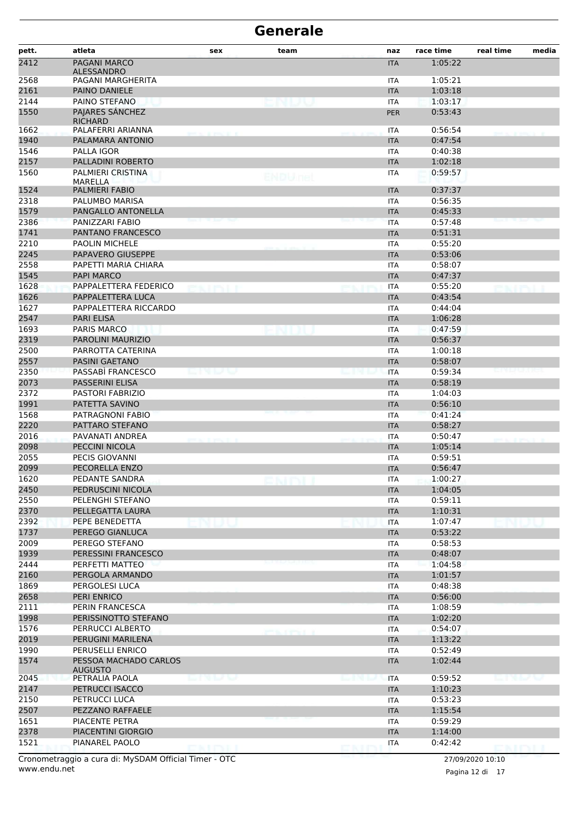| pett. | atleta                                  | sex          | team                | naz                                       | race time | real time                       | media |
|-------|-----------------------------------------|--------------|---------------------|-------------------------------------------|-----------|---------------------------------|-------|
| 2412  | PAGANI MARCO<br><b>ALESSANDRO</b>       |              |                     | <b>ITA</b>                                | 1:05:22   |                                 |       |
| 2568  | PAGANI MARGHERITA                       |              |                     | ITA                                       | 1:05:21   |                                 |       |
| 2161  | PAINO DANIELE                           |              |                     | <b>ITA</b>                                | 1:03:18   |                                 |       |
| 2144  | PAINO STEFANO                           |              |                     | <b>ITA</b>                                | 1:03:17   |                                 |       |
| 1550  | PAJARES SÁNCHEZ<br><b>RICHARD</b>       |              |                     | <b>PER</b>                                | 0:53:43   |                                 |       |
| 1662  | PALAFERRI ARIANNA                       |              |                     | <b>ITA</b>                                | 0:56:54   |                                 |       |
| 1940  | PALAMARA ANTONIO                        |              |                     | <b>ITA</b>                                | 0:47:54   |                                 |       |
| 1546  | PALLA IGOR                              |              |                     | <b>ITA</b>                                | 0:40:38   |                                 |       |
| 2157  | PALLADINI ROBERTO                       |              |                     | <b>ITA</b>                                | 1:02:18   |                                 |       |
| 1560  | PALMIERI CRISTINA<br>MARELLA            |              | ENDULfel            | ITA                                       | 0:59:57   |                                 |       |
| 1524  | PALMIERI FABIO                          |              |                     | <b>ITA</b>                                | 0:37:37   |                                 |       |
| 2318  | PALUMBO MARISA                          |              |                     | ITA                                       | 0:56:35   |                                 |       |
| 1579  | PANGALLO ANTONELLA                      |              |                     | <b>ITA</b>                                | 0:45:33   |                                 |       |
| 2386  | PANIZZARI FABIO                         |              |                     | <b>ITA</b>                                | 0:57:48   |                                 |       |
| 1741  | PANTANO FRANCESCO                       |              |                     | <b>ITA</b>                                | 0:51:31   |                                 |       |
| 2210  | <b>PAOLIN MICHELE</b>                   |              |                     | ITA                                       | 0:55:20   |                                 |       |
| 2245  | PAPAVERO GIUSEPPE                       |              |                     | <b>ITA</b>                                | 0:53:06   |                                 |       |
| 2558  | PAPETTI MARIA CHIARA                    |              |                     | ITA                                       | 0:58:07   |                                 |       |
| 1545  | <b>PAPI MARCO</b>                       |              |                     | <b>ITA</b>                                | 0:47:37   |                                 |       |
| 1628  | PAPPALETTERA FEDERICO                   |              |                     | ITA                                       | 0:55:20   |                                 |       |
| 1626  | PAPPALETTERA LUCA                       |              |                     | <b>ITA</b>                                | 0:43:54   |                                 |       |
| 1627  | PAPPALETTERA RICCARDO                   |              |                     | <b>ITA</b>                                | 0:44:04   |                                 |       |
| 2547  | PARI ELISA                              |              |                     | <b>ITA</b>                                | 1:06:28   |                                 |       |
| 1693  | PARIS MARCO                             |              |                     | ITA                                       | 0:47:59   |                                 |       |
| 2319  | PAROLINI MAURIZIO                       |              |                     | <b>ITA</b>                                | 0:56:37   |                                 |       |
| 2500  | PARROTTA CATERINA                       |              |                     | <b>ITA</b>                                | 1:00:18   |                                 |       |
| 2557  | <b>PASINI GAETANO</b>                   |              |                     | <b>ITA</b>                                | 0:58:07   |                                 |       |
| 2350  | PASSABI FRANCESCO                       | en uu        |                     | <b>ITA</b>                                | 0:59:34   |                                 |       |
| 2073  | PASSERINI ELISA                         |              |                     | <b>ITA</b>                                | 0:58:19   |                                 |       |
| 2372  | <b>PASTORI FABRIZIO</b>                 |              |                     | ITA                                       | 1:04:03   |                                 |       |
| 1991  | PATETTA SAVINO                          |              |                     | <b>ITA</b>                                | 0:56:10   |                                 |       |
| 1568  | PATRAGNONI FABIO                        |              |                     | <b>ITA</b>                                | 0:41:24   |                                 |       |
| 2220  | PATTARO STEFANO                         |              |                     | <b>ITA</b>                                | 0:58:27   |                                 |       |
| 2016  | PAVANATI ANDREA                         |              |                     | ITA                                       | 0:50:47   |                                 |       |
| 2098  | PECCINI NICOLA                          |              |                     | <b>ITA</b>                                | 1:05:14   |                                 |       |
| 2055  | PECIS GIOVANNI                          |              |                     | ITA                                       | 0:59:51   |                                 |       |
| 2099  | PECORELLA ENZO                          |              |                     | <b>ITA</b>                                | 0:56:47   |                                 |       |
| 1620  | PEDANTE SANDRA                          |              |                     | 11 A                                      | 1:00:27   |                                 |       |
| 2450  | PEDRUSCINI NICOLA                       |              |                     | <b>ITA</b>                                | 1:04:05   |                                 |       |
| 2550  | PELENGHI STEFANO                        |              |                     | <b>ITA</b>                                | 0:59:11   |                                 |       |
| 2370  | PELLEGATTA LAURA                        |              |                     | <b>ITA</b>                                | 1:10:31   |                                 |       |
| 2392  | PEPE BENEDETTA                          |              |                     | <b>ITA</b>                                | 1:07:47   |                                 |       |
| 1737  | PEREGO GIANLUCA                         |              |                     | <b>ITA</b>                                | 0:53:22   |                                 |       |
| 2009  | PEREGO STEFANO                          |              |                     | <b>ITA</b>                                | 0:58:53   |                                 |       |
| 1939  | PERESSINI FRANCESCO                     |              |                     | <b>ITA</b>                                | 0:48:07   |                                 |       |
| 2444  | PERFETTI MATTEO                         |              |                     | <b>ITA</b>                                | 1:04:58   |                                 |       |
| 2160  | PERGOLA ARMANDO                         |              |                     | <b>ITA</b>                                | 1:01:57   |                                 |       |
| 1869  | PERGOLESI LUCA                          |              |                     | <b>ITA</b>                                | 0:48:38   |                                 |       |
| 2658  | PERI ENRICO                             |              |                     | <b>ITA</b>                                | 0:56:00   |                                 |       |
| 2111  | PERIN FRANCESCA                         |              |                     | <b>ITA</b>                                | 1:08:59   |                                 |       |
| 1998  | PERISSINOTTO STEFANO                    |              |                     | <b>ITA</b>                                | 1:02:20   |                                 |       |
| 1576  | PERRUCCI ALBERTO                        |              |                     | ITA                                       | 0:54:07   |                                 |       |
| 2019  | PERUGINI MARILENA                       |              | <b>SULPHINE AND</b> | <b>ITA</b>                                | 1:13:22   |                                 |       |
| 1990  | PERUSELLI ENRICO                        |              |                     | <b>ITA</b>                                | 0:52:49   |                                 |       |
| 1574  | PESSOA MACHADO CARLOS<br><b>AUGUSTO</b> |              |                     | <b>ITA</b>                                | 1:02:44   |                                 |       |
| 2045  | PETRALIA PAOLA                          | en de la vil |                     | <b>ITA</b><br><b>Louis II (79) (Louis</b> | 0:59:52   | <b>March 1980 Block Program</b> |       |
| 2147  | PETRUCCI ISACCO                         |              |                     | <b>ITA</b>                                | 1:10:23   |                                 |       |
| 2150  | PETRUCCI LUCA                           |              |                     | <b>ITA</b>                                | 0:53:23   |                                 |       |
| 2507  | PEZZANO RAFFAELE                        |              |                     | <b>ITA</b>                                | 1:15:54   |                                 |       |
| 1651  | PIACENTE PETRA                          |              |                     | <b>ITA</b>                                | 0:59:29   |                                 |       |
| 2378  | PIACENTINI GIORGIO                      |              |                     | <b>ITA</b>                                | 1:14:00   |                                 |       |
| 1521  | PIANAREL PAOLO                          |              |                     | <b>ITA</b>                                | 0:42:42   |                                 |       |
|       |                                         | ENDIL        |                     |                                           |           | <b>DMDII</b>                    |       |

Pagina 12 di 17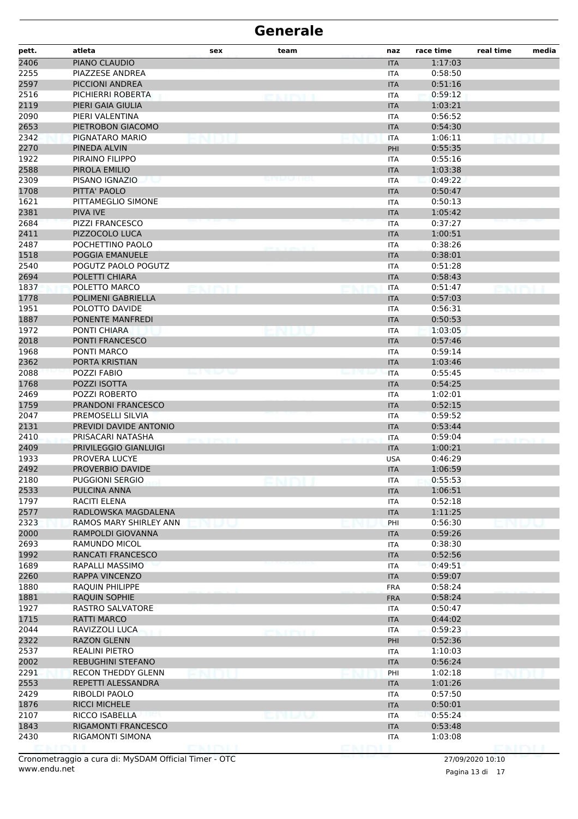| pett. | atleta                    | sex              | team         | naz        | race time | real time | media |
|-------|---------------------------|------------------|--------------|------------|-----------|-----------|-------|
| 2406  | PIANO CLAUDIO             |                  |              | <b>ITA</b> | 1:17:03   |           |       |
| 2255  | PIAZZESE ANDREA           |                  |              | <b>ITA</b> | 0:58:50   |           |       |
| 2597  | PICCIONI ANDREA           |                  |              | <b>ITA</b> | 0:51:16   |           |       |
| 2516  | PICHIERRI ROBERTA         |                  | <b>CAINT</b> | <b>ITA</b> | 0:59:12   |           |       |
| 2119  | PIERI GAIA GIULIA         |                  |              | <b>ITA</b> | 1:03:21   |           |       |
| 2090  | PIERI VALENTINA           |                  |              | <b>ITA</b> | 0:56:52   |           |       |
| 2653  | PIETROBON GIACOMO         |                  |              | <b>ITA</b> | 0:54:30   |           |       |
| 2342  | PIGNATARO MARIO           |                  |              | <b>ITA</b> | 1:06:11   |           |       |
| 2270  | PINEDA ALVIN              |                  |              | PHI        | 0:55:35   |           |       |
| 1922  | PIRAINO FILIPPO           |                  |              | <b>ITA</b> | 0:55:16   |           |       |
| 2588  | PIROLA EMILIO             |                  |              | <b>ITA</b> | 1:03:38   |           |       |
| 2309  | PISANO IGNAZIO            |                  |              | <b>ITA</b> | 0:49:22   |           |       |
| 1708  | PITTA' PAOLO              |                  |              | <b>ITA</b> | 0:50:47   |           |       |
| 1621  | PITTAMEGLIO SIMONE        |                  |              | <b>ITA</b> | 0:50:13   |           |       |
| 2381  | PIVA IVE                  |                  |              | <b>ITA</b> | 1:05:42   |           |       |
| 2684  | <b>PIZZI FRANCESCO</b>    |                  |              | <b>ITA</b> | 0:37:27   |           |       |
| 2411  | PIZZOCOLO LUCA            |                  |              | <b>ITA</b> | 1:00:51   |           |       |
| 2487  | POCHETTINO PAOLO          |                  |              | <b>ITA</b> | 0:38:26   |           |       |
| 1518  | POGGIA EMANUELE           |                  |              | <b>ITA</b> | 0:38:01   |           |       |
| 2540  | POGUTZ PAOLO POGUTZ       |                  |              | <b>ITA</b> | 0:51:28   |           |       |
| 2694  | POLETTI CHIARA            |                  |              | <b>ITA</b> | 0:58:43   |           |       |
| 1837  | POLETTO MARCO             |                  |              | <b>ITA</b> | 0:51:47   |           |       |
| 1778  | <b>POLIMENI GABRIELLA</b> |                  |              | <b>ITA</b> | 0:57:03   |           |       |
| 1951  | POLOTTO DAVIDE            |                  |              | <b>ITA</b> | 0:56:31   |           |       |
| 1887  | PONENTE MANFREDI          |                  |              | <b>ITA</b> | 0:50:53   |           |       |
| 1972  | PONTI CHIARA              |                  |              | <b>ITA</b> | 1:03:05   |           |       |
| 2018  | PONTI FRANCESCO           |                  |              | <b>ITA</b> | 0:57:46   |           |       |
| 1968  | PONTI MARCO               |                  |              | <b>ITA</b> | 0:59:14   |           |       |
| 2362  | PORTA KRISTIAN            |                  |              | <b>ITA</b> | 1:03:46   |           |       |
| 2088  | POZZI FABIO               | ey new text text |              | <b>ITA</b> | 0:55:45   |           |       |
| 1768  | POZZI ISOTTA              |                  |              | <b>ITA</b> | 0:54:25   |           |       |
| 2469  | POZZI ROBERTO             |                  |              | <b>ITA</b> | 1:02:01   |           |       |
| 1759  | PRANDONI FRANCESCO        |                  |              | <b>ITA</b> | 0:52:15   |           |       |
| 2047  | PREMOSELLI SILVIA         |                  |              | <b>ITA</b> | 0:59:52   |           |       |
| 2131  | PREVIDI DAVIDE ANTONIO    |                  |              | <b>ITA</b> | 0:53:44   |           |       |
| 2410  | PRISACARI NATASHA         |                  |              | <b>ITA</b> | 0:59:04   |           |       |
| 2409  | PRIVILEGGIO GIANLUIGI     |                  |              | <b>ITA</b> | 1:00:21   |           |       |
| 1933  | PROVERA LUCYE             |                  |              | <b>USA</b> | 0:46:29   |           |       |
| 2492  | PROVERBIO DAVIDE          |                  |              | <b>ITA</b> | 1:06:59   |           |       |
| 2180  | PUGGIONI SERGIO           |                  |              | ITA        | 0:55:53   |           |       |
| 2533  | PULCINA ANNA              |                  |              | <b>ITA</b> | 1:06:51   |           |       |
| 1797  | RACITI ELENA              |                  |              | <b>ITA</b> | 0:52:18   |           |       |
| 2577  | RADLOWSKA MAGDALENA       |                  |              | <b>ITA</b> | 1:11:25   |           |       |
| 2323  | RAMOS MARY SHIRLEY ANN    |                  |              | PHI        | 0:56:30   |           |       |
| 2000  | RAMPOLDI GIOVANNA         |                  |              | <b>ITA</b> | 0:59:26   |           |       |
| 2693  | RAMUNDO MICOL             |                  |              | <b>ITA</b> | 0:38:30   |           |       |
| 1992  | RANCATI FRANCESCO         |                  |              | <b>ITA</b> | 0:52:56   |           |       |
| 1689  | RAPALLI MASSIMO           |                  |              | <b>ITA</b> | 0:49:51   |           |       |
| 2260  | <b>RAPPA VINCENZO</b>     |                  |              | <b>ITA</b> | 0:59:07   |           |       |
| 1880  | <b>RAQUIN PHILIPPE</b>    |                  |              | <b>FRA</b> | 0:58:24   |           |       |
| 1881  | RAQUIN SOPHIE             |                  |              | <b>FRA</b> | 0:58:24   |           |       |
| 1927  | RASTRO SALVATORE          |                  |              | <b>ITA</b> | 0:50:47   |           |       |
| 1715  | <b>RATTI MARCO</b>        |                  |              | <b>ITA</b> | 0:44:02   |           |       |
| 2044  | RAVIZZOLI LUCA            |                  | <b>CAIDI</b> | <b>ITA</b> | 0:59:23   |           |       |
| 2322  | <b>RAZON GLENN</b>        |                  |              | PHI        | 0:52:36   |           |       |
| 2537  | <b>REALINI PIETRO</b>     |                  |              | ITA        | 1:10:03   |           |       |
| 2002  | <b>REBUGHINI STEFANO</b>  |                  |              | <b>ITA</b> | 0:56:24   |           |       |
| 2291  | RECON THEDDY GLENN        |                  |              | PHI        | 1:02:18   |           |       |
| 2553  | REPETTI ALESSANDRA        |                  |              | <b>ITA</b> | 1:01:26   |           |       |
| 2429  | RIBOLDI PAOLO             |                  |              | <b>ITA</b> | 0:57:50   |           |       |
| 1876  | <b>RICCI MICHELE</b>      |                  |              | <b>ITA</b> | 0:50:01   |           |       |
| 2107  | RICCO ISABELLA            |                  |              | ITA        | 0:55:24   |           |       |
| 1843  | RIGAMONTI FRANCESCO       |                  |              | <b>ITA</b> | 0:53:48   |           |       |
| 2430  | RIGAMONTI SIMONA          |                  |              | ITA        | 1:03:08   |           |       |
|       |                           |                  |              |            |           |           |       |

Pagina 13 di 17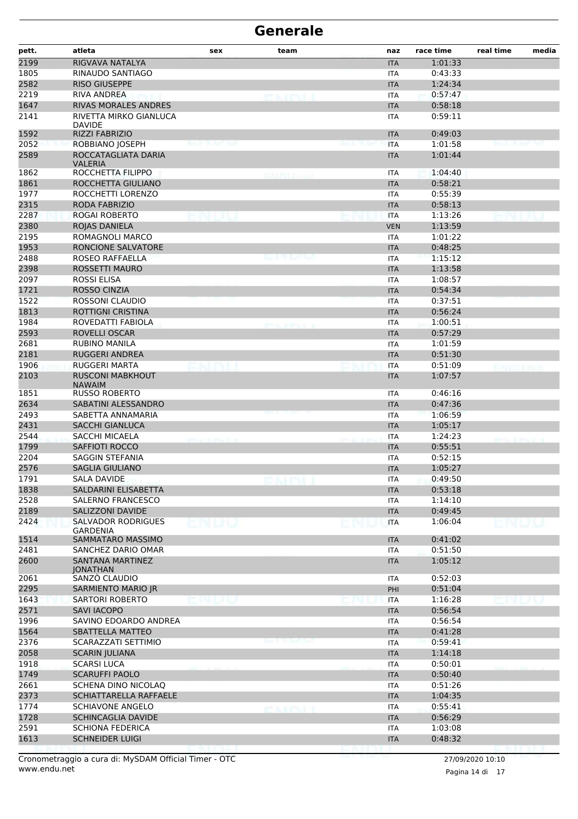| pett.        | atleta                                                           | sex  | team              | naz                      | race time          | real time | media |
|--------------|------------------------------------------------------------------|------|-------------------|--------------------------|--------------------|-----------|-------|
| 2199         | RIGVAVA NATALYA                                                  |      |                   | <b>ITA</b>               | 1:01:33            |           |       |
| 1805         | RINAUDO SANTIAGO                                                 |      |                   | <b>ITA</b>               | 0:43:33            |           |       |
| 2582         | <b>RISO GIUSEPPE</b>                                             |      |                   | <b>ITA</b>               | 1:24:34            |           |       |
| 2219         | <b>RIVA ANDREA</b>                                               |      | <b>ENTRY</b>      | <b>ITA</b>               | 0:57:47            |           |       |
| 1647         | <b>RIVAS MORALES ANDRES</b>                                      |      |                   | <b>ITA</b>               | 0:58:18            |           |       |
| 2141         | RIVETTA MIRKO GIANLUCA<br><b>DAVIDE</b>                          |      |                   | <b>ITA</b>               | 0:59:11            |           |       |
| 1592         | RIZZI FABRIZIO                                                   |      |                   | <b>ITA</b>               | 0:49:03            |           |       |
| 2052         | ROBBIANO JOSEPH                                                  |      |                   | <b>ITA</b>               | 1:01:58            |           |       |
| 2589         | ROCCATAGLIATA DARIA<br><b>VALERIA</b>                            |      |                   | <b>ITA</b>               | 1:01:44            |           |       |
| 1862         | ROCCHETTA FILIPPO                                                |      | <b>CALIBULIAN</b> | <b>ITA</b>               | 1:04:40            |           |       |
| 1861         | ROCCHETTA GIULIANO                                               |      |                   | <b>ITA</b>               | 0:58:21            |           |       |
| 1977         | ROCCHETTI LORENZO                                                |      |                   | <b>ITA</b>               | 0:55:39            |           |       |
| 2315         | RODA FABRIZIO                                                    |      |                   | <b>ITA</b>               | 0:58:13            |           |       |
| 2287         | <b>ROGAI ROBERTO</b>                                             |      |                   | <b>ITA</b>               | 1:13:26            |           |       |
| 2380         | ROJAS DANIELA                                                    |      |                   | <b>VEN</b>               | 1:13:59            |           |       |
| 2195         | ROMAGNOLI MARCO                                                  |      |                   | <b>ITA</b>               | 1:01:22            |           |       |
| 1953         | <b>RONCIONE SALVATORE</b>                                        |      |                   | <b>ITA</b>               | 0:48:25            |           |       |
| 2488         | ROSEO RAFFAELLA                                                  |      | نہ جو رہ رہے      | <b>ITA</b>               | 1:15:12            |           |       |
| 2398         | ROSSETTI MAURO                                                   |      |                   | <b>ITA</b>               | 1:13:58            |           |       |
| 2097         | <b>ROSSI ELISA</b>                                               |      |                   | <b>ITA</b>               | 1:08:57            |           |       |
| 1721         | <b>ROSSO CINZIA</b>                                              |      |                   | <b>ITA</b>               | 0:54:34            |           |       |
| 1522         | ROSSONI CLAUDIO                                                  |      |                   | <b>ITA</b>               | 0:37:51            |           |       |
| 1813         | <b>ROTTIGNI CRISTINA</b>                                         |      |                   | <b>ITA</b>               | 0:56:24            |           |       |
| 1984         | ROVEDATTI FABIOLA                                                |      | en al service d   | <b>ITA</b>               | 1:00:51            |           |       |
| 2593         | ROVELLI OSCAR                                                    |      |                   | <b>ITA</b>               | 0:57:29            |           |       |
| 2681         | <b>RUBINO MANILA</b>                                             |      |                   | <b>ITA</b>               | 1:01:59            |           |       |
| 2181         | <b>RUGGERI ANDREA</b>                                            |      |                   | <b>ITA</b>               | 0:51:30            |           |       |
| 1906         | RUGGERI MARTA                                                    |      |                   | <b>ITA</b>               | 0:51:09            | ENDHIMA   |       |
| 2103<br>1851 | <b>RUSCONI MABKHOUT</b><br><b>NAWAIM</b><br><b>RUSSO ROBERTO</b> |      |                   | <b>ITA</b><br><b>ITA</b> | 1:07:57<br>0:46:16 |           |       |
| 2634         | SABATINI ALESSANDRO                                              |      |                   | <b>ITA</b>               | 0:47:36            |           |       |
| 2493         | SABETTA ANNAMARIA                                                |      |                   | <b>ITA</b>               | 1:06:59            |           |       |
| 2431         | <b>SACCHI GIANLUCA</b>                                           |      |                   | <b>ITA</b>               | 1:05:17            |           |       |
| 2544         | SACCHI MICAELA                                                   |      |                   | <b>ITA</b>               | 1:24:23            |           |       |
| 1799         | <b>SAFFIOTI ROCCO</b>                                            |      |                   | <b>ITA</b>               | 0:55:51            |           |       |
| 2204         | <b>SAGGIN STEFANIA</b>                                           |      |                   | <b>ITA</b>               | 0:52:15            |           |       |
| 2576         | <b>SAGLIA GIULIANO</b>                                           |      |                   | <b>ITA</b>               | 1:05:27            |           |       |
| 1791         | SALA DAVIDE                                                      |      |                   | <b>ITA</b>               | 0:49:50            |           |       |
| 1838         | SALDARINI ELISABETTA                                             |      |                   | <b>ITA</b>               | 0:53:18            |           |       |
| 2528         | SALERNO FRANCESCO                                                |      |                   | ITA                      | 1:14:10            |           |       |
| 2189         | <b>SALIZZONI DAVIDE</b>                                          |      |                   | <b>ITA</b>               | 0:49:45            |           |       |
| 2424         | <b>SALVADOR RODRIGUES</b>                                        | ENDU |                   | <b>ITA</b>               | 1:06:04            | ENDU      |       |
| 1514         | <b>GARDENIA</b><br>SAMMATARO MASSIMO                             |      |                   | <b>ITA</b>               | 0:41:02            |           |       |
| 2481         | SANCHEZ DARIO OMAR                                               |      |                   | <b>ITA</b>               | 0:51:50            |           |       |
| 2600         | SANTANA MARTINEZ<br><b>IONATHAN</b>                              |      |                   | <b>ITA</b>               | 1:05:12            |           |       |
| 2061         | SANZÒ CLAUDIO                                                    |      |                   | <b>ITA</b>               | 0:52:03            |           |       |
| 2295         | SARMIENTO MARIO JR                                               |      |                   | PHI                      | 0:51:04            |           |       |
| 1643         | <b>SARTORI ROBERTO</b>                                           |      |                   | <b>ITA</b>               | 1:16:28            |           |       |
| 2571         | <b>SAVI IACOPO</b>                                               |      |                   | <b>ITA</b>               | 0:56:54            |           |       |
| 1996         | SAVINO EDOARDO ANDREA                                            |      |                   | <b>ITA</b>               | 0:56:54            |           |       |
| 1564         | <b>SBATTELLA MATTEO</b>                                          |      |                   | <b>ITA</b>               | 0:41:28            |           |       |
| 2376         | SCARAZZATI SETTIMIO                                              |      |                   | <b>ITA</b>               | 0:59:41            |           |       |
| 2058         | <b>SCARIN JULIANA</b>                                            |      |                   | <b>ITA</b>               | 1:14:18            |           |       |
| 1918         | <b>SCARSI LUCA</b>                                               |      |                   | <b>ITA</b>               | 0:50:01            |           |       |
| 1749         | <b>SCARUFFI PAOLO</b>                                            |      |                   | <b>ITA</b>               | 0:50:40            |           |       |
| 2661         | SCHENA DINO NICOLAQ                                              |      |                   | <b>ITA</b>               | 0:51:26            |           |       |
| 2373         | SCHIATTARELLA RAFFAELE                                           |      |                   | <b>ITA</b>               | 1:04:35            |           |       |
| 1774         | <b>SCHIAVONE ANGELO</b>                                          |      | ektri             | <b>ITA</b>               | 0:55:41            |           |       |
| 1728         | <b>SCHINCAGLIA DAVIDE</b>                                        |      |                   | <b>ITA</b>               | 0:56:29            |           |       |
| 2591         | <b>SCHIONA FEDERICA</b>                                          |      |                   | ITA                      | 1:03:08            |           |       |
| 1613         | <b>SCHNEIDER LUIGI</b>                                           |      |                   | <b>ITA</b>               | 0:48:32            |           |       |
|              |                                                                  |      |                   |                          |                    |           |       |

Pagina 14 di 17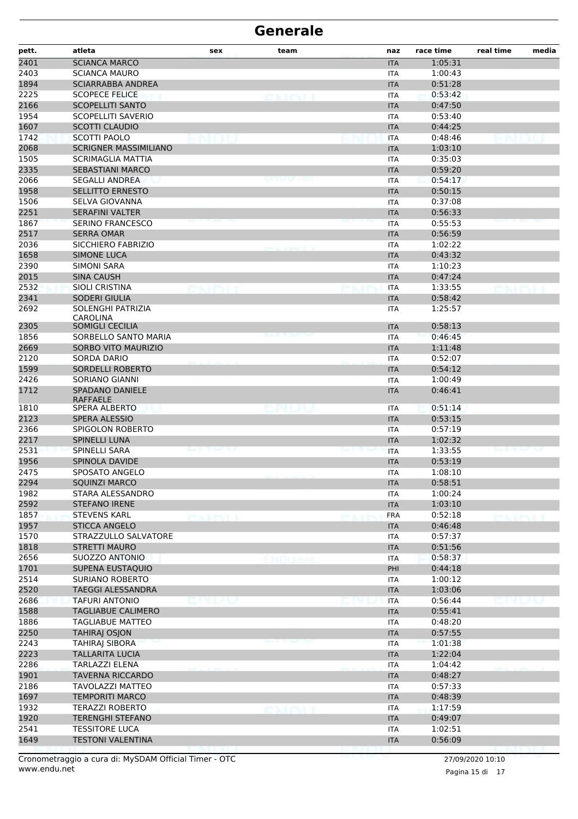| pett.            | atleta                                           | sex           | team          | naz        | race time | real time | media |
|------------------|--------------------------------------------------|---------------|---------------|------------|-----------|-----------|-------|
| $\frac{1}{2401}$ | <b>SCIANCA MARCO</b>                             |               |               | <b>ITA</b> | 1:05:31   |           |       |
| 2403             | <b>SCIANCA MAURO</b>                             |               |               | <b>ITA</b> | 1:00:43   |           |       |
| 1894             | <b>SCIARRABBA ANDREA</b>                         |               |               | <b>ITA</b> | 0:51:28   |           |       |
| 2225             | <b>SCOPECE FELICE</b>                            |               |               | <b>ITA</b> | 0:53:42   |           |       |
| 2166             | <b>SCOPELLITI SANTO</b>                          |               |               | <b>ITA</b> | 0:47:50   |           |       |
| 1954             | <b>SCOPELLITI SAVERIO</b>                        |               |               | <b>ITA</b> | 0:53:40   |           |       |
| 1607             | <b>SCOTTI CLAUDIO</b>                            |               |               | <b>ITA</b> | 0:44:25   |           |       |
| 1742             | SCOTTI PAOLO                                     |               |               | <b>ITA</b> | 0:48:46   |           |       |
| 2068             | <b>SCRIGNER MASSIMILIANO</b>                     |               |               | <b>ITA</b> | 1:03:10   |           |       |
| 1505             | <b>SCRIMAGLIA MATTIA</b>                         |               |               | <b>ITA</b> | 0:35:03   |           |       |
| 2335             | <b>SEBASTIANI MARCO</b>                          |               |               | <b>ITA</b> | 0:59:20   |           |       |
| 2066             | <b>SEGALLI ANDREA</b>                            |               | DI LA CAULUS. | <b>ITA</b> | 0:54:17   |           |       |
| 1958             | <b>SELLITTO ERNESTO</b>                          |               |               | <b>ITA</b> | 0:50:15   |           |       |
| 1506             | SELVA GIOVANNA                                   |               |               | <b>ITA</b> | 0:37:08   |           |       |
| 2251             | <b>SERAFINI VALTER</b>                           |               |               | <b>ITA</b> | 0:56:33   |           |       |
| 1867             | <b>SERINO FRANCESCO</b>                          |               |               | <b>ITA</b> | 0:55:53   |           |       |
| 2517             | <b>SERRA OMAR</b>                                |               |               | <b>ITA</b> | 0:56:59   |           |       |
| 2036             | SICCHIERO FABRIZIO                               |               |               | <b>ITA</b> | 1:02:22   |           |       |
| 1658             | <b>SIMONE LUCA</b>                               |               |               | <b>ITA</b> | 0:43:32   |           |       |
| 2390             | SIMONI SARA                                      |               |               | <b>ITA</b> | 1:10:23   |           |       |
| 2015             | <b>SINA CAUSH</b>                                |               |               | <b>ITA</b> | 0:47:24   |           |       |
| 2532             | <b>SIOLI CRISTINA</b>                            |               |               | <b>ITA</b> | 1:33:55   |           |       |
| 2341             | <b>SODERI GIULIA</b>                             |               |               | <b>ITA</b> | 0:58:42   |           |       |
| 2692             | SOLENGHI PATRIZIA<br><b>CAROLINA</b>             |               |               | <b>ITA</b> | 1:25:57   |           |       |
| 2305             | SOMIGLI CECILIA                                  |               |               | <b>ITA</b> | 0:58:13   |           |       |
| 1856             | SORBELLO SANTO MARIA                             |               |               | <b>ITA</b> | 0:46:45   |           |       |
| 2669             | SORBO VITO MAURIZIO                              |               |               | <b>ITA</b> | 1:11:48   |           |       |
| 2120             | SORDA DARIO                                      |               |               | <b>ITA</b> | 0:52:07   |           |       |
| 1599             | SORDELLI ROBERTO                                 |               |               | <b>ITA</b> | 0:54:12   |           |       |
| 2426             | <b>SORIANO GIANNI</b>                            |               |               | ITA        | 1:00:49   |           |       |
| 1712             | <b>SPADANO DANIELE</b><br><b>RAFFAELE</b>        |               |               | <b>ITA</b> | 0:46:41   |           |       |
| 1810             | SPERA ALBERTO                                    |               |               | <b>ITA</b> | 0:51:14   |           |       |
| 2123             | <b>SPERA ALESSIO</b>                             |               |               | <b>ITA</b> | 0:53:15   |           |       |
| 2366             | SPIGOLON ROBERTO                                 |               |               | <b>ITA</b> | 0:57:19   |           |       |
| 2217             | <b>SPINELLI LUNA</b>                             |               |               | <b>ITA</b> | 1:02:32   |           |       |
| 2531             | SPINELLI SARA                                    |               |               | <b>ITA</b> | 1:33:55   |           |       |
| 1956             | <b>SPINOLA DAVIDE</b>                            |               |               | <b>ITA</b> | 0:53:19   |           |       |
| 2475             | <b>SPOSATO ANGELO</b>                            |               |               | ITA        | 1:08:10   |           |       |
| 2294             | <b>SQUINZI MARCO</b>                             |               |               | <b>ITA</b> | 0:58:51   |           |       |
| 1982             | STARA ALESSANDRO                                 |               |               | <b>ITA</b> | 1:00:24   |           |       |
| 2592             | <b>STEFANO IRENE</b>                             |               |               | <b>ITA</b> | 1:03:10   |           |       |
| 1857             | <b>STEVENS KARL</b>                              | <b>EXTENT</b> |               | <b>FRA</b> | 0:52:18   |           |       |
| 1957             | <b>STICCA ANGELO</b>                             |               |               | <b>ITA</b> | 0:46:48   |           |       |
| 1570             | STRAZZULLO SALVATORE                             |               |               | <b>ITA</b> | 0:57:37   |           |       |
| 1818             | <b>STRETTI MAURO</b>                             |               |               | <b>ITA</b> | 0:51:56   |           |       |
| 2656             | SUOZZO ANTONIO                                   |               |               | <b>ITA</b> | 0:58:37   |           |       |
| 1701             | SUPENA EUSTAQUIO                                 |               |               | PHI        | 0:44:18   |           |       |
| 2514             | SURIANO ROBERTO                                  |               |               | <b>ITA</b> | 1:00:12   |           |       |
| 2520             | TAEGGI ALESSANDRA                                |               |               | <b>ITA</b> | 1:03:06   |           |       |
| 2686             | <b>TAFURI ANTONIO</b>                            | MUM           |               | <b>ITA</b> | 0:56:44   | o nu u v  |       |
| 1588             | <b>TAGLIABUE CALIMERO</b>                        |               |               | <b>ITA</b> | 0:55:41   |           |       |
| 1886             | <b>TAGLIABUE MATTEO</b>                          |               |               | <b>ITA</b> | 0:48:20   |           |       |
| 2250             | <b>TAHIRAJ OSJON</b>                             |               |               | <b>ITA</b> | 0:57:55   |           |       |
| 2243             | <b>TAHIRAJ SIBORA</b>                            |               |               | <b>ITA</b> | 1:01:38   |           |       |
| 2223             | <b>TALLARITA LUCIA</b>                           |               |               | <b>ITA</b> | 1:22:04   |           |       |
| 2286             | <b>TARLAZZI ELENA</b>                            |               |               | <b>ITA</b> | 1:04:42   |           |       |
| 1901             | <b>TAVERNA RICCARDO</b>                          |               |               | <b>ITA</b> | 0:48:27   |           |       |
| 2186             | <b>TAVOLAZZI MATTEO</b>                          |               |               | <b>ITA</b> | 0:57:33   |           |       |
| 1697             | <b>TEMPORITI MARCO</b><br><b>TERAZZI ROBERTO</b> |               |               | <b>ITA</b> | 0:48:39   |           |       |
| 1932             | <b>TERENGHI STEFANO</b>                          |               |               | <b>ITA</b> | 1:17:59   |           |       |
| 1920<br>2541     | <b>TESSITORE LUCA</b>                            |               |               | <b>ITA</b> | 0:49:07   |           |       |
|                  |                                                  |               |               | <b>ITA</b> | 1:02:51   |           |       |
| 1649             | <b>TESTONI VALENTINA</b>                         |               |               | <b>ITA</b> | 0:56:09   |           |       |

Pagina 15 di 17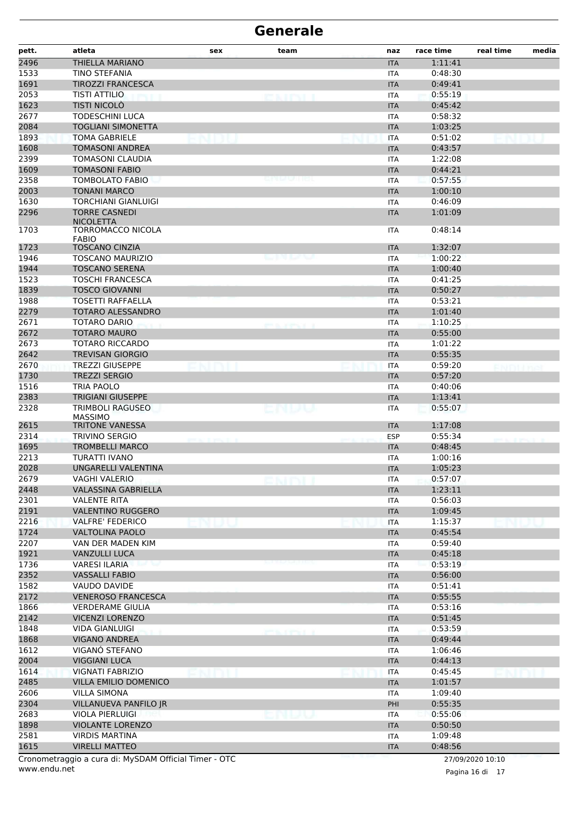| pett.        | atleta                                                | sex | team                | naz                      | race time          | real time        | media |
|--------------|-------------------------------------------------------|-----|---------------------|--------------------------|--------------------|------------------|-------|
| 2496         | THIELLA MARIANO                                       |     |                     | <b>ITA</b>               | 1:11:41            |                  |       |
| 1533         | <b>TINO STEFANIA</b>                                  |     |                     | <b>ITA</b>               | 0:48:30            |                  |       |
| 1691         | <b>TIROZZI FRANCESCA</b>                              |     |                     | <b>ITA</b>               | 0:49:41            |                  |       |
| 2053         | <b>TISTI ATTILIO</b>                                  |     | en de la porta de   | <b>ITA</b>               | 0:55:19            |                  |       |
| 1623         | <b>TISTI NICOLÒ</b>                                   |     |                     | <b>ITA</b>               | 0:45:42            |                  |       |
| 2677         | <b>TODESCHINI LUCA</b>                                |     |                     | <b>ITA</b>               | 0:58:32            |                  |       |
| 2084         | <b>TOGLIANI SIMONETTA</b>                             |     |                     | <b>ITA</b>               | 1:03:25            |                  |       |
| 1893         | <b>TOMA GABRIELE</b>                                  |     |                     | <b>ITA</b>               | 0:51:02            |                  |       |
| 1608         | <b>TOMASONI ANDREA</b>                                |     |                     | <b>ITA</b>               | 0:43:57            |                  |       |
| 2399         | <b>TOMASONI CLAUDIA</b>                               |     |                     | <b>ITA</b>               | 1:22:08            |                  |       |
| 1609         | <b>TOMASONI FABIO</b>                                 |     |                     | <b>ITA</b>               | 0:44:21            |                  |       |
| 2358         | TOMBOLATO FABIO                                       |     |                     | <b>ITA</b>               | 0:57:55            |                  |       |
| 2003         | <b>TONANI MARCO</b>                                   |     |                     | <b>ITA</b>               | 1:00:10            |                  |       |
| 1630         | <b>TORCHIANI GIANLUIGI</b>                            |     |                     | <b>ITA</b>               | 0:46:09            |                  |       |
| 2296         | <b>TORRE CASNEDI</b><br><b>NICOLETTA</b>              |     |                     | <b>ITA</b>               | 1:01:09            |                  |       |
| 1703         | TORROMACCO NICOLA<br><b>FABIO</b>                     |     |                     | <b>ITA</b>               | 0:48:14            |                  |       |
| 1723         | <b>TOSCANO CINZIA</b>                                 |     |                     | <b>ITA</b>               | 1:32:07            |                  |       |
| 1946         | <b>TOSCANO MAURIZIO</b>                               |     | ومیں رہی ہے         | <b>ITA</b>               | 1:00:22            |                  |       |
| 1944         | <b>TOSCANO SERENA</b>                                 |     |                     | <b>ITA</b>               | 1:00:40            |                  |       |
| 1523         | <b>TOSCHI FRANCESCA</b>                               |     |                     | <b>ITA</b>               | 0:41:25            |                  |       |
| 1839         | <b>TOSCO GIOVANNI</b>                                 |     |                     | <b>ITA</b>               | 0:50:27            |                  |       |
| 1988         | <b>TOSETTI RAFFAELLA</b>                              |     |                     | <b>ITA</b>               | 0:53:21            |                  |       |
| 2279         | TOTARO ALESSANDRO                                     |     |                     | <b>ITA</b>               | 1:01:40            |                  |       |
| 2671         | <b>TOTARO DARIO</b>                                   |     | and the contract of | <b>ITA</b>               | 1:10:25            |                  |       |
| 2672         | <b>TOTARO MAURO</b>                                   |     |                     | <b>ITA</b>               | 0:55:00            |                  |       |
| 2673         | <b>TOTARO RICCARDO</b>                                |     |                     | <b>ITA</b>               | 1:01:22            |                  |       |
| 2642         | <b>TREVISAN GIORGIO</b>                               |     |                     | <b>ITA</b>               | 0:55:35            |                  |       |
| 2670         | <b>TREZZI GIUSEPPE</b>                                |     |                     | <b>ITA</b>               | 0:59:20            | EN BH J 952      |       |
| 1730         | <b>TREZZI SERGIO</b>                                  |     |                     | <b>ITA</b>               | 0:57:20            |                  |       |
| 1516         | <b>TRIA PAOLO</b>                                     |     |                     | <b>ITA</b>               | 0:40:06            |                  |       |
| 2383         | <b>TRIGIANI GIUSEPPE</b>                              |     |                     | <b>ITA</b>               | 1:13:41            |                  |       |
| 2328         | TRIMBOLI RAGUSEO<br><b>MASSIMO</b>                    |     | ENDV                | <b>ITA</b>               | 0:55:07            |                  |       |
| 2615         | <b>TRITONE VANESSA</b>                                |     |                     | <b>ITA</b>               | 1:17:08            |                  |       |
| 2314         | <b>TRIVINO SERGIO</b>                                 |     |                     | <b>ESP</b>               | 0:55:34            |                  |       |
| 1695         | <b>TROMBELLI MARCO</b>                                |     |                     | <b>ITA</b>               | 0:48:45            |                  |       |
| 2213         | TURATTI IVANO                                         |     |                     | <b>ITA</b>               | 1:00:16            |                  |       |
| 2028         | UNGARELLI VALENTINA                                   |     |                     | <b>ITA</b>               | 1:05:23            |                  |       |
| 2679         | VAGHI VALERIO                                         |     |                     | <b>ITA</b>               | 0:57:07            |                  |       |
| 2448         | <b>VALASSINA GABRIELLA</b>                            |     |                     | <b>ITA</b>               | 1:23:11            |                  |       |
| 2301         | VALENTE RITA                                          |     |                     | <b>ITA</b>               | 0:56:03            |                  |       |
| 2191         | <b>VALENTINO RUGGERO</b>                              |     |                     | <b>ITA</b>               | 1:09:45            |                  |       |
| 2216         | <b>VALFRE' FEDERICO</b>                               |     |                     | <b>ITA</b>               | 1:15:37            |                  |       |
| 1724         | <b>VALTOLINA PAOLO</b>                                |     |                     | <b>ITA</b>               | 0:45:54            |                  |       |
| 2207         | VAN DER MADEN KIM                                     |     |                     | <b>ITA</b>               | 0:59:40            |                  |       |
| 1921         | <b>VANZULLI LUCA</b>                                  |     |                     | <b>ITA</b>               | 0:45:18            |                  |       |
| 1736         | <b>VARESI ILARIA</b>                                  |     |                     | <b>ITA</b>               | 0:53:19            |                  |       |
| 2352         | <b>VASSALLI FABIO</b>                                 |     |                     | <b>ITA</b>               | 0:56:00            |                  |       |
| 1582         | VAUDO DAVIDE                                          |     |                     | <b>ITA</b>               | 0:51:41            |                  |       |
| 2172         | <b>VENEROSO FRANCESCA</b>                             |     |                     | <b>ITA</b>               | 0:55:55            |                  |       |
| 1866         | <b>VERDERAME GIULIA</b>                               |     |                     | <b>ITA</b>               | 0:53:16            |                  |       |
| 2142         | <b>VICENZI LORENZO</b>                                |     |                     | <b>ITA</b>               | 0:51:45            |                  |       |
| 1848         | <b>VIDA GIANLUIGI</b>                                 |     |                     | <b>ITA</b>               | 0:53:59            |                  |       |
| 1868         | <b>VIGANO ANDREA</b>                                  |     |                     | <b>ITA</b>               | 0:49:44            |                  |       |
| 1612         | VIGANÓ STEFANO                                        |     |                     | <b>ITA</b>               | 1:06:46            |                  |       |
| 2004         | <b>VIGGIANI LUCA</b>                                  |     |                     | <b>ITA</b>               | 0:44:13            |                  |       |
| 1614         | <b>VIGNATI FABRIZIO</b>                               |     |                     | <b>ITA</b>               | 0:45:45            |                  |       |
| 2485         | <b>VILLA EMILIO DOMENICO</b>                          |     |                     | <b>ITA</b>               | 1:01:57            |                  |       |
| 2606         | <b>VILLA SIMONA</b>                                   |     |                     | <b>ITA</b>               | 1:09:40            |                  |       |
| 2304         | VILLANUEVA PANFILO JR                                 |     |                     | PHI                      | 0:55:35            |                  |       |
| 2683<br>1898 | VIOLA PIERLUIGI<br><b>VIOLANTE LORENZO</b>            |     | n bata              | <b>ITA</b><br><b>ITA</b> | 0:55:06<br>0:50:50 |                  |       |
| 2581         | <b>VIRDIS MARTINA</b>                                 |     |                     | <b>ITA</b>               | 1:09:48            |                  |       |
| 1615         | <b>VIRELLI MATTEO</b>                                 |     |                     | <b>ITA</b>               | 0:48:56            |                  |       |
|              | Cronometraggio a cura di: MySDAM Official Timer - OTC |     |                     |                          |                    |                  |       |
|              |                                                       |     |                     |                          |                    | 27/09/2020 10:10 |       |

www.endu.net

Pagina 16 di 17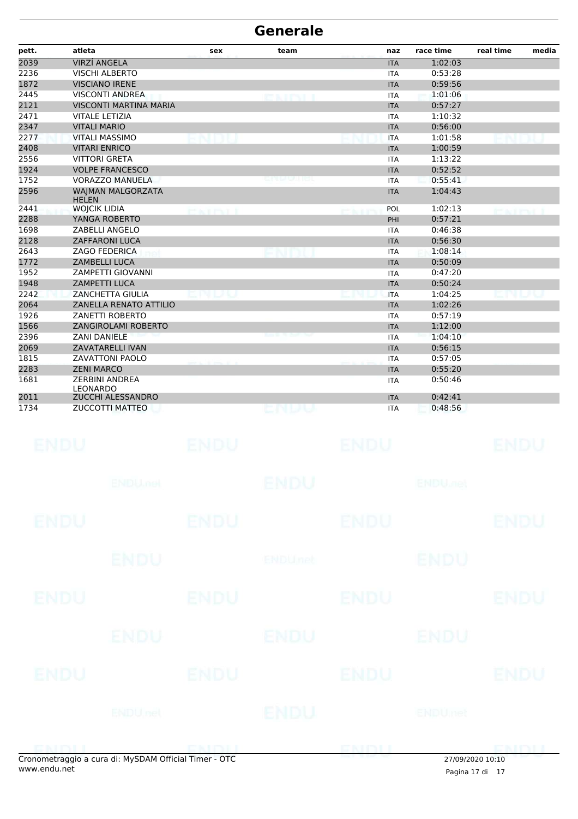| pett. | atleta                                   | sex            | team             | naz        | race time | real time | media |
|-------|------------------------------------------|----------------|------------------|------------|-----------|-----------|-------|
| 2039  | <b>VIRZÍ ANGELA</b>                      |                |                  | <b>ITA</b> | 1:02:03   |           |       |
| 2236  | <b>VISCHI ALBERTO</b>                    |                |                  | <b>ITA</b> | 0:53:28   |           |       |
| 1872  | <b>VISCIANO IRENE</b>                    |                |                  | <b>ITA</b> | 0:59:56   |           |       |
| 2445  | <b>VISCONTI ANDREA</b>                   |                | <b>CAITYLE</b>   | <b>ITA</b> | 1:01:06   |           |       |
| 2121  | <b>VISCONTI MARTINA MARIA</b>            |                |                  | <b>ITA</b> | 0:57:27   |           |       |
| 2471  | <b>VITALE LETIZIA</b>                    |                |                  | <b>ITA</b> | 1:10:32   |           |       |
| 2347  | <b>VITALI MARIO</b>                      |                |                  | <b>ITA</b> | 0:56:00   |           |       |
| 2277  | <b>VITALI MASSIMO</b>                    |                |                  | <b>ITA</b> | 1:01:58   |           |       |
| 2408  | <b>VITARI ENRICO</b>                     |                |                  | <b>ITA</b> | 1:00:59   |           |       |
| 2556  | <b>VITTORI GRETA</b>                     |                |                  | <b>ITA</b> | 1:13:22   |           |       |
| 1924  | <b>VOLPE FRANCESCO</b>                   |                |                  | <b>ITA</b> | 0:52:52   |           |       |
| 1752  | <b>VORAZZO MANUELA</b>                   |                | e po la call ret | <b>ITA</b> | 0:55:41   |           |       |
| 2596  | <b>WAIMAN MALGORZATA</b><br><b>HELEN</b> |                |                  | <b>ITA</b> | 1:04:43   |           |       |
| 2441  | <b>WOJCIK LIDIA</b>                      | George Printer |                  | POL        | 1:02:13   |           |       |
| 2288  | YANGA ROBERTO                            |                |                  | PHI        | 0:57:21   |           |       |
| 1698  | <b>ZABELLI ANGELO</b>                    |                |                  | <b>ITA</b> | 0:46:38   |           |       |
| 2128  | <b>ZAFFARONI LUCA</b>                    |                |                  | <b>ITA</b> | 0:56:30   |           |       |
| 2643  | <b>ZAGO FEDERICA</b>                     |                |                  | <b>ITA</b> | 1:08:14   |           |       |
| 1772  | <b>ZAMBELLI LUCA</b>                     |                |                  | <b>ITA</b> | 0:50:09   |           |       |
| 1952  | <b>ZAMPETTI GIOVANNI</b>                 |                |                  | <b>ITA</b> | 0:47:20   |           |       |
| 1948  | <b>ZAMPETTI LUCA</b>                     |                |                  | <b>ITA</b> | 0:50:24   |           |       |
| 2242  | <b>ZANCHETTA GIULIA</b>                  |                |                  | <b>ITA</b> | 1:04:25   |           |       |
| 2064  | ZANELLA RENATO ATTILIO                   |                |                  | <b>ITA</b> | 1:02:26   |           |       |
| 1926  | ZANETTI ROBERTO                          |                |                  | <b>ITA</b> | 0:57:19   |           |       |
| 1566  | ZANGIROLAMI ROBERTO                      |                |                  | <b>ITA</b> | 1:12:00   |           |       |
| 2396  | <b>ZANI DANIELE</b>                      |                |                  | <b>ITA</b> | 1:04:10   |           |       |
| 2069  | <b>ZAVATARELLI IVAN</b>                  |                |                  | <b>ITA</b> | 0:56:15   |           |       |
| 1815  | <b>ZAVATTONI PAOLO</b>                   |                |                  | <b>ITA</b> | 0:57:05   |           |       |
| 2283  | <b>ZENI MARCO</b>                        |                |                  | <b>ITA</b> | 0:55:20   |           |       |
| 1681  | <b>ZERBINI ANDREA</b><br><b>LEONARDO</b> |                |                  | <b>ITA</b> | 0:50:46   |           |       |
| 2011  | ZUCCHI ALESSANDRO                        |                |                  | <b>ITA</b> | 0:42:41   |           |       |
| 1734  | <b>ZUCCOTTI MATTEO</b>                   |                | endu             | <b>ITA</b> | 0:48:56   |           |       |

|                | <b>ENDU</b>         |             | ENDU |             | ENDU    |                |
|----------------|---------------------|-------------|------|-------------|---------|----------------|
| <b>ENDU</b>    |                     | <b>ENDU</b> |      | <b>ENDU</b> |         | <b>ENDU</b>    |
|                | ENDU <sub>nel</sub> |             | ENDU |             | ENDUmet |                |
| <b>EXITYLE</b> |                     |             |      | ENDI        |         | <b>DISTINT</b> |

 $\overline{a}$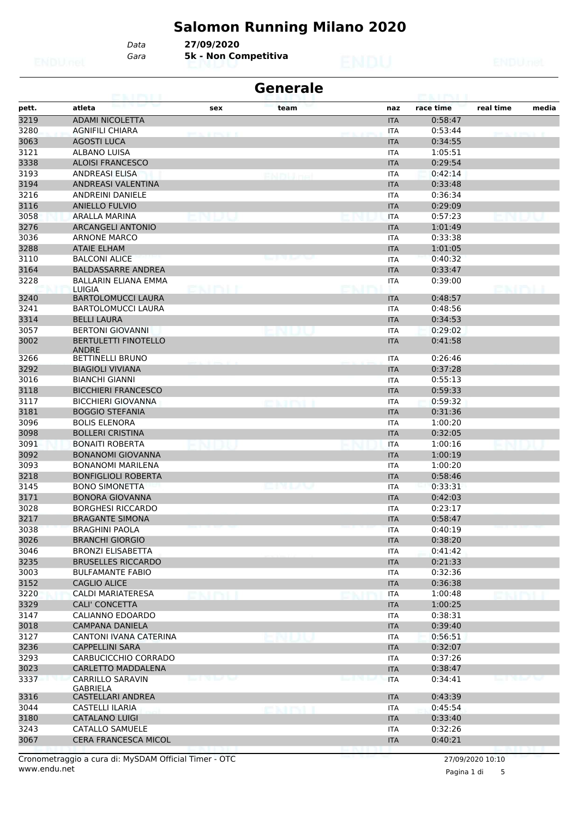# **Salomon Running Milano 2020**

*Gara* **5k - Non Competitiva** *Data* **27/09/2020**

| <b>Generale</b><br><b>ETAN HENGELE</b><br><b>POLE PALL</b> |                                             |                              |        |  |            |           |           |       |  |  |
|------------------------------------------------------------|---------------------------------------------|------------------------------|--------|--|------------|-----------|-----------|-------|--|--|
| pett.                                                      | atleta                                      | sex                          | team   |  | naz        | race time | real time | media |  |  |
| 3219                                                       | <b>ADAMI NICOLETTA</b>                      |                              |        |  | <b>ITA</b> | 0:58:47   |           |       |  |  |
| 3280                                                       | <b>AGNIFILI CHIARA</b>                      | announce a                   |        |  | <b>ITA</b> | 0:53:44   |           |       |  |  |
| 3063                                                       | <b>AGOSTI LUCA</b>                          |                              |        |  | <b>ITA</b> | 0:34:55   |           |       |  |  |
| 3121                                                       | <b>ALBANO LUISA</b>                         |                              |        |  | <b>ITA</b> | 1:05:51   |           |       |  |  |
| 3338                                                       | <b>ALOISI FRANCESCO</b>                     |                              |        |  | <b>ITA</b> | 0:29:54   |           |       |  |  |
| 3193                                                       | <b>ANDREASI ELISA</b>                       |                              | rnuha  |  | <b>ITA</b> | 0:42:14   |           |       |  |  |
| 3194                                                       | <b>ANDREASI VALENTINA</b>                   |                              |        |  | <b>ITA</b> | 0:33:48   |           |       |  |  |
| 3216                                                       | <b>ANDREINI DANIELE</b>                     |                              |        |  | <b>ITA</b> | 0:36:34   |           |       |  |  |
| 3116                                                       | <b>ANIELLO FULVIO</b>                       |                              |        |  | <b>ITA</b> | 0:29:09   |           |       |  |  |
| 3058                                                       | ARALLA MARINA                               |                              |        |  | <b>ITA</b> | 0:57:23   |           |       |  |  |
| 3276                                                       | <b>ARCANGELI ANTONIO</b>                    |                              |        |  | <b>ITA</b> | 1:01:49   |           |       |  |  |
| 3036                                                       | <b>ARNONE MARCO</b>                         |                              |        |  | <b>ITA</b> | 0:33:38   |           |       |  |  |
| 3288                                                       | <b>ATAIE ELHAM</b>                          |                              |        |  | <b>ITA</b> | 1:01:05   |           |       |  |  |
| 3110                                                       | <b>BALCONI ALICE</b>                        |                              |        |  | <b>ITA</b> | 0:40:32   |           |       |  |  |
| 3164                                                       | <b>BALDASSARRE ANDREA</b>                   |                              |        |  | <b>ITA</b> | 0:33:47   |           |       |  |  |
| 3228                                                       | <b>BALLARIN ELIANA EMMA</b>                 |                              |        |  | ITA        | 0:39:00   |           |       |  |  |
|                                                            | LUIGIA                                      | skimi i                      |        |  |            |           | BRIDI.    |       |  |  |
| 3240                                                       | <b>BARTOLOMUCCI LAURA</b>                   |                              |        |  | <b>ITA</b> | 0:48:57   |           |       |  |  |
| 3241                                                       | <b>BARTOLOMUCCI LAURA</b>                   |                              |        |  | <b>ITA</b> | 0:48:56   |           |       |  |  |
| 3314                                                       | <b>BELLI LAURA</b>                          |                              |        |  | <b>ITA</b> | 0:34:53   |           |       |  |  |
| 3057                                                       | <b>BERTONI GIOVANNI</b>                     |                              |        |  | <b>ITA</b> | 0:29:02   |           |       |  |  |
| 3002                                                       | <b>BERTULETTI FINOTELLO</b><br><b>ANDRE</b> |                              |        |  | <b>ITA</b> | 0:41:58   |           |       |  |  |
| 3266                                                       | <b>BETTINELLI BRUNO</b>                     |                              |        |  | <b>ITA</b> | 0:26:46   |           |       |  |  |
| 3292                                                       | <b>BIAGIOLI VIVIANA</b>                     |                              |        |  | <b>ITA</b> | 0:37:28   |           |       |  |  |
| 3016                                                       | <b>BIANCHI GIANNI</b>                       |                              |        |  | <b>ITA</b> | 0:55:13   |           |       |  |  |
| 3118                                                       | <b>BICCHIERI FRANCESCO</b>                  |                              |        |  | <b>ITA</b> | 0:59:33   |           |       |  |  |
| 3117                                                       | <b>BICCHIERI GIOVANNA</b>                   |                              | emmi   |  | <b>ITA</b> | 0:59:32   |           |       |  |  |
| 3181                                                       | <b>BOGGIO STEFANIA</b>                      |                              |        |  | <b>ITA</b> | 0:31:36   |           |       |  |  |
| 3096                                                       | <b>BOLIS ELENORA</b>                        |                              |        |  | <b>ITA</b> | 1:00:20   |           |       |  |  |
| 3098                                                       | <b>BOLLERI CRISTINA</b>                     |                              |        |  | <b>ITA</b> | 0:32:05   |           |       |  |  |
| 3091                                                       | <b>BONAITI ROBERTA</b>                      |                              |        |  | <b>ITA</b> | 1:00:16   |           |       |  |  |
| 3092                                                       | <b>BONANOMI GIOVANNA</b>                    |                              |        |  | <b>ITA</b> | 1:00:19   |           |       |  |  |
| 3093                                                       | <b>BONANOMI MARILENA</b>                    |                              |        |  | <b>ITA</b> | 1:00:20   |           |       |  |  |
| 3218                                                       | <b>BONFIGLIOLI ROBERTA</b>                  |                              |        |  | <b>ITA</b> | 0:58:46   |           |       |  |  |
| 3145                                                       | <b>BONO SIMONETTA</b>                       |                              | 80 U V |  | <b>ITA</b> | 0:33:31   |           |       |  |  |
| 3171                                                       | BONORA GIOVANNA                             |                              |        |  | <b>ITA</b> | 0:42:03   |           |       |  |  |
| 3028                                                       | <b>BORGHESI RICCARDO</b>                    |                              |        |  | ITA        | 0:23:17   |           |       |  |  |
| 3217                                                       | <b>BRAGANTE SIMONA</b>                      |                              |        |  | <b>ITA</b> | 0:58:47   |           |       |  |  |
| 3038                                                       | <b>BRAGHINI PAOLA</b>                       |                              |        |  | <b>ITA</b> | 0:40:19   |           |       |  |  |
| 3026                                                       | <b>BRANCHI GIORGIO</b>                      |                              |        |  | <b>ITA</b> | 0:38:20   |           |       |  |  |
| 3046                                                       | BRONZI ELISABETTA                           |                              |        |  | ITA        | 0:41:42   |           |       |  |  |
| 3235                                                       | <b>BRUSELLES RICCARDO</b>                   |                              |        |  | <b>ITA</b> | 0:21:33   |           |       |  |  |
| 3003                                                       | <b>BULFAMANTE FABIO</b>                     |                              |        |  | <b>ITA</b> | 0:32:36   |           |       |  |  |
| 3152                                                       | <b>CAGLIO ALICE</b>                         |                              |        |  | <b>ITA</b> | 0:36:38   |           |       |  |  |
| 3220                                                       | CALDI MARIATERESA                           |                              |        |  | <b>ITA</b> | 1:00:48   |           |       |  |  |
| 3329                                                       | <b>CALI' CONCETTA</b>                       |                              |        |  | <b>ITA</b> | 1:00:25   |           |       |  |  |
| 3147                                                       | CALIANNO EDOARDO                            |                              |        |  | ITA        | 0:38:31   |           |       |  |  |
| 3018                                                       | CAMPANA DANIELA                             |                              |        |  | <b>ITA</b> | 0:39:40   |           |       |  |  |
| 3127                                                       | CANTONI IVANA CATERINA                      |                              |        |  | ITA        | 0:56:51   |           |       |  |  |
| 3236                                                       | <b>CAPPELLINI SARA</b>                      |                              |        |  | <b>ITA</b> | 0:32:07   |           |       |  |  |
| 3293                                                       | CARBUCICCHIO CORRADO                        |                              |        |  | <b>ITA</b> | 0:37:26   |           |       |  |  |
| 3023                                                       | <b>CARLETTO MADDALENA</b>                   |                              |        |  | <b>ITA</b> | 0:38:47   |           |       |  |  |
| 3337                                                       | CARRILLO SARAVIN<br><b>GABRIELA</b>         | <b>March 1980 Block Team</b> |        |  | <b>ITA</b> | 0:34:41   |           |       |  |  |
| 3316                                                       | CASTELLARI ANDREA                           |                              |        |  | <b>ITA</b> | 0:43:39   |           |       |  |  |
| 3044                                                       | CASTELLI ILARIA                             |                              | exmi   |  | <b>ITA</b> | 0:45:54   |           |       |  |  |
| 3180                                                       | CATALANO LUIGI                              |                              |        |  | <b>ITA</b> | 0:33:40   |           |       |  |  |
| 3243                                                       | CATALLO SAMUELE                             |                              |        |  | <b>ITA</b> | 0:32:26   |           |       |  |  |
| 3067                                                       | <b>CERA FRANCESCA MICOL</b>                 |                              |        |  | <b>ITA</b> | 0:40:21   |           |       |  |  |
|                                                            |                                             |                              |        |  |            |           |           |       |  |  |

Pagina 1 di 5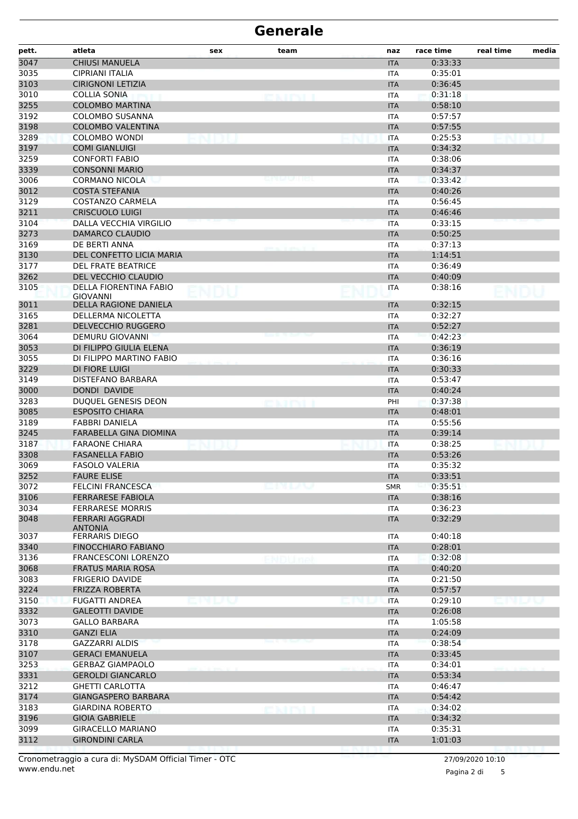| pett. | atleta                                  | sex | team     | naz        | race time | real time | media |
|-------|-----------------------------------------|-----|----------|------------|-----------|-----------|-------|
| 3047  | <b>CHIUSI MANUELA</b>                   |     |          | <b>ITA</b> | 0:33:33   |           |       |
| 3035  | CIPRIANI ITALIA                         |     |          | <b>ITA</b> | 0:35:01   |           |       |
| 3103  | <b>CIRIGNONI LETIZIA</b>                |     |          | <b>ITA</b> | 0:36:45   |           |       |
| 3010  | COLLIA SONIA                            |     | evityi i | <b>ITA</b> | 0:31:18   |           |       |
| 3255  | <b>COLOMBO MARTINA</b>                  |     |          | <b>ITA</b> | 0:58:10   |           |       |
| 3192  | <b>COLOMBO SUSANNA</b>                  |     |          | <b>ITA</b> | 0:57:57   |           |       |
| 3198  | <b>COLOMBO VALENTINA</b>                |     |          | <b>ITA</b> | 0:57:55   |           |       |
| 3289  | COLOMBO WONDI                           |     |          | <b>ITA</b> | 0:25:53   |           |       |
| 3197  | <b>COMI GIANLUIGI</b>                   |     |          | <b>ITA</b> | 0:34:32   |           |       |
| 3259  | <b>CONFORTI FABIO</b>                   |     |          | <b>ITA</b> | 0:38:06   |           |       |
| 3339  | <b>CONSONNI MARIO</b>                   |     |          | <b>ITA</b> | 0:34:37   |           |       |
| 3006  | <b>CORMANO NICOLA</b>                   |     |          | ITA        | 0:33:42   |           |       |
| 3012  | <b>COSTA STEFANIA</b>                   |     |          | <b>ITA</b> | 0:40:26   |           |       |
| 3129  | COSTANZO CARMELA                        |     |          | <b>ITA</b> | 0:56:45   |           |       |
| 3211  | <b>CRISCUOLO LUIGI</b>                  |     |          | <b>ITA</b> | 0:46:46   |           |       |
| 3104  | DALLA VECCHIA VIRGILIO                  |     |          | <b>ITA</b> | 0:33:15   |           |       |
| 3273  | DAMARCO CLAUDIO                         |     |          | <b>ITA</b> | 0:50:25   |           |       |
| 3169  | DE BERTI ANNA                           |     |          | <b>ITA</b> | 0:37:13   |           |       |
| 3130  | DEL CONFETTO LICIA MARIA                |     |          | <b>ITA</b> | 1:14:51   |           |       |
| 3177  | <b>DEL FRATE BEATRICE</b>               |     |          | <b>ITA</b> | 0:36:49   |           |       |
| 3262  | DEL VECCHIO CLAUDIO                     |     |          | <b>ITA</b> | 0:40:09   |           |       |
| 3105  | DELLA FIORENTINA FABIO                  |     |          | <b>ITA</b> | 0:38:16   |           |       |
|       | <b>GIOVANNI</b>                         |     |          |            |           |           |       |
| 3011  | DELLA RAGIONE DANIELA                   |     |          | <b>ITA</b> | 0:32:15   |           |       |
| 3165  | DELLERMA NICOLETTA                      |     |          | ITA        | 0:32:27   |           |       |
| 3281  | <b>DELVECCHIO RUGGERO</b>               |     |          | <b>ITA</b> | 0:52:27   |           |       |
| 3064  | DEMURU GIOVANNI                         |     |          | ITA        | 0:42:23   |           |       |
| 3053  | DI FILIPPO GIULIA ELENA                 |     |          | <b>ITA</b> | 0:36:19   |           |       |
| 3055  | DI FILIPPO MARTINO FABIO                |     |          | <b>ITA</b> | 0:36:16   |           |       |
| 3229  | <b>DI FIORE LUIGI</b>                   |     |          | <b>ITA</b> | 0:30:33   |           |       |
| 3149  | DISTEFANO BARBARA                       |     |          | <b>ITA</b> | 0:53:47   |           |       |
| 3000  | DONDI DAVIDE                            |     |          | <b>ITA</b> | 0:40:24   |           |       |
| 3283  | DUQUEL GENESIS DEON                     |     |          | PHI        | 0:37:38   |           |       |
| 3085  | <b>ESPOSITO CHIARA</b>                  |     |          | <b>ITA</b> | 0:48:01   |           |       |
| 3189  | <b>FABBRI DANIELA</b>                   |     |          | <b>ITA</b> | 0:55:56   |           |       |
| 3245  | FARABELLA GINA DIOMINA                  |     |          | <b>ITA</b> | 0:39:14   |           |       |
| 3187  | <b>FARAONE CHIARA</b>                   |     |          | <b>ITA</b> | 0:38:25   |           |       |
| 3308  | <b>FASANELLA FABIO</b>                  |     |          | <b>ITA</b> | 0:53:26   |           |       |
| 3069  | <b>FASOLO VALERIA</b>                   |     |          | <b>ITA</b> | 0:35:32   |           |       |
| 3252  | <b>FAURE ELISE</b>                      |     |          | $\sf ITA$  | 0:33:51   |           |       |
| 3072  | <b>FELCINI FRANCESCA</b>                |     | emuv     | <b>SMR</b> | 0:35:51   |           |       |
| 3106  | <b>FERRARESE FABIOLA</b>                |     |          | <b>ITA</b> | 0:38:16   |           |       |
| 3034  | <b>FERRARESE MORRIS</b>                 |     |          | <b>ITA</b> | 0:36:23   |           |       |
| 3048  | <b>FERRARI AGGRADI</b>                  |     |          | <b>ITA</b> | 0:32:29   |           |       |
| 3037  | <b>ANTONIA</b><br><b>FERRARIS DIEGO</b> |     |          | ITA        | 0:40:18   |           |       |
| 3340  | FINOCCHIARO FABIANO                     |     |          | <b>ITA</b> | 0:28:01   |           |       |
| 3136  | <b>FRANCESCONI LORENZO</b>              |     |          | ITA        | 0:32:08   |           |       |
| 3068  | <b>FRATUS MARIA ROSA</b>                |     |          | <b>ITA</b> | 0:40:20   |           |       |
| 3083  | <b>FRIGERIO DAVIDE</b>                  |     |          | <b>ITA</b> | 0:21:50   |           |       |
| 3224  | <b>FRIZZA ROBERTA</b>                   |     |          | <b>ITA</b> | 0:57:57   |           |       |
| 3150  | <b>FUGATTI ANDREA</b>                   |     |          | <b>ITA</b> | 0:29:10   |           |       |
| 3332  | <b>GALEOTTI DAVIDE</b>                  |     |          | <b>ITA</b> | 0:26:08   |           |       |
| 3073  | <b>GALLO BARBARA</b>                    |     |          | ITA        | 1:05:58   |           |       |
| 3310  | <b>GANZI ELIA</b>                       |     |          | <b>ITA</b> | 0:24:09   |           |       |
| 3178  | <b>GAZZARRI ALDIS</b>                   |     |          | <b>ITA</b> | 0:38:54   |           |       |
| 3107  | <b>GERACI EMANUELA</b>                  |     |          | <b>ITA</b> | 0:33:45   |           |       |
| 3253  | <b>GERBAZ GIAMPAOLO</b>                 |     |          | <b>ITA</b> | 0:34:01   |           |       |
| 3331  | <b>GEROLDI GIANCARLO</b>                |     |          | <b>ITA</b> | 0:53:34   |           |       |
| 3212  | <b>GHETTI CARLOTTA</b>                  |     |          | ITA        | 0:46:47   |           |       |
| 3174  | GIANGASPERO BARBARA                     |     |          | <b>ITA</b> | 0:54:42   |           |       |
| 3183  | <b>GIARDINA ROBERTO</b>                 |     | emini    | <b>ITA</b> | 0:34:02   |           |       |
| 3196  | <b>GIOIA GABRIELE</b>                   |     |          | <b>ITA</b> | 0:34:32   |           |       |
| 3099  | <b>GIRACELLO MARIANO</b>                |     |          | <b>ITA</b> | 0:35:31   |           |       |
| 3112  | <b>GIRONDINI CARLA</b>                  |     |          | <b>ITA</b> | 1:01:03   |           |       |
|       |                                         |     |          |            |           |           |       |

Pagina 2 di 5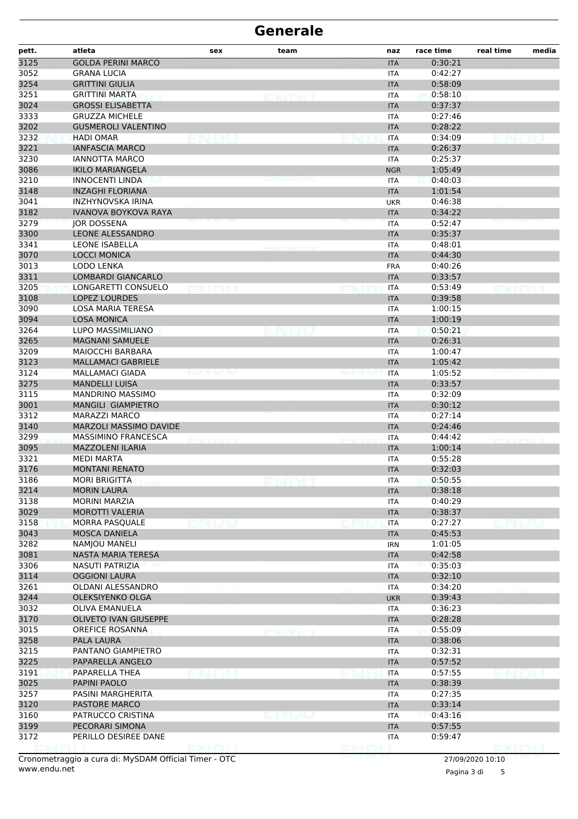| pett.        | atleta                                        | sex   | team                 | naz                      | race time          | real time | media |
|--------------|-----------------------------------------------|-------|----------------------|--------------------------|--------------------|-----------|-------|
| 3125         | <b>GOLDA PERINI MARCO</b>                     |       |                      | <b>ITA</b>               | 0:30:21            |           |       |
| 3052         | <b>GRANA LUCIA</b>                            |       |                      | <b>ITA</b>               | 0:42:27            |           |       |
| 3254         | <b>GRITTINI GIULIA</b>                        |       |                      | <b>ITA</b>               | 0:58:09            |           |       |
| 3251         | GRITTINI MARTA                                |       | <b>LEARCH PROFIT</b> | <b>ITA</b>               | 0:58:10            |           |       |
| 3024         | <b>GROSSI ELISABETTA</b>                      |       |                      | <b>ITA</b>               | 0:37:37            |           |       |
| 3333         | <b>GRUZZA MICHELE</b>                         |       |                      | <b>ITA</b>               | 0:27:46            |           |       |
| 3202         | <b>GUSMEROLI VALENTINO</b>                    |       |                      | <b>ITA</b>               | 0:28:22            |           |       |
| 3232         | <b>HADI OMAR</b>                              |       |                      | <b>ITA</b>               | 0:34:09            |           |       |
| 3221         | <b>IANFASCIA MARCO</b>                        |       |                      | <b>ITA</b>               | 0:26:37            |           |       |
| 3230         | <b>IANNOTTA MARCO</b>                         |       |                      | <b>ITA</b>               | 0:25:37            |           |       |
| 3086         | <b>IKILO MARIANGELA</b>                       |       |                      | <b>NGR</b>               | 1:05:49            |           |       |
| 3210         | <b>INNOCENTI LINDA</b>                        |       |                      | <b>ITA</b>               | 0:40:03            |           |       |
| 3148         | <b>INZAGHI FLORIANA</b>                       |       |                      | <b>ITA</b>               | 1:01:54            |           |       |
| 3041         | INZHYNOVSKA IRINA                             |       |                      | <b>UKR</b>               | 0:46:38            |           |       |
| 3182         | <b>IVANOVA BOYKOVA RAYA</b>                   |       |                      | <b>ITA</b>               | 0:34:22            |           |       |
| 3279         | <b>JOR DOSSENA</b>                            |       |                      | <b>ITA</b>               | 0:52:47            |           |       |
| 3300         | LEONE ALESSANDRO                              |       |                      | <b>ITA</b>               | 0:35:37            |           |       |
| 3341         | <b>LEONE ISABELLA</b>                         |       |                      | <b>ITA</b>               | 0:48:01            |           |       |
| 3070         | <b>LOCCI MONICA</b>                           |       |                      | <b>ITA</b>               | 0:44:30            |           |       |
| 3013         | LODO LENKA                                    |       |                      | <b>FRA</b>               | 0:40:26            |           |       |
| 3311         | <b>LOMBARDI GIANCARLO</b>                     |       |                      | <b>ITA</b>               | 0:33:57            |           |       |
| 3205         | LONGARETTI CONSUELO                           |       |                      | <b>ITA</b>               | 0:53:49            |           |       |
| 3108         | <b>LOPEZ LOURDES</b>                          |       |                      | <b>ITA</b>               | 0:39:58            |           |       |
| 3090         | LOSA MARIA TERESA                             |       |                      | <b>ITA</b>               | 1:00:15            |           |       |
| 3094         | <b>LOSA MONICA</b>                            |       |                      | <b>ITA</b>               | 1:00:19            |           |       |
| 3264         | LUPO MASSIMILIANO                             |       |                      | <b>ITA</b>               | 0:50:21            |           |       |
| 3265         | <b>MAGNANI SAMUELE</b>                        |       |                      | <b>ITA</b>               | 0:26:31            |           |       |
| 3209<br>3123 | MAIOCCHI BARBARA<br><b>MALLAMACI GABRIELE</b> |       |                      | <b>ITA</b>               | 1:00:47<br>1:05:42 |           |       |
|              | <b>MALLAMACI GIADA</b>                        | -1317 |                      | <b>ITA</b>               | 1:05:52            |           |       |
| 3124<br>3275 | <b>MANDELLI LUISA</b>                         |       |                      | <b>ITA</b>               | 0:33:57            |           |       |
| 3115         | <b>MANDRINO MASSIMO</b>                       |       |                      | <b>ITA</b><br><b>ITA</b> | 0:32:09            |           |       |
| 3001         | MANGILI GIAMPIETRO                            |       |                      | <b>ITA</b>               | 0:30:12            |           |       |
| 3312         | <b>MARAZZI MARCO</b>                          |       |                      | <b>ITA</b>               | 0:27:14            |           |       |
| 3140         | MARZOLI MASSIMO DAVIDE                        |       |                      | <b>ITA</b>               | 0:24:46            |           |       |
| 3299         | <b>MASSIMINO FRANCESCA</b>                    |       |                      | <b>ITA</b>               | 0:44:42            |           |       |
| 3095         | <b>MAZZOLENI ILARIA</b>                       |       |                      | <b>ITA</b>               | 1:00:14            |           |       |
| 3321         | <b>MEDI MARTA</b>                             |       |                      | <b>ITA</b>               | 0:55:28            |           |       |
| 3176         | <b>MONTANI RENATO</b>                         |       |                      | <b>ITA</b>               | 0:32:03            |           |       |
| 3186         | MORI BRIGITTA                                 |       |                      | ITA                      | 0:50:55            |           |       |
| 3214         | <b>MORIN LAURA</b>                            |       |                      | <b>ITA</b>               | 0:38:18            |           |       |
| 3138         | <b>MORINI MARZIA</b>                          |       |                      | <b>ITA</b>               | 0:40:29            |           |       |
| 3029         | MOROTTI VALERIA                               |       |                      | <b>ITA</b>               | 0:38:37            |           |       |
| 3158         | MORRA PASQUALE                                |       |                      | <b>ITA</b>               | 0:27:27            |           |       |
| 3043         | <b>MOSCA DANIELA</b>                          |       |                      | <b>ITA</b>               | 0:45:53            |           |       |
| 3282         | NAMJOU MANELI                                 |       |                      | <b>IRN</b>               | 1:01:05            |           |       |
| 3081         | NASTA MARIA TERESA                            |       |                      | <b>ITA</b>               | 0:42:58            |           |       |
| 3306         | <b>NASUTI PATRIZIA</b>                        |       |                      | <b>ITA</b>               | 0:35:03            |           |       |
| 3114         | <b>OGGIONI LAURA</b>                          |       |                      | <b>ITA</b>               | 0:32:10            |           |       |
| 3261         | OLDANI ALESSANDRO                             |       |                      | <b>ITA</b>               | 0:34:20            |           |       |
| 3244         | <b>OLEKSIYENKO OLGA</b>                       |       |                      | <b>UKR</b>               | 0:39:43            |           |       |
| 3032         | <b>OLIVA EMANUELA</b>                         |       |                      | <b>ITA</b>               | 0:36:23            |           |       |
| 3170         | <b>OLIVETO IVAN GIUSEPPE</b>                  |       |                      | <b>ITA</b>               | 0:28:28            |           |       |
| 3015         | OREFICE ROSANNA                               |       | <b>CAIREL</b>        | <b>ITA</b>               | 0:55:09            |           |       |
| 3258         | PALA LAURA                                    |       |                      | <b>ITA</b>               | 0:38:06            |           |       |
| 3215         | PANTANO GIAMPIETRO                            |       |                      | <b>ITA</b>               | 0:32:31            |           |       |
| 3225         | PAPARELLA ANGELO                              |       |                      | <b>ITA</b>               | 0:57:52            |           |       |
| 3191         | PAPARELLA THEA                                |       |                      | <b>ITA</b>               | 0:57:55            |           |       |
| 3025         | PAPINI PAOLO                                  |       |                      | <b>ITA</b>               | 0:38:39            |           |       |
| 3257         | PASINI MARGHERITA                             |       |                      | <b>ITA</b>               | 0:27:35            |           |       |
| 3120         | <b>PASTORE MARCO</b>                          |       |                      | <b>ITA</b>               | 0:33:14            |           |       |
| 3160         | PATRUCCO CRISTINA                             |       | ana kula             | <b>ITA</b>               | 0:43:16            |           |       |
| 3199         | PECORARI SIMONA                               |       |                      | <b>ITA</b>               | 0:57:55            |           |       |
| 3172         | PERILLO DESIREE DANE                          |       |                      | ITA                      | 0:59:47            |           |       |
|              |                                               |       |                      |                          |                    |           |       |

Pagina 3 di 5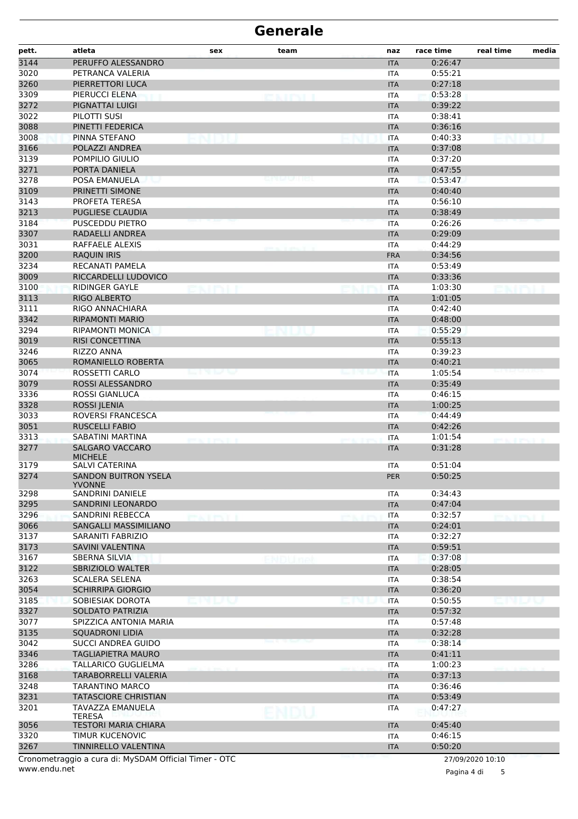| pett.        | atleta                                                | sex               | team  | naz                      | race time          | real time           | media |
|--------------|-------------------------------------------------------|-------------------|-------|--------------------------|--------------------|---------------------|-------|
| 3144         | PERUFFO ALESSANDRO                                    |                   |       | <b>ITA</b>               | 0:26:47            |                     |       |
| 3020         | PETRANCA VALERIA                                      |                   |       | ITA                      | 0:55:21            |                     |       |
| 3260         | PIERRETTORI LUCA                                      |                   |       | <b>ITA</b>               | 0:27:18            |                     |       |
| 3309         | PIERUCCI ELENA                                        |                   |       | <b>ITA</b>               | 0:53:28            |                     |       |
| 3272         | PIGNATTAI LUIGI                                       |                   |       | <b>ITA</b>               | 0:39:22            |                     |       |
| 3022         | PILOTTI SUSI                                          |                   |       | <b>ITA</b>               | 0:38:41            |                     |       |
| 3088         | PINETTI FEDERICA                                      |                   |       | <b>ITA</b>               | 0:36:16            |                     |       |
| 3008         | PINNA STEFANO                                         |                   |       | <b>ITA</b>               | 0:40:33            |                     |       |
| 3166         | POLAZZI ANDREA                                        |                   |       | <b>ITA</b>               | 0:37:08            |                     |       |
| 3139         | POMPILIO GIULIO                                       |                   |       | <b>ITA</b>               | 0:37:20            |                     |       |
| 3271         | PORTA DANIELA                                         |                   |       | <b>ITA</b>               | 0:47:55            |                     |       |
| 3278         | POSA EMANUELA                                         |                   |       | <b>ITA</b>               | 0:53:47            |                     |       |
| 3109         | PRINETTI SIMONE                                       |                   |       | <b>ITA</b>               | 0:40:40            |                     |       |
| 3143         | PROFETA TERESA                                        |                   |       | <b>ITA</b>               | 0:56:10            |                     |       |
| 3213         | <b>PUGLIESE CLAUDIA</b>                               |                   |       | <b>ITA</b>               | 0:38:49            |                     |       |
| 3184         | <b>PUSCEDDU PIETRO</b>                                |                   |       | <b>ITA</b>               | 0:26:26            |                     |       |
| 3307         | RADAELLI ANDREA                                       |                   |       | <b>ITA</b>               | 0:29:09            |                     |       |
| 3031         | RAFFAELE ALEXIS                                       |                   |       | <b>ITA</b>               | 0:44:29            |                     |       |
| 3200         | <b>RAQUIN IRIS</b>                                    |                   |       | <b>FRA</b>               | 0:34:56            |                     |       |
| 3234         | RECANATI PAMELA                                       |                   |       | <b>ITA</b>               | 0:53:49            |                     |       |
| 3009         | RICCARDELLI LUDOVICO                                  |                   |       | <b>ITA</b>               | 0:33:36            |                     |       |
| 3100         | <b>RIDINGER GAYLE</b>                                 |                   |       | <b>ITA</b>               | 1:03:30            |                     |       |
| 3113         | RIGO ALBERTO                                          |                   |       | <b>ITA</b>               | 1:01:05            |                     |       |
| 3111         | RIGO ANNACHIARA                                       |                   |       | <b>ITA</b>               | 0:42:40            |                     |       |
| 3342         | <b>RIPAMONTI MARIO</b>                                |                   |       | <b>ITA</b>               | 0:48:00<br>0:55:29 |                     |       |
| 3294         | RIPAMONTI MONICA<br><b>RISI CONCETTINA</b>            |                   |       | <b>ITA</b>               | 0:55:13            |                     |       |
| 3019<br>3246 | <b>RIZZO ANNA</b>                                     |                   |       | <b>ITA</b><br><b>ITA</b> | 0:39:23            |                     |       |
| 3065         | ROMANIELLO ROBERTA                                    |                   |       | <b>ITA</b>               | 0:40:21            |                     |       |
| 3074         | <b>ROSSETTI CARLO</b>                                 | en voe            |       | <b>ITA</b>               | 1:05:54            |                     |       |
| 3079         | ROSSI ALESSANDRO                                      |                   |       | <b>ITA</b>               | 0:35:49            |                     |       |
| 3336         | <b>ROSSI GIANLUCA</b>                                 |                   |       | <b>ITA</b>               | 0:46:15            |                     |       |
| 3328         | <b>ROSSI JLENIA</b>                                   |                   |       | <b>ITA</b>               | 1:00:25            |                     |       |
| 3033         | ROVERSI FRANCESCA                                     |                   |       | <b>ITA</b>               | 0:44:49            |                     |       |
| 3051         | <b>RUSCELLI FABIO</b>                                 |                   |       | <b>ITA</b>               | 0:42:26            |                     |       |
| 3313         | SABATINI MARTINA                                      | <b>CONTRACTOR</b> |       | <b>ITA</b>               | 1:01:54            | per a la prociación |       |
| 3277         | <b>SALGARO VACCARO</b><br><b>MICHELE</b>              |                   |       | <b>ITA</b>               | 0:31:28            |                     |       |
| 3179         | SALVI CATERINA                                        |                   |       | <b>ITA</b>               | 0:51:04            |                     |       |
| 3274         | <b>SANDON BUITRON YSELA</b><br><b>YVONNE</b>          |                   |       | <b>PER</b>               | 0:50:25            |                     |       |
| 3298         | SANDRINI DANIELE                                      |                   |       | ITA                      | 0:34:43            |                     |       |
| 3295         | <b>SANDRINI LEONARDO</b>                              |                   |       | <b>ITA</b>               | 0:47:04            |                     |       |
| 3296         | SANDRINI REBECCA                                      |                   |       | ITA                      | 0:32:57            |                     |       |
| 3066         | SANGALLI MASSIMILIANO                                 |                   |       | <b>ITA</b>               | 0:24:01            |                     |       |
| 3137         | SARANITI FABRIZIO                                     |                   |       | <b>ITA</b>               | 0:32:27            |                     |       |
| 3173         | SAVINI VALENTINA                                      |                   |       | <b>ITA</b>               | 0:59:51            |                     |       |
| 3167         | <b>SBERNA SILVIA</b>                                  |                   | NDUmr | <b>ITA</b>               | 0:37:08            |                     |       |
| 3122         | SBRIZIOLO WALTER                                      |                   |       | <b>ITA</b>               | 0:28:05            |                     |       |
| 3263         | <b>SCALERA SELENA</b>                                 |                   |       | <b>ITA</b>               | 0:38:54            |                     |       |
| 3054         | <b>SCHIRRIPA GIORGIO</b>                              |                   |       | <b>ITA</b>               | 0:36:20            |                     |       |
| 3185         | SOBIESIAK DOROTA                                      | MUJNJ             |       | <b>ITA</b>               | 0:50:55            | e politika          |       |
| 3327         | SOLDATO PATRIZIA                                      |                   |       | <b>ITA</b>               | 0:57:32            |                     |       |
| 3077         | SPIZZICA ANTONIA MARIA                                |                   |       | <b>ITA</b>               | 0:57:48            |                     |       |
| 3135         | <b>SQUADRONI LIDIA</b>                                |                   |       | <b>ITA</b>               | 0:32:28            |                     |       |
| 3042         | SUCCI ANDREA GUIDO                                    |                   |       | ITA                      | 0:38:14            |                     |       |
| 3346         | <b>TAGLIAPIETRA MAURO</b>                             |                   |       | <b>ITA</b>               | 0:41:11            |                     |       |
| 3286         | TALLARICO GUGLIELMA                                   |                   |       | <b>ITA</b>               | 1:00:23            |                     |       |
| 3168         | TARABORRELLI VALERIA                                  |                   |       | <b>ITA</b>               | 0:37:13            |                     |       |
| 3248         | <b>TARANTINO MARCO</b>                                |                   |       | <b>ITA</b>               | 0:36:46            |                     |       |
| 3231         | <b>TATASCIORE CHRISTIAN</b>                           |                   |       | <b>ITA</b>               | 0:53:49            |                     |       |
| 3201         | TAVAZZA EMANUELA<br><b>TERESA</b>                     |                   |       | ITA                      | 0:47:27            |                     |       |
| 3056         | <b>TESTORI MARIA CHIARA</b>                           |                   |       | <b>ITA</b>               | 0:45:40            |                     |       |
| 3320         | TIMUR KUCENOVIC                                       |                   |       | <b>ITA</b>               | 0:46:15            |                     |       |
| 3267         | TINNIRELLO VALENTINA                                  |                   |       | <b>ITA</b>               | 0:50:20            |                     |       |
|              | Cronometraggio a cura di: MySDAM Official Timer - OTC |                   |       |                          |                    | 27/09/2020 10:10    |       |

www.endu.net

Pagina 4 di 5